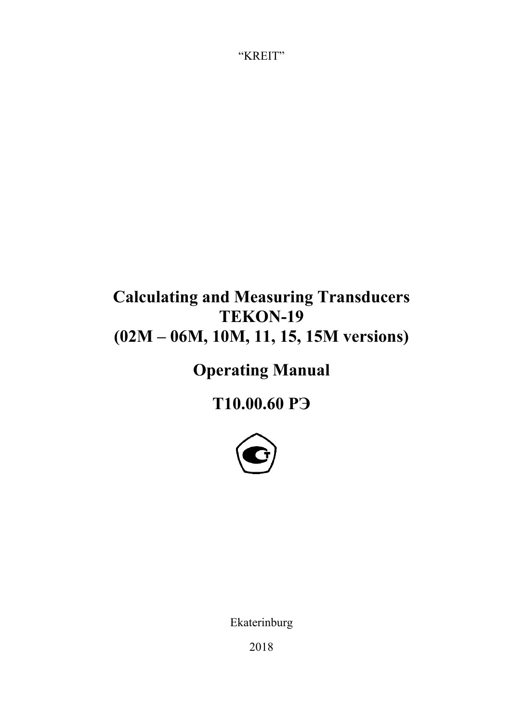"KREIT"

# **Calculating and Measuring Transducers TEKON-19 (02М – 06М, 10М, 11, 15, 15М versions)**

**Operating Manual** 

**Т10.00.60 РЭ**



Ekaterinburg

2018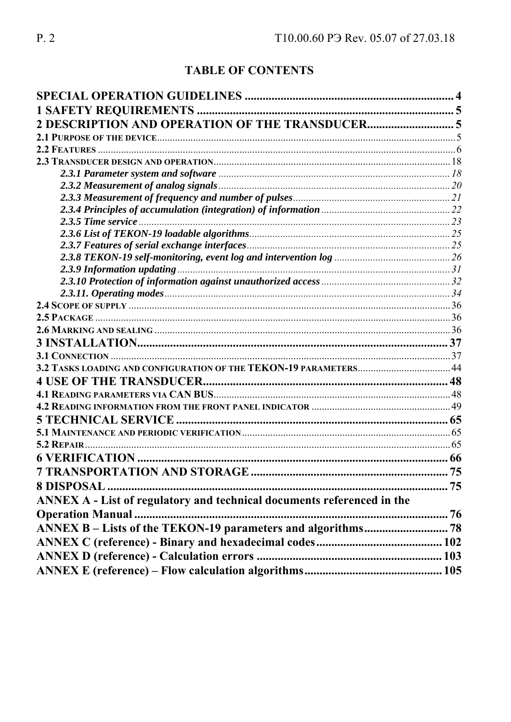# **TABLE OF CONTENTS**

| ANNEX A - List of regulatory and technical documents referenced in the |  |
|------------------------------------------------------------------------|--|
| <b>Operation Manual </b>                                               |  |
|                                                                        |  |
|                                                                        |  |
|                                                                        |  |
|                                                                        |  |
|                                                                        |  |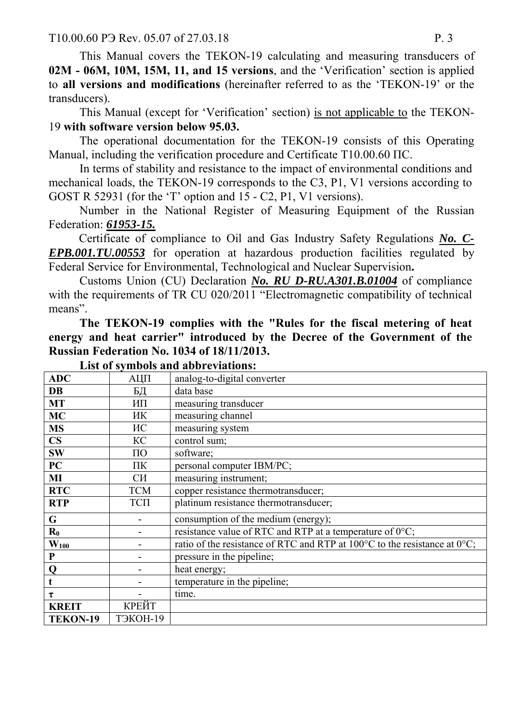T10.00.60 P<sub>3</sub> Rev. 05.07 of 27.03.18 P. 3

This Manual covers the TEKON-19 calculating and measuring transducers of **02M - 06M, 10M, 15M, 11, and 15 versions**, and the 'Verification' section is applied to **all versions and modifications** (hereinafter referred to as the 'TEKON-19' or the transducers).

This Manual (except for 'Verification' section) is not applicable to the TEKON-19 **with software version below 95.03.** 

The operational documentation for the TEKON-19 consists of this Operating Manual, including the verification procedure and Certificate T10.00.60 ПС.

In terms of stability and resistance to the impact of environmental conditions and mechanical loads, the TEKON-19 corresponds to the C3, P1, V1 versions according to GOST R 52931 (for the 'T' option and 15 - C2, P1, V1 versions).

Number in the National Register of Measuring Equipment of the Russian Federation: *61953-15.*

Certificate of compliance to Oil and Gas Industry Safety Regulations *No. C-EPB.001.TU.00553* for operation at hazardous production facilities regulated by Federal Service for Environmental, Technological and Nuclear Supervision**.** 

Customs Union (CU) Declaration *No. RU D-RU.A301.B.01004* of compliance with the requirements of TR CU 020/2011 "Electromagnetic compatibility of technical means".

**The TEKON-19 complies with the "Rules for the fiscal metering of heat energy and heat carrier" introduced by the Decree of the Government of the Russian Federation No. 1034 of 18/11/2013.** 

| <b>ADC</b>     | АЦП                | analog-to-digital converter                                                                   |
|----------------|--------------------|-----------------------------------------------------------------------------------------------|
| DB             | БД                 | data base                                                                                     |
| <b>MT</b>      | ИП                 | measuring transducer                                                                          |
| <b>MC</b>      | ИК                 | measuring channel                                                                             |
| <b>MS</b>      | ИС                 | measuring system                                                                              |
| $\mathbf{CS}$  | КC                 | control sum;                                                                                  |
| <b>SW</b>      | $\Pi$ <sup>O</sup> | software;                                                                                     |
| PC             | ПК                 | personal computer IBM/PC;                                                                     |
| MI             | CИ <sub></sub>     | measuring instrument;                                                                         |
| <b>RTC</b>     | <b>TCM</b>         | copper resistance thermotransducer;                                                           |
| <b>RTP</b>     | TCП                | platinum resistance thermotransducer;                                                         |
| G              |                    | consumption of the medium (energy);                                                           |
| $\mathbf{R}_0$ |                    | resistance value of RTC and RTP at a temperature of 0°C;                                      |
| $W_{100}$      |                    | ratio of the resistance of RTC and RTP at $100^{\circ}$ C to the resistance at $0^{\circ}$ C; |
| $\mathbf P$    |                    | pressure in the pipeline;                                                                     |
| Q              |                    | heat energy;                                                                                  |
| $\mathbf t$    |                    | temperature in the pipeline;                                                                  |
| τ              |                    | time.                                                                                         |
| <b>KREIT</b>   | КРЕЙТ              |                                                                                               |
| TEKON-19       | ТЭКОН-19           |                                                                                               |

**List of symbols and abbreviations:**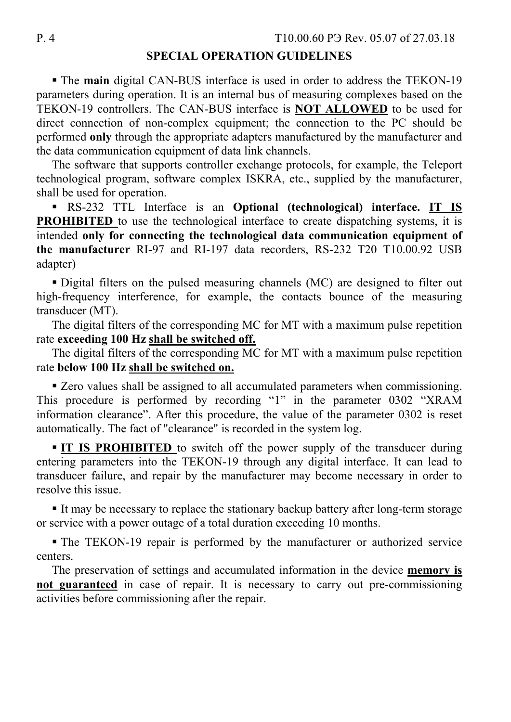#### **SPECIAL OPERATION GUIDELINES**

 The **main** digital CAN-BUS interface is used in order to address the TEKON-19 parameters during operation. It is an internal bus of measuring complexes based on the TEKON-19 controllers. The CAN-BUS interface is **NOT ALLOWED** to be used for direct connection of non-complex equipment; the connection to the PC should be performed **only** through the appropriate adapters manufactured by the manufacturer and the data communication equipment of data link channels.

The software that supports controller exchange protocols, for example, the Teleport technological program, software complex ISKRA, etc., supplied by the manufacturer, shall be used for operation.

 RS-232 TTL Interface is an **Optional (technological) interface. IT IS PROHIBITED** to use the technological interface to create dispatching systems, it is intended **only for connecting the technological data communication equipment of the manufacturer** RI-97 and RI-197 data recorders, RS-232 T20 T10.00.92 USB adapter)

 Digital filters on the pulsed measuring channels (MC) are designed to filter out high-frequency interference, for example, the contacts bounce of the measuring transducer (MT).

The digital filters of the corresponding MC for MT with a maximum pulse repetition rate **exceeding 100 Hz shall be switched off.**

The digital filters of the corresponding MC for MT with a maximum pulse repetition rate **below 100 Hz shall be switched on.**

Exero values shall be assigned to all accumulated parameters when commissioning. This procedure is performed by recording "1" in the parameter 0302 "XRAM information clearance". After this procedure, the value of the parameter 0302 is reset automatically. The fact of "clearance" is recorded in the system log.

 **IT IS PROHIBITED** to switch off the power supply of the transducer during entering parameters into the TEKON-19 through any digital interface. It can lead to transducer failure, and repair by the manufacturer may become necessary in order to resolve this issue.

It may be necessary to replace the stationary backup battery after long-term storage or service with a power outage of a total duration exceeding 10 months.

 The TEKON-19 repair is performed by the manufacturer or authorized service centers.

The preservation of settings and accumulated information in the device **memory is not guaranteed** in case of repair. It is necessary to carry out pre-commissioning activities before commissioning after the repair.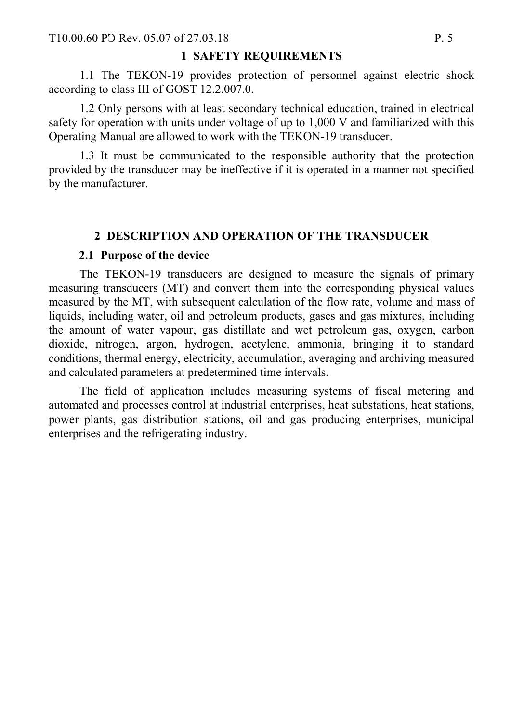#### **1 SAFETY REQUIREMENTS**

1.1 The TEKON-19 provides protection of personnel against electric shock according to class III of GOST 12.2.007.0.

 1.2 Only persons with at least secondary technical education, trained in electrical safety for operation with units under voltage of up to 1,000 V and familiarized with this Operating Manual are allowed to work with the TEKON-19 transducer.

 1.3 It must be communicated to the responsible authority that the protection provided by the transducer may be ineffective if it is operated in a manner not specified by the manufacturer.

### **2 DESCRIPTION AND OPERATION OF THE TRANSDUCER**

#### **2.1 Purpose of the device**

The TEKON-19 transducers are designed to measure the signals of primary measuring transducers (MT) and convert them into the corresponding physical values measured by the MT, with subsequent calculation of the flow rate, volume and mass of liquids, including water, oil and petroleum products, gases and gas mixtures, including the amount of water vapour, gas distillate and wet petroleum gas, oxygen, carbon dioxide, nitrogen, argon, hydrogen, acetylene, ammonia, bringing it to standard conditions, thermal energy, electricity, accumulation, averaging and archiving measured and calculated parameters at predetermined time intervals.

The field of application includes measuring systems of fiscal metering and automated and processes control at industrial enterprises, heat substations, heat stations, power plants, gas distribution stations, oil and gas producing enterprises, municipal enterprises and the refrigerating industry.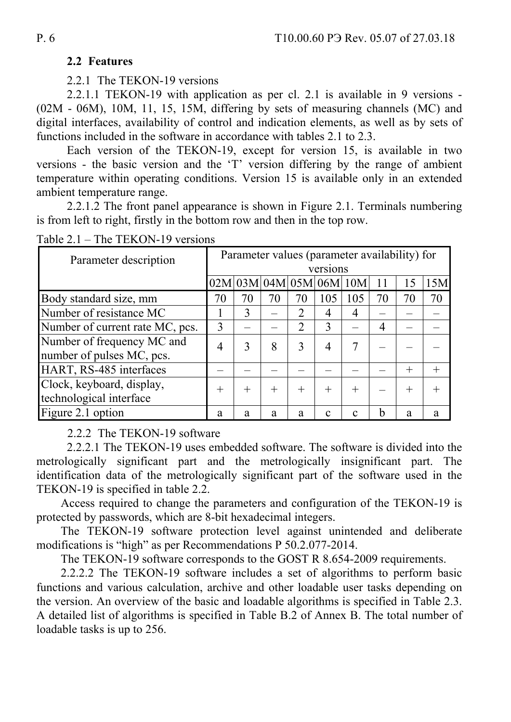### **2.2 Features**

2.2.1 The TEKON-19 versions

2.2.1.1 TEKON-19 with application as per cl. 2.1 is available in 9 versions - (02M - 06M), 10M, 11, 15, 15M, differing by sets of measuring channels (MC) and digital interfaces, availability of control and indication elements, as well as by sets of functions included in the software in accordance with tables 2.1 to 2.3.

Each version of the TEKON-19, except for version 15, is available in two versions - the basic version and the 'T' version differing by the range of ambient temperature within operating conditions. Version 15 is available only in an extended ambient temperature range.

2.2.1.2 The front panel appearance is shown in Figure 2.1. Terminals numbering is from left to right, firstly in the bottom row and then in the top row.

| Parameter description           | Parameter values (parameter availability) for |      |        |        |                 |              |                |        |     |
|---------------------------------|-----------------------------------------------|------|--------|--------|-----------------|--------------|----------------|--------|-----|
|                                 |                                               |      |        |        | versions        |              |                |        |     |
|                                 | 02M                                           |      |        |        | 03M 04M 05M 06M | 10M          |                | 15     | 15M |
| Body standard size, mm          | 70                                            | 70   | 70     | 70     | 105             | 105          | 70             | 70     | 70  |
| Number of resistance MC         |                                               | 3    |        | 2      | 4               | 4            |                |        |     |
| Number of current rate MC, pcs. | 3                                             |      |        | 2      | 3               |              | $\overline{4}$ |        |     |
| Number of frequency MC and      | 4                                             | 3    | 8      | 3      | $\overline{4}$  | 7            |                |        |     |
| number of pulses MC, pcs.       |                                               |      |        |        |                 |              |                |        |     |
| HART, RS-485 interfaces         |                                               |      |        |        |                 |              |                | $^{+}$ |     |
| Clock, keyboard, display,       | $^{+}$                                        | $^+$ | $\! +$ | $^{+}$ | $^{+}$          | $^{+}$       |                | $^{+}$ |     |
| technological interface         |                                               |      |        |        |                 |              |                |        |     |
| Figure 2.1 option               | a                                             | a    | a      | a      | с               | $\mathbf{c}$ | h              | a      | a   |

Table 2.1 – The TEKON-19 versions

2.2.2 The TEKON-19 software

2.2.2.1 The TEKON-19 uses embedded software. The software is divided into the metrologically significant part and the metrologically insignificant part. The identification data of the metrologically significant part of the software used in the TEKON-19 is specified in table 2.2.

Access required to change the parameters and configuration of the TEKON-19 is protected by passwords, which are 8-bit hexadecimal integers.

The TEKON-19 software protection level against unintended and deliberate modifications is "high" as per Recommendations P 50.2.077-2014.

The TEKON-19 software corresponds to the GOST R 8.654-2009 requirements.

2.2.2.2 The TEKON-19 software includes a set of algorithms to perform basic functions and various calculation, archive and other loadable user tasks depending on the version. An overview of the basic and loadable algorithms is specified in Table 2.3. A detailed list of algorithms is specified in Table B.2 of Annex B. The total number of loadable tasks is up to 256.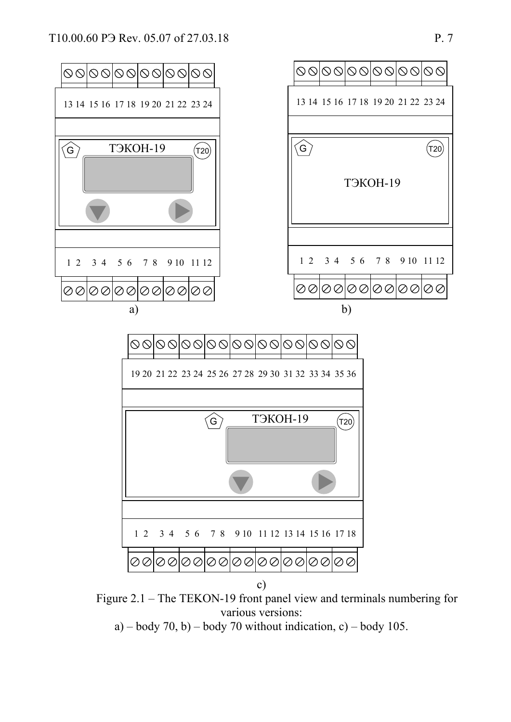

Figure 2.1 – The TEKON-19 front panel view and terminals numbering for various versions:

a) – body 70, b) – body 70 without indication, c) – body 105.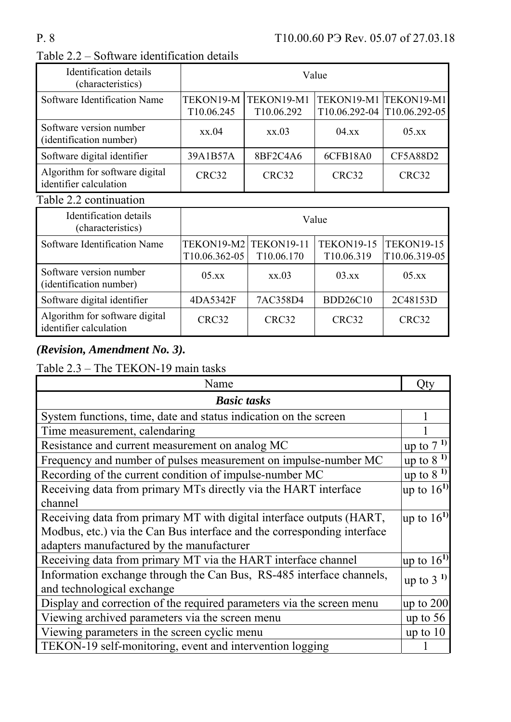| Identification details<br>(characteristics)              | Value                   |                          |                                                      |                 |  |
|----------------------------------------------------------|-------------------------|--------------------------|------------------------------------------------------|-----------------|--|
| Software Identification Name                             | TEKON19-M<br>T10.06.245 | TEKON19-M1<br>T10.06.292 | TEKON19-M1 TEKON19-M1<br>T10.06.292-04 T10.06.292-05 |                 |  |
| Software version number<br>(identification number)       | xx.04                   | xx.03                    | 04.xx                                                | 05.xx           |  |
| Software digital identifier                              | 39A1B57A                | 8BF2C4A6                 | 6CFB18A0                                             | <b>CF5A88D2</b> |  |
| Algorithm for software digital<br>identifier calculation | CRC32                   | CRC32                    | CRC32                                                | CRC32           |  |

# Table 2.2 – Software identification details

### Table 2.2 continuation

| Identification details<br>(characteristics)              | Value                                    |                        |                                 |                                    |  |
|----------------------------------------------------------|------------------------------------------|------------------------|---------------------------------|------------------------------------|--|
| Software Identification Name                             | TEKON19-M2   TEKON19-11<br>T10.06.362-05 | T <sub>10.06.170</sub> | <b>TEKON19-15</b><br>T10.06.319 | <b>TEKON19-15</b><br>T10.06.319-05 |  |
| Software version number<br>(identification number)       | 05.xx                                    | XX.03                  | 03.xx                           | $05$ xx                            |  |
| Software digital identifier                              | 4DA5342F                                 | 7AC358D4               | <b>BDD26C10</b>                 | 2C48153D                           |  |
| Algorithm for software digital<br>identifier calculation | CRC32                                    | CRC32                  | CRC32                           | CRC32                              |  |

# *(Revision, Amendment No. 3).*

Table 2.3 – The TEKON-19 main tasks

| Name                                                                    | Qty                               |
|-------------------------------------------------------------------------|-----------------------------------|
| <b>Basic tasks</b>                                                      |                                   |
| System functions, time, date and status indication on the screen        |                                   |
| Time measurement, calendaring                                           |                                   |
| Resistance and current measurement on analog MC                         | $\mu$ to 7 $\overline{1}$         |
| Frequency and number of pulses measurement on impulse-number MC         | up to $81$                        |
| Recording of the current condition of impulse-number MC                 | up to $81$                        |
| Receiving data from primary MTs directly via the HART interface         | up to $16^{1}$                    |
| channel                                                                 |                                   |
| Receiving data from primary MT with digital interface outputs (HART,    | lup to $16^{1}$                   |
| Modbus, etc.) via the Can Bus interface and the corresponding interface |                                   |
| adapters manufactured by the manufacturer                               |                                   |
| Receiving data from primary MT via the HART interface channel           | $\frac{\text{up}}{2}$ to $16^{1}$ |
| Information exchange through the Can Bus, RS-485 interface channels,    | up to $31$                        |
| and technological exchange                                              |                                   |
| Display and correction of the required parameters via the screen menu   | up to $200$                       |
| Viewing archived parameters via the screen menu                         | up to $56$                        |
| Viewing parameters in the screen cyclic menu                            | up to $10$                        |
| TEKON-19 self-monitoring, event and intervention logging                |                                   |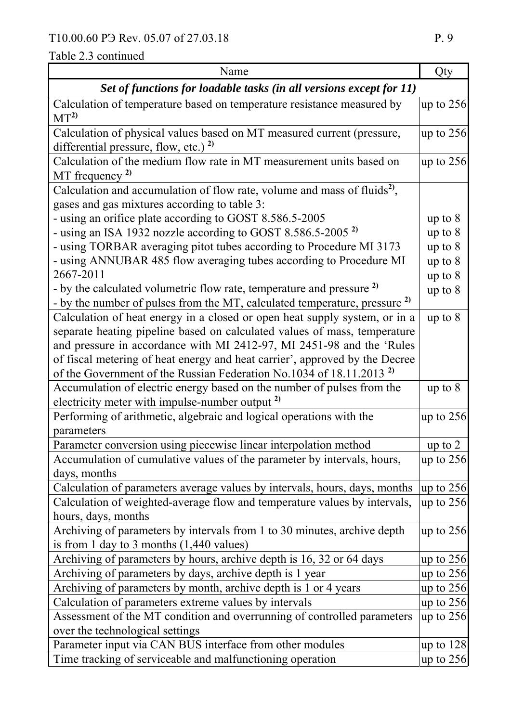# Table 2.3 continued

| Name                                                                                                                                 | Qty         |  |  |  |
|--------------------------------------------------------------------------------------------------------------------------------------|-------------|--|--|--|
| Set of functions for loadable tasks (in all versions except for 11)                                                                  |             |  |  |  |
| Calculation of temperature based on temperature resistance measured by<br>MT <sup>2</sup>                                            | up to $256$ |  |  |  |
| Calculation of physical values based on MT measured current (pressure,<br>differential pressure, flow, etc.) $^{2)}$                 | up to $256$ |  |  |  |
| Calculation of the medium flow rate in MT measurement units based on<br>MT frequency $^{2)}$                                         | up to $256$ |  |  |  |
| Calculation and accumulation of flow rate, volume and mass of fluids <sup>2)</sup> ,<br>gases and gas mixtures according to table 3: |             |  |  |  |
| - using an orifice plate according to GOST 8.586.5-2005                                                                              | up to $8$   |  |  |  |
| - using an ISA 1932 nozzle according to GOST 8.586.5-2005 <sup>2)</sup>                                                              | up to 8     |  |  |  |
| - using TORBAR averaging pitot tubes according to Procedure MI 3173                                                                  | up to $8$   |  |  |  |
| - using ANNUBAR 485 flow averaging tubes according to Procedure MI                                                                   | up to $8$   |  |  |  |
| 2667-2011                                                                                                                            | up to $8$   |  |  |  |
| - by the calculated volumetric flow rate, temperature and pressure <sup>2)</sup>                                                     | up to $8$   |  |  |  |
| - by the number of pulses from the MT, calculated temperature, pressure $^{2}$                                                       |             |  |  |  |
| Calculation of heat energy in a closed or open heat supply system, or in a                                                           | up to $8$   |  |  |  |
| separate heating pipeline based on calculated values of mass, temperature                                                            |             |  |  |  |
| and pressure in accordance with MI 2412-97, MI 2451-98 and the 'Rules                                                                |             |  |  |  |
| of fiscal metering of heat energy and heat carrier', approved by the Decree                                                          |             |  |  |  |
| of the Government of the Russian Federation No.1034 of 18.11.2013 <sup>2</sup>                                                       |             |  |  |  |
| Accumulation of electric energy based on the number of pulses from the                                                               | up to $8$   |  |  |  |
| electricity meter with impulse-number output <sup>2)</sup>                                                                           |             |  |  |  |
| Performing of arithmetic, algebraic and logical operations with the                                                                  | up to $256$ |  |  |  |
| parameters                                                                                                                           |             |  |  |  |
| Parameter conversion using piecewise linear interpolation method                                                                     | up to $2$   |  |  |  |
| Accumulation of cumulative values of the parameter by intervals, hours,<br>days, months                                              | up to $256$ |  |  |  |
| Calculation of parameters average values by intervals, hours, days, months                                                           | up to $256$ |  |  |  |
| Calculation of weighted-average flow and temperature values by intervals,                                                            | up to $256$ |  |  |  |
| hours, days, months                                                                                                                  |             |  |  |  |
| Archiving of parameters by intervals from 1 to 30 minutes, archive depth                                                             | up to $256$ |  |  |  |
| is from 1 day to 3 months $(1,440 \text{ values})$                                                                                   |             |  |  |  |
| Archiving of parameters by hours, archive depth is 16, 32 or 64 days                                                                 | up to $256$ |  |  |  |
| Archiving of parameters by days, archive depth is 1 year                                                                             | up to $256$ |  |  |  |
| Archiving of parameters by month, archive depth is 1 or 4 years                                                                      | up to $256$ |  |  |  |
| Calculation of parameters extreme values by intervals                                                                                | up to $256$ |  |  |  |
| Assessment of the MT condition and overrunning of controlled parameters                                                              | up to $256$ |  |  |  |
| over the technological settings                                                                                                      |             |  |  |  |
| Parameter input via CAN BUS interface from other modules                                                                             | up to $128$ |  |  |  |
| Time tracking of serviceable and malfunctioning operation                                                                            | up to $256$ |  |  |  |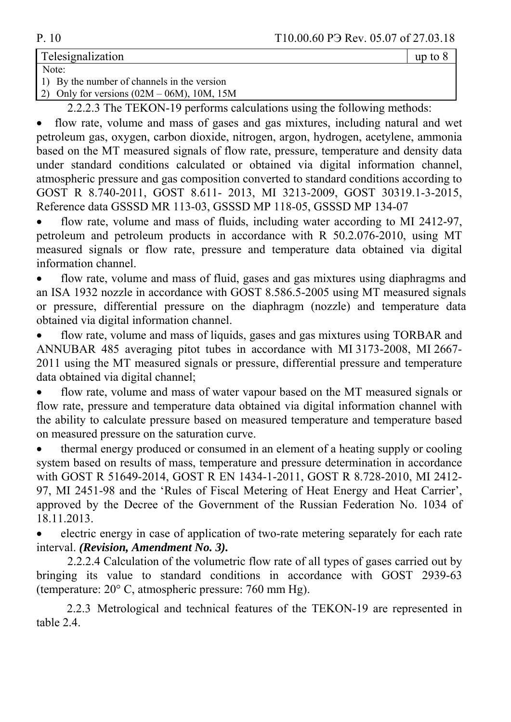Telesignalization provide the state of the state of the state of the state of the state of the state of the state of the state of the state of the state of the state of the state of the state of the state of the state of t

Note: 1) By the number of channels in the version

2) Only for versions (02М – 06М), 10М, 15М

2.2.2.3 The TEKON-19 performs calculations using the following methods:

 flow rate, volume and mass of gases and gas mixtures, including natural and wet petroleum gas, oxygen, carbon dioxide, nitrogen, argon, hydrogen, acetylene, ammonia based on the MT measured signals of flow rate, pressure, temperature and density data under standard conditions calculated or obtained via digital information channel, atmospheric pressure and gas composition converted to standard conditions according to GOST R 8.740-2011, GOST 8.611- 2013, MI 3213-2009, GOST 30319.1-3-2015, Reference data GSSSD MR 113-03, GSSSD MP 118-05, GSSSD MP 134-07

 flow rate, volume and mass of fluids, including water according to MI 2412-97, petroleum and petroleum products in accordance with R 50.2.076-2010, using MT measured signals or flow rate, pressure and temperature data obtained via digital information channel.

 flow rate, volume and mass of fluid, gases and gas mixtures using diaphragms and an ISA 1932 nozzle in accordance with GOST 8.586.5-2005 using MT measured signals or pressure, differential pressure on the diaphragm (nozzle) and temperature data obtained via digital information channel.

 flow rate, volume and mass of liquids, gases and gas mixtures using TORBAR and ANNUBAR 485 averaging pitot tubes in accordance with MI 3173-2008, MI 2667- 2011 using the MT measured signals or pressure, differential pressure and temperature data obtained via digital channel;

 flow rate, volume and mass of water vapour based on the MT measured signals or flow rate, pressure and temperature data obtained via digital information channel with the ability to calculate pressure based on measured temperature and temperature based on measured pressure on the saturation curve.

 thermal energy produced or consumed in an element of a heating supply or cooling system based on results of mass, temperature and pressure determination in accordance with GOST R 51649-2014, GOST R EN 1434-1-2011, GOST R 8.728-2010, MI 2412-97, МI 2451-98 and the 'Rules of Fiscal Metering of Heat Energy and Heat Carrier', approved by the Decree of the Government of the Russian Federation No. 1034 of 18.11.2013.

 electric energy in case of application of two-rate metering separately for each rate interval. *(Revision, Amendment No. 3).*

2.2.2.4 Calculation of the volumetric flow rate of all types of gases carried out by bringing its value to standard conditions in accordance with GOST 2939-63 (temperature: 20° С, atmospheric pressure: 760 mm Hg).

2.2.3 Metrological and technical features of the TEKON-19 are represented in table 2.4.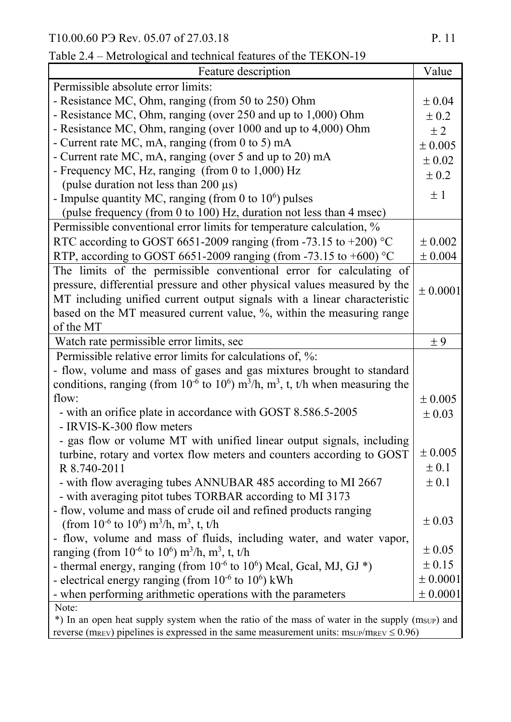| Feature description                                                                                                           | Value       |  |  |  |
|-------------------------------------------------------------------------------------------------------------------------------|-------------|--|--|--|
| Permissible absolute error limits:                                                                                            |             |  |  |  |
| - Resistance MC, Ohm, ranging (from 50 to 250) Ohm                                                                            | $\pm 0.04$  |  |  |  |
| - Resistance MC, Ohm, ranging (over 250 and up to 1,000) Ohm                                                                  | $\pm 0.2$   |  |  |  |
| - Resistance MC, Ohm, ranging (over 1000 and up to 4,000) Ohm                                                                 | $\pm 2$     |  |  |  |
| - Current rate MC, mA, ranging (from 0 to 5) mA                                                                               | $\pm 0.005$ |  |  |  |
| - Current rate MC, mA, ranging (over 5 and up to 20) mA                                                                       | $\pm 0.02$  |  |  |  |
| - Frequency MC, Hz, ranging (from 0 to 1,000) Hz                                                                              | $\pm 0.2$   |  |  |  |
| (pulse duration not less than 200 $\mu$ s)                                                                                    |             |  |  |  |
| - Impulse quantity MC, ranging (from 0 to $10^6$ ) pulses                                                                     | $\pm$ 1     |  |  |  |
| (pulse frequency (from 0 to 100) Hz, duration not less than 4 msec)                                                           |             |  |  |  |
| Permissible conventional error limits for temperature calculation, %                                                          |             |  |  |  |
| RTC according to GOST 6651-2009 ranging (from -73.15 to +200) $\degree$ C                                                     | $\pm 0.002$ |  |  |  |
| RTP, according to GOST 6651-2009 ranging (from -73.15 to +600) °C                                                             | $\pm 0.004$ |  |  |  |
| The limits of the permissible conventional error for calculating of                                                           |             |  |  |  |
| pressure, differential pressure and other physical values measured by the                                                     | ± 0.0001    |  |  |  |
| MT including unified current output signals with a linear characteristic                                                      |             |  |  |  |
| based on the MT measured current value, %, within the measuring range                                                         |             |  |  |  |
| of the MT                                                                                                                     |             |  |  |  |
| Watch rate permissible error limits, sec                                                                                      | ±9          |  |  |  |
| Permissible relative error limits for calculations of, %:                                                                     |             |  |  |  |
| - flow, volume and mass of gases and gas mixtures brought to standard                                                         |             |  |  |  |
| conditions, ranging (from $10^{-6}$ to $10^{6}$ ) m <sup>3</sup> /h, m <sup>3</sup> , t, t/h when measuring the               |             |  |  |  |
| flow:                                                                                                                         | $\pm 0.005$ |  |  |  |
| - with an orifice plate in accordance with GOST 8.586.5-2005                                                                  | $\pm 0.03$  |  |  |  |
| - IRVIS-K-300 flow meters                                                                                                     |             |  |  |  |
| - gas flow or volume MT with unified linear output signals, including                                                         |             |  |  |  |
| turbine, rotary and vortex flow meters and counters according to GOST                                                         | $\pm 0.005$ |  |  |  |
| R 8.740-2011                                                                                                                  | $\pm 0.1$   |  |  |  |
| - with flow averaging tubes ANNUBAR 485 according to MI 2667                                                                  | $\pm 0.1$   |  |  |  |
| - with averaging pitot tubes TORBAR according to MI 3173                                                                      |             |  |  |  |
| - flow, volume and mass of crude oil and refined products ranging                                                             | $\pm 0.03$  |  |  |  |
| (from $10^{-6}$ to $10^{6}$ ) m <sup>3</sup> /h, m <sup>3</sup> , t, t/h                                                      |             |  |  |  |
| flow, volume and mass of fluids, including water, and water vapor,<br>$\blacksquare$                                          | $\pm 0.05$  |  |  |  |
| ranging (from $10^{-6}$ to $10^{6}$ ) m <sup>3</sup> /h, m <sup>3</sup> , t, t/h                                              | $\pm$ 0.15  |  |  |  |
| - thermal energy, ranging (from $10^{-6}$ to $10^{6}$ ) Mcal, Gcal, MJ, GJ $^*$ )                                             | ± 0.0001    |  |  |  |
| - electrical energy ranging (from $10^{-6}$ to $10^{6}$ ) kWh                                                                 | ± 0.0001    |  |  |  |
| - when performing arithmetic operations with the parameters<br>Note:                                                          |             |  |  |  |
| *) In an open heat supply system when the ratio of the mass of water in the supply (msup) and                                 |             |  |  |  |
| reverse (m <sub>REV</sub> ) pipelines is expressed in the same measurement units: $m_{\text{SUP}}/m_{\text{REV}} \leq 0.96$ ) |             |  |  |  |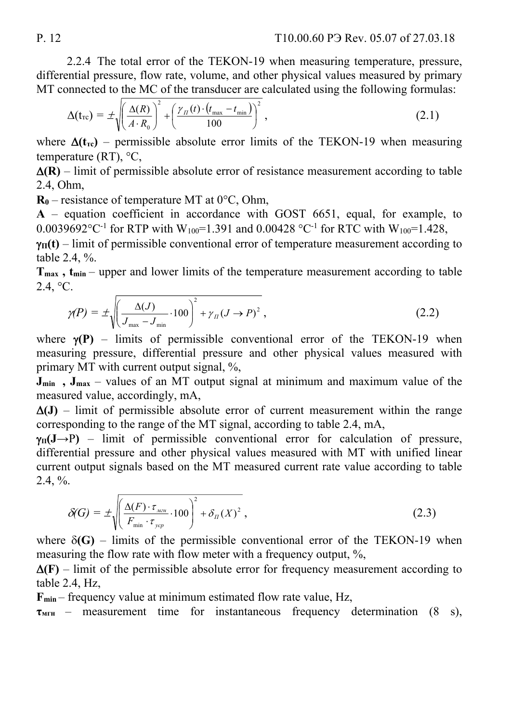2.2.4 The total error of the TEKON-19 when measuring temperature, pressure, differential pressure, flow rate, volume, and other physical values measured by primary MT connected to the MC of the transducer are calculated using the following formulas:

$$
\Delta(t_{\rm rc}) = \pm \sqrt{\left(\frac{\Delta(R)}{A \cdot R_0}\right)^2 + \left(\frac{\gamma_{\rm n}(t) \cdot (t_{\rm max} - t_{\rm min})}{100}\right)^2},\tag{2.1}
$$

where  $\Delta(t_{\text{rc}})$  – permissible absolute error limits of the TEKON-19 when measuring temperature  $(RT)$ ,  $°C$ ,

 $\Delta(R)$  – limit of permissible absolute error of resistance measurement according to table 2.4, Оhm,

 $R_0$  – resistance of temperature MT at  $0^{\circ}$ C, Ohm,

**А** – equation coefficient in accordance with GOST 6651, equal, for example, to 0.0039692 °C<sup>-1</sup> for RTP with W<sub>100</sub>=1.391 and 0.00428 °C<sup>-1</sup> for RTC with W<sub>100</sub>=1.428,

 $\gamma_{\Pi}(t)$  – limit of permissible conventional error of temperature measurement according to table 2.4, %.

T<sub>max</sub>, t<sub>min</sub> – upper and lower limits of the temperature measurement according to table  $2.4, °C$ .

$$
\gamma(P) = \pm \sqrt{\left(\frac{\Delta(J)}{J_{\text{max}} - J_{\text{min}}} \cdot 100\right)^2 + \gamma_{\text{II}} (J \to P)^2},\tag{2.2}
$$

where  $\gamma(P)$  – limits of permissible conventional error of the TEKON-19 when measuring pressure, differential pressure and other physical values measured with primary MT with current output signal, %,

**J<sub>min</sub>**, **J**<sub>max</sub> – values of an MT output signal at minimum and maximum value of the measured value, accordingly, mA,

 $\Delta$ (J) – limit of permissible absolute error of current measurement within the range corresponding to the range of the MT signal, according to table 2.4, mA,

 $\nu_{\text{II}}(J\rightarrow P)$  – limit of permissible conventional error for calculation of pressure, differential pressure and other physical values measured with MT with unified linear current output signals based on the MT measured current rate value according to table  $2.4, \%$ .

$$
\delta(G) = \pm \sqrt{\left(\frac{\Delta(F) \cdot \tau_{\text{max}}}{F_{\text{min}} \cdot \tau_{\text{ycp}}} \cdot 100\right)^2 + \delta_{\pi}(X)^2},\tag{2.3}
$$

where  $\delta(G)$  – limits of the permissible conventional error of the TEKON-19 when measuring the flow rate with flow meter with a frequency output, %,

 $\Delta$ (F) – limit of the permissible absolute error for frequency measurement according to table 2.4, Hz,

**Fmin** – frequency value at minimum estimated flow rate value, Hz,

**τмгн** – measurement time for instantaneous frequency determination (8 s),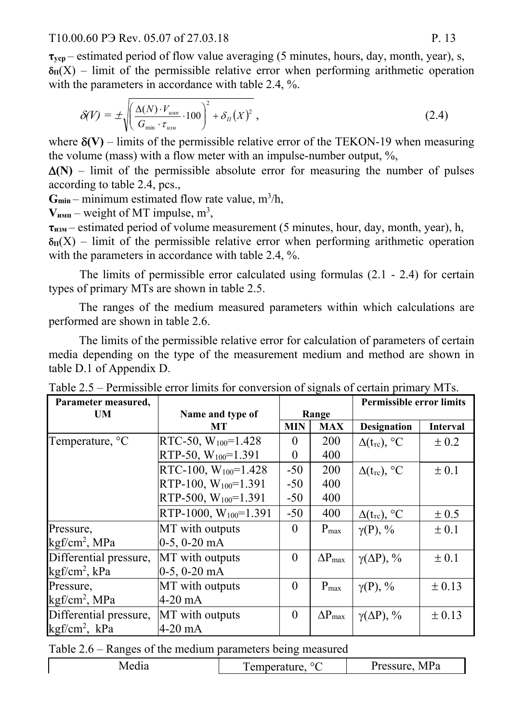T10.00.60 P<sub>3</sub> Rev. 05.07 of 27.03.18 P. 13

**τуср** – estimated period of flow value averaging (5 minutes, hours, day, month, year), s,  $\delta_{\Pi}(X)$  – limit of the permissible relative error when performing arithmetic operation with the parameters in accordance with table 2.4, %.

$$
\delta(V) = \pm \sqrt{\left(\frac{\Delta(N) \cdot V_{\text{num}}}{G_{\min} \cdot \tau_{\text{num}}} \cdot 100\right)^2 + \delta_{\Pi}(X)^2},\tag{2.4}
$$

where  $\delta$ (V) – limits of the permissible relative error of the TEKON-19 when measuring the volume (mass) with a flow meter with an impulse-number output, %,

 $\Delta(N)$  – limit of the permissible absolute error for measuring the number of pulses according to table 2.4, pcs.,

 $G_{\text{min}}$  – minimum estimated flow rate value,  $m^3/h$ ,

 $V_{\text{HMI}}$  – weight of MT impulse,  $m^3$ ,

**τизм** – estimated period of volume measurement (5 minutes, hour, day, month, year), h,  $\delta_{\Pi}(X)$  – limit of the permissible relative error when performing arithmetic operation with the parameters in accordance with table 2.4, %.

 The limits of permissible error calculated using formulas (2.1 - 2.4) for certain types of primary MTs are shown in table 2.5.

The ranges of the medium measured parameters within which calculations are performed are shown in table 2.6.

The limits of the permissible relative error for calculation of parameters of certain media depending on the type of the measurement medium and method are shown in table D.1 of Appendix D.

| Parameter measured,         |                                  |                |                         | <b>Permissible error limits</b> |                 |
|-----------------------------|----------------------------------|----------------|-------------------------|---------------------------------|-----------------|
| <b>UM</b>                   | Name and type of                 |                | Range                   |                                 |                 |
|                             | MT                               | <b>MIN</b>     | <b>MAX</b>              | <b>Designation</b>              | <b>Interval</b> |
| Temperature, <sup>o</sup> C | RTC-50, $W_{100}$ =1.428         | $\theta$       | 200                     | $\Delta(t_{\rm rc})$ , °C       | $\pm 0.2$       |
|                             | RTP-50, $W_{100}$ =1.391         | $\theta$       | 400                     |                                 |                 |
|                             | RTC-100, W <sub>100</sub> =1.428 | $-50$          | 200                     | $\Delta(t_{\rm rc})$ , °C       | $\pm 0.1$       |
|                             | RTP-100, $W_{100}$ =1.391        | $-50$          | 400                     |                                 |                 |
|                             | RTP-500, $W_{100}$ =1.391        | $-50$          | 400                     |                                 |                 |
|                             | RTP-1000, $W_{100}$ =1.391       | $-50$          | 400                     | $\Delta(t_{\rm rc})$ , °C       | $\pm 0.5$       |
| Pressure,                   | MT with outputs                  | $\theta$       | $P_{max}$               | $\gamma(P)$ , %                 | ± 0.1           |
| kgf/cm <sup>2</sup> , MPa   | $ 0-5, 0-20$ mA                  |                |                         |                                 |                 |
| Differential pressure,      | MT with outputs                  | $\overline{0}$ | $\Delta P_{\text{max}}$ | $\gamma(\Delta P)$ , %          | $\pm 0.1$       |
| kgf/cm <sup>2</sup> , kPa   | $0-5, 0-20$ mA                   |                |                         |                                 |                 |
| Pressure,                   | MT with outputs                  | $\theta$       | $P_{max}$               | $\gamma(P)$ , %                 | $\pm$ 0.13      |
| kgf/cm <sup>2</sup> , MPa   | $4-20$ mA                        |                |                         |                                 |                 |
| Differential pressure,      | MT with outputs                  | $\theta$       | $\Delta P_{max}$        | $\gamma(\Delta P)$ , %          | $\pm$ 0.13      |
| $kgf/cm^2$ , $kPa$          | $4-20$ mA                        |                |                         |                                 |                 |

| Table 2.5 – Permissible error limits for conversion of signals of certain primary MTs. |  |  |
|----------------------------------------------------------------------------------------|--|--|
|                                                                                        |  |  |

Table 2.6 – Ranges of the medium parameters being measured

|--|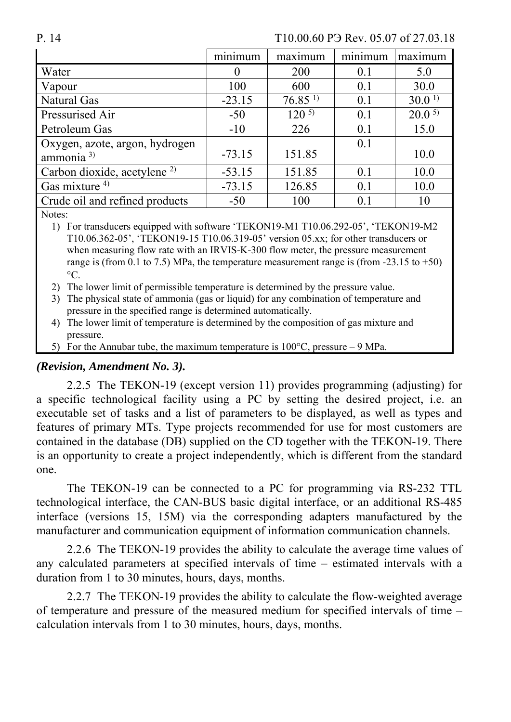P. 14 T10.00.60 P Rev. 05.07 of 27.03.18

|                                                | minimum  | maximum               | minimum | maximum           |
|------------------------------------------------|----------|-----------------------|---------|-------------------|
| Water                                          | $\theta$ | 200                   | 0.1     | 5.0               |
| Vapour                                         | 100      | 600                   | 0.1     | 30.0              |
| <b>Natural Gas</b>                             | $-23.15$ | $76.85$ <sup>1)</sup> | 0.1     | 30.0 <sup>1</sup> |
| Pressurised Air                                | $-50$    | $120^{5}$             | 0.1     | $20.0^{5}$        |
| Petroleum Gas                                  | $-10$    | 226                   | 0.1     | 15.0              |
| Oxygen, azote, argon, hydrogen<br>ammonia $3)$ | $-73.15$ | 151.85                | 0.1     | 10.0              |
| Carbon dioxide, acetylene <sup>2)</sup>        | $-53.15$ | 151.85                | 0.1     | 10.0              |
| Gas mixture $4$ )                              | $-73.15$ | 126.85                | 0.1     | 10.0              |
| Crude oil and refined products                 | $-50$    | 100                   | 0.1     | 10                |
| $\sim$ $\sim$ $\sim$                           |          |                       |         |                   |

Notes:

1) For transducers equipped with software 'TEKON19-M1 T10.06.292-05', 'TEKON19-M2 T10.06.362-05', 'TEKON19-15 T10.06.319-05' version 05.xx; for other transducers or when measuring flow rate with an IRVIS-K-300 flow meter, the pressure measurement range is (from 0.1 to 7.5) MPa, the temperature measurement range is (from  $-23.15$  to  $+50$ )  $\rm ^{\circ}C$ .

2) The lower limit of permissible temperature is determined by the pressure value.

3) The physical state of ammonia (gas or liquid) for any combination of temperature and pressure in the specified range is determined automatically.

4) The lower limit of temperature is determined by the composition of gas mixture and pressure.

5) For the Annubar tube, the maximum temperature is  $100^{\circ}$ C, pressure – 9 MPa.

#### *(Revision, Amendment No. 3).*

2.2.5 The TEKON-19 (except version 11) provides programming (adjusting) for a specific technological facility using a PC by setting the desired project, i.e. an executable set of tasks and a list of parameters to be displayed, as well as types and features of primary MTs. Type projects recommended for use for most customers are contained in the database (DB) supplied on the CD together with the TEKON-19. There is an opportunity to create a project independently, which is different from the standard one.

The TEKON-19 can be connected to a PC for programming via RS-232 TTL technological interface, the CAN-BUS basic digital interface, or an additional RS-485 interface (versions 15, 15М) via the corresponding adapters manufactured by the manufacturer and communication equipment of information communication channels.

2.2.6 The TEKON-19 provides the ability to calculate the average time values of any calculated parameters at specified intervals of time – estimated intervals with a duration from 1 to 30 minutes, hours, days, months.

2.2.7 The TEKON-19 provides the ability to calculate the flow-weighted average of temperature and pressure of the measured medium for specified intervals of time – calculation intervals from 1 to 30 minutes, hours, days, months.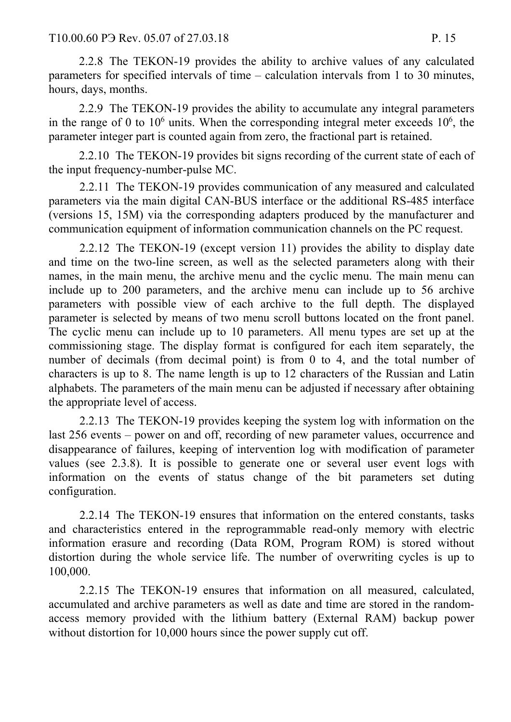2.2.8 The TEKON-19 provides the ability to archive values of any calculated parameters for specified intervals of time – calculation intervals from 1 to 30 minutes, hours, days, months.

2.2.9 The TEKON-19 provides the ability to accumulate any integral parameters in the range of 0 to  $10^6$  units. When the corresponding integral meter exceeds  $10^6$ , the parameter integer part is counted again from zero, the fractional part is retained.

2.2.10 The TEKON-19 provides bit signs recording of the current state of each of the input frequency-number-pulse MC.

2.2.11 The TEKON-19 provides communication of any measured and calculated parameters via the main digital CAN-BUS interface or the additional RS-485 interface (versions 15, 15M) via the corresponding adapters produced by the manufacturer and communication equipment of information communication channels on the PC request.

2.2.12 The TEKON-19 (except version 11) provides the ability to display date and time on the two-line screen, as well as the selected parameters along with their names, in the main menu, the archive menu and the cyclic menu. The main menu can include up to 200 parameters, and the archive menu can include up to 56 archive parameters with possible view of each archive to the full depth. The displayed parameter is selected by means of two menu scroll buttons located on the front panel. The cyclic menu can include up to 10 parameters. All menu types are set up at the commissioning stage. The display format is configured for each item separately, the number of decimals (from decimal point) is from 0 to 4, and the total number of characters is up to 8. The name length is up to 12 characters of the Russian and Latin alphabets. The parameters of the main menu can be adjusted if necessary after obtaining the appropriate level of access.

2.2.13 The TEKON-19 provides keeping the system log with information on the last 256 events – power on and off, recording of new parameter values, occurrence and disappearance of failures, keeping of intervention log with modification of parameter values (see 2.3.8). It is possible to generate one or several user event logs with information on the events of status change of the bit parameters set duting configuration.

2.2.14 The TEKON-19 ensures that information on the entered constants, tasks and characteristics entered in the reprogrammable read-only memory with electric information erasure and recording (Data ROM, Program ROM) is stored without distortion during the whole service life. The number of overwriting cycles is up to 100,000.

2.2.15 The TEKON-19 ensures that information on all measured, calculated, accumulated and archive parameters as well as date and time are stored in the randomaccess memory provided with the lithium battery (External RAM) backup power without distortion for 10,000 hours since the power supply cut off.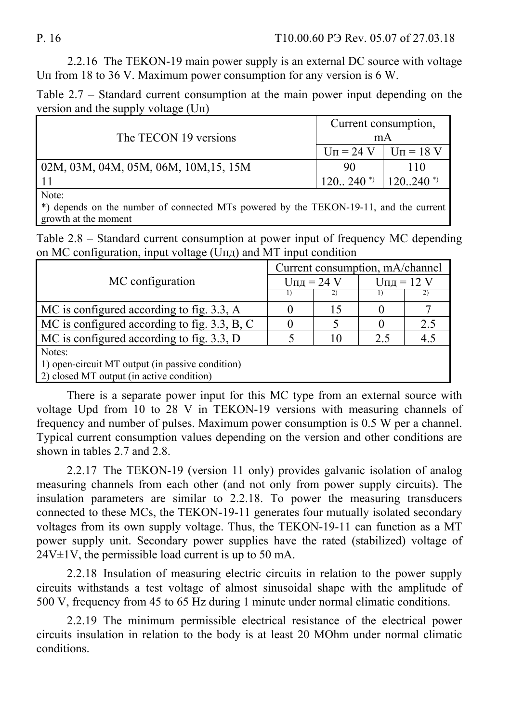2.2.16 The TEKON-19 main power supply is an external DC source with voltage Uп from 18 to 36 V. Maximum power consumption for any version is 6 W.

Table 2.7 – Standard current consumption at the main power input depending on the version and the supply voltage (Uп)

|                                       | Current consumption,                  |     |  |  |
|---------------------------------------|---------------------------------------|-----|--|--|
| The TECON 19 versions                 | mA                                    |     |  |  |
|                                       | $U_{\Pi} = 24$ V $ $ $U_{\Pi} = 18$ V |     |  |  |
| 02M, 03M, 04M, 05M, 06M, 10M, 15, 15M | 90                                    | 110 |  |  |
|                                       | $120.240$ *) $120.240$ *)             |     |  |  |
| Note:                                 |                                       |     |  |  |
|                                       |                                       |     |  |  |

\*) depends on the number of connected MTs powered by the TEKON-19-11, and the current growth at the moment

Table 2.8 – Standard current consumption at power input of frequency MC depending on MC configuration, input voltage (Uпд) and MT input condition

|                                                      | Current consumption, mA/channel |    |               |     |  |  |  |
|------------------------------------------------------|---------------------------------|----|---------------|-----|--|--|--|
| MC configuration                                     | $U_{\Pi\Pi}$ = 24 V             |    | $U$ пд = 12 V |     |  |  |  |
|                                                      |                                 | 2) |               |     |  |  |  |
| MC is configured according to fig. 3.3, A            |                                 | 15 |               |     |  |  |  |
| $\vert$ MC is configured according to fig. 3.3, B, C |                                 |    |               | 2.5 |  |  |  |
| $\vert$ MC is configured according to fig. 3.3, D    |                                 | 10 | 2.5           | 4.5 |  |  |  |
| Notes:                                               |                                 |    |               |     |  |  |  |
| 1) open-circuit MT output (in passive condition)     |                                 |    |               |     |  |  |  |
| 2) closed MT output (in active condition)            |                                 |    |               |     |  |  |  |

There is a separate power input for this MC type from an external source with voltage Upd from 10 to 28 V in TEKON-19 versions with measuring channels of frequency and number of pulses. Maximum power consumption is 0.5 W per a channel. Typical current consumption values depending on the version and other conditions are shown in tables 2.7 and 2.8.

2.2.17 The TEKON-19 (version 11 only) provides galvanic isolation of analog measuring channels from each other (and not only from power supply circuits). The insulation parameters are similar to 2.2.18. To power the measuring transducers connected to these MCs, the TEKON-19-11 generates four mutually isolated secondary voltages from its own supply voltage. Thus, the TEKON-19-11 can function as a MT power supply unit. Secondary power supplies have the rated (stabilized) voltage of  $24V±1V$ , the permissible load current is up to 50 mA.

2.2.18 Insulation of measuring electric circuits in relation to the power supply circuits withstands a test voltage of almost sinusoidal shape with the amplitude of 500 V, frequency from 45 to 65 Hz during 1 minute under normal climatic conditions.

2.2.19 The minimum permissible electrical resistance of the electrical power circuits insulation in relation to the body is at least 20 MOhm under normal climatic conditions.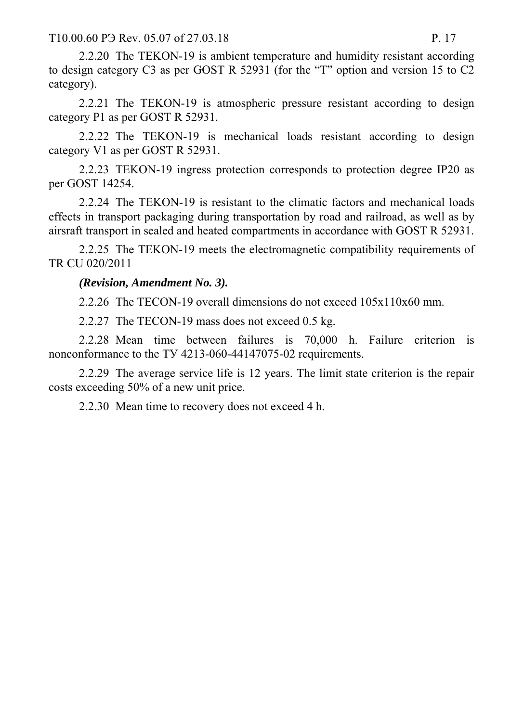T10.00.60 P<sub>3</sub> Rev. 05.07 of 27.03.18 P. 17

2.2.20 The TEKON-19 is ambient temperature and humidity resistant according to design category C3 as per GOST R 52931 (for the "T" option and version 15 to C2 category).

2.2.21 The TEKON-19 is atmospheric pressure resistant according to design category Р1 as per GOST R 52931.

2.2.22 The TEKON-19 is mechanical loads resistant according to design category V1 as per GOST R 52931.

2.2.23 TEKON-19 ingress protection corresponds to protection degree IP20 as per GOST 14254.

2.2.24 The TEKON-19 is resistant to the climatic factors and mechanical loads effects in transport packaging during transportation by road and railroad, as well as by airsraft transport in sealed and heated compartments in accordance with GOST R 52931.

2.2.25 The TEKON-19 meets the electromagnetic compatibility requirements of TR CU 020/2011

*(Revision, Amendment No. 3).* 

2.2.26 The TECON-19 overall dimensions do not exceed 105х110х60 mm.

2.2.27 The TECON-19 mass does not exceed 0.5 kg.

2.2.28 Mean time between failures is 70,000 h. Failure criterion is nonconformance to the TV 4213-060-44147075-02 requirements.

2.2.29 The average service life is 12 years. The limit state criterion is the repair costs exceeding 50% of a new unit price.

2.2.30 Mean time to recovery does not exceed 4 h.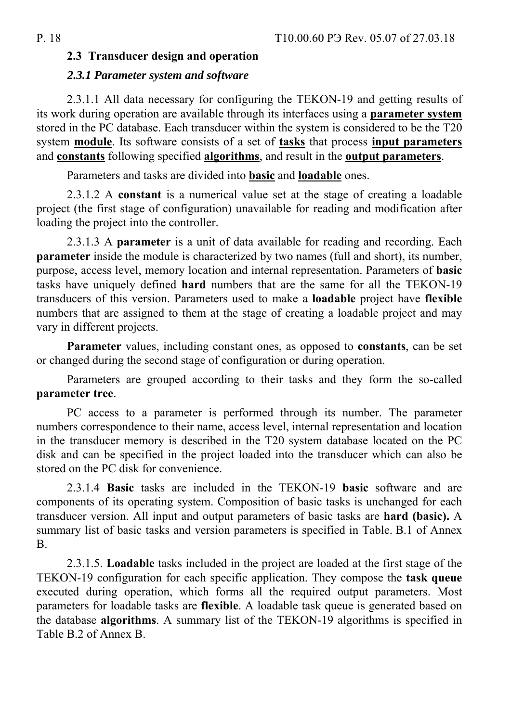### **2.3 Transducer design and operation**

#### *2.3.1 Parameter system and software*

2.3.1.1 All data necessary for configuring the TEKON-19 and getting results of its work during operation are available through its interfaces using a **parameter system** stored in the PC database. Each transducer within the system is considered to be the T20 system **module**. Its software consists of a set of **tasks** that process **input parameters** and **constants** following specified **algorithms**, and result in the **output parameters**.

Parameters and tasks are divided into **basic** and **loadable** ones.

2.3.1.2 A **constant** is a numerical value set at the stage of creating a loadable project (the first stage of configuration) unavailable for reading and modification after loading the project into the controller.

2.3.1.3 A **parameter** is a unit of data available for reading and recording. Each **parameter** inside the module is characterized by two names (full and short), its number, purpose, access level, memory location and internal representation. Parameters of **basic** tasks have uniquely defined **hard** numbers that are the same for all the TEKON-19 transducers of this version. Parameters used to make a **loadable** project have **flexible** numbers that are assigned to them at the stage of creating a loadable project and may vary in different projects.

**Parameter** values, including constant ones, as opposed to **constants**, can be set or changed during the second stage of configuration or during operation.

Parameters are grouped according to their tasks and they form the so-called **parameter tree**.

PC access to a parameter is performed through its number. The parameter numbers correspondence to their name, access level, internal representation and location in the transducer memory is described in the T20 system database located on the PC disk and can be specified in the project loaded into the transducer which can also be stored on the PC disk for convenience.

2.3.1.4 **Basic** tasks are included in the TEKON-19 **basic** software and are components of its operating system. Composition of basic tasks is unchanged for each transducer version. All input and output parameters of basic tasks are **hard (basic).** A summary list of basic tasks and version parameters is specified in Table. B.1 of Annex B.

2.3.1.5. **Loadable** tasks included in the project are loaded at the first stage of the TEKON-19 configuration for each specific application. They compose the **task queue**  executed during operation, which forms all the required output parameters. Most parameters for loadable tasks are **flexible**. A loadable task queue is generated based on the database **algorithms**. A summary list of the TEKON-19 algorithms is specified in Table B.2 of Annex B.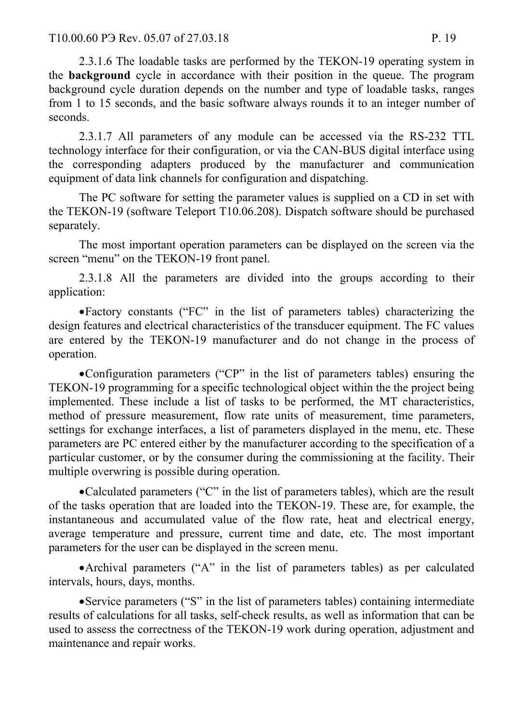2.3.1.6 The loadable tasks are performed by the TEKON-19 operating system in the **background** cycle in accordance with their position in the queue. The program background cycle duration depends on the number and type of loadable tasks, ranges from 1 to 15 seconds, and the basic software always rounds it to an integer number of seconds.

2.3.1.7 All parameters of any module can be accessed via the RS-232 TTL technology interface for their configuration, or via the CAN-BUS digital interface using the corresponding adapters produced by the manufacturer and communication equipment of data link channels for configuration and dispatching.

The PC software for setting the parameter values is supplied on a CD in set with the TEKON-19 (software Teleport T10.06.208). Dispatch software should be purchased separately.

The most important operation parameters can be displayed on the screen via the screen "menu" on the TEKON-19 front panel.

2.3.1.8 All the parameters are divided into the groups according to their application:

Factory constants ("FC" in the list of parameters tables) characterizing the design features and electrical characteristics of the transducer equipment. The FC values are entered by the TEKON-19 manufacturer and do not change in the process of operation.

Configuration parameters ("CP" in the list of parameters tables) ensuring the TEKON-19 programming for a specific technological object within the the project being implemented. These include a list of tasks to be performed, the MT characteristics, method of pressure measurement, flow rate units of measurement, time parameters, settings for exchange interfaces, a list of parameters displayed in the menu, etc. These parameters are PC entered either by the manufacturer according to the specification of a particular customer, or by the consumer during the commissioning at the facility. Their multiple overwring is possible during operation.

Calculated parameters ("C" in the list of parameters tables), which are the result of the tasks operation that are loaded into the TEKON-19. These are, for example, the instantaneous and accumulated value of the flow rate, heat and electrical energy, average temperature and pressure, current time and date, etc. The most important parameters for the user can be displayed in the screen menu.

Archival parameters ("A" in the list of parameters tables) as per calculated intervals, hours, days, months.

Service parameters ("S" in the list of parameters tables) containing intermediate results of calculations for all tasks, self-check results, as well as information that can be used to assess the correctness of the TEKON-19 work during operation, adjustment and maintenance and repair works.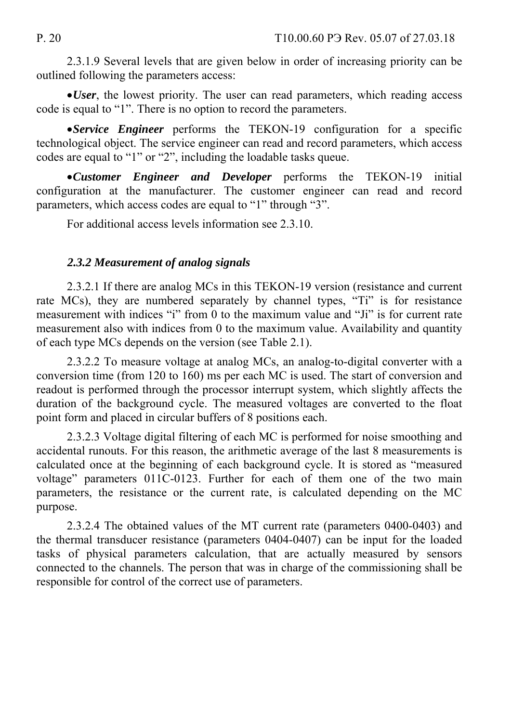2.3.1.9 Several levels that are given below in order of increasing priority can be outlined following the parameters access:

*User*, the lowest priority. The user can read parameters, which reading access code is equal to "1". There is no option to record the parameters.

*Service Engineer* performs the TEKON-19 configuration for a specific technological object. The service engineer can read and record parameters, which access codes are equal to "1" or "2", including the loadable tasks queue.

*Customer Engineer and Developer* performs the TEKON-19 initial configuration at the manufacturer. The customer engineer can read and record parameters, which access codes are equal to "1" through "3".

For additional access levels information see 2.3.10.

### *2.3.2 Measurement of analog signals*

2.3.2.1 If there are analog MCs in this TEKON-19 version (resistance and current rate MCs), they are numbered separately by channel types, "Ti" is for resistance measurement with indices "i" from 0 to the maximum value and "Ji" is for current rate measurement also with indices from 0 to the maximum value. Availability and quantity of each type MCs depends on the version (see Table 2.1).

2.3.2.2 To measure voltage at analog MCs, an analog-to-digital converter with a conversion time (from 120 to 160) ms per each MC is used. The start of conversion and readout is performed through the processor interrupt system, which slightly affects the duration of the background cycle. The measured voltages are converted to the float point form and placed in circular buffers of 8 positions each.

2.3.2.3 Voltage digital filtering of each MC is performed for noise smoothing and accidental runouts. For this reason, the arithmetic average of the last 8 measurements is calculated once at the beginning of each background cycle. It is stored as "measured voltage" parameters 011C-0123. Further for each of them one of the two main parameters, the resistance or the current rate, is calculated depending on the MC purpose.

2.3.2.4 The obtained values of the MT current rate (parameters 0400-0403) and the thermal transducer resistance (parameters 0404-0407) can be input for the loaded tasks of physical parameters calculation, that are actually measured by sensors connected to the channels. The person that was in charge of the commissioning shall be responsible for control of the correct use of parameters.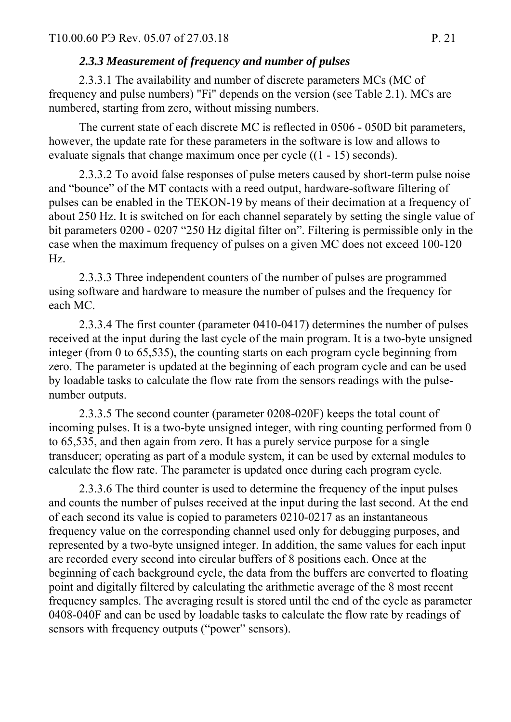# *2.3.3 Measurement of frequency and number of pulses*

2.3.3.1 The availability and number of discrete parameters MCs (MC of frequency and pulse numbers) "Fi" depends on the version (see Table 2.1). MCs are numbered, starting from zero, without missing numbers.

The current state of each discrete MC is reflected in 0506 - 050D bit parameters, however, the update rate for these parameters in the software is low and allows to evaluate signals that change maximum once per cycle ((1 - 15) seconds).

2.3.3.2 To avoid false responses of pulse meters caused by short-term pulse noise and "bounce" of the MT contacts with a reed output, hardware-software filtering of pulses can be enabled in the TEKON-19 by means of their decimation at a frequency of about 250 Hz. It is switched on for each channel separately by setting the single value of bit parameters 0200 - 0207 "250 Hz digital filter on". Filtering is permissible only in the case when the maximum frequency of pulses on a given MC does not exceed 100-120 Hz.

2.3.3.3 Three independent counters of the number of pulses are programmed using software and hardware to measure the number of pulses and the frequency for each MC.

2.3.3.4 The first counter (parameter 0410-0417) determines the number of pulses received at the input during the last cycle of the main program. It is a two-byte unsigned integer (from 0 to 65,535), the counting starts on each program cycle beginning from zero. The parameter is updated at the beginning of each program cycle and can be used by loadable tasks to calculate the flow rate from the sensors readings with the pulsenumber outputs.

2.3.3.5 The second counter (parameter 0208-020F) keeps the total count of incoming pulses. It is a two-byte unsigned integer, with ring counting performed from 0 to 65,535, and then again from zero. It has a purely service purpose for a single transducer; operating as part of a module system, it can be used by external modules to calculate the flow rate. The parameter is updated once during each program cycle.

2.3.3.6 The third counter is used to determine the frequency of the input pulses and counts the number of pulses received at the input during the last second. At the end of each second its value is copied to parameters 0210-0217 as an instantaneous frequency value on the corresponding channel used only for debugging purposes, and represented by a two-byte unsigned integer. In addition, the same values for each input are recorded every second into circular buffers of 8 positions each. Once at the beginning of each background cycle, the data from the buffers are converted to floating point and digitally filtered by calculating the arithmetic average of the 8 most recent frequency samples. The averaging result is stored until the end of the cycle as parameter 0408-040F and can be used by loadable tasks to calculate the flow rate by readings of sensors with frequency outputs ("power" sensors).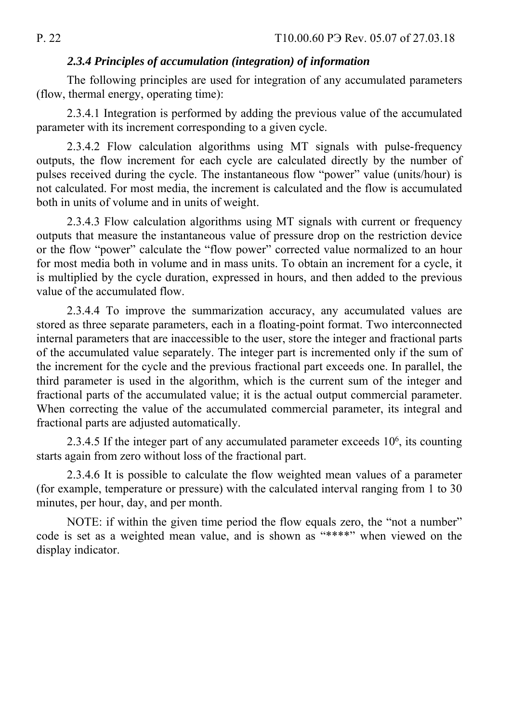### *2.3.4 Principles of accumulation (integration) of information*

The following principles are used for integration of any accumulated parameters (flow, thermal energy, operating time):

2.3.4.1 Integration is performed by adding the previous value of the accumulated parameter with its increment corresponding to a given cycle.

2.3.4.2 Flow calculation algorithms using MT signals with pulse-frequency outputs, the flow increment for each cycle are calculated directly by the number of pulses received during the cycle. The instantaneous flow "power" value (units/hour) is not calculated. For most media, the increment is calculated and the flow is accumulated both in units of volume and in units of weight.

2.3.4.3 Flow calculation algorithms using MT signals with current or frequency outputs that measure the instantaneous value of pressure drop on the restriction device or the flow "power" calculate the "flow power" corrected value normalized to an hour for most media both in volume and in mass units. To obtain an increment for a cycle, it is multiplied by the cycle duration, expressed in hours, and then added to the previous value of the accumulated flow.

2.3.4.4 To improve the summarization accuracy, any accumulated values are stored as three separate parameters, each in a floating-point format. Two interconnected internal parameters that are inaccessible to the user, store the integer and fractional parts of the accumulated value separately. The integer part is incremented only if the sum of the increment for the cycle and the previous fractional part exceeds one. In parallel, the third parameter is used in the algorithm, which is the current sum of the integer and fractional parts of the accumulated value; it is the actual output commercial parameter. When correcting the value of the accumulated commercial parameter, its integral and fractional parts are adjusted automatically.

2.3.4.5 If the integer part of any accumulated parameter exceeds  $10<sup>6</sup>$ , its counting starts again from zero without loss of the fractional part.

2.3.4.6 It is possible to calculate the flow weighted mean values of a parameter (for example, temperature or pressure) with the calculated interval ranging from 1 to 30 minutes, per hour, day, and per month.

NOTE: if within the given time period the flow equals zero, the "not a number" code is set as a weighted mean value, and is shown as "\*\*\*\*" when viewed on the display indicator.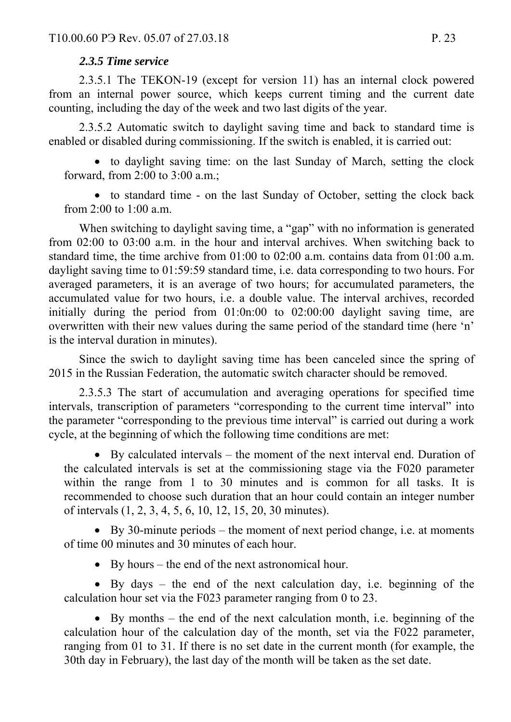### *2.3.5 Time service*

2.3.5.1 The TEKON-19 (except for version 11) has an internal clock powered from an internal power source, which keeps current timing and the current date counting, including the day of the week and two last digits of the year.

2.3.5.2 Automatic switch to daylight saving time and back to standard time is enabled or disabled during commissioning. If the switch is enabled, it is carried out:

 to daylight saving time: on the last Sunday of March, setting the clock forward, from 2:00 to 3:00 a.m.;

 to standard time - on the last Sunday of October, setting the clock back from 2:00 to 1:00 a.m.

When switching to daylight saving time, a "gap" with no information is generated from 02:00 to 03:00 a.m. in the hour and interval archives. When switching back to standard time, the time archive from 01:00 to 02:00 a.m. contains data from 01:00 a.m. daylight saving time to 01:59:59 standard time, i.e. data corresponding to two hours. For averaged parameters, it is an average of two hours; for accumulated parameters, the accumulated value for two hours, i.e. a double value. The interval archives, recorded initially during the period from 01:0n:00 to 02:00:00 daylight saving time, are overwritten with their new values during the same period of the standard time (here 'n' is the interval duration in minutes).

Since the swich to daylight saving time has been canceled since the spring of 2015 in the Russian Federation, the automatic switch character should be removed.

2.3.5.3 The start of accumulation and averaging operations for specified time intervals, transcription of parameters "corresponding to the current time interval" into the parameter "corresponding to the previous time interval" is carried out during a work cycle, at the beginning of which the following time conditions are met:

 By calculated intervals – the moment of the next interval end. Duration of the calculated intervals is set at the commissioning stage via the F020 parameter within the range from 1 to 30 minutes and is common for all tasks. It is recommended to choose such duration that an hour could contain an integer number of intervals (1, 2, 3, 4, 5, 6, 10, 12, 15, 20, 30 minutes).

 $\bullet$  By 30-minute periods – the moment of next period change, i.e. at moments of time 00 minutes and 30 minutes of each hour.

By hours – the end of the next astronomical hour.

 By days – the end of the next calculation day, i.e. beginning of the calculation hour set via the F023 parameter ranging from 0 to 23.

 By months – the end of the next calculation month, i.e. beginning of the calculation hour of the calculation day of the month, set via the F022 parameter, ranging from 01 to 31. If there is no set date in the current month (for example, the 30th day in February), the last day of the month will be taken as the set date.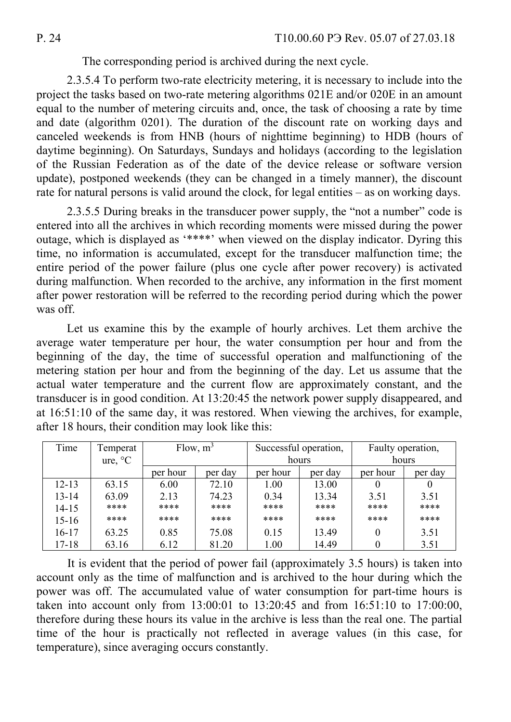The corresponding period is archived during the next cycle.

2.3.5.4 To perform two-rate electricity metering, it is necessary to include into the project the tasks based on two-rate metering algorithms 021E and/or 020E in an amount equal to the number of metering circuits and, once, the task of choosing a rate by time and date (algorithm 0201). The duration of the discount rate on working days and canceled weekends is from HNB (hours of nighttime beginning) to HDB (hours of daytime beginning). On Saturdays, Sundays and holidays (according to the legislation of the Russian Federation as of the date of the device release or software version update), postponed weekends (they can be changed in a timely manner), the discount rate for natural persons is valid around the clock, for legal entities – as on working days.

2.3.5.5 During breaks in the transducer power supply, the "not a number" code is entered into all the archives in which recording moments were missed during the power outage, which is displayed as '\*\*\*\*' when viewed on the display indicator. Dyring this time, no information is accumulated, except for the transducer malfunction time; the entire period of the power failure (plus one cycle after power recovery) is activated during malfunction. When recorded to the archive, any information in the first moment after power restoration will be referred to the recording period during which the power was off.

Let us examine this by the example of hourly archives. Let them archive the average water temperature per hour, the water consumption per hour and from the beginning of the day, the time of successful operation and malfunctioning of the metering station per hour and from the beginning of the day. Let us assume that the actual water temperature and the current flow are approximately constant, and the transducer is in good condition. At 13:20:45 the network power supply disappeared, and at 16:51:10 of the same day, it was restored. When viewing the archives, for example, after 18 hours, their condition may look like this:

| Time      | Temperat | Flow, $m^3$ |         | Successful operation, |         | Faulty operation, |         |
|-----------|----------|-------------|---------|-----------------------|---------|-------------------|---------|
|           | ure, °C  |             |         | hours                 |         | hours             |         |
|           |          | per hour    | per day | per hour              | per day | per hour          | per day |
| $12 - 13$ | 63.15    | 6.00        | 72.10   | 1.00                  | 13.00   | $\theta$          |         |
| $13 - 14$ | 63.09    | 2.13        | 74.23   | 0.34                  | 13.34   | 3.51              | 3.51    |
| $14 - 15$ | ****     | ****        | ****    | ****                  | ****    | ****              | ****    |
| $15 - 16$ | ****     | ****        | ****    | ****                  | ****    | ****              | ****    |
| $16 - 17$ | 63.25    | 0.85        | 75.08   | 0.15                  | 13.49   | 0                 | 3.51    |
| $17 - 18$ | 63.16    | 6.12        | 81.20   | 1.00                  | 14.49   |                   | 3.51    |

It is evident that the period of power fail (approximately 3.5 hours) is taken into account only as the time of malfunction and is archived to the hour during which the power was off. The accumulated value of water consumption for part-time hours is taken into account only from 13:00:01 to 13:20:45 and from 16:51:10 to 17:00:00, therefore during these hours its value in the archive is less than the real one. The partial time of the hour is practically not reflected in average values (in this case, for temperature), since averaging occurs constantly.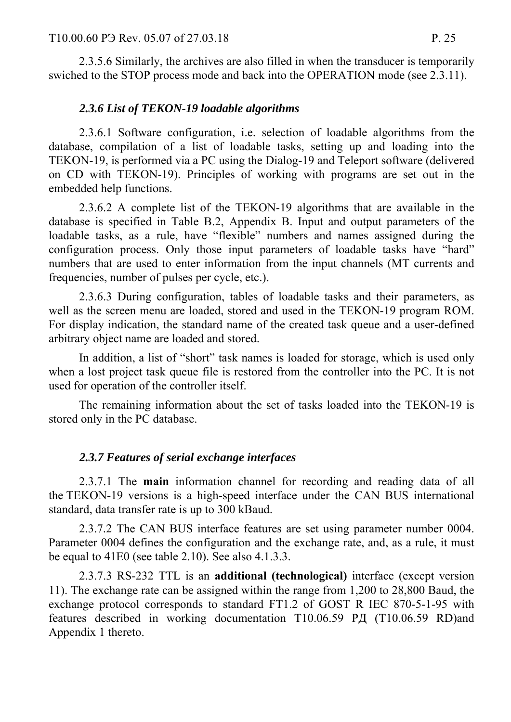2.3.5.6 Similarly, the archives are also filled in when the transducer is temporarily swiched to the STOP process mode and back into the OPERATION mode (see 2.3.11).

#### *2.3.6 List of TEKON-19 loadable algorithms*

2.3.6.1 Software configuration, i.e. selection of loadable algorithms from the database, compilation of a list of loadable tasks, setting up and loading into the TEKON-19, is performed via a PC using the Dialog-19 and Teleport software (delivered on CD with TEKON-19). Principles of working with programs are set out in the embedded help functions.

2.3.6.2 A complete list of the TEKON-19 algorithms that are available in the database is specified in Table B.2, Appendix B. Input and output parameters of the loadable tasks, as a rule, have "flexible" numbers and names assigned during the configuration process. Only those input parameters of loadable tasks have "hard" numbers that are used to enter information from the input channels (MT currents and frequencies, number of pulses per cycle, etc.).

2.3.6.3 During configuration, tables of loadable tasks and their parameters, as well as the screen menu are loaded, stored and used in the TEKON-19 program ROM. For display indication, the standard name of the created task queue and a user-defined arbitrary object name are loaded and stored.

In addition, a list of "short" task names is loaded for storage, which is used only when a lost project task queue file is restored from the controller into the PC. It is not used for operation of the controller itself.

The remaining information about the set of tasks loaded into the TEKON-19 is stored only in the PC database.

#### *2.3.7 Features of serial exchange interfaces*

2.3.7.1 The **main** information channel for recording and reading data of all the TEKON-19 versions is a high-speed interface under the CAN BUS international standard, data transfer rate is up to 300 kBaud.

2.3.7.2 The CAN BUS interface features are set using parameter number 0004. Parameter 0004 defines the configuration and the exchange rate, and, as a rule, it must be equal to 41E0 (see table 2.10). See also 4.1.3.3.

2.3.7.3 RS-232 TTL is an **additional (technological)** interface (except version 11). The exchange rate can be assigned within the range from 1,200 to 28,800 Baud, the exchange protocol corresponds to standard FT1.2 of GOST R IEC 870-5-1-95 with features described in working documentation T10.06.59 РД (T10.06.59 RD)and Appendix 1 thereto.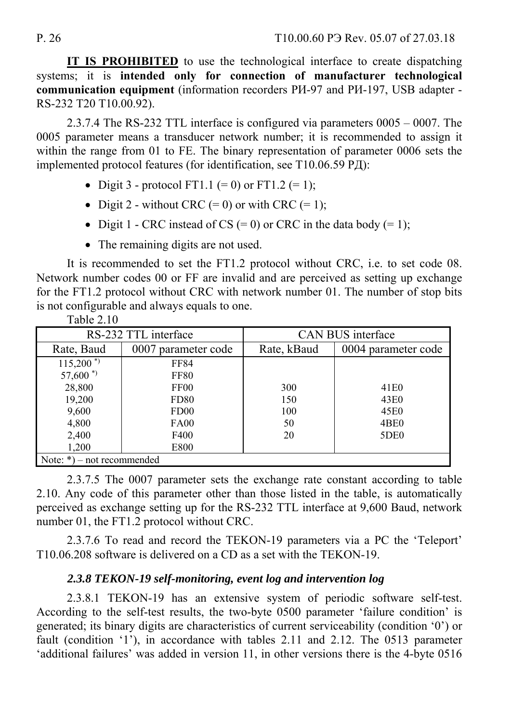**IT IS PROHIBITED** to use the technological interface to create dispatching systems; it is **intended only for connection of manufacturer technological communication equipment** (information recorders РИ-97 and РИ-197, USB adapter - RS-232 T20 T10.00.92).

2.3.7.4 The RS-232 TTL interface is configured via parameters 0005 – 0007. The 0005 parameter means a transducer network number; it is recommended to assign it within the range from 01 to FE. The binary representation of parameter 0006 sets the implemented protocol features (for identification, see T10.06.59 РД):

- Digit 3 protocol FT1.1 (= 0) or FT1.2 (= 1);
- Digit 2 without CRC  $(= 0)$  or with CRC  $(= 1)$ ;
- Digit 1 CRC instead of CS  $(= 0)$  or CRC in the data body  $(= 1)$ ;
- The remaining digits are not used.

It is recommended to set the FT1.2 protocol without CRC, i.e. to set code 08. Network number codes 00 or FF are invalid and are perceived as setting up exchange for the FT1.2 protocol without CRC with network number 01. The number of stop bits is not configurable and always equals to one. Table  $2.10$ 

| 100102                          |                      |                          |                     |  |  |  |  |  |
|---------------------------------|----------------------|--------------------------|---------------------|--|--|--|--|--|
|                                 | RS-232 TTL interface | <b>CAN BUS interface</b> |                     |  |  |  |  |  |
| Rate, Baud                      | 0007 parameter code  | Rate, kBaud              | 0004 parameter code |  |  |  |  |  |
| $115,200$ <sup>*</sup>          | <b>FF84</b>          |                          |                     |  |  |  |  |  |
| $57,600$ <sup>*)</sup>          | <b>FF80</b>          |                          |                     |  |  |  |  |  |
| 28,800                          | FF <sub>00</sub>     |                          | 41 <sub>E0</sub>    |  |  |  |  |  |
| 19,200<br><b>FD80</b>           |                      | 150                      | 43E0                |  |  |  |  |  |
| 9,600<br>FD <sub>00</sub>       |                      | 100                      | 45E0                |  |  |  |  |  |
| 4,800                           | <b>FA00</b>          |                          | 4BE <sub>0</sub>    |  |  |  |  |  |
| 2,400<br>F400                   |                      | 20                       | 5DE <sub>0</sub>    |  |  |  |  |  |
| 1,200                           | E800                 |                          |                     |  |  |  |  |  |
| Note: $*)$<br>- not recommended |                      |                          |                     |  |  |  |  |  |

2.3.7.5 The 0007 parameter sets the exchange rate constant according to table 2.10. Any code of this parameter other than those listed in the table, is automatically perceived as exchange setting up for the RS-232 TTL interface at 9,600 Baud, network number 01, the FT1.2 protocol without CRC.

2.3.7.6 To read and record the TEKON-19 parameters via a PC the 'Teleport' T10.06.208 software is delivered on a CD as a set with the TEKON-19.

### *2.3.8 TEKON-19 self-monitoring, event log and intervention log*

2.3.8.1 TEKON-19 has an extensive system of periodic software self-test. According to the self-test results, the two-byte 0500 parameter 'failure condition' is generated; its binary digits are characteristics of current serviceability (condition '0') or fault (condition '1'), in accordance with tables 2.11 and 2.12. The 0513 parameter 'additional failures' was added in version 11, in other versions there is the 4-byte 0516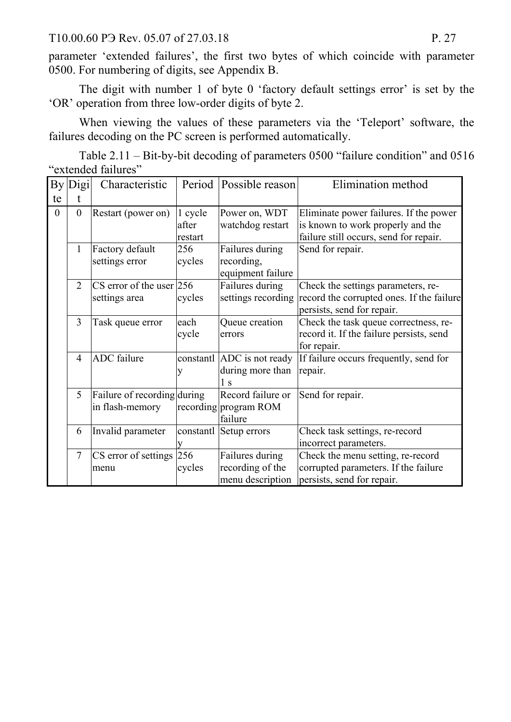T10.00.60 P<sub>3</sub> Rev. 05.07 of 27.03.18 P. 27

parameter 'extended failures', the first two bytes of which coincide with parameter 0500. For numbering of digits, see Appendix B.

The digit with number 1 of byte 0 'factory default settings error' is set by the 'OR' operation from three low-order digits of byte 2.

When viewing the values of these parameters via the 'Teleport' software, the failures decoding on the PC screen is performed automatically.

Тable 2.11 – Bit-by-bit decoding of parameters 0500 "failure condition" and 0516 "extended failures"

| By<br>te       | Digi           | Characteristic                                 |                             | Period   Possible reason                                | Elimination method                                                                                                    |
|----------------|----------------|------------------------------------------------|-----------------------------|---------------------------------------------------------|-----------------------------------------------------------------------------------------------------------------------|
| $\overline{0}$ | $\mathbf{0}$   | Restart (power on)                             | 1 cycle<br>after<br>restart | Power on, WDT<br>watchdog restart                       | Eliminate power failures. If the power<br>is known to work properly and the<br>failure still occurs, send for repair. |
|                | $\mathbf{1}$   | Factory default<br>settings error              | 256<br>cycles               | Failures during<br>recording,<br>equipment failure      | Send for repair.                                                                                                      |
|                | $\overline{2}$ | $CS$ error of the user 256<br>settings area    | cycles                      | Failures during<br>settings recording                   | Check the settings parameters, re-<br>record the corrupted ones. If the failure<br>persists, send for repair.         |
|                | 3              | Task queue error                               | each<br>cycle               | Queue creation<br>errors                                | Check the task queue correctness, re-<br>record it. If the failure persists, send<br>for repair.                      |
|                | $\overline{4}$ | <b>ADC</b> failure                             | constantl<br>у              | ADC is not ready<br>during more than<br>1 <sub>s</sub>  | If failure occurs frequently, send for<br>repair.                                                                     |
|                | 5              | Failure of recording during<br>in flash-memory |                             | Record failure or<br>recording program ROM<br>failure   | Send for repair.                                                                                                      |
|                | 6              | Invalid parameter                              | constantl                   | Setup errors                                            | Check task settings, re-record<br>incorrect parameters.                                                               |
|                | $\tau$         | CS error of settings 256<br>menu               | cycles                      | Failures during<br>recording of the<br>menu description | Check the menu setting, re-record<br>corrupted parameters. If the failure<br>persists, send for repair.               |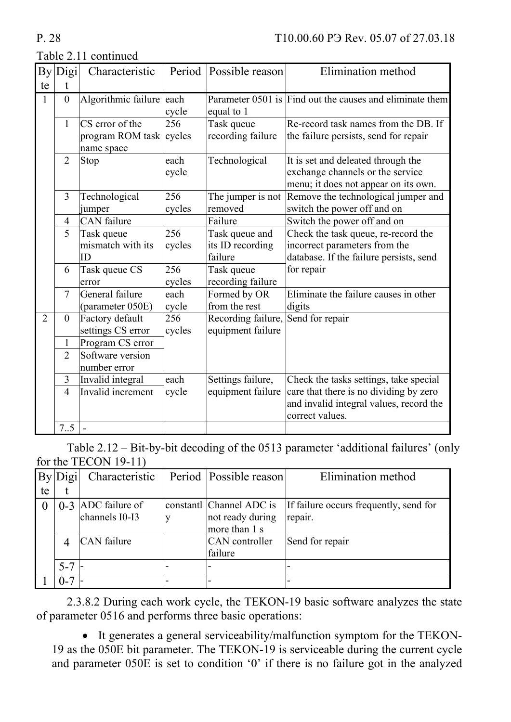|                | By Digi          | Characteristic           | Period | Possible reason    | Elimination method                                       |
|----------------|------------------|--------------------------|--------|--------------------|----------------------------------------------------------|
| te             |                  |                          |        |                    |                                                          |
| $\mathbf{1}$   | $\boldsymbol{0}$ | Algorithmic failure each |        |                    | Parameter 0501 is Find out the causes and eliminate them |
|                |                  |                          | cycle  | equal to 1         |                                                          |
|                | $\mathbf{1}$     | CS error of the          | 256    | Task queue         | Re-record task names from the DB. If                     |
|                |                  | program ROM task         | cycles | recording failure  | the failure persists, send for repair                    |
|                |                  | name space               |        |                    |                                                          |
|                | $\overline{2}$   | Stop                     | each   | Technological      | It is set and deleated through the                       |
|                |                  |                          | cycle  |                    | exchange channels or the service                         |
|                |                  |                          |        |                    | menu; it does not appear on its own.                     |
|                | $\overline{3}$   | Technological            | 256    | The jumper is not  | Remove the technological jumper and                      |
|                |                  | jumper                   | cycles | removed            | switch the power off and on                              |
|                | 4                | <b>CAN</b> failure       |        | Failure            | Switch the power off and on                              |
|                | 5                | Task queue               | 256    | Task queue and     | Check the task queue, re-record the                      |
|                |                  | mismatch with its        | cycles | its ID recording   | incorrect parameters from the                            |
|                |                  | ID                       |        | failure            | database. If the failure persists, send                  |
|                | 6                | Task queue CS            | 256    | Task queue         | for repair                                               |
|                |                  | error                    | cycles | recording failure  |                                                          |
|                | $\overline{7}$   | General failure          | each   | Formed by OR       | Eliminate the failure causes in other                    |
|                |                  | (parameter 050E)         | cycle  | from the rest      | digits                                                   |
| $\overline{2}$ | $\boldsymbol{0}$ | Factory default          | 256    | Recording failure, | Send for repair                                          |
|                |                  | settings CS error        | cycles | equipment failure  |                                                          |
|                | $\mathbf{1}$     | Program CS error         |        |                    |                                                          |
|                | $\overline{2}$   | Software version         |        |                    |                                                          |
|                |                  | number error             |        |                    |                                                          |
|                | $\overline{3}$   | Invalid integral         | each   | Settings failure,  | Check the tasks settings, take special                   |
|                | $\overline{4}$   | Invalid increment        | cycle  | equipment failure  | care that there is no dividing by zero                   |
|                |                  |                          |        |                    | and invalid integral values, record the                  |
|                |                  |                          |        |                    | correct values.                                          |
|                | $7_{-.}5$        |                          |        |                    |                                                          |

### Table 2.11 continued

Table 2.12 – Bit-by-bit decoding of the 0513 parameter 'additional failures' (only for the TECON 19-11)

|    | $\sum_{i=1}^{n}$ | Characteristic       | Period   Possible reason | Elimination method                     |
|----|------------------|----------------------|--------------------------|----------------------------------------|
| te |                  |                      |                          |                                        |
|    |                  | $0-3$ ADC failure of | constantl Channel ADC is | If failure occurs frequently, send for |
|    |                  | channels I0-I3       | not ready during         | repair.                                |
|    |                  |                      | more than 1 s            |                                        |
|    |                  | <b>CAN</b> failure   | CAN controller           | Send for repair                        |
|    |                  |                      | failure                  |                                        |
|    | $5 - 7$ –        |                      |                          |                                        |
|    | $0 - 7$          |                      |                          |                                        |

2.3.8.2 During each work cycle, the TEKON-19 basic software analyzes the state of parameter 0516 and performs three basic operations:

 It generates a general serviceability/malfunction symptom for the TEKON-19 as the 050E bit parameter. The TEKON-19 is serviceable during the current cycle and parameter 050E is set to condition '0' if there is no failure got in the analyzed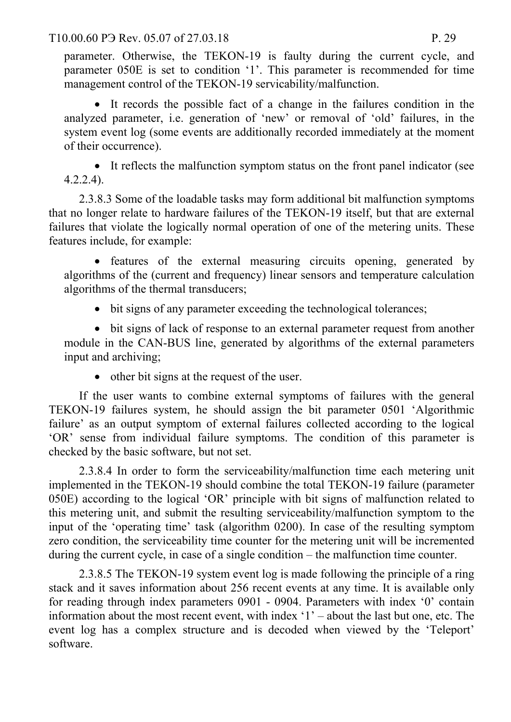T10.00.60 P3 Rev. 05.07 of 27.03.18 P. 29

parameter. Otherwise, the TEKON-19 is faulty during the current cycle, and parameter 050E is set to condition '1'. This parameter is recommended for time management control of the TEKON-19 servicability/malfunction.

 It records the possible fact of a change in the failures condition in the analyzed parameter, i.e. generation of 'new' or removal of 'old' failures, in the system event log (some events are additionally recorded immediately at the moment of their occurrence).

 It reflects the malfunction symptom status on the front panel indicator (see 4.2.2.4).

2.3.8.3 Some of the loadable tasks may form additional bit malfunction symptoms that no longer relate to hardware failures of the TEKON-19 itself, but that are external failures that violate the logically normal operation of one of the metering units. These features include, for example:

• features of the external measuring circuits opening, generated by algorithms of the (current and frequency) linear sensors and temperature calculation algorithms of the thermal transducers;

bit signs of any parameter exceeding the technological tolerances;

 bit signs of lack of response to an external parameter request from another module in the CAN-BUS line, generated by algorithms of the external parameters input and archiving;

• other bit signs at the request of the user.

If the user wants to combine external symptoms of failures with the general TEKON-19 failures system, he should assign the bit parameter 0501 'Algorithmic failure' as an output symptom of external failures collected according to the logical 'OR' sense from individual failure symptoms. The condition of this parameter is checked by the basic software, but not set.

2.3.8.4 In order to form the serviceability/malfunction time each metering unit implemented in the TEKON-19 should combine the total TEKON-19 failure (parameter 050E) according to the logical 'OR' principle with bit signs of malfunction related to this metering unit, and submit the resulting serviceability/malfunction symptom to the input of the 'operating time' task (algorithm 0200). In case of the resulting symptom zero condition, the serviceability time counter for the metering unit will be incremented during the current cycle, in case of a single condition – the malfunction time counter.

2.3.8.5 The TEKON-19 system event log is made following the principle of a ring stack and it saves information about 256 recent events at any time. It is available only for reading through index parameters 0901 - 0904. Parameters with index '0' contain information about the most recent event, with index '1' – about the last but one, etc. The event log has a complex structure and is decoded when viewed by the 'Teleport' software.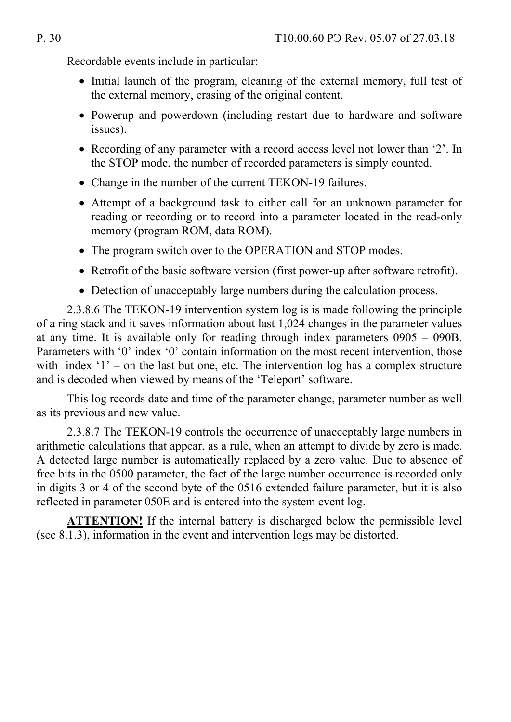Recordable events include in particular:

- Initial launch of the program, cleaning of the external memory, full test of the external memory, erasing of the original content.
- Powerup and powerdown (including restart due to hardware and software issues).
- Recording of any parameter with a record access level not lower than '2'. In the STOP mode, the number of recorded parameters is simply counted.
- Change in the number of the current TEKON-19 failures.
- Attempt of a background task to either call for an unknown parameter for reading or recording or to record into a parameter located in the read-only memory (program ROM, data ROM).
- The program switch over to the OPERATION and STOP modes.
- Retrofit of the basic software version (first power-up after software retrofit).
- Detection of unacceptably large numbers during the calculation process.

2.3.8.6 The TEKON-19 intervention system log is is made following the principle of a ring stack and it saves information about last 1,024 changes in the parameter values at any time. It is available only for reading through index parameters 0905 – 090B. Parameters with '0' index '0' contain information on the most recent intervention, those with index '1' – on the last but one, etc. The intervention log has a complex structure and is decoded when viewed by means of the 'Teleport' software.

This log records date and time of the parameter change, parameter number as well as its previous and new value.

2.3.8.7 The TEKON-19 controls the occurrence of unacceptably large numbers in arithmetic calculations that appear, as a rule, when an attempt to divide by zero is made. A detected large number is automatically replaced by a zero value. Due to absence of free bits in the 0500 parameter, the fact of the large number occurrence is recorded only in digits 3 or 4 of the second byte of the 0516 extended failure parameter, but it is also reflected in parameter 050E and is entered into the system event log.

**ATTENTION!** If the internal battery is discharged below the permissible level (see 8.1.3), information in the event and intervention logs may be distorted.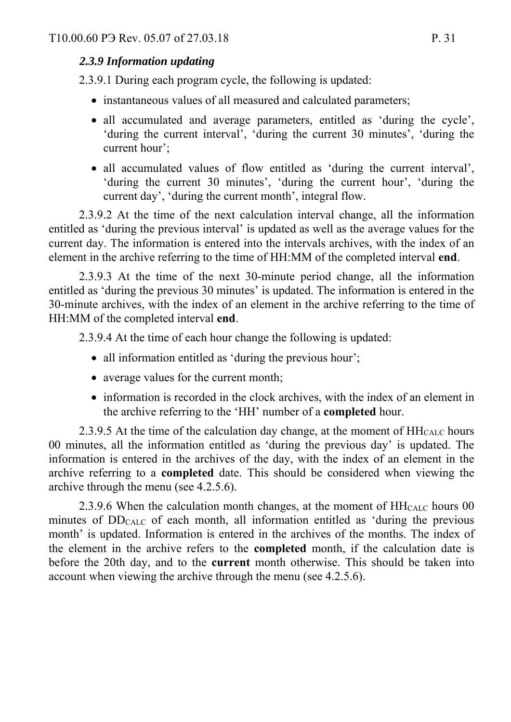### *2.3.9 Information updating*

2.3.9.1 During each program cycle, the following is updated:

- instantaneous values of all measured and calculated parameters;
- all accumulated and average parameters, entitled as 'during the cycle', 'during the current interval', 'during the current 30 minutes', 'during the current hour';
- all accumulated values of flow entitled as 'during the current interval', 'during the current 30 minutes', 'during the current hour', 'during the current day', 'during the current month', integral flow.

2.3.9.2 At the time of the next calculation interval change, all the information entitled as 'during the previous interval' is updated as well as the average values for the current day. The information is entered into the intervals archives, with the index of an element in the archive referring to the time of HH:MM of the completed interval **end**.

2.3.9.3 At the time of the next 30-minute period change, all the information entitled as 'during the previous 30 minutes' is updated. The information is entered in the 30-minute archives, with the index of an element in the archive referring to the time of HH:MM of the completed interval **end**.

2.3.9.4 At the time of each hour change the following is updated:

- all information entitled as 'during the previous hour';
- average values for the current month;
- information is recorded in the clock archives, with the index of an element in the archive referring to the 'HH' number of a **completed** hour.

2.3.9.5 At the time of the calculation day change, at the moment of  $HH_{CALC}$  hours 00 minutes, all the information entitled as 'during the previous day' is updated. The information is entered in the archives of the day, with the index of an element in the archive referring to a **completed** date. This should be considered when viewing the archive through the menu (see 4.2.5.6).

2.3.9.6 When the calculation month changes, at the moment of  $HH<sub>CALC</sub>$  hours 00 minutes of  $DD<sub>CALC</sub>$  of each month, all information entitled as 'during the previous month' is updated. Information is entered in the archives of the months. The index of the element in the archive refers to the **completed** month, if the calculation date is before the 20th day, and to the **current** month otherwise. This should be taken into account when viewing the archive through the menu (see 4.2.5.6).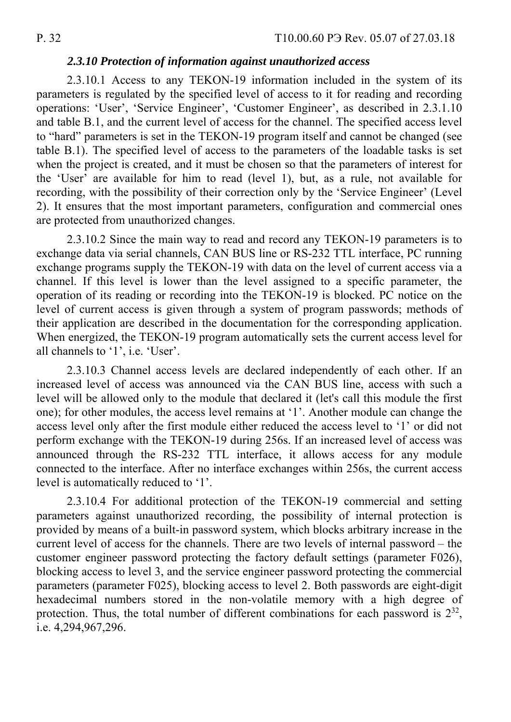#### *2.3.10 Protection of information against unauthorized access*

2.3.10.1 Access to any TEKON-19 information included in the system of its parameters is regulated by the specified level of access to it for reading and recording operations: 'User', 'Service Engineer', 'Customer Engineer', as described in 2.3.1.10 and table B.1, and the current level of access for the channel. The specified access level to "hard" parameters is set in the TEKON-19 program itself and cannot be changed (see table B.1). The specified level of access to the parameters of the loadable tasks is set when the project is created, and it must be chosen so that the parameters of interest for the 'User' are available for him to read (level 1), but, as a rule, not available for recording, with the possibility of their correction only by the 'Service Engineer' (Level 2). It ensures that the most important parameters, configuration and commercial ones are protected from unauthorized changes.

2.3.10.2 Since the main way to read and record any TEKON-19 parameters is to exchange data via serial channels, CAN BUS line or RS-232 TTL interface, PC running exchange programs supply the TEKON-19 with data on the level of current access via a channel. If this level is lower than the level assigned to a specific parameter, the operation of its reading or recording into the TEKON-19 is blocked. PC notice on the level of current access is given through a system of program passwords; methods of their application are described in the documentation for the corresponding application. When energized, the TEKON-19 program automatically sets the current access level for all channels to '1', i.e. 'User'.

2.3.10.3 Channel access levels are declared independently of each other. If an increased level of access was announced via the CAN BUS line, access with such a level will be allowed only to the module that declared it (let's call this module the first one); for other modules, the access level remains at '1'. Another module can change the access level only after the first module either reduced the access level to '1' or did not perform exchange with the TEKON-19 during 256s. If an increased level of access was announced through the RS-232 TTL interface, it allows access for any module connected to the interface. After no interface exchanges within 256s, the current access level is automatically reduced to '1'.

2.3.10.4 For additional protection of the TEKON-19 commercial and setting parameters against unauthorized recording, the possibility of internal protection is provided by means of a built-in password system, which blocks arbitrary increase in the current level of access for the channels. There are two levels of internal password – the customer engineer password protecting the factory default settings (parameter F026), blocking access to level 3, and the service engineer password protecting the commercial parameters (parameter F025), blocking access to level 2. Both passwords are eight-digit hexadecimal numbers stored in the non-volatile memory with a high degree of protection. Thus, the total number of different combinations for each password is  $2^{32}$ , i.e. 4,294,967,296.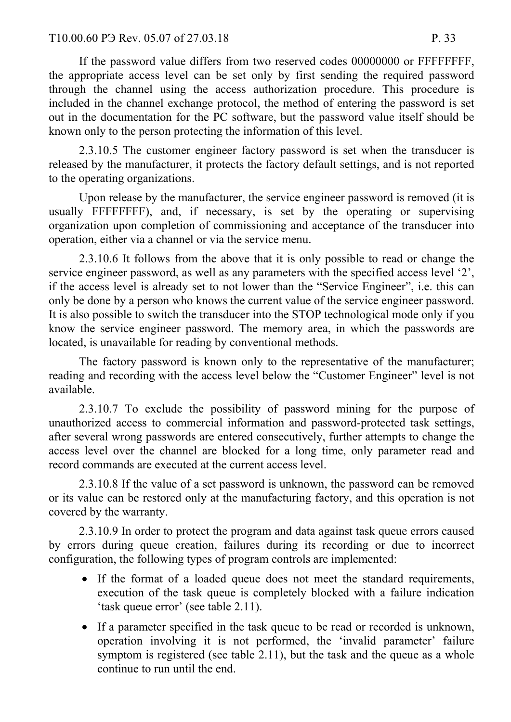If the password value differs from two reserved codes 00000000 or FFFFFFFF, the appropriate access level can be set only by first sending the required password through the channel using the access authorization procedure. This procedure is included in the channel exchange protocol, the method of entering the password is set out in the documentation for the PC software, but the password value itself should be known only to the person protecting the information of this level.

2.3.10.5 The customer engineer factory password is set when the transducer is released by the manufacturer, it protects the factory default settings, and is not reported to the operating organizations.

Upon release by the manufacturer, the service engineer password is removed (it is usually FFFFFFFF), and, if necessary, is set by the operating or supervising organization upon completion of commissioning and acceptance of the transducer into operation, either via a channel or via the service menu.

2.3.10.6 It follows from the above that it is only possible to read or change the service engineer password, as well as any parameters with the specified access level '2', if the access level is already set to not lower than the "Service Engineer", i.e. this can only be done by a person who knows the current value of the service engineer password. It is also possible to switch the transducer into the STOP technological mode only if you know the service engineer password. The memory area, in which the passwords are located, is unavailable for reading by conventional methods.

The factory password is known only to the representative of the manufacturer; reading and recording with the access level below the "Customer Engineer" level is not available.

2.3.10.7 To exclude the possibility of password mining for the purpose of unauthorized access to commercial information and password-protected task settings, after several wrong passwords are entered consecutively, further attempts to change the access level over the channel are blocked for a long time, only parameter read and record commands are executed at the current access level.

2.3.10.8 If the value of a set password is unknown, the password can be removed or its value can be restored only at the manufacturing factory, and this operation is not covered by the warranty.

2.3.10.9 In order to protect the program and data against task queue errors caused by errors during queue creation, failures during its recording or due to incorrect configuration, the following types of program controls are implemented:

- If the format of a loaded queue does not meet the standard requirements, execution of the task queue is completely blocked with a failure indication 'task queue error' (see table 2.11).
- If a parameter specified in the task queue to be read or recorded is unknown, operation involving it is not performed, the 'invalid parameter' failure symptom is registered (see table 2.11), but the task and the queue as a whole continue to run until the end.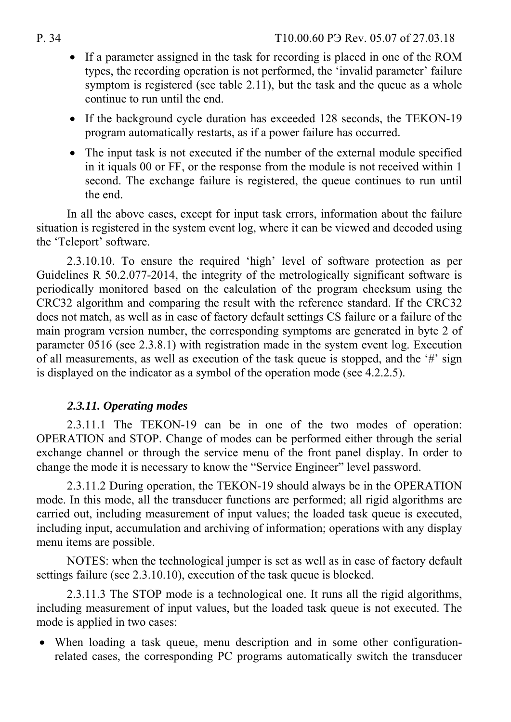- If a parameter assigned in the task for recording is placed in one of the ROM types, the recording operation is not performed, the 'invalid parameter' failure symptom is registered (see table 2.11), but the task and the queue as a whole continue to run until the end.
- If the background cycle duration has exceeded 128 seconds, the TEKON-19 program automatically restarts, as if a power failure has occurred.
- The input task is not executed if the number of the external module specified in it iquals 00 or FF, or the response from the module is not received within 1 second. The exchange failure is registered, the queue continues to run until the end.

In all the above cases, except for input task errors, information about the failure situation is registered in the system event log, where it can be viewed and decoded using the 'Teleport' software.

2.3.10.10. To ensure the required 'high' level of software protection as per Guidelines R 50.2.077-2014, the integrity of the metrologically significant software is periodically monitored based on the calculation of the program checksum using the CRC32 algorithm and comparing the result with the reference standard. If the CRC32 does not match, as well as in case of factory default settings CS failure or a failure of the main program version number, the corresponding symptoms are generated in byte 2 of parameter 0516 (see 2.3.8.1) with registration made in the system event log. Execution of all measurements, as well as execution of the task queue is stopped, and the '#' sign is displayed on the indicator as a symbol of the operation mode (see 4.2.2.5).

# *2.3.11. Operating modes*

2.3.11.1 The TEKON-19 can be in one of the two modes of operation: OPERATION and STOP. Change of modes can be performed either through the serial exchange channel or through the service menu of the front panel display. In order to change the mode it is necessary to know the "Service Engineer" level password.

2.3.11.2 During operation, the TEKON-19 should always be in the OPERATION mode. In this mode, all the transducer functions are performed; all rigid algorithms are carried out, including measurement of input values; the loaded task queue is executed, including input, accumulation and archiving of information; operations with any display menu items are possible.

NOTES: when the technological jumper is set as well as in case of factory default settings failure (see 2.3.10.10), execution of the task queue is blocked.

2.3.11.3 The STOP mode is a technological one. It runs all the rigid algorithms, including measurement of input values, but the loaded task queue is not executed. The mode is applied in two cases:

 When loading a task queue, menu description and in some other configurationrelated cases, the corresponding PC programs automatically switch the transducer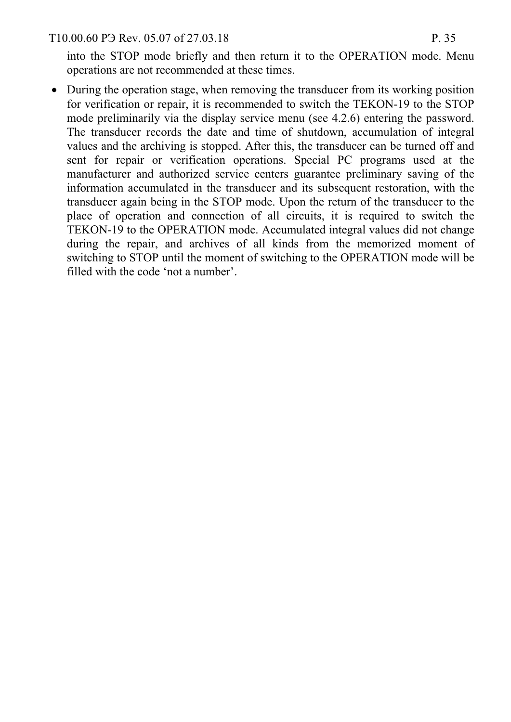T10.00.60 P<sub>3</sub> Rev. 05.07 of 27.03.18 P. 35

into the STOP mode briefly and then return it to the OPERATION mode. Menu operations are not recommended at these times.

• During the operation stage, when removing the transducer from its working position for verification or repair, it is recommended to switch the TEKON-19 to the STOP mode preliminarily via the display service menu (see 4.2.6) entering the password. The transducer records the date and time of shutdown, accumulation of integral values and the archiving is stopped. After this, the transducer can be turned off and sent for repair or verification operations. Special PC programs used at the manufacturer and authorized service centers guarantee preliminary saving of the information accumulated in the transducer and its subsequent restoration, with the transducer again being in the STOP mode. Upon the return of the transducer to the place of operation and connection of all circuits, it is required to switch the TEKON-19 to the OPERATION mode. Accumulated integral values did not change during the repair, and archives of all kinds from the memorized moment of switching to STOP until the moment of switching to the OPERATION mode will be filled with the code 'not a number'.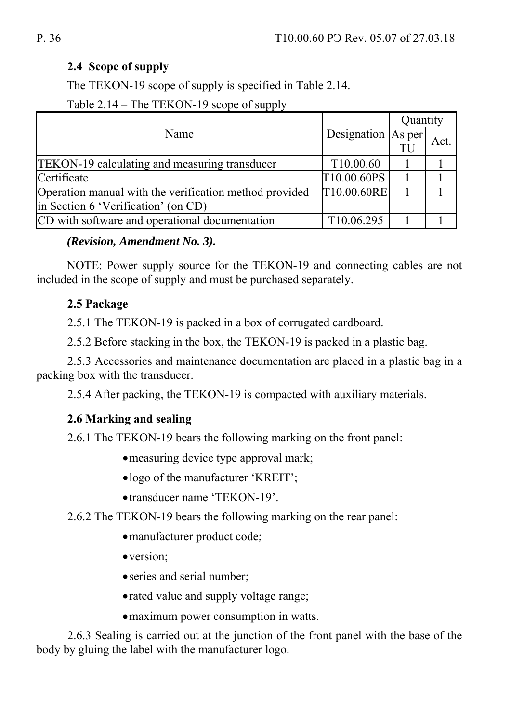### **2.4 Scope of supply**

The TEKON-19 scope of supply is specified in Table 2.14.

Table 2.14 – The TEKON-19 scope of supply

|                                                        |                        | Quantity |      |
|--------------------------------------------------------|------------------------|----------|------|
| Name                                                   | Designation   As per   |          | Act. |
| <b>TEKON-19</b> calculating and measuring transducer   | T <sub>10.00.60</sub>  |          |      |
| Certificate                                            | T10.00.60PS            |          |      |
| Operation manual with the verification method provided | [T10.00.60RE]          |          |      |
| in Section 6 'Verification' (on CD)                    |                        |          |      |
| CD with software and operational documentation         | T <sub>10.06.295</sub> |          |      |

### *(Revision, Amendment No. 3).*

NOTE: Power supply source for the TEKON-19 and connecting cables are not included in the scope of supply and must be purchased separately.

# **2.5 Package**

2.5.1 The TEKON-19 is packed in a box of corrugated cardboard.

2.5.2 Before stacking in the box, the TEKON-19 is packed in a plastic bag.

2.5.3 Accessories and maintenance documentation are placed in a plastic bag in a packing box with the transducer.

2.5.4 After packing, the TEKON-19 is compacted with auxiliary materials.

# **2.6 Marking and sealing**

2.6.1 The TEKON-19 bears the following marking on the front panel:

- measuring device type approval mark;
- logo of the manufacturer 'KREIT';
- transducer name 'TEKON-19'.
- 2.6.2 The TEKON-19 bears the following marking on the rear panel:
	- manufacturer product code;
	- version;
	- series and serial number;
	- rated value and supply voltage range;
	- maximum power consumption in watts.

2.6.3 Sealing is carried out at the junction of the front panel with the base of the body by gluing the label with the manufacturer logo.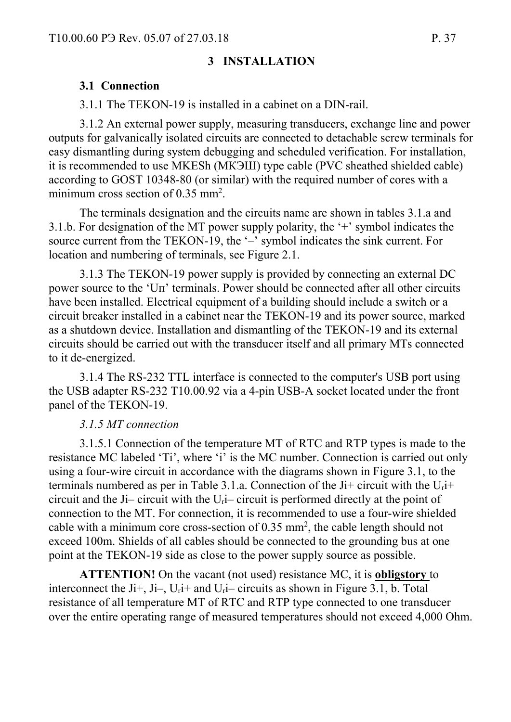#### **3 INSTALLATION**

#### **3.1 Connection**

3.1.1 The TEKON-19 is installed in a cabinet on a DIN-rail.

3.1.2 An external power supply, measuring transducers, exchange line and power outputs for galvanically isolated circuits are connected to detachable screw terminals for easy dismantling during system debugging and scheduled verification. For installation, it is recommended to use MKESh (МКЭШ) type cable (PVC sheathed shielded cable) according to GOST 10348-80 (or similar) with the required number of cores with a minimum cross section of  $0.35$  mm<sup>2</sup>.

The terminals designation and the circuits name are shown in tables 3.1.a and 3.1.b. For designation of the MT power supply polarity, the '+' symbol indicates the source current from the TEKON-19, the '-' symbol indicates the sink current. For location and numbering of terminals, see Figure 2.1.

3.1.3 The TEKON-19 power supply is provided by connecting an external DC power source to the 'Uп' terminals. Power should be connected after all other circuits have been installed. Electrical equipment of a building should include a switch or a circuit breaker installed in a cabinet near the TEKON-19 and its power source, marked as a shutdown device. Installation and dismantling of the TEKON-19 and its external circuits should be carried out with the transducer itself and all primary MTs connected to it de-energized.

3.1.4 The RS-232 TTL interface is connected to the computer's USB port using the USB adapter RS-232 T10.00.92 via a 4-pin USB-A socket located under the front panel of the TEKON-19.

#### *3.1.5 MT connection*

3.1.5.1 Connection of the temperature MT of RTC and RTP types is made to the resistance MC labeled 'Тi', where 'i' is the MC number. Connection is carried out only using a four-wire circuit in accordance with the diagrams shown in Figure 3.1, to the terminals numbered as per in Table 3.1.a. Connection of the Ji+ circuit with the  $U_t$ i+ circuit and the Ji– circuit with the Uri– circuit is performed directly at the point of connection to the MT. For connection, it is recommended to use a four-wire shielded cable with a minimum core cross-section of  $0.35 \text{ mm}^2$ , the cable length should not exceed 100m. Shields of all cables should be connected to the grounding bus at one point at the TEKON-19 side as close to the power supply source as possible.

**ATTENTION!** On the vacant (not used) resistance MC, it is **obligstory** to interconnect the Ji+, Ji-, U<sub>r</sub>i+ and U<sub>r</sub>i-circuits as shown in Figure 3.1, b. Total resistance of all temperature MT of RTC and RTP type connected to one transducer over the entire operating range of measured temperatures should not exceed 4,000 Ohm.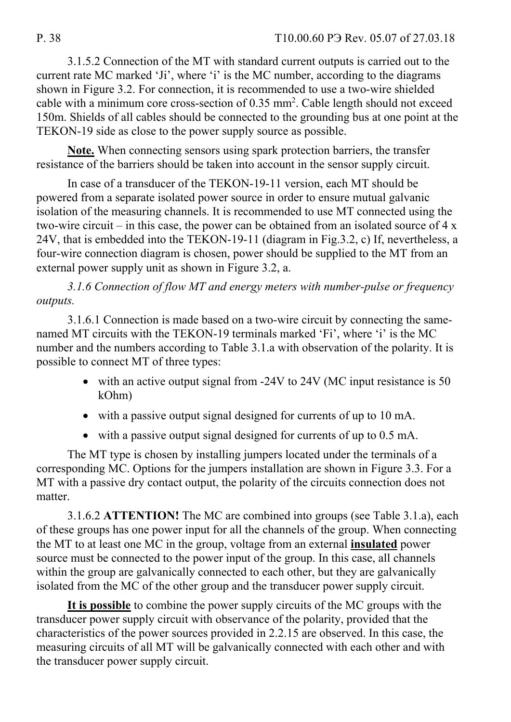3.1.5.2 Connection of the MT with standard current outputs is carried out to the current rate MC marked 'Ji', where 'i' is the MC number, according to the diagrams shown in Figure 3.2. For connection, it is recommended to use a two-wire shielded cable with a minimum core cross-section of 0.35 mm<sup>2</sup>. Cable length should not exceed 150m. Shields of all cables should be connected to the grounding bus at one point at the TEKON-19 side as close to the power supply source as possible.

**Note.** When connecting sensors using spark protection barriers, the transfer resistance of the barriers should be taken into account in the sensor supply circuit.

In case of a transducer of the TEKON-19-11 version, each MT should be powered from a separate isolated power source in order to ensure mutual galvanic isolation of the measuring channels. It is recommended to use MT connected using the two-wire circuit – in this case, the power can be obtained from an isolated source of  $4 \times$ 24V, that is embedded into the TEKON-19-11 (diagram in Fig.3.2, c) If, nevertheless, a four-wire connection diagram is chosen, power should be supplied to the MT from an external power supply unit as shown in Figure 3.2, a.

*3.1.6 Connection of flow MT and energy meters with number-pulse or frequency outputs.* 

3.1.6.1 Connection is made based on a two-wire circuit by connecting the samenamed MT circuits with the TEKON-19 terminals marked 'Fi', where 'i' is the MC number and the numbers according to Table 3.1.a with observation of the polarity. It is possible to connect MT of three types:

- with an active output signal from -24V to 24V (MC input resistance is 50 kOhm)
- with a passive output signal designed for currents of up to 10 mA.
- with a passive output signal designed for currents of up to 0.5 mA.

The MT type is chosen by installing jumpers located under the terminals of a corresponding MC. Options for the jumpers installation are shown in Figure 3.3. For a MT with a passive dry contact output, the polarity of the circuits connection does not matter.

3.1.6.2 **ATTENTION!** The MC are combined into groups (see Table 3.1.a), each of these groups has one power input for all the channels of the group. When connecting the MT to at least one MC in the group, voltage from an external **insulated** power source must be connected to the power input of the group. In this case, all channels within the group are galvanically connected to each other, but they are galvanically isolated from the MC of the other group and the transducer power supply circuit.

**It is possible** to combine the power supply circuits of the MC groups with the transducer power supply circuit with observance of the polarity, provided that the characteristics of the power sources provided in 2.2.15 are observed. In this case, the measuring circuits of all MT will be galvanically connected with each other and with the transducer power supply circuit.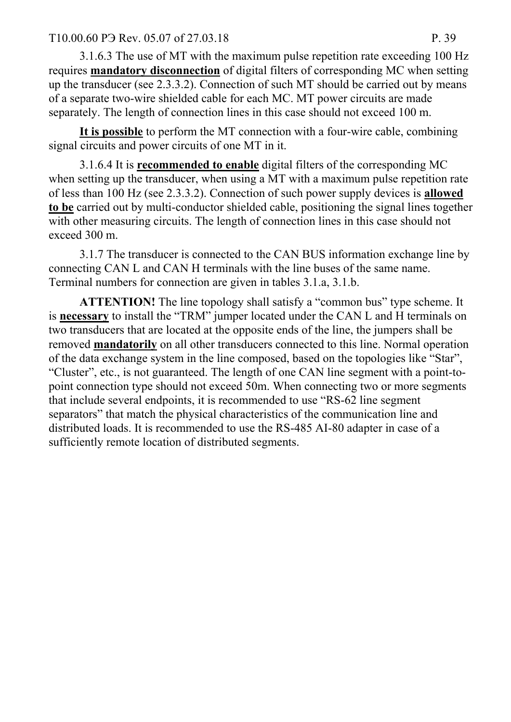#### T10.00.60 P3 Rev. 05.07 of 27.03.18 P. 39

3.1.6.3 The use of MT with the maximum pulse repetition rate exceeding 100 Hz requires **mandatory disconnection** of digital filters of corresponding MC when setting up the transducer (see 2.3.3.2). Connection of such MT should be carried out by means of a separate two-wire shielded cable for each MC. MT power circuits are made separately. The length of connection lines in this case should not exceed 100 m.

**It is possible** to perform the MT connection with a four-wire cable, combining signal circuits and power circuits of one MT in it.

3.1.6.4 It is **recommended to enable** digital filters of the corresponding MC when setting up the transducer, when using a MT with a maximum pulse repetition rate of less than 100 Hz (see 2.3.3.2). Connection of such power supply devices is **allowed to be** carried out by multi-conductor shielded cable, positioning the signal lines together with other measuring circuits. The length of connection lines in this case should not exceed 300 m.

3.1.7 The transducer is connected to the CAN BUS information exchange line by connecting CAN L and CAN H terminals with the line buses of the same name. Terminal numbers for connection are given in tables 3.1.a, 3.1.b.

**ATTENTION!** The line topology shall satisfy a "common bus" type scheme. It is **necessary** to install the "TRM" jumper located under the CAN L and H terminals on two transducers that are located at the opposite ends of the line, the jumpers shall be removed **mandatorily** on all other transducers connected to this line. Normal operation of the data exchange system in the line composed, based on the topologies like "Star", "Cluster", etc., is not guaranteed. The length of one CAN line segment with a point-topoint connection type should not exceed 50m. When connecting two or more segments that include several endpoints, it is recommended to use "RS-62 line segment separators" that match the physical characteristics of the communication line and distributed loads. It is recommended to use the RS-485 AI-80 adapter in case of a sufficiently remote location of distributed segments.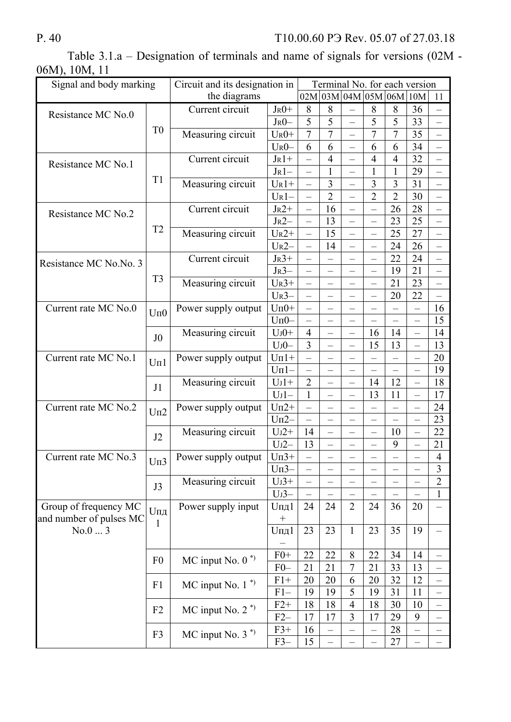|               |  | Table $3.1.a$ – Designation of terminals and name of signals for versions (02M - |  |  |  |  |  |
|---------------|--|----------------------------------------------------------------------------------|--|--|--|--|--|
| 06M), 10M, 11 |  |                                                                                  |  |  |  |  |  |

| Signal and body marking |                                     | Circuit and its designation in |            | Terminal No. for each version |                          |                          |                          |                |                          |                          |
|-------------------------|-------------------------------------|--------------------------------|------------|-------------------------------|--------------------------|--------------------------|--------------------------|----------------|--------------------------|--------------------------|
|                         |                                     | the diagrams                   |            |                               |                          |                          | 02M 03M 04M 05M 06M 10M  |                |                          | 11                       |
|                         |                                     | Current circuit                | $J_R0+$    | 8                             | 8                        |                          | 8                        | 8              | 36                       |                          |
| Resistance MC No.0      |                                     |                                | $JR0-$     | 5                             | 5                        | $\overline{\phantom{0}}$ | 5                        | 5              | 33                       | $\overline{\phantom{0}}$ |
|                         | T <sub>0</sub>                      | Measuring circuit              | $U_R0+$    | $\overline{7}$                | $\overline{7}$           |                          | 7                        | $\overline{7}$ | 35                       | $\overline{\phantom{0}}$ |
|                         |                                     |                                | $U_{R}0-$  | 6                             | 6                        | $\overline{\phantom{0}}$ | 6                        | 6              | 34                       | $\overline{\phantom{0}}$ |
|                         |                                     | Current circuit                | $J_R$ 1+   | $\overline{\phantom{0}}$      | $\overline{4}$           | $\overline{\phantom{0}}$ | $\overline{4}$           | $\overline{4}$ | 32                       | $\qquad \qquad -$        |
| Resistance MC No.1      |                                     |                                | $J_R$ 1-   | $\overline{\phantom{0}}$      | 1                        |                          | 1                        |                | 29                       | $\overline{\phantom{0}}$ |
|                         | T1                                  | Measuring circuit              | $U_R1+$    | $\overline{\phantom{0}}$      | $\overline{3}$           | $\overline{\phantom{0}}$ | 3                        | 3              | 31                       | $\overline{\phantom{0}}$ |
|                         |                                     |                                | $U_{R}1-$  | $\overline{\phantom{0}}$      | $\overline{2}$           | $-$                      | $\overline{2}$           | $\overline{2}$ | 30                       | $\equiv$                 |
|                         |                                     | Current circuit                | $J_R2+$    |                               | 16                       | $\overline{\phantom{0}}$ | $\equiv$                 | 26             | 28                       | $\overline{\phantom{0}}$ |
| Resistance MC No.2      |                                     |                                | $J_R2-$    | $\overline{\phantom{0}}$      | 13                       | $\overline{\phantom{0}}$ | -                        | 23             | 25                       | $\overline{\phantom{0}}$ |
|                         | T <sub>2</sub>                      | Measuring circuit              | $U_R2+$    | $\overline{\phantom{0}}$      | 15                       |                          |                          | 25             | 27                       | $\overline{\phantom{0}}$ |
|                         |                                     |                                | $U_R2-$    | $\overline{\phantom{0}}$      | 14                       | $\overline{\phantom{0}}$ | $\overline{\phantom{0}}$ | 24             | 26                       | $\qquad \qquad -$        |
|                         |                                     | Current circuit                | $J_R3+$    |                               |                          |                          |                          | 22             | 24                       | $\equiv$                 |
| Resistance MC No.No. 3  |                                     |                                | $J_R3-$    |                               |                          |                          |                          | 19             | 21                       | $\overline{\phantom{0}}$ |
|                         | T <sub>3</sub>                      | Measuring circuit              | $U_R3+$    | $\overline{\phantom{0}}$      | $\equiv$                 | $\overline{\phantom{0}}$ | $\overline{\phantom{0}}$ | 21             | 23                       | $\qquad \qquad -$        |
|                         |                                     |                                | $U_R$ 3-   | $\overline{\phantom{0}}$      |                          |                          | $\overline{\phantom{0}}$ | 20             | 22                       | $\overline{\phantom{0}}$ |
| Current rate MC No.0    |                                     | Power supply output            | $U\pi 0+$  | $\overline{\phantom{0}}$      |                          |                          |                          |                | $\qquad \qquad -$        | 16                       |
|                         | $U$ $\Pi$ <sup><math>0</math></sup> |                                | $Um0-$     |                               |                          |                          |                          |                |                          | 15                       |
|                         |                                     | Measuring circuit              | $U_0 +$    | $\overline{4}$                | $\overline{a}$           | $\overline{\phantom{0}}$ | 16                       | 14             | $\overline{\phantom{0}}$ | 14                       |
|                         | J <sub>0</sub>                      |                                | $U$ J $0-$ | 3                             |                          |                          | 15                       | 13             | $\qquad \qquad -$        | 13                       |
| Current rate MC No.1    |                                     | Power supply output            | $U\pi$ 1+  |                               |                          |                          |                          |                |                          | 20                       |
|                         | $U\Pi1$                             |                                | $U\Pi1-$   | $\overline{\phantom{0}}$      | -                        | $\overline{\phantom{0}}$ | $\equiv$                 |                | $\qquad \qquad -$        | 19                       |
|                         |                                     | Measuring circuit              | $U_1$ 1+   | $\overline{2}$                |                          |                          | 14                       | 12             | $\overline{\phantom{0}}$ | 18                       |
|                         | J1                                  |                                | $UJ1-$     | $\mathbf{1}$                  |                          |                          | 13                       | 11             | $\equiv$                 | 17                       |
| Current rate MC No.2    |                                     | Power supply output            | $U\pi2+$   | $-$                           | $\overline{\phantom{0}}$ | $\overline{\phantom{0}}$ |                          |                | $\equiv$                 | 24                       |
|                         | $U\Pi2$                             |                                | $UII2-$    | $\overline{\phantom{0}}$      | $\overline{\phantom{0}}$ | $\overline{\phantom{0}}$ | $-$                      |                | $\overline{\phantom{0}}$ | 23                       |
|                         |                                     | Measuring circuit              | $U_12+$    | 14                            | $\overline{\phantom{0}}$ | $\equiv$                 | $\overline{\phantom{0}}$ | 10             | $\qquad \qquad -$        | 22                       |
|                         | J2                                  |                                | $U_{J}2-$  | 13                            |                          |                          |                          | 9              |                          | 21                       |
| Current rate MC No.3    |                                     | Power supply output            | $U\pi$ 3+  |                               |                          |                          |                          |                |                          | $\overline{4}$           |
|                         | $U\pi3$                             |                                | $U\pi3-$   |                               |                          |                          |                          |                |                          | $\overline{3}$           |
|                         |                                     | Measuring circuit              | $U_1$ 3+   |                               |                          |                          |                          |                |                          | $\overline{2}$           |
|                         | J3                                  |                                | $UJ3-$     |                               |                          |                          |                          |                |                          | $\mathbf{1}$             |
| Group of frequency MC   |                                     | Power supply input             | $U$ пд $1$ | 24                            | 24                       | $\overline{2}$           | 24                       | 36             | 20                       |                          |
| and number of pulses MC | Uпд                                 |                                |            |                               |                          |                          |                          |                |                          |                          |
| No.03                   | 1                                   |                                | $U$ пд $1$ | 23                            | 23                       | $\mathbf{1}$             | 23                       | 35             | 19                       |                          |
|                         |                                     |                                |            |                               |                          |                          |                          |                |                          |                          |
|                         |                                     |                                | $F0+$      | 22                            | 22                       | 8                        | 22                       | 34             | 14                       | $\overline{\phantom{0}}$ |
|                         | F <sub>0</sub>                      | MC input No. $0^*$             | $F0-$      | 21                            | 21                       | $\overline{7}$           | 21                       | 33             | 13                       |                          |
|                         |                                     |                                | $F1+$      | 20                            | 20                       | 6                        | 20                       | 32             | 12                       |                          |
|                         | F1                                  | $MC$ input No. $1^*$           | $F1-$      | 19                            | 19                       | 5                        | 19                       | 31             | 11                       |                          |
|                         |                                     |                                | $F2+$      | 18                            | 18                       | 4                        | 18                       | 30             | 10                       |                          |
|                         | F2                                  | MC input No. $2^*$             | $F2-$      | 17                            | 17                       | 3                        | 17                       | 29             | 9                        |                          |
|                         |                                     |                                | $F3+$      | 16                            |                          |                          |                          | 28             |                          |                          |
|                         | F3                                  | MC input No. $3^*$             | $F3-$      | 15                            |                          |                          |                          | 27             |                          |                          |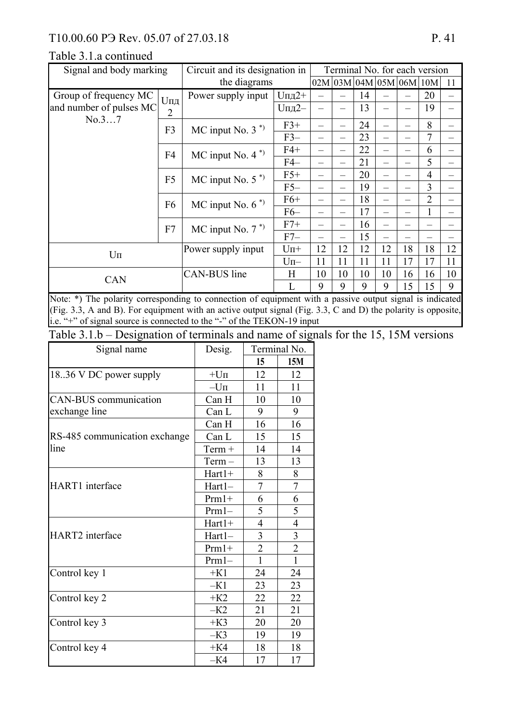# T10.00.60 P<sub>3</sub> Rev. 05.07 of 27.03.18 P. 41

### Table 3.1.a continued

| Signal and body marking | Circuit and its designation in<br>the diagrams |                     | Terminal No. for each version |                             |    |    |    |    |                |    |
|-------------------------|------------------------------------------------|---------------------|-------------------------------|-----------------------------|----|----|----|----|----------------|----|
|                         |                                                |                     |                               | $02M$ 03M $04M$ 05M 06M 10M |    |    |    |    | 11             |    |
| Group of frequency MC   | Uпд                                            | Power supply input  | $U$ пд $2+$                   |                             |    | 14 |    |    | 20             |    |
| and number of pulses MC | $\overline{2}$                                 |                     | <b>Uпд2-</b>                  |                             |    | 13 |    |    | 19             |    |
| No.37                   | F <sub>3</sub>                                 | MC input No. $3^*$  | $F3+$                         |                             |    | 24 |    |    | 8              |    |
|                         |                                                |                     | $F3-$                         |                             |    | 23 |    |    | 7              |    |
|                         | F <sub>4</sub>                                 | MC input No. $4^*$  | $F4+$                         |                             |    | 22 |    |    | 6              |    |
|                         |                                                |                     | F4–                           |                             |    | 21 |    |    | 5              |    |
|                         | F <sub>5</sub>                                 | MC input No. $5^*$  | $F5+$                         |                             |    | 20 |    |    | 4              |    |
|                         |                                                |                     | $F5-$                         |                             |    | 19 |    |    | 3              |    |
|                         | F <sub>6</sub>                                 | MC input No. $6^*$  | $F6+$                         |                             |    | 18 |    |    | $\overline{2}$ |    |
|                         |                                                |                     | $F6-$                         |                             |    | 17 |    |    |                |    |
|                         | F7                                             | MC input No. $7^*$  | $F7+$                         |                             |    | 16 |    |    |                |    |
|                         |                                                |                     | $F7-$                         |                             |    | 15 |    |    |                |    |
| $U$ $\Pi$               |                                                | Power supply input  | $U\Pi^+$                      | 12                          | 12 | 12 | 12 | 18 | 18             | 12 |
|                         |                                                |                     | $Um-$                         | 11                          | 11 | 11 | 11 | 17 | 17             | 11 |
| <b>CAN</b>              |                                                | <b>CAN-BUS</b> line | H                             | 10                          | 10 | 10 | 10 | 16 | 16             | 10 |
|                         |                                                |                     |                               | 9                           | 9  | 9  | 9  | 15 | 15             | 9  |

Note: \*) The polarity corresponding to connection of equipment with a passive output signal is indicated (Fig. 3.3, A and B). For equipment with an active output signal (Fig. 3.3, C and D) the polarity is opposite, i.e. "+" of signal source is connected to the "-" of the TEKON-19 input

Table 3.1.b – Designation of terminals and name of signals for the 15, 15M versions

| Signal name                   | Desig.     | Terminal No.   |                |  |
|-------------------------------|------------|----------------|----------------|--|
|                               |            | 15             | 15M            |  |
| 18.36 V DC power supply       | $+U\Pi$    | 12             | 12             |  |
|                               | $-U$ $\Pi$ | 11             | 11             |  |
| <b>CAN-BUS</b> communication  | Can H      | 10             | 10             |  |
| exchange line                 | Can L      | 9              | 9              |  |
|                               | Can H      | 16             | 16             |  |
| RS-485 communication exchange | Can L      | 15             | 15             |  |
| line                          | $Term +$   | 14             | 14             |  |
|                               | $Term -$   | 13             | 13             |  |
|                               | $Hart1+$   | 8              | 8              |  |
| HART1 interface               | Hart1-     | 7              | 7              |  |
|                               | $Prm1+$    | 6              | 6              |  |
|                               | $Prm1-$    | 5              | 5              |  |
|                               | Hart1+     | $\overline{4}$ | $\overline{4}$ |  |
| HART2 interface               | Hart1-     | 3              | 3              |  |
|                               | $Prm1+$    | $\overline{2}$ | $\overline{2}$ |  |
|                               | $Prm1-$    | $\mathbf{1}$   | $\mathbf{1}$   |  |
| Control key 1                 | $+K1$      | 24             | 24             |  |
|                               | $-K1$      | 23             | 23             |  |
| Control key 2                 | $+K2$      | 22             | 22             |  |
|                               | $-K2$      | 21             | 21             |  |
| Control key 3                 | $+K3$      | 20             | 20             |  |
|                               | $-K3$      | 19             | 19             |  |
| Control key 4                 | $+K4$      | 18             | 18             |  |
|                               | $-K4$      | 17             | 17             |  |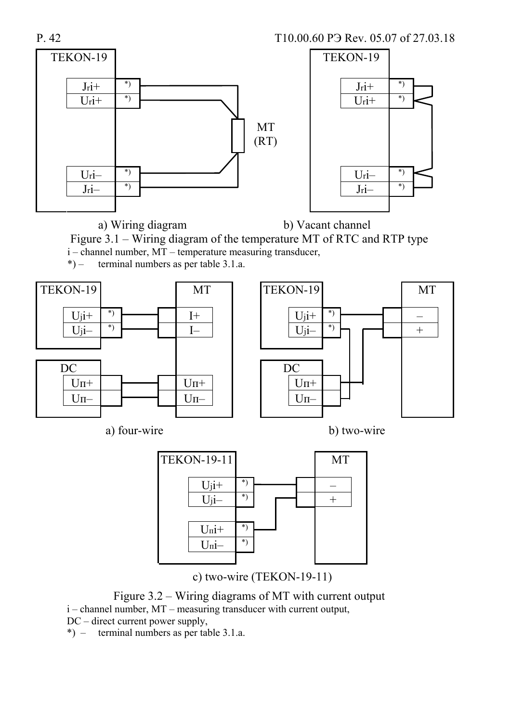P. 42 T10.00.60 PH Rev. 05.07 of 27.03.18



a) Wiring diagram b) Vacant channel

Figure 3.1 – Wiring diagram of the temperature MT of RTC and RTP type i – channel number, MT – temperature measuring transducer,

\*) – terminal numbers as per table 3.1.a.







c) two-wire (TEKON-19-11)

Figure 3.2 – Wiring diagrams of MT with current output i – channel number, MT – measuring transducer with current output,

DC – direct current power supply,

\*) – terminal numbers as per table 3.1.a.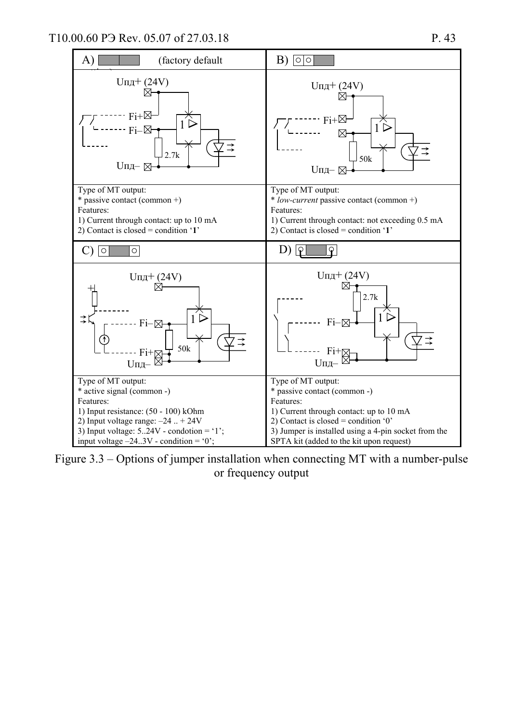

Figure 3.3 – Options of jumper installation when connecting MT with a number-pulse or frequency output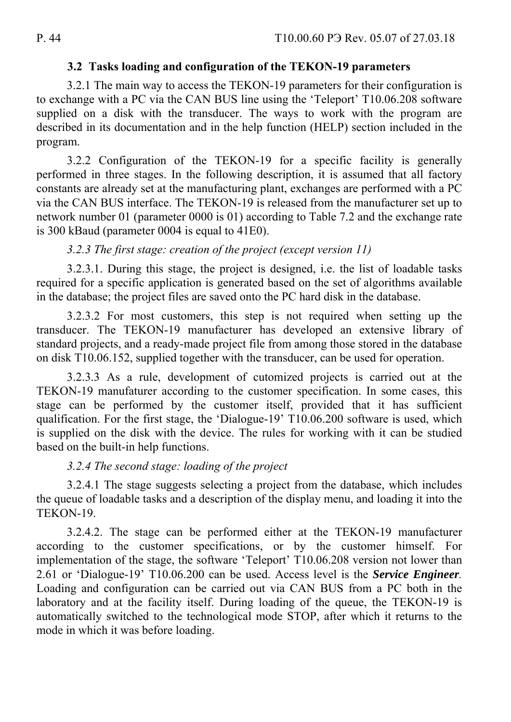## **3.2 Tasks loading and configuration of the TEKON-19 parameters**

3.2.1 The main way to access the TEKON-19 parameters for their configuration is to exchange with a PC via the CAN BUS line using the 'Teleport' T10.06.208 software supplied on a disk with the transducer. The ways to work with the program are described in its documentation and in the help function (HELP) section included in the program.

3.2.2 Configuration of the TEKON-19 for a specific facility is generally performed in three stages. In the following description, it is assumed that all factory constants are already set at the manufacturing plant, exchanges are performed with a PC via the CAN BUS interface. The TEKON-19 is released from the manufacturer set up to network number 01 (parameter 0000 is 01) according to Table 7.2 and the exchange rate is 300 kBaud (parameter 0004 is equal to 41E0).

# *3.2.3 The first stage: creation of the project (except version 11)*

3.2.3.1. During this stage, the project is designed, i.e. the list of loadable tasks required for a specific application is generated based on the set of algorithms available in the database; the project files are saved onto the PC hard disk in the database.

3.2.3.2 For most customers, this step is not required when setting up the transducer. The TEKON-19 manufacturer has developed an extensive library of standard projects, and a ready-made project file from among those stored in the database on disk T10.06.152, supplied together with the transducer, can be used for operation.

3.2.3.3 As a rule, development of cutomized projects is carried out at the TEKON-19 manufaturer according to the customer specification. In some cases, this stage can be performed by the customer itself, provided that it has sufficient qualification. For the first stage, the 'Dialogue-19' T10.06.200 software is used, which is supplied on the disk with the device. The rules for working with it can be studied based on the built-in help functions.

# *3.2.4 The second stage: loading of the project*

3.2.4.1 The stage suggests selecting a project from the database, which includes the queue of loadable tasks and a description of the display menu, and loading it into the TEKON-19.

3.2.4.2. The stage can be performed either at the TEKON-19 manufacturer according to the customer specifications, or by the customer himself. For implementation of the stage, the software 'Teleport' T10.06.208 version not lower than 2.61 or 'Dialogue-19' T10.06.200 can be used. Access level is the *Service Engineer.* Loading and configuration can be carried out via CAN BUS from a PC both in the laboratory and at the facility itself. During loading of the queue, the TEKON-19 is automatically switched to the technological mode STOP, after which it returns to the mode in which it was before loading.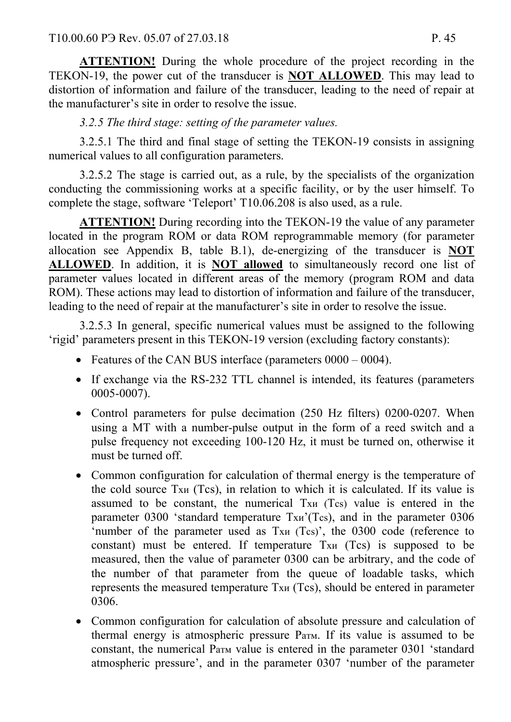**ATTENTION!** During the whole procedure of the project recording in the TEKON-19, the power cut of the transducer is **NOT ALLOWED**. This may lead to distortion of information and failure of the transducer, leading to the need of repair at the manufacturer's site in order to resolve the issue.

# *3.2.5 The third stage: setting of the parameter values.*

3.2.5.1 The third and final stage of setting the TEKON-19 consists in assigning numerical values to all configuration parameters.

3.2.5.2 The stage is carried out, as a rule, by the specialists of the organization conducting the commissioning works at a specific facility, or by the user himself. To complete the stage, software 'Teleport' T10.06.208 is also used, as a rule.

**ATTENTION!** During recording into the TEKON-19 the value of any parameter located in the program ROM or data ROM reprogrammable memory (for parameter allocation see Appendix B, table B.1), de-energizing of the transducer is **NOT ALLOWED**. In addition, it is **NOT allowed** to simultaneously record one list of parameter values located in different areas of the memory (program ROM and data ROM). These actions may lead to distortion of information and failure of the transducer, leading to the need of repair at the manufacturer's site in order to resolve the issue.

3.2.5.3 In general, specific numerical values must be assigned to the following 'rigid' parameters present in this TEKON-19 version (excluding factory constants):

- Features of the CAN BUS interface (parameters  $0000 0004$ ).
- If exchange via the RS-232 TTL channel is intended, its features (parameters 0005-0007).
- Control parameters for pulse decimation (250 Hz filters) 0200-0207. When using a MT with a number-pulse output in the form of a reed switch and a pulse frequency not exceeding 100-120 Hz, it must be turned on, otherwise it must be turned off.
- Common configuration for calculation of thermal energy is the temperature of the cold source Тхи (Tcs), in relation to which it is calculated. If its value is assumed to be constant, the numerical Тхи (Tcs) value is entered in the parameter 0300 'standard temperature Txu'(Tcs), and in the parameter 0306 'number of the parameter used as Тхи (Tcs)', the 0300 code (reference to constant) must be entered. If temperature Тхи (Tcs) is supposed to be measured, then the value of parameter 0300 can be arbitrary, and the code of the number of that parameter from the queue of loadable tasks, which represents the measured temperature Тхи (Tcs), should be entered in parameter 0306.
- Common configuration for calculation of absolute pressure and calculation of thermal energy is atmospheric pressure Ратм. If its value is assumed to be constant, the numerical Ратм value is entered in the parameter 0301 'standard atmospheric pressure', and in the parameter 0307 'number of the parameter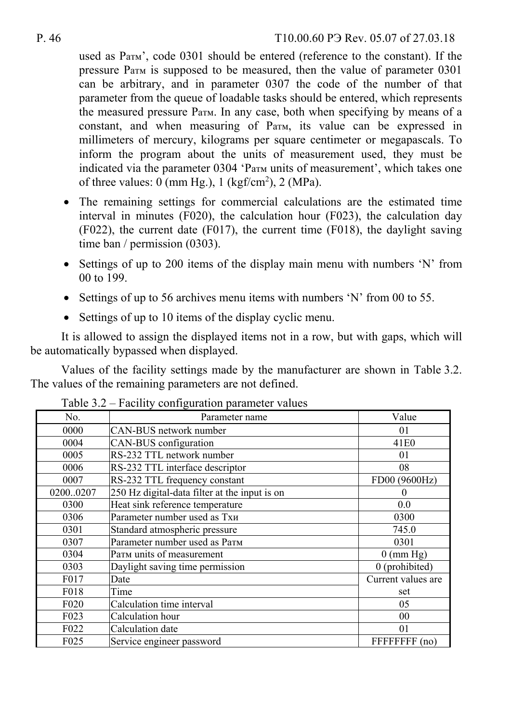used as Ратм', code 0301 should be entered (reference to the constant). If the pressure Ратм is supposed to be measured, then the value of parameter 0301 can be arbitrary, and in parameter 0307 the code of the number of that parameter from the queue of loadable tasks should be entered, which represents the measured pressure Ратм. In any case, both when specifying by means of a constant, and when measuring of Ратм, its value can be expressed in millimeters of mercury, kilograms per square centimeter or megapascals. To inform the program about the units of measurement used, they must be indicated via the parameter 0304 'Ратм units of measurement', which takes one of three values:  $0 \text{ (mm Hg.)}, 1 \text{ (kgf/cm}^2), 2 \text{ (MPa)}.$ 

- The remaining settings for commercial calculations are the estimated time interval in minutes (F020), the calculation hour (F023), the calculation day (F022), the current date (F017), the current time (F018), the daylight saving time ban / permission (0303).
- Settings of up to 200 items of the display main menu with numbers 'N' from 00 to 199.
- $\bullet$  Settings of up to 56 archives menu items with numbers 'N' from 00 to 55.
- Settings of up to 10 items of the display cyclic menu.

It is allowed to assign the displayed items not in a row, but with gaps, which will be automatically bypassed when displayed.

Values of the facility settings made by the manufacturer are shown in Table 3.2. The values of the remaining parameters are not defined.

| No.              | Parameter name                                | Value               |
|------------------|-----------------------------------------------|---------------------|
| 0000             | CAN-BUS network number                        | 01                  |
| 0004             | CAN-BUS configuration                         | 41 <sub>E0</sub>    |
| 0005             | RS-232 TTL network number                     | 01                  |
| 0006             | RS-232 TTL interface descriptor               | 08                  |
| 0007             | RS-232 TTL frequency constant                 | FD00 (9600Hz)       |
| 02000207         | 250 Hz digital-data filter at the input is on | $\theta$            |
| 0300             | Heat sink reference temperature               | 0.0                 |
| 0306             | Parameter number used as Txu                  | 0300                |
| 0301             | Standard atmospheric pressure                 | 745.0               |
| 0307             | Parameter number used as Parm                 | 0301                |
| 0304             | Parm units of measurement                     | $0 \text{ (mm Hg)}$ |
| 0303             | Daylight saving time permission               | 0 (prohibited)      |
| F017             | Date                                          | Current values are  |
| F018             | Time                                          | set                 |
| F <sub>020</sub> | Calculation time interval                     | 05                  |
| F <sub>023</sub> | Calculation hour                              | 00                  |
| F022             | Calculation date                              | 01                  |
| F025             | Service engineer password                     | FFFFFFFF (no)       |

Table 3.2 – Facility configuration parameter values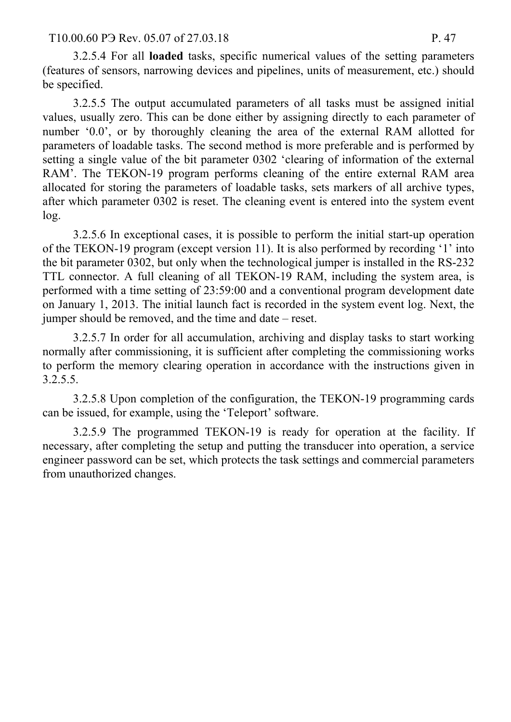#### T10.00.60 P<sub>3</sub> Rev. 05.07 of 27.03.18 P. 47

3.2.5.4 For all **loaded** tasks, specific numerical values of the setting parameters (features of sensors, narrowing devices and pipelines, units of measurement, etc.) should be specified.

3.2.5.5 The output accumulated parameters of all tasks must be assigned initial values, usually zero. This can be done either by assigning directly to each parameter of number '0.0', or by thoroughly cleaning the area of the external RAM allotted for parameters of loadable tasks. The second method is more preferable and is performed by setting a single value of the bit parameter 0302 'clearing of information of the external RAM'. The TEKON-19 program performs cleaning of the entire external RAM area allocated for storing the parameters of loadable tasks, sets markers of all archive types, after which parameter 0302 is reset. The cleaning event is entered into the system event log.

3.2.5.6 In exceptional cases, it is possible to perform the initial start-up operation of the TEKON-19 program (except version 11). It is also performed by recording '1' into the bit parameter 0302, but only when the technological jumper is installed in the RS-232 TTL connector. A full cleaning of all TEKON-19 RAM, including the system area, is performed with a time setting of 23:59:00 and a conventional program development date on January 1, 2013. The initial launch fact is recorded in the system event log. Next, the jumper should be removed, and the time and date – reset.

3.2.5.7 In order for all accumulation, archiving and display tasks to start working normally after commissioning, it is sufficient after completing the commissioning works to perform the memory clearing operation in accordance with the instructions given in 3.2.5.5.

3.2.5.8 Upon completion of the configuration, the TEKON-19 programming cards can be issued, for example, using the 'Teleport' software.

3.2.5.9 The programmed TEKON-19 is ready for operation at the facility. If necessary, after completing the setup and putting the transducer into operation, a service engineer password can be set, which protects the task settings and commercial parameters from unauthorized changes.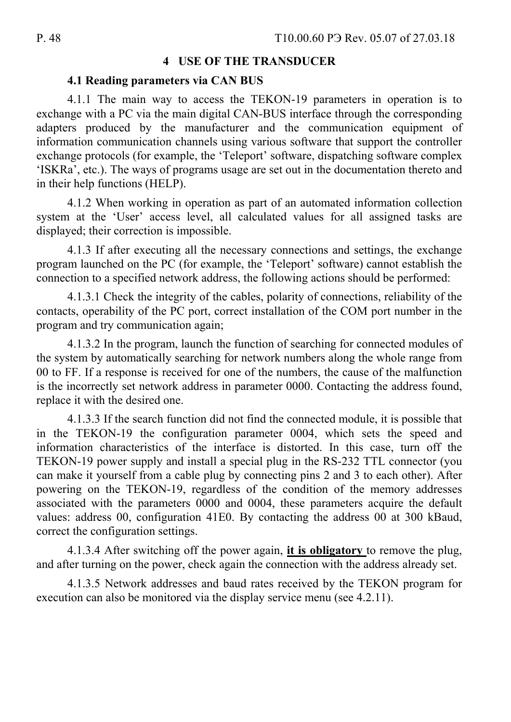### **4 USE OF THE TRANSDUCER**

#### **4.1 Reading parameters via CAN BUS**

4.1.1 The main way to access the TEKON-19 parameters in operation is to exchange with a PC via the main digital CAN-BUS interface through the corresponding adapters produced by the manufacturer and the communication equipment of information communication channels using various software that support the controller exchange protocols (for example, the 'Teleport' software, dispatching software complex 'ISKRa', etc.). The ways of programs usage are set out in the documentation thereto and in their help functions (HELP).

4.1.2 When working in operation as part of an automated information collection system at the 'User' access level, all calculated values for all assigned tasks are displayed; their correction is impossible.

4.1.3 If after executing all the necessary connections and settings, the exchange program launched on the PC (for example, the 'Teleport' software) cannot establish the connection to a specified network address, the following actions should be performed:

4.1.3.1 Check the integrity of the cables, polarity of connections, reliability of the contacts, operability of the PC port, correct installation of the COM port number in the program and try communication again;

4.1.3.2 In the program, launch the function of searching for connected modules of the system by automatically searching for network numbers along the whole range from 00 to FF. If a response is received for one of the numbers, the cause of the malfunction is the incorrectly set network address in parameter 0000. Contacting the address found, replace it with the desired one.

4.1.3.3 If the search function did not find the connected module, it is possible that in the TEKON-19 the configuration parameter 0004, which sets the speed and information characteristics of the interface is distorted. In this case, turn off the TEKON-19 power supply and install a special plug in the RS-232 TTL connector (you can make it yourself from a cable plug by connecting pins 2 and 3 to each other). After powering on the TEKON-19, regardless of the condition of the memory addresses associated with the parameters 0000 and 0004, these parameters acquire the default values: address 00, configuration 41E0. By contacting the address 00 at 300 kBaud, correct the configuration settings.

4.1.3.4 After switching off the power again, **it is obligatory** to remove the plug, and after turning on the power, check again the connection with the address already set.

4.1.3.5 Network addresses and baud rates received by the TEKON program for execution can also be monitored via the display service menu (see 4.2.11).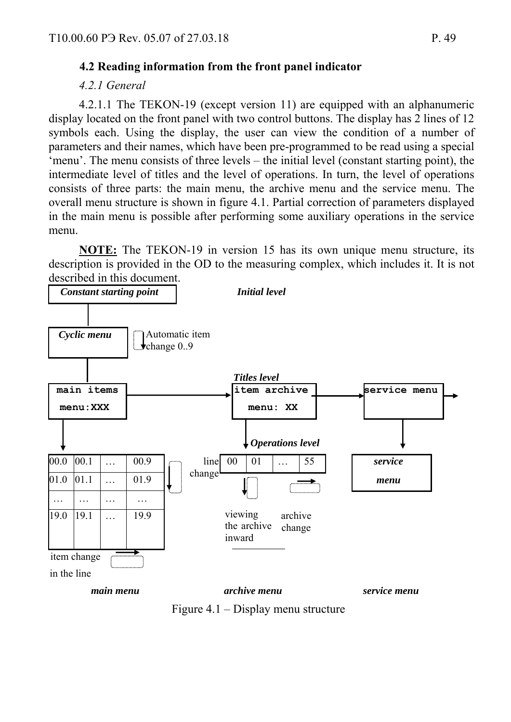## **4.2 Reading information from the front panel indicator**

#### *4.2.1 General*

4.2.1.1 The TEKON-19 (except version 11) are equipped with an alphanumeric display located on the front panel with two control buttons. The display has 2 lines of 12 symbols each. Using the display, the user can view the condition of a number of parameters and their names, which have been pre-programmed to be read using a special 'menu'. The menu consists of three levels – the initial level (constant starting point), the intermediate level of titles and the level of operations. In turn, the level of operations consists of three parts: the main menu, the archive menu and the service menu. The overall menu structure is shown in figure 4.1. Partial correction of parameters displayed in the main menu is possible after performing some auxiliary operations in the service menu.

**NOTE:** The TEKON-19 in version 15 has its own unique menu structure, its description is provided in the OD to the measuring complex, which includes it. It is not described in this document.



Figure 4.1 – Display menu structure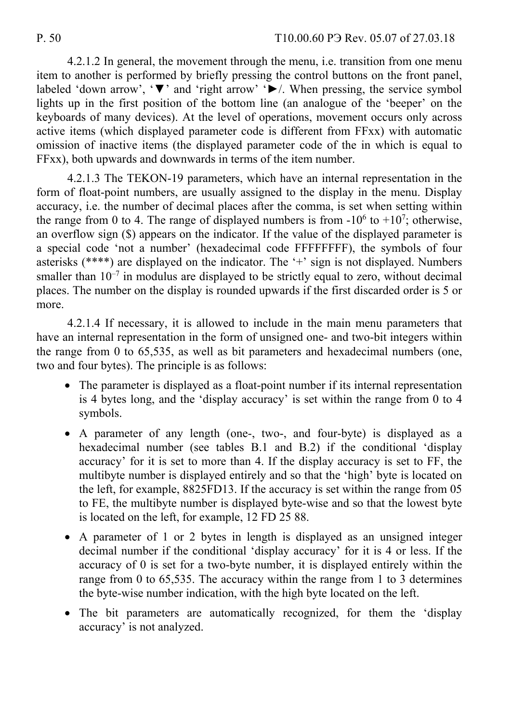4.2.1.2 In general, the movement through the menu, i.e. transition from one menu item to another is performed by briefly pressing the control buttons on the front panel, labeled 'down arrow', '▼' and 'right arrow' '►/. When pressing, the service symbol lights up in the first position of the bottom line (an analogue of the 'beeper' on the keyboards of many devices). At the level of operations, movement occurs only across active items (which displayed parameter code is different from FFxx) with automatic omission of inactive items (the displayed parameter code of the in which is equal to FFxx), both upwards and downwards in terms of the item number.

4.2.1.3 The TEKON-19 parameters, which have an internal representation in the form of float-point numbers, are usually assigned to the display in the menu. Display accuracy, i.e. the number of decimal places after the comma, is set when setting within the range from 0 to 4. The range of displayed numbers is from  $-10^6$  to  $+10^7$ ; otherwise, an overflow sign (\$) appears on the indicator. If the value of the displayed parameter is a special code 'not a number' (hexadecimal code FFFFFFFF), the symbols of four asterisks (\*\*\*\*) are displayed on the indicator. The '+' sign is not displayed. Numbers smaller than  $10^{-7}$  in modulus are displayed to be strictly equal to zero, without decimal places. The number on the display is rounded upwards if the first discarded order is 5 or more.

4.2.1.4 If necessary, it is allowed to include in the main menu parameters that have an internal representation in the form of unsigned one- and two-bit integers within the range from 0 to 65,535, as well as bit parameters and hexadecimal numbers (one, two and four bytes). The principle is as follows:

- The parameter is displayed as a float-point number if its internal representation is 4 bytes long, and the 'display accuracy' is set within the range from 0 to 4 symbols.
- A parameter of any length (one-, two-, and four-byte) is displayed as a hexadecimal number (see tables B.1 and B.2) if the conditional 'display accuracy' for it is set to more than 4. If the display accuracy is set to FF, the multibyte number is displayed entirely and so that the 'high' byte is located on the left, for example, 8825FD13. If the accuracy is set within the range from 05 to FE, the multibyte number is displayed byte-wise and so that the lowest byte is located on the left, for example, 12 FD 25 88.
- A parameter of 1 or 2 bytes in length is displayed as an unsigned integer decimal number if the conditional 'display accuracy' for it is 4 or less. If the accuracy of 0 is set for a two-byte number, it is displayed entirely within the range from 0 to 65,535. The accuracy within the range from 1 to 3 determines the byte-wise number indication, with the high byte located on the left.
- The bit parameters are automatically recognized, for them the 'display accuracy' is not analyzed.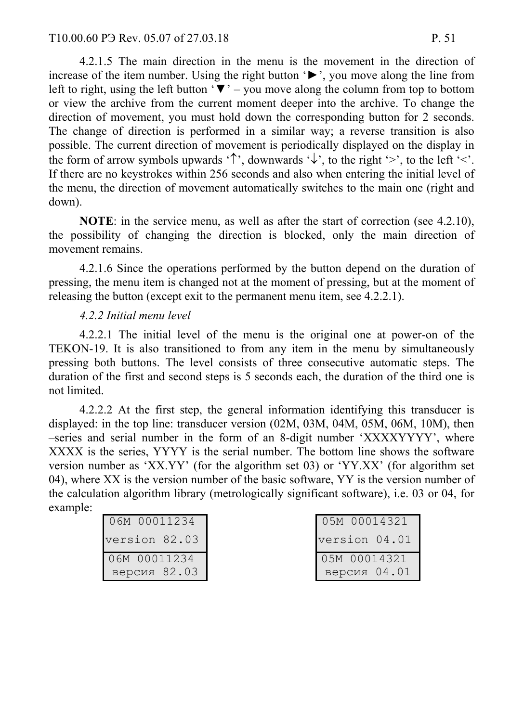4.2.1.5 The main direction in the menu is the movement in the direction of increase of the item number. Using the right button '►', you move along the line from left to right, using the left button ' $\nabla$ ' – you move along the column from top to bottom or view the archive from the current moment deeper into the archive. To change the direction of movement, you must hold down the corresponding button for 2 seconds. The change of direction is performed in a similar way; a reverse transition is also possible. The current direction of movement is periodically displayed on the display in the form of arrow symbols upwards ' $\uparrow$ ', downwards ' $\downarrow$ ', to the right '>', to the left '<'. If there are no keystrokes within 256 seconds and also when entering the initial level of the menu, the direction of movement automatically switches to the main one (right and down).

**NOTE**: in the service menu, as well as after the start of correction (see 4.2.10), the possibility of changing the direction is blocked, only the main direction of movement remains.

4.2.1.6 Since the operations performed by the button depend on the duration of pressing, the menu item is changed not at the moment of pressing, but at the moment of releasing the button (except exit to the permanent menu item, see 4.2.2.1).

### *4.2.2 Initial menu level*

4.2.2.1 The initial level of the menu is the original one at power-on of the TEKON-19. It is also transitioned to from any item in the menu by simultaneously pressing both buttons. The level consists of three consecutive automatic steps. The duration of the first and second steps is 5 seconds each, the duration of the third one is not limited.

4.2.2.2 At the first step, the general information identifying this transducer is displayed: in the top line: transducer version (02M, 03M, 04M, 05M, 06M, 10M), then –series and serial number in the form of an 8-digit number 'XXXXYYYY', where XXXX is the series, YYYY is the serial number. The bottom line shows the software version number as 'XX.YY' (for the algorithm set 03) or 'YY.XX' (for algorithm set 04), where XX is the version number of the basic software, YY is the version number of the calculation algorithm library (metrologically significant software), i.e. 03 or 04, for example:

|  | 06M 00011234  |
|--|---------------|
|  | version 82.03 |
|  | 06M 00011234  |
|  | версия 82.03  |

|  | 05M 00014321  |
|--|---------------|
|  | version 04.01 |
|  | 05M 00014321  |
|  | версия 04.01  |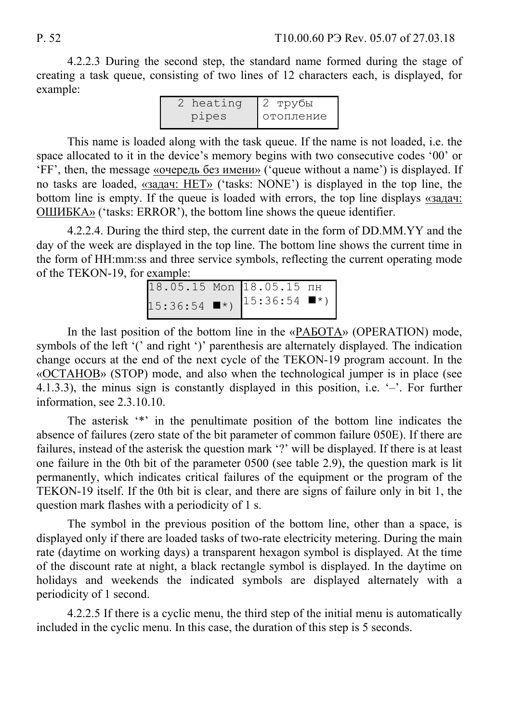4.2.2.3 During the second step, the standard name formed during the stage of creating a task queue, consisting of two lines of 12 characters each, is displayed, for example:

| 2 heating | 12 трубы    |
|-----------|-------------|
| pipes     | • отопление |

This name is loaded along with the task queue. If the name is not loaded, i.e. the space allocated to it in the device's memory begins with two consecutive codes '00' or 'FF', then, the message «очередь без имени» ('queue without a name') is displayed. If no tasks are loaded, «задач: НЕТ» ('tasks: NONE') is displayed in the top line, the bottom line is empty. If the queue is loaded with errors, the top line displays  $\frac{\alpha}{2}$ ОШИБКА» ('tasks: ERROR'), the bottom line shows the queue identifier.

4.2.2.4. During the third step, the current date in the form of DD.MM.YY and the day of the week are displayed in the top line. The bottom line shows the current time in the form of HH:mm:ss and three service symbols, reflecting the current operating mode of the TEKON-19, for example:

| $18.05.15$ Mon $18.05.15$ $\overline{m}$ |                              |  |
|------------------------------------------|------------------------------|--|
| $15:36:54$ $\blacksquare$ *)             | $15:36:54$ $\blacksquare$ *) |  |

In the last position of the bottom line in the «РАБОТА» (OPERATION) mode, symbols of the left '(' and right ')' parenthesis are alternately displayed. The indication change occurs at the end of the next cycle of the TEKON-19 program account. In the «ОСТАНОВ» (STOP) mode, and also when the technological jumper is in place (see 4.1.3.3), the minus sign is constantly displayed in this position, i.e. '–'. For further information, see 2.3.10.10.

The asterisk '\*' in the penultimate position of the bottom line indicates the absence of failures (zero state of the bit parameter of common failure 050E). If there are failures, instead of the asterisk the question mark '?' will be displayed. If there is at least one failure in the 0th bit of the parameter 0500 (see table 2.9), the question mark is lit permanently, which indicates critical failures of the equipment or the program of the TEKON-19 itself. If the 0th bit is clear, and there are signs of failure only in bit 1, the question mark flashes with a periodicity of 1 s.

The symbol in the previous position of the bottom line, other than a space, is displayed only if there are loaded tasks of two-rate electricity metering. During the main rate (daytime on working days) a transparent hexagon symbol is displayed. At the time of the discount rate at night, a black rectangle symbol is displayed. In the daytime on holidays and weekends the indicated symbols are displayed alternately with a periodicity of 1 second.

4.2.2.5 If there is a cyclic menu, the third step of the initial menu is automatically included in the cyclic menu. In this case, the duration of this step is 5 seconds.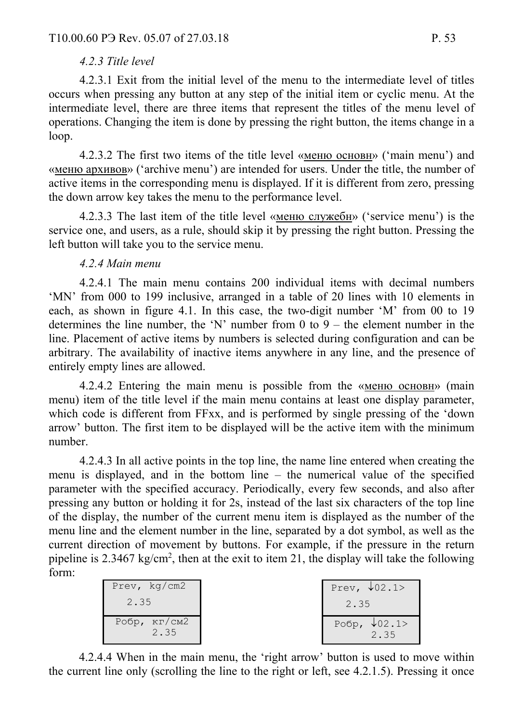#### *4.2.3 Title level*

4.2.3.1 Exit from the initial level of the menu to the intermediate level of titles occurs when pressing any button at any step of the initial item or cyclic menu. At the intermediate level, there are three items that represent the titles of the menu level of operations. Changing the item is done by pressing the right button, the items change in a loop.

4.2.3.2 The first two items of the title level «меню основн» ('main menu') and «меню архивов» ('archive menu') are intended for users. Under the title, the number of active items in the corresponding menu is displayed. If it is different from zero, pressing the down arrow key takes the menu to the performance level.

4.2.3.3 The last item of the title level «меню служебн» ('service menu') is the service one, and users, as a rule, should skip it by pressing the right button. Pressing the left button will take you to the service menu.

#### *4.2.4 Main menu*

4.2.4.1 The main menu contains 200 individual items with decimal numbers 'MN' from 000 to 199 inclusive, arranged in a table of 20 lines with 10 elements in each, as shown in figure 4.1. In this case, the two-digit number 'M' from 00 to 19 determines the line number, the 'N' number from 0 to  $9 -$  the element number in the line. Placement of active items by numbers is selected during configuration and can be arbitrary. The availability of inactive items anywhere in any line, and the presence of entirely empty lines are allowed.

4.2.4.2 Entering the main menu is possible from the «меню основн» (main menu) item of the title level if the main menu contains at least one display parameter, which code is different from FFxx, and is performed by single pressing of the 'down arrow' button. The first item to be displayed will be the active item with the minimum number.

4.2.4.3 In all active points in the top line, the name line entered when creating the menu is displayed, and in the bottom line – the numerical value of the specified parameter with the specified accuracy. Periodically, every few seconds, and also after pressing any button or holding it for 2s, instead of the last six characters of the top line of the display, the number of the current menu item is displayed as the number of the menu line and the element number in the line, separated by a dot symbol, as well as the current direction of movement by buttons. For example, if the pressure in the return pipeline is  $2.3467 \text{ kg/cm}^2$ , then at the exit to item 21, the display will take the following form:

| Prev, $kq/cm2$<br>2.35                  | Prev, $\sqrt{02.1}$<br>2.35 |
|-----------------------------------------|-----------------------------|
| Робр, $\kappa\Gamma/\text{CM2}$<br>2.35 | Робр, $\sqrt{02.1}$<br>2.35 |

4.2.4.4 When in the main menu, the 'right arrow' button is used to move within the current line only (scrolling the line to the right or left, see 4.2.1.5). Pressing it once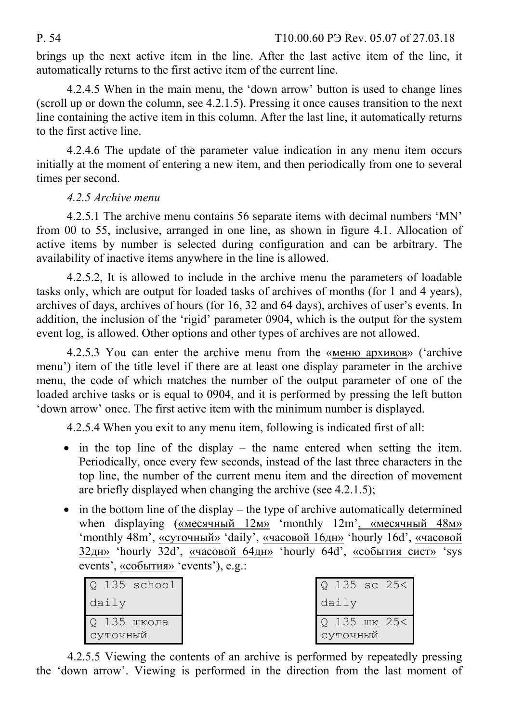brings up the next active item in the line. After the last active item of the line, it automatically returns to the first active item of the current line.

4.2.4.5 When in the main menu, the 'down arrow' button is used to change lines (scroll up or down the column, see 4.2.1.5). Pressing it once causes transition to the next line containing the active item in this column. After the last line, it automatically returns to the first active line.

4.2.4.6 The update of the parameter value indication in any menu item occurs initially at the moment of entering a new item, and then periodically from one to several times per second.

# *4.2.5 Archive menu*

4.2.5.1 The archive menu contains 56 separate items with decimal numbers 'MN' from 00 to 55, inclusive, arranged in one line, as shown in figure 4.1. Allocation of active items by number is selected during configuration and can be arbitrary. The availability of inactive items anywhere in the line is allowed.

4.2.5.2, It is allowed to include in the archive menu the parameters of loadable tasks only, which are output for loaded tasks of archives of months (for 1 and 4 years), archives of days, archives of hours (for 16, 32 and 64 days), archives of user's events. In addition, the inclusion of the 'rigid' parameter 0904, which is the output for the system event log, is allowed. Other options and other types of archives are not allowed.

4.2.5.3 You can enter the archive menu from the «меню архивов» ('archive menu') item of the title level if there are at least one display parameter in the archive menu, the code of which matches the number of the output parameter of one of the loaded archive tasks or is equal to 0904, and it is performed by pressing the left button 'down arrow' once. The first active item with the minimum number is displayed.

4.2.5.4 When you exit to any menu item, following is indicated first of all:

- $\bullet$  in the top line of the display the name entered when setting the item. Periodically, once every few seconds, instead of the last three characters in the top line, the number of the current menu item and the direction of movement are briefly displayed when changing the archive (see 4.2.1.5);
- $\bullet$  in the bottom line of the display the type of archive automatically determined when displaying («месячный 12м» 'monthly 12m', «месячный 48м» 'monthly 48m', «суточный» 'daily', «часовой 16дн» 'hourly 16d', «часовой 32дн» 'hourly 32d', «часовой 64дн» 'hourly 64d', «события сист» 'sys events', «события» 'events'), e.g.:

| $Q$ 135 school          | $Q$ 135 sc 25<           |
|-------------------------|--------------------------|
| daily                   | daily                    |
| О 135 школа<br>СУТОЧНЫЙ | Q 135 WK 25<<br>СУТОЧНЫЙ |

4.2.5.5 Viewing the contents of an archive is performed by repeatedly pressing the 'down arrow'. Viewing is performed in the direction from the last moment of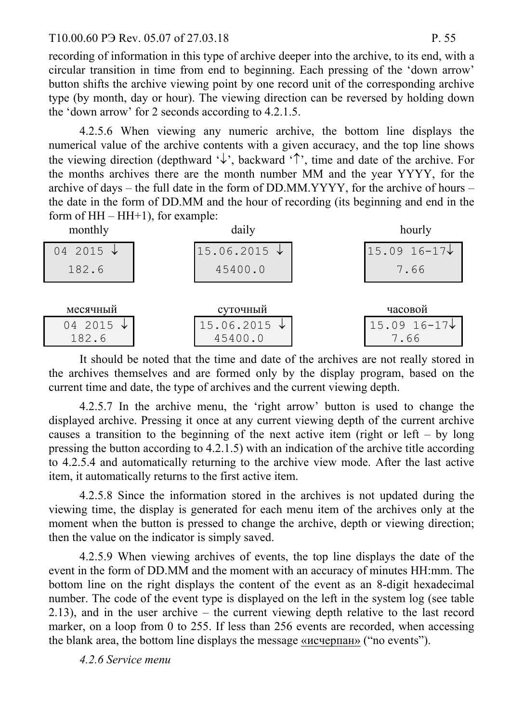#### T10.00.60 P<sub>3</sub> Rev. 05.07 of 27.03.18 P. 55

recording of information in this type of archive deeper into the archive, to its end, with a circular transition in time from end to beginning. Each pressing of the 'down arrow' button shifts the archive viewing point by one record unit of the corresponding archive type (by month, day or hour). The viewing direction can be reversed by holding down the 'down arrow' for 2 seconds according to 4.2.1.5.

4.2.5.6 When viewing any numeric archive, the bottom line displays the numerical value of the archive contents with a given accuracy, and the top line shows the viewing direction (depthward  $\psi$ , backward  $\hat{\tau}$ , time and date of the archive. For the months archives there are the month number MM and the year YYYY, for the archive of days – the full date in the form of DD.MM.YYYY, for the archive of hours – the date in the form of DD.MM and the hour of recording (its beginning and end in the form of  $HH - HH+1$ ), for example:

| monthly                     | daily                              | hourly                            |
|-----------------------------|------------------------------------|-----------------------------------|
| 04 2015 $\sqrt{ }$          | $15.06.2015 \downarrow$            | $15.09$ 16-17 $\downarrow$        |
| 182.6                       | 45400.0                            | 7.66                              |
|                             |                                    |                                   |
| месячный                    | суточный                           | часовой                           |
| 04 2015 $\sqrt{ }$<br>182.6 | $15.06.2015 \downarrow$<br>45400.0 | $15.09$ $16-17\downarrow$<br>7.66 |

It should be noted that the time and date of the archives are not really stored in the archives themselves and are formed only by the display program, based on the current time and date, the type of archives and the current viewing depth.

4.2.5.7 In the archive menu, the 'right arrow' button is used to change the displayed archive. Pressing it once at any current viewing depth of the current archive causes a transition to the beginning of the next active item (right or left – by long pressing the button according to 4.2.1.5) with an indication of the archive title according to 4.2.5.4 and automatically returning to the archive view mode. After the last active item, it automatically returns to the first active item.

4.2.5.8 Since the information stored in the archives is not updated during the viewing time, the display is generated for each menu item of the archives only at the moment when the button is pressed to change the archive, depth or viewing direction; then the value on the indicator is simply saved.

4.2.5.9 When viewing archives of events, the top line displays the date of the event in the form of DD.MM and the moment with an accuracy of minutes HH:mm. The bottom line on the right displays the content of the event as an 8-digit hexadecimal number. The code of the event type is displayed on the left in the system log (see table 2.13), and in the user archive – the current viewing depth relative to the last record marker, on a loop from 0 to 255. If less than 256 events are recorded, when accessing the blank area, the bottom line displays the message «исчерпан» ("no events").

*4.2.6 Service menu*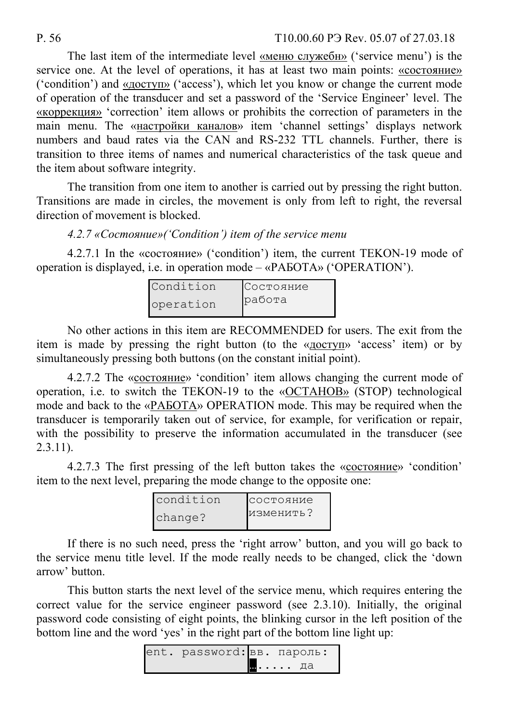#### P. 56 T10.00.60 P Rev. 05.07 of 27.03.18

The last item of the intermediate level «меню служебн» ('service menu') is the service one. At the level of operations, it has at least two main points: «состояние» ('condition') and «доступ» ('access'), which let you know or change the current mode of operation of the transducer and set a password of the 'Service Engineer' level. The «коррекция» 'correction' item allows or prohibits the correction of parameters in the main menu. The «настройки каналов» item 'channel settings' displays network numbers and baud rates via the CAN and RS-232 TTL channels. Further, there is transition to three items of names and numerical characteristics of the task queue and the item about software integrity.

The transition from one item to another is carried out by pressing the right button. Transitions are made in circles, the movement is only from left to right, the reversal direction of movement is blocked.

*4.2.7 «Состояние»('Condition') item of the service menu* 

4.2.7.1 In the «состояние» ('condition') item, the current TEKON-19 mode of operation is displayed, i.e. in operation mode – «РАБОТА» ('OPERATION').

| Condition | Состояние |
|-----------|-----------|
| operation | работа    |

No other actions in this item are RECOMMENDED for users. The exit from the item is made by pressing the right button (to the «доступ» 'access' item) or by simultaneously pressing both buttons (on the constant initial point).

4.2.7.2 The «состояние» 'condition' item allows changing the current mode of operation, i.e. to switch the TEKON-19 to the «ОСТАНОВ» (STOP) technological mode and back to the «РАБОТА» OPERATION mode. This may be required when the transducer is temporarily taken out of service, for example, for verification or repair, with the possibility to preserve the information accumulated in the transducer (see 2.3.11).

4.2.7.3 The first pressing of the left button takes the «состояние» 'condition' item to the next level, preparing the mode change to the opposite one:

| condition | состояние |
|-----------|-----------|
| change?   | изменить? |

If there is no such need, press the 'right arrow' button, and you will go back to the service menu title level. If the mode really needs to be changed, click the 'down arrow' button.

This button starts the next level of the service menu, which requires entering the correct value for the service engineer password (see 2.3.10). Initially, the original password code consisting of eight points, the blinking cursor in the left position of the bottom line and the word 'yes' in the right part of the bottom line light up:

| ent. password: вв. пароль: |       |
|----------------------------|-------|
|                            | ⊪… да |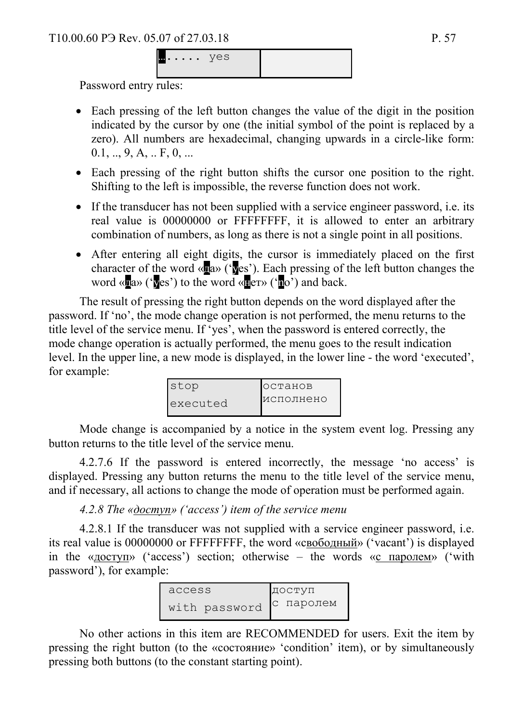Password entry rules:

- Each pressing of the left button changes the value of the digit in the position indicated by the cursor by one (the initial symbol of the point is replaced by a zero). All numbers are hexadecimal, changing upwards in a circle-like form:  $0.1, ..., 9, A, ... F, 0, ...$
- Each pressing of the right button shifts the cursor one position to the right. Shifting to the left is impossible, the reverse function does not work.
- If the transducer has not been supplied with a service engineer password, i.e. its real value is 00000000 or FFFFFFFF, it is allowed to enter an arbitrary combination of numbers, as long as there is not a single point in all positions.
- After entering all eight digits, the cursor is immediately placed on the first character of the word «да» ('yes'). Each pressing of the left button changes the word « $\overline{u}$ a» ('yes') to the word « $\overline{u}$ er» (' $\overline{u}$ o') and back.

The result of pressing the right button depends on the word displayed after the password. If 'no', the mode change operation is not performed, the menu returns to the title level of the service menu. If 'yes', when the password is entered correctly, the mode change operation is actually performed, the menu goes to the result indication level. In the upper line, a new mode is displayed, in the lower line - the word 'executed', for example:

| stop     | <b>ІОСТАНОВ</b> |
|----------|-----------------|
| executed | исполнено       |

Mode change is accompanied by a notice in the system event log. Pressing any button returns to the title level of the service menu.

4.2.7.6 If the password is entered incorrectly, the message 'no access' is displayed. Pressing any button returns the menu to the title level of the service menu, and if necessary, all actions to change the mode of operation must be performed again.

*4.2.8 The «доступ» ('access') item of the service menu* 

4.2.8.1 If the transducer was not supplied with a service engineer password, i.e. its real value is 00000000 or FFFFFFFF, the word «свободный» ('vacant') is displayed in the «доступ» ('access') section; otherwise – the words «с паролем» ('with password'), for example:



No other actions in this item are RECOMMENDED for users. Exit the item by pressing the right button (to the «состояние» 'condition' item), or by simultaneously pressing both buttons (to the constant starting point).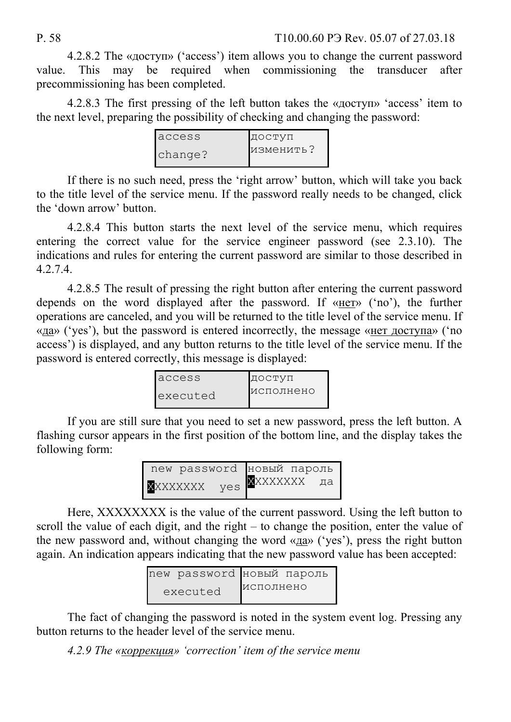4.2.8.2 The «доступ» ('access') item allows you to change the current password value. This may be required when commissioning the transducer after precommissioning has been completed.

4.2.8.3 The first pressing of the left button takes the «доступ» 'access' item to the next level, preparing the possibility of checking and changing the password:

| access  | ДОСТУП    |
|---------|-----------|
| change? | изменить? |

If there is no such need, press the 'right arrow' button, which will take you back to the title level of the service menu. If the password really needs to be changed, click the 'down arrow' button.

4.2.8.4 This button starts the next level of the service menu, which requires entering the correct value for the service engineer password (see 2.3.10). The indications and rules for entering the current password are similar to those described in 4.2.7.4.

4.2.8.5 The result of pressing the right button after entering the current password depends on the word displayed after the password. If «нет» ('no'), the further operations are canceled, and you will be returned to the title level of the service menu. If «да» ('yes'), but the password is entered incorrectly, the message «нет доступа» ('no access') is displayed, and any button returns to the title level of the service menu. If the password is entered correctly, this message is displayed:

| access   | ДОСТУП    |
|----------|-----------|
| executed | исполнено |

If you are still sure that you need to set a new password, press the left button. A flashing cursor appears in the first position of the bottom line, and the display takes the following form:

|          |     | new password новый пароль |  |
|----------|-----|---------------------------|--|
| XXXXXXXX | yes | <b>X</b> XXXXXXX да       |  |

Here, ХХХХХХХХ is the value of the current password. Using the left button to scroll the value of each digit, and the right – to change the position, enter the value of the new password and, without changing the word «да» ('yes'), press the right button again. An indication appears indicating that the new password value has been accepted:

|          | new password новый пароль |           |  |
|----------|---------------------------|-----------|--|
| executed |                           | исполнено |  |

The fact of changing the password is noted in the system event log. Pressing any button returns to the header level of the service menu.

*4.2.9 The «коррекция» 'correction' item of the service menu*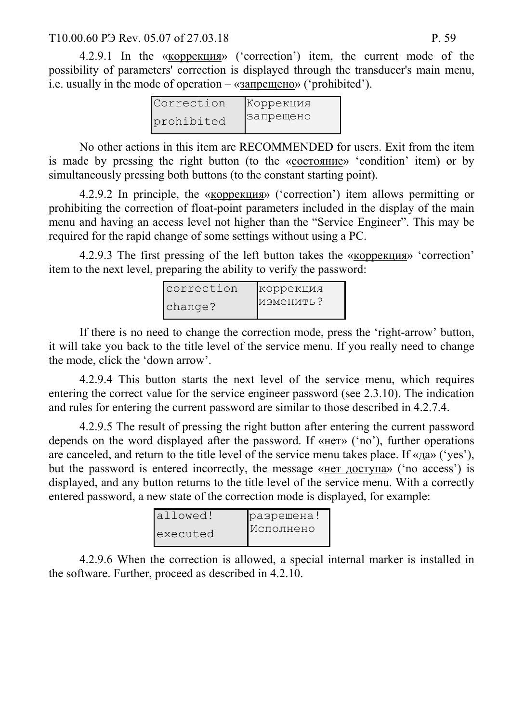#### T10.00.60 P3 Rev. 05.07 of 27.03.18 P. 59

4.2.9.1 In the «коррекция» ('correction') item, the current mode of the possibility of parameters' correction is displayed through the transducer's main menu, i.e. usually in the mode of operation – «запрещено» ('prohibited').

| Correction | Коррекция |
|------------|-----------|
| prohibited | запрещено |

No other actions in this item are RECOMMENDED for users. Exit from the item is made by pressing the right button (to the «состояние» 'condition' item) or by simultaneously pressing both buttons (to the constant starting point).

4.2.9.2 In principle, the «коррекция» ('correction') item allows permitting or prohibiting the correction of float-point parameters included in the display of the main menu and having an access level not higher than the "Service Engineer". This may be required for the rapid change of some settings without using a PC.

4.2.9.3 The first pressing of the left button takes the «коррекция» 'correction' item to the next level, preparing the ability to verify the password:

| correction | коррекция |
|------------|-----------|
| change?    | изменить? |

If there is no need to change the correction mode, press the 'right-arrow' button, it will take you back to the title level of the service menu. If you really need to change the mode, click the 'down arrow'.

4.2.9.4 This button starts the next level of the service menu, which requires entering the correct value for the service engineer password (see 2.3.10). The indication and rules for entering the current password are similar to those described in 4.2.7.4.

4.2.9.5 The result of pressing the right button after entering the current password depends on the word displayed after the password. If «нет» ('no'), further operations are canceled, and return to the title level of the service menu takes place. If «да» ('yes'), but the password is entered incorrectly, the message «нет доступа» ('no access') is displayed, and any button returns to the title level of the service menu. With a correctly entered password, a new state of the correction mode is displayed, for example:

| lallowed! | разрешена! |
|-----------|------------|
| executed  | Исполнено  |

4.2.9.6 When the correction is allowed, a special internal marker is installed in the software. Further, proceed as described in 4.2.10.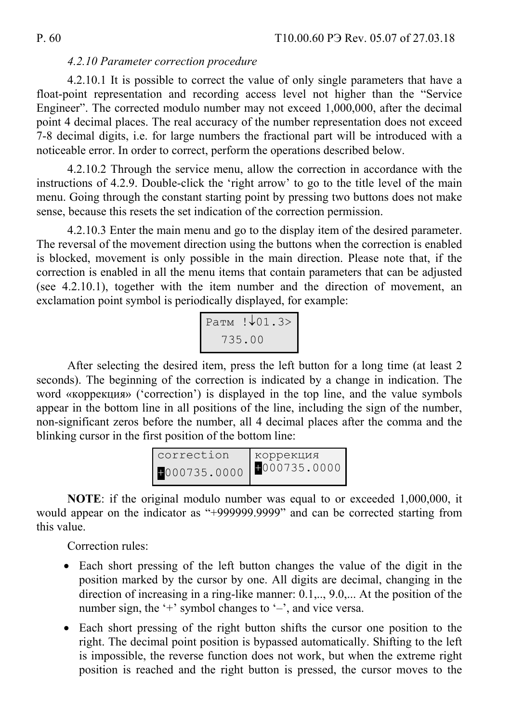#### *4.2.10 Parameter correction procedure*

4.2.10.1 It is possible to correct the value of only single parameters that have a float-point representation and recording access level not higher than the "Service Engineer". The corrected modulo number may not exceed 1,000,000, after the decimal point 4 decimal places. The real accuracy of the number representation does not exceed 7-8 decimal digits, i.e. for large numbers the fractional part will be introduced with a noticeable error. In order to correct, perform the operations described below.

4.2.10.2 Through the service menu, allow the correction in accordance with the instructions of 4.2.9. Double-click the 'right arrow' to go to the title level of the main menu. Going through the constant starting point by pressing two buttons does not make sense, because this resets the set indication of the correction permission.

4.2.10.3 Enter the main menu and go to the display item of the desired parameter. The reversal of the movement direction using the buttons when the correction is enabled is blocked, movement is only possible in the main direction. Please note that, if the correction is enabled in all the menu items that contain parameters that can be adjusted (see 4.2.10.1), together with the item number and the direction of movement, an exclamation point symbol is periodically displayed, for example:

| Ратм !↓01.3> |
|--------------|
| 735.00       |

After selecting the desired item, press the left button for a long time (at least 2 seconds). The beginning of the correction is indicated by a change in indication. The word «коррекция» ('correction') is displayed in the top line, and the value symbols appear in the bottom line in all positions of the line, including the sign of the number, non-significant zeros before the number, all 4 decimal places after the comma and the blinking cursor in the first position of the bottom line:

| correction  | коррекция    |
|-------------|--------------|
| 000735.0000 | 1000735.0000 |

**NOTE**: if the original modulo number was equal to or exceeded 1,000,000, it would appear on the indicator as "+999999.9999" and can be corrected starting from this value.

Correction rules:

- Each short pressing of the left button changes the value of the digit in the position marked by the cursor by one. All digits are decimal, changing in the direction of increasing in a ring-like manner:  $0.1, \ldots, 9.0, \ldots$  At the position of the number sign, the '+' symbol changes to '-', and vice versa.
- Each short pressing of the right button shifts the cursor one position to the right. The decimal point position is bypassed automatically. Shifting to the left is impossible, the reverse function does not work, but when the extreme right position is reached and the right button is pressed, the cursor moves to the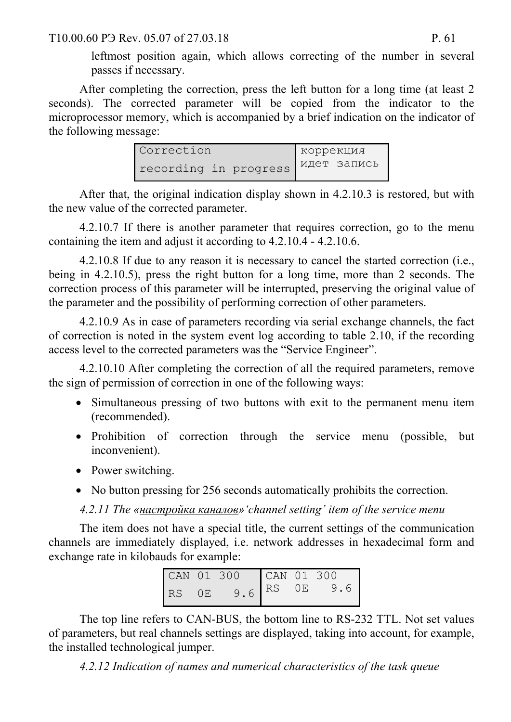T10.00.60 P<sub>3</sub> Rev. 05.07 of 27.03.18 P. 61

leftmost position again, which allows correcting of the number in several passes if necessary.

After completing the correction, press the left button for a long time (at least 2 seconds). The corrected parameter will be copied from the indicator to the microprocessor memory, which is accompanied by a brief indication on the indicator of the following message:

| Correction            | коррекция          |
|-----------------------|--------------------|
| recording in progress | <b>ИДЕТ ЗАПИСЬ</b> |

After that, the original indication display shown in 4.2.10.3 is restored, but with the new value of the corrected parameter.

4.2.10.7 If there is another parameter that requires correction, go to the menu containing the item and adjust it according to 4.2.10.4 - 4.2.10.6.

4.2.10.8 If due to any reason it is necessary to cancel the started correction (i.e., being in 4.2.10.5), press the right button for a long time, more than 2 seconds. The correction process of this parameter will be interrupted, preserving the original value of the parameter and the possibility of performing correction of other parameters.

4.2.10.9 As in case of parameters recording via serial exchange channels, the fact of correction is noted in the system event log according to table 2.10, if the recording access level to the corrected parameters was the "Service Engineer".

4.2.10.10 After completing the correction of all the required parameters, remove the sign of permission of correction in one of the following ways:

- Simultaneous pressing of two buttons with exit to the permanent menu item (recommended).
- Prohibition of correction through the service menu (possible, but inconvenient).
- Power switching.
- No button pressing for 256 seconds automatically prohibits the correction.

*4.2.11 The «настройка каналов»'channel setting' item of the service menu* 

The item does not have a special title, the current settings of the communication channels are immediately displayed, i.e. network addresses in hexadecimal form and exchange rate in kilobauds for example:

| CAN 01 300 |     |     | CAN 01 300                  |    |     |
|------------|-----|-----|-----------------------------|----|-----|
| I RS.      | ()E | 9.6 | $\overline{\phantom{a}}$ RS | OE | 9.6 |

The top line refers to CAN-BUS, the bottom line to RS-232 TTL. Not set values of parameters, but real channels settings are displayed, taking into account, for example, the installed technological jumper.

*4.2.12 Indication of names and numerical characteristics of the task queue*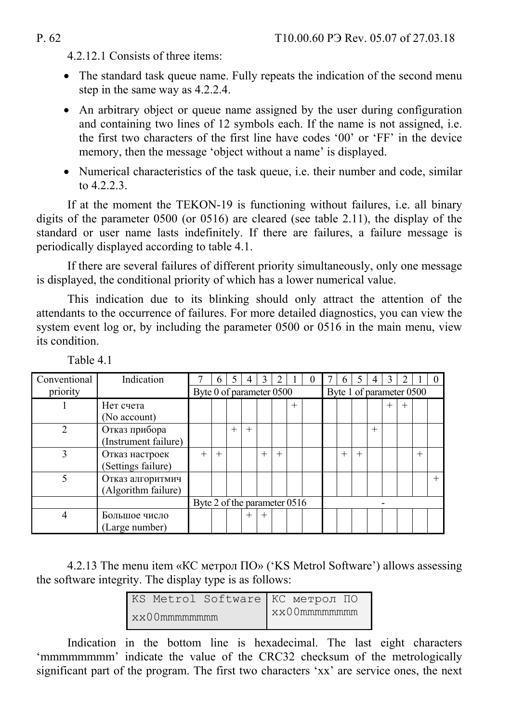4.2.12.1 Consists of three items:

- The standard task queue name. Fully repeats the indication of the second menu step in the same way as 4.2.2.4.
- An arbitrary object or queue name assigned by the user during configuration and containing two lines of 12 symbols each. If the name is not assigned, i.e. the first two characters of the first line have codes '00' or 'FF' in the device memory, then the message 'object without a name' is displayed.
- Numerical characteristics of the task queue, i.e. their number and code, similar to 4.2.2.3<sup>.1</sup>

If at the moment the TEKON-19 is functioning without failures, i.e. all binary digits of the parameter 0500 (or 0516) are cleared (see table 2.11), the display of the standard or user name lasts indefinitely. If there are failures, a failure message is periodically displayed according to table 4.1.

If there are several failures of different priority simultaneously, only one message is displayed, the conditional priority of which has a lower numerical value.

This indication due to its blinking should only attract the attention of the attendants to the occurrence of failures. For more detailed diagnostics, you can view the system event log or, by including the parameter 0500 or 0516 in the main menu, view its condition.

| Conventional | Indication           |                              | 6      |      | 4      | 3      |     |        | $\theta$ |                          | 6      |        |        |        |        |        |  |
|--------------|----------------------|------------------------------|--------|------|--------|--------|-----|--------|----------|--------------------------|--------|--------|--------|--------|--------|--------|--|
| priority     |                      | Byte 0 of parameter 0500     |        |      |        |        |     |        |          | Byte 1 of parameter 0500 |        |        |        |        |        |        |  |
|              | Нет счета            |                              |        |      |        |        |     | $^{+}$ |          |                          |        |        |        | $^{+}$ | $^{+}$ |        |  |
|              | (No account)         |                              |        |      |        |        |     |        |          |                          |        |        |        |        |        |        |  |
|              | Отказ прибора        |                              |        | $^+$ | $^{+}$ |        |     |        |          |                          |        |        | $^{+}$ |        |        |        |  |
|              | (Instrument failure) |                              |        |      |        |        |     |        |          |                          |        |        |        |        |        |        |  |
| 3            | Отказ настроек       |                              | $^{+}$ |      |        | $^{+}$ | $+$ |        |          |                          | $^{+}$ | $^{+}$ |        |        |        | $^{+}$ |  |
|              | (Settings failure)   |                              |        |      |        |        |     |        |          |                          |        |        |        |        |        |        |  |
|              | Отказ алгоритмич     |                              |        |      |        |        |     |        |          |                          |        |        |        |        |        |        |  |
|              | (Algorithm failure)  |                              |        |      |        |        |     |        |          |                          |        |        |        |        |        |        |  |
|              |                      | Byte 2 of the parameter 0516 |        |      |        |        |     |        |          |                          |        |        |        |        |        |        |  |
| 4            | Большое число        |                              |        |      | $^{+}$ | $^{+}$ |     |        |          |                          |        |        |        |        |        |        |  |
|              | (Large number)       |                              |        |      |        |        |     |        |          |                          |        |        |        |        |        |        |  |

Table 4.1

4.2.13 The menu item «КС метрол ПО» ('KS Metrol Software') allows assessing the software integrity. The display type is as follows:

|                         |  | KS Metrol Software KC Merpon $\overline{10}$ |
|-------------------------|--|----------------------------------------------|
| $x \times 0$ Ommmmmmmmm |  | $x \times 00$ mmmmmmmm                       |

Indication in the bottom line is hexadecimal. The last eight characters 'mmmmmmmm' indicate the value of the CRC32 checksum of the metrologically significant part of the program. The first two characters 'xx' are service ones, the next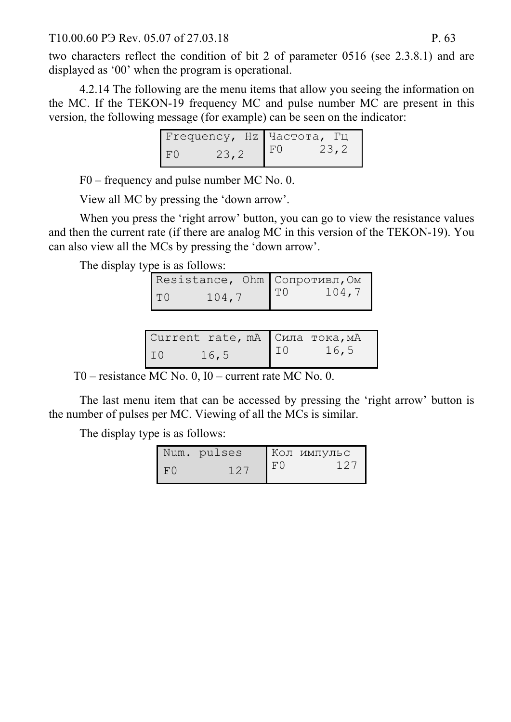#### T10.00.60 P3 Rev. 05.07 of 27.03.18 P. 63

two characters reflect the condition of bit 2 of parameter 0516 (see 2.3.8.1) and are displayed as '00' when the program is operational.

4.2.14 The following are the menu items that allow you seeing the information on the MC. If the TEKON-19 frequency MC and pulse number MC are present in this version, the following message (for example) can be seen on the indicator:

|    |       |     | Frequency, Hz Частота, Гц |
|----|-------|-----|---------------------------|
| F0 | 23, 2 | F() | 23,2                      |

F0 – frequency and pulse number MC No. 0.

View all MC by pressing the 'down arrow'.

When you press the 'right arrow' button, you can go to view the resistance values and then the current rate (if there are analog MC in this version of the TEKON-19). You can also view all the MCs by pressing the 'down arrow'.

The display type is as follows:

| Resistance, Ohm Сопротивл, Ом |       |    |       |
|-------------------------------|-------|----|-------|
| T <sub>0</sub>                | 104,7 | TO | 104,7 |

| Current rate, mA Сила тока, мА |                 |      |
|--------------------------------|-----------------|------|
| 16, 5<br>I IO                  | 10 <sup>7</sup> | 16,5 |

T0 – resistance MC No. 0, I0 – current rate MC No. 0.

The last menu item that can be accessed by pressing the 'right arrow' button is the number of pulses per MC. Viewing of all the MCs is similar.

The display type is as follows:

|    | Num. pulses  |    | <b>Кол импульс</b> |
|----|--------------|----|--------------------|
| F0 | $12^{\circ}$ | F0 | $12^{\circ}$       |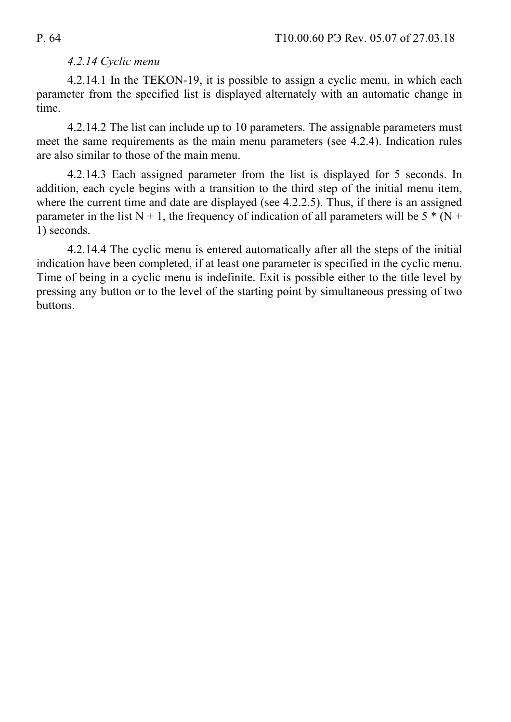## *4.2.14 Cyclic menu*

4.2.14.1 In the TEKON-19, it is possible to assign a cyclic menu, in which each parameter from the specified list is displayed alternately with an automatic change in time.

4.2.14.2 The list can include up to 10 parameters. The assignable parameters must meet the same requirements as the main menu parameters (see 4.2.4). Indication rules are also similar to those of the main menu.

4.2.14.3 Each assigned parameter from the list is displayed for 5 seconds. In addition, each cycle begins with a transition to the third step of the initial menu item, where the current time and date are displayed (see 4.2.2.5). Thus, if there is an assigned parameter in the list  $N + 1$ , the frequency of indication of all parameters will be  $5 * (N + 1)$ 1) seconds.

4.2.14.4 The cyclic menu is entered automatically after all the steps of the initial indication have been completed, if at least one parameter is specified in the cyclic menu. Time of being in a cyclic menu is indefinite. Exit is possible either to the title level by pressing any button or to the level of the starting point by simultaneous pressing of two buttons.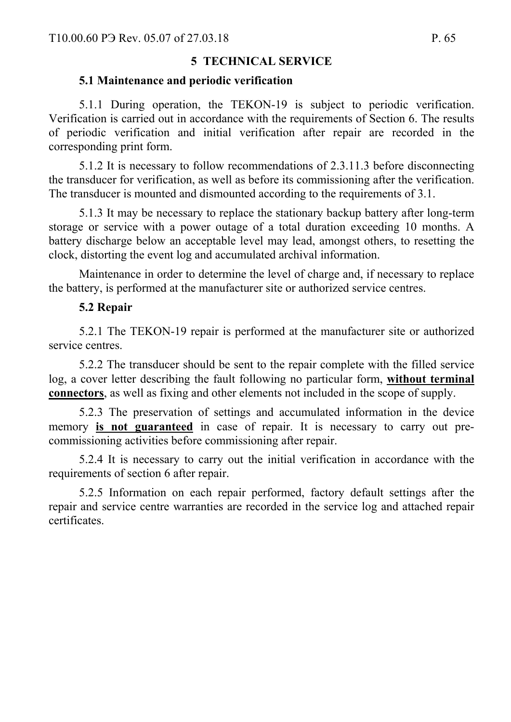# **5 TECHNICAL SERVICE**

#### **5.1 Maintenance and periodic verification**

5.1.1 During operation, the TEKON-19 is subject to periodic verification. Verification is carried out in accordance with the requirements of Section 6. The results of periodic verification and initial verification after repair are recorded in the corresponding print form.

5.1.2 It is necessary to follow recommendations of 2.3.11.3 before disconnecting the transducer for verification, as well as before its commissioning after the verification. The transducer is mounted and dismounted according to the requirements of 3.1.

5.1.3 It may be necessary to replace the stationary backup battery after long-term storage or service with a power outage of a total duration exceeding 10 months. A battery discharge below an acceptable level may lead, amongst others, to resetting the clock, distorting the event log and accumulated archival information.

Maintenance in order to determine the level of charge and, if necessary to replace the battery, is performed at the manufacturer site or authorized service centres.

#### **5.2 Repair**

5.2.1 The TEKON-19 repair is performed at the manufacturer site or authorized service centres.

5.2.2 The transducer should be sent to the repair complete with the filled service log, a cover letter describing the fault following no particular form, **without terminal connectors**, as well as fixing and other elements not included in the scope of supply.

5.2.3 The preservation of settings and accumulated information in the device memory **is not guaranteed** in case of repair. It is necessary to carry out precommissioning activities before commissioning after repair.

5.2.4 It is necessary to carry out the initial verification in accordance with the requirements of section 6 after repair.

5.2.5 Information on each repair performed, factory default settings after the repair and service centre warranties are recorded in the service log and attached repair certificates.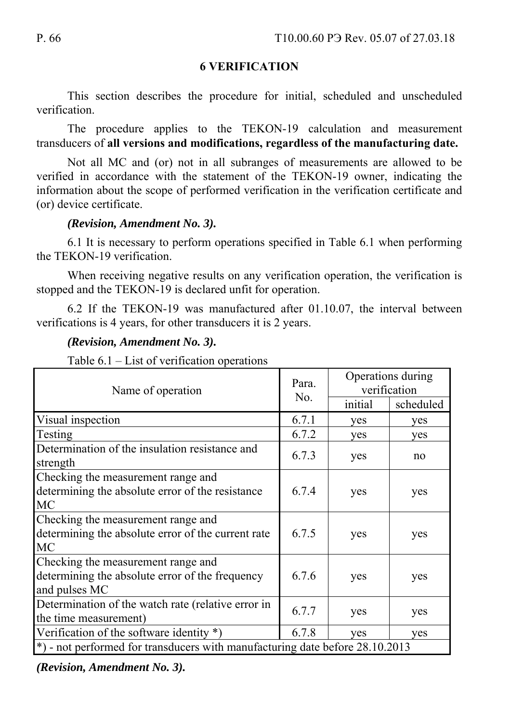## **6 VERIFICATION**

This section describes the procedure for initial, scheduled and unscheduled verification.

The procedure applies to the TEKON-19 calculation and measurement transducers of **all versions and modifications, regardless of the manufacturing date.** 

Not all MC and (or) not in all subranges of measurements are allowed to be verified in accordance with the statement of the TEKON-19 owner, indicating the information about the scope of performed verification in the verification certificate and (or) device certificate.

### *(Revision, Amendment No. 3).*

6.1 It is necessary to perform operations specified in Table 6.1 when performing the TEKON-19 verification.

When receiving negative results on any verification operation, the verification is stopped and the TEKON-19 is declared unfit for operation.

6.2 If the TEKON-19 was manufactured after 01.10.07, the interval between verifications is 4 years, for other transducers it is 2 years.

### *(Revision, Amendment No. 3).*

| Name of operation                                                                                      | Para.<br>No. | Operations during<br>verification |           |  |  |
|--------------------------------------------------------------------------------------------------------|--------------|-----------------------------------|-----------|--|--|
|                                                                                                        |              | initial                           | scheduled |  |  |
| Visual inspection                                                                                      | 6.7.1        | yes                               | yes       |  |  |
| <b>Testing</b>                                                                                         | 6.7.2        | yes                               | yes       |  |  |
| Determination of the insulation resistance and<br>strength                                             | 6.7.3        | yes                               | no        |  |  |
| Checking the measurement range and<br>determining the absolute error of the resistance<br><b>MC</b>    | 6.7.4        | yes                               | yes       |  |  |
| Checking the measurement range and<br>determining the absolute error of the current rate<br><b>MC</b>  | 6.7.5        | yes                               | yes       |  |  |
| Checking the measurement range and<br>determining the absolute error of the frequency<br>and pulses MC | 6.7.6        | yes                               | yes       |  |  |
| Determination of the watch rate (relative error in<br>the time measurement)                            | 6.7.7        | yes                               | yes       |  |  |
| Verification of the software identity $*)$                                                             | 6.7.8        | yes                               | yes       |  |  |
| $*$ ) - not performed for transducers with manufacturing date before 28.10.2013                        |              |                                   |           |  |  |

#### Table 6.1 – List of verification operations

*(Revision, Amendment No. 3).*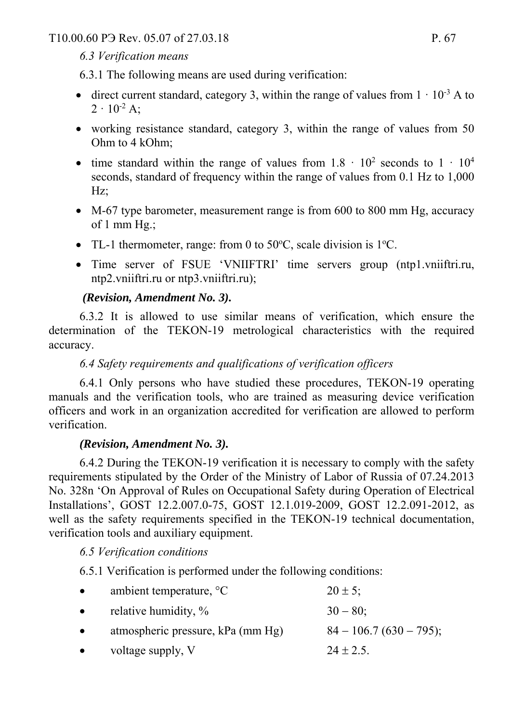T10.00.60 P<sub>3</sub> Rev. 05.07 of 27.03.18 P. 67

# *6.3 Verification means*

6.3.1 The following means are used during verification:

- direct current standard, category 3, within the range of values from  $1 \cdot 10^{-3}$  A to  $2 \cdot 10^{-2}$  A:
- working resistance standard, category 3, within the range of values from 50 Ohm to 4 kOhm;
- time standard within the range of values from  $1.8 \cdot 10^2$  seconds to  $1 \cdot 10^4$ seconds, standard of frequency within the range of values from 0.1 Hz to 1,000 Hz;
- M-67 type barometer, measurement range is from 600 to 800 mm Hg, accuracy of 1 mm Hg.;
- TL-1 thermometer, range: from 0 to  $50^{\circ}$ C, scale division is  $1^{\circ}$ C.
- Time server of FSUE 'VNIIFTRI' time servers group (ntp1.vniiftri.ru, ntp2.vniiftri.ru or ntp3.vniiftri.ru);

# *(Revision, Amendment No. 3).*

6.3.2 It is allowed to use similar means of verification, which ensure the determination of the TEKON-19 metrological characteristics with the required accuracy.

# *6.4 Safety requirements and qualifications of verification officers*

6.4.1 Only persons who have studied these procedures, TEKON-19 operating manuals and the verification tools, who are trained as measuring device verification officers and work in an organization accredited for verification are allowed to perform verification.

# *(Revision, Amendment No. 3).*

6.4.2 During the TEKON-19 verification it is necessary to comply with the safety requirements stipulated by the Order of the Ministry of Labor of Russia of 07.24.2013 No. 328n 'On Approval of Rules on Occupational Safety during Operation of Electrical Installations', GOST 12.2.007.0-75, GOST 12.1.019-2009, GOST 12.2.091-2012, as well as the safety requirements specified in the TEKON-19 technical documentation, verification tools and auxiliary equipment.

# *6.5 Verification conditions*

6.5.1 Verification is performed under the following conditions:

| $\bullet$ | ambient temperature, $\mathrm{C}$ | $20 \pm 5$ ;             |
|-----------|-----------------------------------|--------------------------|
| $\bullet$ | relative humidity, %              | $30 - 80$ ;              |
| $\bullet$ | atmospheric pressure, kPa (mm Hg) | $84 - 106.7(630 - 795);$ |
| $\bullet$ | voltage supply, V                 | $24 \pm 2.5$ .           |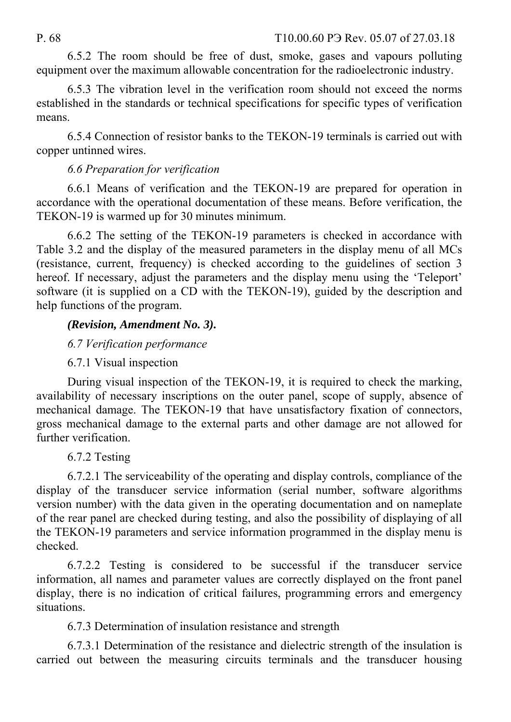6.5.2 The room should be free of dust, smoke, gases and vapours polluting equipment over the maximum allowable concentration for the radioelectronic industry.

6.5.3 The vibration level in the verification room should not exceed the norms established in the standards or technical specifications for specific types of verification means.

6.5.4 Connection of resistor banks to the TEKON-19 terminals is carried out with copper untinned wires.

# *6.6 Preparation for verification*

6.6.1 Means of verification and the TEKON-19 are prepared for operation in accordance with the operational documentation of these means. Before verification, the TEKON-19 is warmed up for 30 minutes minimum.

6.6.2 The setting of the TEKON-19 parameters is checked in accordance with Table 3.2 and the display of the measured parameters in the display menu of all MCs (resistance, current, frequency) is checked according to the guidelines of section 3 hereof. If necessary, adjust the parameters and the display menu using the 'Teleport' software (it is supplied on a CD with the TEKON-19), guided by the description and help functions of the program.

# *(Revision, Amendment No. 3).*

# *6.7 Verification performance*

# 6.7.1 Visual inspection

During visual inspection of the TEKON-19, it is required to check the marking, availability of necessary inscriptions on the outer panel, scope of supply, absence of mechanical damage. The TEKON-19 that have unsatisfactory fixation of connectors, gross mechanical damage to the external parts and other damage are not allowed for further verification.

# 6.7.2 Testing

6.7.2.1 The serviceability of the operating and display controls, compliance of the display of the transducer service information (serial number, software algorithms version number) with the data given in the operating documentation and on nameplate of the rear panel are checked during testing, and also the possibility of displaying of all the TEKON-19 parameters and service information programmed in the display menu is checked.

6.7.2.2 Testing is considered to be successful if the transducer service information, all names and parameter values are correctly displayed on the front panel display, there is no indication of critical failures, programming errors and emergency situations.

6.7.3 Determination of insulation resistance and strength

6.7.3.1 Determination of the resistance and dielectric strength of the insulation is carried out between the measuring circuits terminals and the transducer housing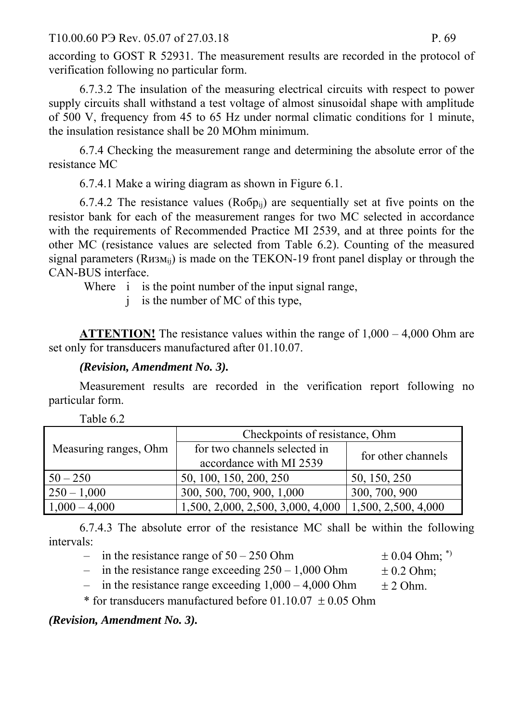T10.00.60 P3 Rev. 05.07 of 27.03.18 P. 69

according to GOST R 52931. The measurement results are recorded in the protocol of verification following no particular form.

6.7.3.2 The insulation of the measuring electrical circuits with respect to power supply circuits shall withstand a test voltage of almost sinusoidal shape with amplitude of 500 V, frequency from 45 to 65 Hz under normal climatic conditions for 1 minute, the insulation resistance shall be 20 MOhm minimum.

6.7.4 Checking the measurement range and determining the absolute error of the resistance MC

6.7.4.1 Make a wiring diagram as shown in Figure 6.1.

6.7.4.2 The resistance values ( $Ro6p_{ii}$ ) are sequentially set at five points on the resistor bank for each of the measurement ranges for two MC selected in accordance with the requirements of Recommended Practice MI 2539, and at three points for the other MC (resistance values are selected from Table 6.2). Counting of the measured signal parameters  $(R_{H3Mii})$  is made on the TEKON-19 front panel display or through the CAN-BUS interface.

Where *i* is the point number of the input signal range,

j is the number of MC of this type,

**ATTENTION!** The resistance values within the range of  $1,000 - 4,000$  Ohm are set only for transducers manufactured after 01.10.07.

# *(Revision, Amendment No. 3).*

Measurement results are recorded in the verification report following no particular form.

| Measuring ranges, Ohm | Checkpoints of resistance, Ohm                          |                     |  |
|-----------------------|---------------------------------------------------------|---------------------|--|
|                       | for two channels selected in<br>accordance with MI 2539 | for other channels  |  |
|                       |                                                         |                     |  |
| $50 - 250$            | 50, 100, 150, 200, 250                                  | 50, 150, 250        |  |
| $250 - 1,000$         | 300, 500, 700, 900, 1,000                               | 300, 700, 900       |  |
| $1,000 - 4,000$       | 1,500, 2,000, 2,500, 3,000, 4,000                       | 1,500, 2,500, 4,000 |  |

6.7.4.3 The absolute error of the resistance MC shall be within the following intervals:

- in the resistance range of  $50 250$  Ohm  $\pm 0.04$  Ohm;  $*$ )
- in the resistance range exceeding  $250 1,000$  Ohm  $\pm 0.2$  Ohm;

- 
- in the resistance range exceeding  $1,000 4,000$  Ohm  $\pm 2$  Ohm.

\* for transducers manufactured before  $01.10.07 \pm 0.05$  Ohm

*(Revision, Amendment No. 3).*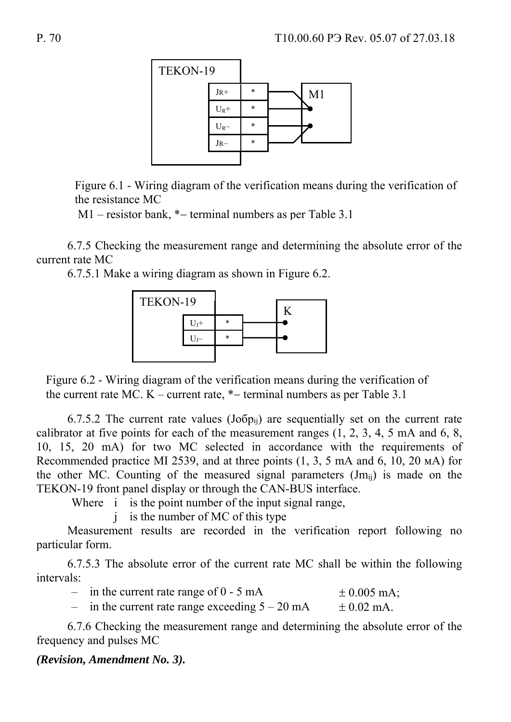

Figure 6.1 - Wiring diagram of the verification means during the verification of the resistance MC

 $M1$  – resistor bank,  $*$  – terminal numbers as per Table 3.1

6.7.5 Checking the measurement range and determining the absolute error of the current rate MC

6.7.5.1 Make a wiring diagram as shown in Figure 6.2.



Figure 6.2 - Wiring diagram of the verification means during the verification of the current rate MC.  $K$  – current rate,  $*$  – terminal numbers as per Table 3.1

6.7.5.2 The current rate values  $(Jo6p_{ii})$  are sequentially set on the current rate calibrator at five points for each of the measurement ranges  $(1, 2, 3, 4, 5, \text{mA})$  and  $(6, 8, 6)$ 10, 15, 20 mA) for two MC selected in accordance with the requirements of Recommended practice MI 2539, and at three points (1, 3, 5 mA and 6, 10, 20 мА) for the other MC. Counting of the measured signal parameters  $(Jm_{ii})$  is made on the TEKON-19 front panel display or through the CAN-BUS interface.

Where *i* is the point number of the input signal range,

j is the number of MC of this type

Measurement results are recorded in the verification report following no particular form.

6.7.5.3 The absolute error of the current rate MC shall be within the following intervals:

| in the current rate range of $0 - 5$ mA         | $\pm 0.005$ mA; |
|-------------------------------------------------|-----------------|
| in the current rate range exceeding $5 - 20$ mA | $\pm$ 0.02 mA.  |

6.7.6 Checking the measurement range and determining the absolute error of the frequency and pulses MC

#### *(Revision, Amendment No. 3).*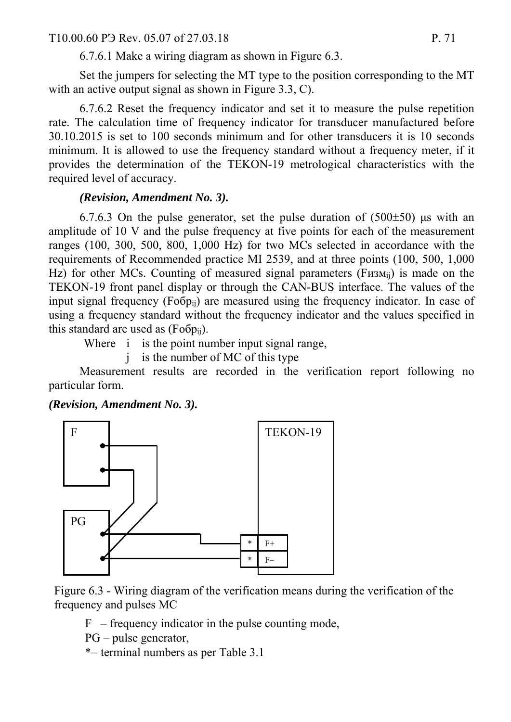#### T10.00.60 P $\overline{P}$  Rev. 05.07 of 27.03.18 P. 71

6.7.6.1 Make a wiring diagram as shown in Figure 6.3.

Set the jumpers for selecting the MT type to the position corresponding to the MT with an active output signal as shown in Figure 3.3, C).

6.7.6.2 Reset the frequency indicator and set it to measure the pulse repetition rate. The calculation time of frequency indicator for transducer manufactured before 30.10.2015 is set to 100 seconds minimum and for other transducers it is 10 seconds minimum. It is allowed to use the frequency standard without a frequency meter, if it provides the determination of the TEKON-19 metrological characteristics with the required level of accuracy.

#### *(Revision, Amendment No. 3).*

6.7.6.3 On the pulse generator, set the pulse duration of  $(500\pm50)$  μs with an amplitude of 10 V and the pulse frequency at five points for each of the measurement ranges (100, 300, 500, 800, 1,000 Hz) for two MCs selected in accordance with the requirements of Recommended practice MI 2539, and at three points (100, 500, 1,000 Hz) for other MCs. Counting of measured signal parameters (F $\mu$ 3M<sub>ii</sub>) is made on the TEKON-19 front panel display or through the CAN-BUS interface. The values of the input signal frequency  $(Fo6p_{ii})$  are measured using the frequency indicator. In case of using a frequency standard without the frequency indicator and the values specified in this standard are used as  $(Fo6p_{ii})$ .

Where *i* is the point number input signal range,

j is the number of MC of this type

Measurement results are recorded in the verification report following no particular form.

*(Revision, Amendment No. 3).* 



Figure 6.3 - Wiring diagram of the verification means during the verification of the frequency and pulses MC

 $F$  – frequency indicator in the pulse counting mode,

PG – pulse generator,

\* – terminal numbers as per Table 3.1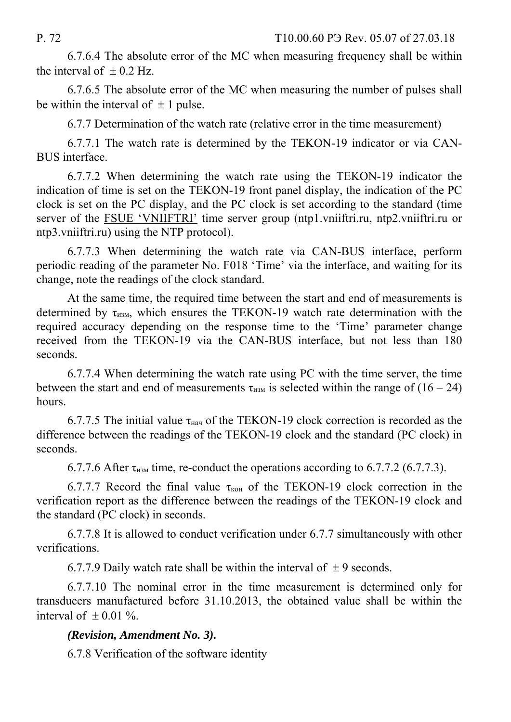P. 72 T10.00.60 P Rev. 05.07 of 27.03.18

6.7.6.4 The absolute error of the MC when measuring frequency shall be within the interval of  $\pm$  0.2 Hz.

6.7.6.5 The absolute error of the MC when measuring the number of pulses shall be within the interval of  $\pm 1$  pulse.

6.7.7 Determination of the watch rate (relative error in the time measurement)

6.7.7.1 The watch rate is determined by the TEKON-19 indicator or via CAN-BUS interface.

6.7.7.2 When determining the watch rate using the TEKON-19 indicator the indication of time is set on the TEKON-19 front panel display, the indication of the PC clock is set on the PC display, and the PC clock is set according to the standard (time server of the FSUE 'VNIIFTRI' time server group (ntp1.vniiftri.ru, ntp2.vniiftri.ru or ntp3.vniiftri.ru) using the NTP protocol).

6.7.7.3 When determining the watch rate via CAN-BUS interface, perform periodic reading of the parameter No. F018 'Time' via the interface, and waiting for its change, note the readings of the clock standard.

At the same time, the required time between the start and end of measurements is determined by  $\tau_{H3M}$ , which ensures the TEKON-19 watch rate determination with the required accuracy depending on the response time to the 'Time' parameter change received from the TEKON-19 via the CAN-BUS interface, but not less than 180 seconds.

6.7.7.4 When determining the watch rate using PC with the time server, the time between the start and end of measurements  $\tau_{H3M}$  is selected within the range of (16 – 24) hours.

6.7.7.5 The initial value  $\tau_{\text{Hau}}$  of the TEKON-19 clock correction is recorded as the difference between the readings of the TEKON-19 clock and the standard (PC clock) in seconds.

6.7.7.6 After  $\tau_{\text{H3M}}$  time, re-conduct the operations according to 6.7.7.2 (6.7.7.3).

6.7.7.7 Record the final value  $\tau_{KOH}$  of the TEKON-19 clock correction in the verification report as the difference between the readings of the TEKON-19 clock and the standard (PC clock) in seconds.

6.7.7.8 It is allowed to conduct verification under 6.7.7 simultaneously with other verifications.

6.7.7.9 Daily watch rate shall be within the interval of  $\pm$  9 seconds.

6.7.7.10 The nominal error in the time measurement is determined only for transducers manufactured before 31.10.2013, the obtained value shall be within the interval of  $\pm 0.01$  %.

# *(Revision, Amendment No. 3).*

6.7.8 Verification of the software identity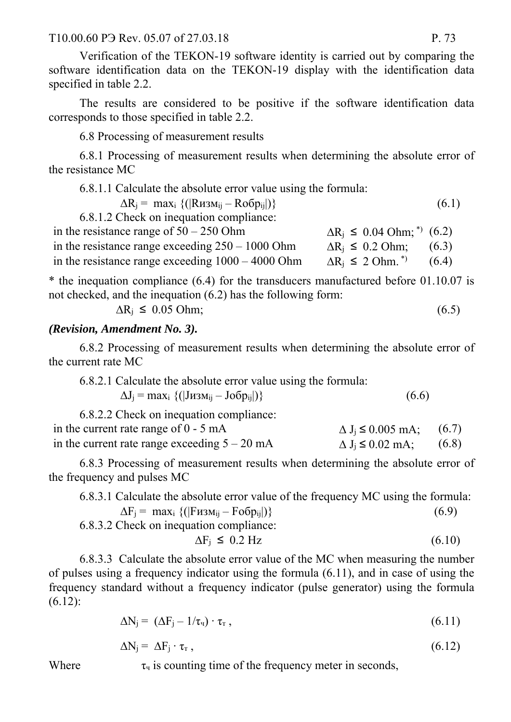Verification of the TEKON-19 software identity is carried out by comparing the software identification data on the TEKON-19 display with the identification data specified in table 2.2.

The results are considered to be positive if the software identification data corresponds to those specified in table 2.2.

6.8 Processing of measurement results

6.8.1 Processing of measurement results when determining the absolute error of the resistance MC

6.8.1.1 Calculate the absolute error value using the formula:

 $\Delta R_i = \max_i \{ (|R_{H3Mii} - R_0 \delta p_{ii}|) \}$  (6.1)

6.8.1.2 Check on inequation compliance:

| in the resistance range of $50 - 250$ Ohm           | $\Delta R_i \leq 0.04$ Ohm; <sup>*</sup> ) (6.2) |       |
|-----------------------------------------------------|--------------------------------------------------|-------|
| in the resistance range exceeding $250 - 1000$ Ohm  | $\Delta R_i \leq 0.2$ Ohm; (6.3)                 |       |
| in the resistance range exceeding $1000 - 4000$ Ohm | $\Delta R_i \leq 2$ Ohm. <sup>*</sup>            | (6.4) |

\* the inequation compliance (6.4) for the transducers manufactured before 01.10.07 is not checked, and the inequation (6.2) has the following form:

$$
\Delta R_j \leq 0.05 \text{ Ohm};\tag{6.5}
$$

#### *(Revision, Amendment No. 3).*

6.8.2 Processing of measurement results when determining the absolute error of the current rate MC

| 6.8.2.1 Calculate the absolute error value using the formula: |       |
|---------------------------------------------------------------|-------|
| $\Delta J_i = \max_i \{ ( J_{1}M_{i} - J_{0}O_{i} ) \}$       | (6.6) |

| 6.8.2.2 Check on inequation compliance:         |                                  |  |
|-------------------------------------------------|----------------------------------|--|
| in the current rate range of $0 - 5$ mA         | $\Delta J_i \le 0.005$ mA; (6.7) |  |
| in the current rate range exceeding $5 - 20$ mA | $\Delta J_i \le 0.02$ mA; (6.8)  |  |

6.8.3 Processing of measurement results when determining the absolute error of the frequency and pulses MC

6.8.3.1 Calculate the absolute error value of the frequency MC using the formula:  $\Delta F_i = \max_i \{ (|F_{H3Mii} - F_0 6p_{ii}|) \}$  (6.9)

6.8.3.2 Check on inequation compliance:

$$
\Delta F_j \leq 0.2 \text{ Hz} \tag{6.10}
$$

6.8.3.3 Calculate the absolute error value of the MC when measuring the number of pulses using a frequency indicator using the formula (6.11), and in case of using the frequency standard without a frequency indicator (pulse generator) using the formula (6.12):

$$
\Delta N_j = (\Delta F_j - 1/\tau_{\rm T}) \cdot \tau_{\rm T} \,, \tag{6.11}
$$

$$
\Delta N_j = \Delta F_j \cdot \tau_r, \qquad (6.12)
$$

Where  $\tau_{\text{y}}$  is counting time of the frequency meter in seconds,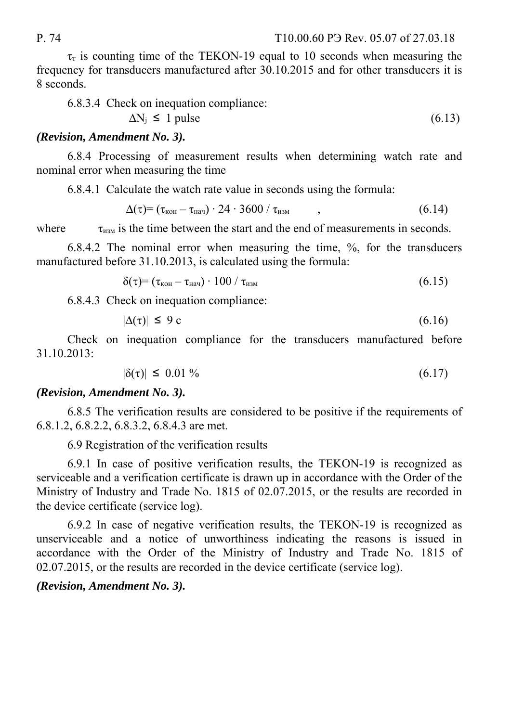$\tau_{\text{t}}$  is counting time of the TEKON-19 equal to 10 seconds when measuring the frequency for transducers manufactured after 30.10.2015 and for other transducers it is 8 seconds.

6.8.3.4 Check on inequation compliance:

$$
\Delta N_j \le 1 \text{ pulse} \tag{6.13}
$$

#### *(Revision, Amendment No. 3).*

6.8.4 Processing of measurement results when determining watch rate and nominal error when measuring the time

6.8.4.1 Calculate the watch rate value in seconds using the formula:

$$
\Delta(\tau) = (\tau_{\text{KOH}} - \tau_{\text{Hau}}) \cdot 24 \cdot 3600 / \tau_{\text{H3M}} \qquad , \qquad (6.14)
$$

where  $\tau_{\text{H3M}}$  is the time between the start and the end of measurements in seconds.

6.8.4.2 The nominal error when measuring the time, %, for the transducers manufactured before 31.10.2013, is calculated using the formula:

$$
\delta(\tau) = (\tau_{\text{KOH}} - \tau_{\text{Hau}}) \cdot 100 / \tau_{\text{H3M}} \tag{6.15}
$$

6.8.4.3 Check on inequation compliance:

$$
|\Delta(\tau)| \le 9 \,\mathrm{c} \tag{6.16}
$$

Check on inequation compliance for the transducers manufactured before 31.10.2013:

$$
|\delta(\tau)| \leq 0.01\,\% \tag{6.17}
$$

#### *(Revision, Amendment No. 3).*

6.8.5 The verification results are considered to be positive if the requirements of 6.8.1.2, 6.8.2.2, 6.8.3.2, 6.8.4.3 are met.

6.9 Registration of the verification results

6.9.1 In case of positive verification results, the TEKON-19 is recognized as serviceable and a verification certificate is drawn up in accordance with the Order of the Ministry of Industry and Trade No. 1815 of 02.07.2015, or the results are recorded in the device certificate (service log).

6.9.2 In case of negative verification results, the TEKON-19 is recognized as unserviceable and a notice of unworthiness indicating the reasons is issued in accordance with the Order of the Ministry of Industry and Trade No. 1815 of 02.07.2015, or the results are recorded in the device certificate (service log).

#### *(Revision, Amendment No. 3).*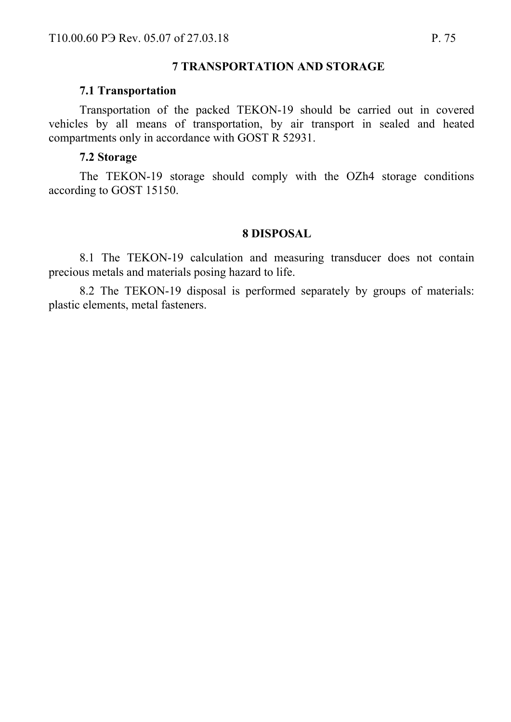#### **7 TRANSPORTATION AND STORAGE**

#### **7.1 Transportation**

Transportation of the packed TEKON-19 should be carried out in covered vehicles by all means of transportation, by air transport in sealed and heated compartments only in accordance with GOST R 52931.

#### **7.2 Storage**

The TEKON-19 storage should comply with the OZh4 storage conditions according to GOST 15150.

#### **8 DISPOSAL**

8.1 The TEKON-19 calculation and measuring transducer does not contain precious metals and materials posing hazard to life.

8.2 The TEKON-19 disposal is performed separately by groups of materials: plastic elements, metal fasteners.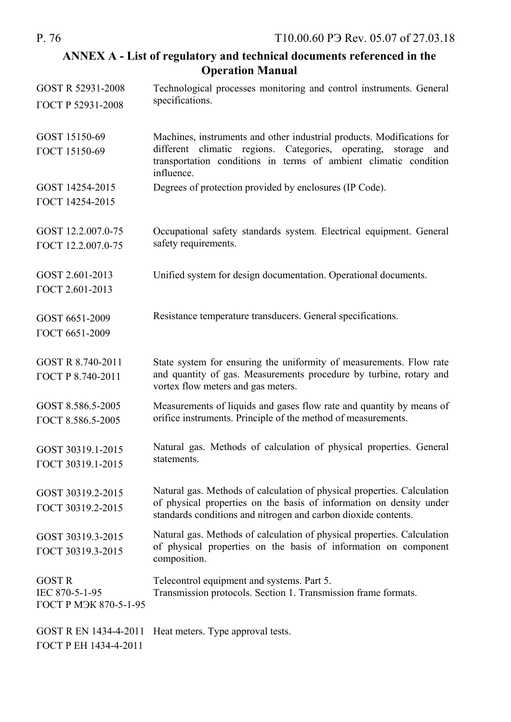#### **ANNEX A - List of regulatory and technical documents referenced in the Operation Manual**

| GOST R 52931-2008                                        | Technological processes monitoring and control instruments. General                                                                                                                                                |
|----------------------------------------------------------|--------------------------------------------------------------------------------------------------------------------------------------------------------------------------------------------------------------------|
| ГОСТ Р 52931-2008                                        | specifications.                                                                                                                                                                                                    |
| GOST 15150-69<br>ГОСТ 15150-69                           | Machines, instruments and other industrial products. Modifications for<br>different climatic regions. Categories, operating,<br>storage<br>and<br>transportation conditions in terms of ambient climatic condition |
|                                                          | influence.                                                                                                                                                                                                         |
| GOST 14254-2015<br>ГОСТ 14254-2015                       | Degrees of protection provided by enclosures (IP Code).                                                                                                                                                            |
| GOST 12.2.007.0-75<br>ГОСТ 12.2.007.0-75                 | Occupational safety standards system. Electrical equipment. General<br>safety requirements.                                                                                                                        |
| GOST 2.601-2013<br>ГОСТ 2.601-2013                       | Unified system for design documentation. Operational documents.                                                                                                                                                    |
| GOST 6651-2009<br>ГОСТ 6651-2009                         | Resistance temperature transducers. General specifications.                                                                                                                                                        |
| GOST R 8.740-2011<br>ГОСТ Р 8.740-2011                   | State system for ensuring the uniformity of measurements. Flow rate<br>and quantity of gas. Measurements procedure by turbine, rotary and<br>vortex flow meters and gas meters.                                    |
| GOST 8.586.5-2005<br>ГОСТ 8.586.5-2005                   | Measurements of liquids and gases flow rate and quantity by means of<br>orifice instruments. Principle of the method of measurements.                                                                              |
| GOST 30319.1-2015<br>ГОСТ 30319.1-2015                   | Natural gas. Methods of calculation of physical properties. General<br>statements.                                                                                                                                 |
| GOST 30319.2-2015<br>ГОСТ 30319.2-2015                   | Natural gas. Methods of calculation of physical properties. Calculation<br>of physical properties on the basis of information on density under<br>standards conditions and nitrogen and carbon dioxide contents.   |
| GOST 30319.3-2015<br>ГОСТ 30319.3-2015                   | Natural gas. Methods of calculation of physical properties. Calculation<br>of physical properties on the basis of information on component<br>composition.                                                         |
| <b>GOST R</b><br>IEC 870-5-1-95<br>ГОСТ Р МЭК 870-5-1-95 | Telecontrol equipment and systems. Part 5.<br>Transmission protocols. Section 1. Transmission frame formats.                                                                                                       |
| GOST R EN 1434-4-2011<br>ГОСТ Р ЕН 1434-4-2011           | Heat meters. Type approval tests.                                                                                                                                                                                  |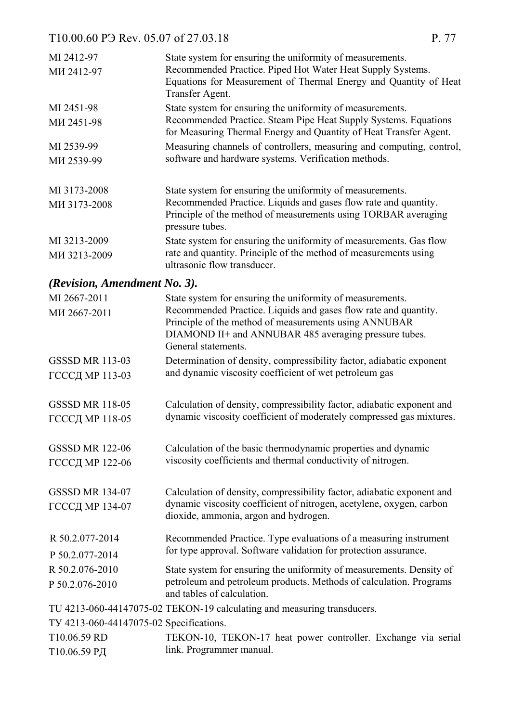| MI 2412-97                              | State system for ensuring the uniformity of measurements.                                                                                      |
|-----------------------------------------|------------------------------------------------------------------------------------------------------------------------------------------------|
| MH 2412-97                              | Recommended Practice. Piped Hot Water Heat Supply Systems.                                                                                     |
|                                         | Equations for Measurement of Thermal Energy and Quantity of Heat<br>Transfer Agent.                                                            |
| MI 2451-98                              | State system for ensuring the uniformity of measurements.                                                                                      |
| MH 2451-98                              | Recommended Practice. Steam Pipe Heat Supply Systems. Equations                                                                                |
|                                         | for Measuring Thermal Energy and Quantity of Heat Transfer Agent.                                                                              |
| MI 2539-99                              | Measuring channels of controllers, measuring and computing, control,                                                                           |
| MH 2539-99                              | software and hardware systems. Verification methods.                                                                                           |
| MI 3173-2008                            | State system for ensuring the uniformity of measurements.                                                                                      |
| MH 3173-2008                            | Recommended Practice. Liquids and gases flow rate and quantity.                                                                                |
|                                         | Principle of the method of measurements using TORBAR averaging<br>pressure tubes.                                                              |
| MI 3213-2009                            | State system for ensuring the uniformity of measurements. Gas flow                                                                             |
| MH 3213-2009                            | rate and quantity. Principle of the method of measurements using<br>ultrasonic flow transducer.                                                |
| (Revision, Amendment No. 3).            |                                                                                                                                                |
| MI 2667-2011                            | State system for ensuring the uniformity of measurements.                                                                                      |
| MH 2667-2011                            | Recommended Practice. Liquids and gases flow rate and quantity.                                                                                |
|                                         | Principle of the method of measurements using ANNUBAR<br>DIAMOND II+ and ANNUBAR 485 averaging pressure tubes.                                 |
|                                         | General statements.                                                                                                                            |
| <b>GSSSD MR 113-03</b>                  | Determination of density, compressibility factor, adiabatic exponent                                                                           |
| ГСССД МР 113-03                         | and dynamic viscosity coefficient of wet petroleum gas                                                                                         |
|                                         |                                                                                                                                                |
| <b>GSSSD MR 118-05</b>                  | Calculation of density, compressibility factor, adiabatic exponent and<br>dynamic viscosity coefficient of moderately compressed gas mixtures. |
| ГСССД МР 118-05                         |                                                                                                                                                |
| <b>GSSSD MR 122-06</b>                  | Calculation of the basic thermodynamic properties and dynamic                                                                                  |
| ГСССД МР 122-06                         | viscosity coefficients and thermal conductivity of nitrogen.                                                                                   |
|                                         |                                                                                                                                                |
| <b>GSSSD MR 134-07</b>                  | Calculation of density, compressibility factor, adiabatic exponent and                                                                         |
| ГСССД МР 134-07                         | dynamic viscosity coefficient of nitrogen, acetylene, oxygen, carbon<br>dioxide, ammonia, argon and hydrogen.                                  |
| R 50.2.077-2014                         | Recommended Practice. Type evaluations of a measuring instrument                                                                               |
| P 50.2.077-2014                         | for type approval. Software validation for protection assurance.                                                                               |
| R 50.2.076-2010                         | State system for ensuring the uniformity of measurements. Density of                                                                           |
| P 50.2.076-2010                         | petroleum and petroleum products. Methods of calculation. Programs<br>and tables of calculation.                                               |
|                                         | TU 4213-060-44147075-02 TEKON-19 calculating and measuring transducers.                                                                        |
| TV 4213-060-44147075-02 Specifications. |                                                                                                                                                |
| T10.06.59 RD                            | TEKON-10, TEKON-17 heat power controller. Exchange via serial                                                                                  |
| Т10.06.59 РД                            | link. Programmer manual.                                                                                                                       |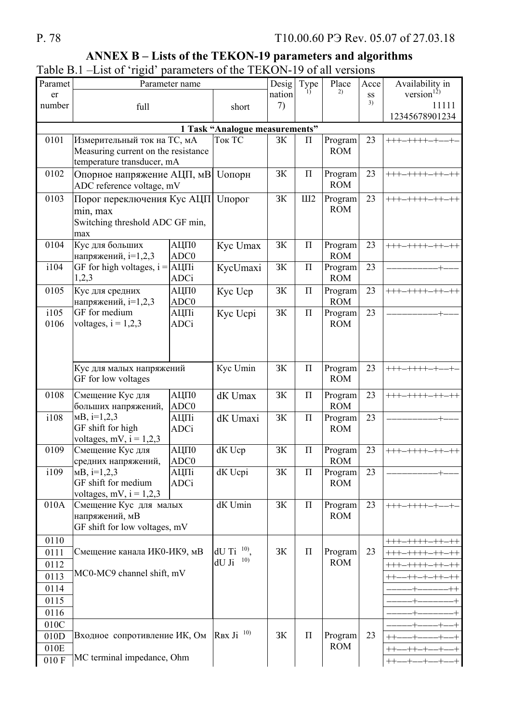## P. 78

# ANNEX B - Lists of the TEKON-19 parameters and algorithms

|  |  |  | Table B.1 –List of 'rigid' parameters of the TEKON-19 of all versions |  |
|--|--|--|-----------------------------------------------------------------------|--|

| Paramet |                                                         | Parameter name      |                                            | Desig  | Type               | Place                 | Acce | Availability in                 |
|---------|---------------------------------------------------------|---------------------|--------------------------------------------|--------|--------------------|-----------------------|------|---------------------------------|
| er      |                                                         |                     |                                            | nation |                    | 2)                    | SS   | version $^{12)}$                |
| number  | full                                                    |                     | short                                      | 7)     |                    |                       | 3)   | 11111                           |
|         |                                                         |                     |                                            |        |                    |                       |      | 12345678901234                  |
|         |                                                         |                     | 1 Task "Analogue measurements"             |        |                    |                       |      |                                 |
| 0101    | Измерительный ток на ТС, мА                             |                     | Ток ТС                                     | 3K     | $\boldsymbol{\Pi}$ | Program               | 23   | $++++-++++-+-$                  |
|         | Measuring current on the resistance                     |                     |                                            |        |                    | <b>ROM</b>            |      |                                 |
| 0102    | temperature transducer, mA                              |                     |                                            | 3K     | $\Pi$              |                       | 23   | $++++-+++--++-++$               |
|         | Опорное напряжение АЦП, мВ<br>ADC reference voltage, mV |                     | <b><i><u><u><b>U</b></u></u></i></b> ОПОРН |        |                    | Program<br><b>ROM</b> |      |                                 |
|         |                                                         |                     |                                            |        |                    |                       |      |                                 |
| 0103    | Порог переключения Кус АЦП                              |                     | <b><i><u>Uпорог</u></i></b>                | 3K     | III2               | Program<br><b>ROM</b> | 23   | $++++-++++-++-++$               |
|         | min, max                                                |                     |                                            |        |                    |                       |      |                                 |
|         | Switching threshold ADC GF min,<br>max                  |                     |                                            |        |                    |                       |      |                                 |
| 0104    | Кус для больших                                         | <b>АЦП0</b>         | Kyc Umax                                   | 3K     | $\Pi$              | Program               | 23   | $++++-+++--++-++$               |
|         | напряжений, i=1,2,3                                     | ADC0                |                                            |        |                    | <b>ROM</b>            |      |                                 |
| i104    | GF for high voltages, $i =$                             | АЦПі                | KycUmaxi                                   | 3K     | $\Pi$              | Program               | 23   |                                 |
|         | 1,2,3                                                   | <b>ADCi</b>         |                                            |        |                    | <b>ROM</b>            |      |                                 |
| 0105    | Кус для средних                                         | АЦП0                | Kyc Ucp                                    | 3K     | $\Pi$              | Program               | 23   | $++++-+++--++-++$               |
|         | напряжений, i=1,2,3                                     | ADC <sub>0</sub>    |                                            |        |                    | <b>ROM</b>            |      |                                 |
| i105    | GF for medium                                           | АЦПі                | Kyc Ucpi                                   | 3K     | $\Pi$              | Program               | 23   |                                 |
| 0106    | voltages, $i = 1,2,3$                                   | <b>ADCi</b>         |                                            |        |                    | <b>ROM</b>            |      |                                 |
|         |                                                         |                     |                                            |        |                    |                       |      |                                 |
|         |                                                         |                     |                                            |        |                    |                       |      |                                 |
|         |                                                         |                     |                                            |        |                    |                       |      |                                 |
|         | Кус для малых напряжений                                |                     | Kyc Umin                                   | 3K     | $\Pi$              | Program               | 23   | $++++-++++-+$                   |
|         | GF for low voltages                                     |                     |                                            |        |                    | <b>ROM</b>            |      |                                 |
| 0108    | Смещение Кус для                                        | АЦП0                | dK Umax                                    | 3K     | $\Pi$              | Program               | 23   | $++++-+++--++-++$               |
|         | больших напряжений,                                     | ADC0                |                                            |        |                    | <b>ROM</b>            |      |                                 |
| i108    | $MB$ , i=1,2,3                                          | АЦПі                | dK Umaxi                                   | 3K     | $\Pi$              | Program               | 23   |                                 |
|         | GF shift for high                                       | <b>ADCi</b>         |                                            |        |                    | <b>ROM</b>            |      |                                 |
|         | voltages, mV, $i = 1,2,3$                               |                     |                                            |        |                    |                       |      |                                 |
| 0109    | Смещение Кус для                                        | АЦП0                | dK Ucp                                     | 3K     | $\Pi$              | Program               | 23   | $++++-+++--++-++-$              |
|         | средних напряжений,                                     | ADC0                |                                            |        |                    | <b>ROM</b>            |      |                                 |
| i109    | $MB$ , i=1,2,3<br>GF shift for medium                   | АЦПі<br><b>ADCi</b> | dK Ucpi                                    | 3K     | $\Pi$              | Program<br><b>ROM</b> | 23   |                                 |
|         | voltages, mV, $i = 1,2,3$                               |                     |                                            |        |                    |                       |      |                                 |
| 010A    | Смещение Кус для малых                                  |                     | dK Umin                                    | 3K     | $\Pi$              | Program               | 23   | $++++-+-+$                      |
|         | напряжений, мВ                                          |                     |                                            |        |                    | <b>ROM</b>            |      |                                 |
|         | GF shift for low voltages, mV                           |                     |                                            |        |                    |                       |      |                                 |
| 0110    |                                                         |                     |                                            |        |                    |                       |      | ${++++}{-}{++}{+-}{+-}{+-}{+-}$ |
| 0111    | Смещение канала ИКО-ИК9, мВ                             |                     | $dU$ Ti $^{10}$ .                          | 3K     | $\boldsymbol{\Pi}$ | Program               | 23   | $+++ - + + + - + + -$           |
| 0112    |                                                         |                     | 10)<br>dU Ji                               |        |                    | <b>ROM</b>            |      | $++++-+++--++-++$               |
| 0113    | MC0-MC9 channel shift, mV                               |                     |                                            |        |                    |                       |      | $++-+ -++-++$<br>$^{++}$        |
| 0114    |                                                         |                     |                                            |        |                    |                       |      | $^{++}$                         |
| 0115    |                                                         |                     |                                            |        |                    |                       |      |                                 |
| 0116    |                                                         |                     |                                            |        |                    |                       |      |                                 |
| 010C    |                                                         |                     |                                            |        |                    |                       |      |                                 |
| 010D    | Входное сопротивление ИК, Ом                            |                     | RBX Ji $^{10}$                             | 3K     | $\boldsymbol{\Pi}$ | Program               | 23   |                                 |
| 010E    |                                                         |                     |                                            |        |                    | <b>ROM</b>            |      | $^{++}$<br>$++-+$               |
| 010F    | MC terminal impedance, Ohm                              |                     |                                            |        |                    |                       |      | $^{++}$                         |
|         |                                                         |                     |                                            |        |                    |                       |      |                                 |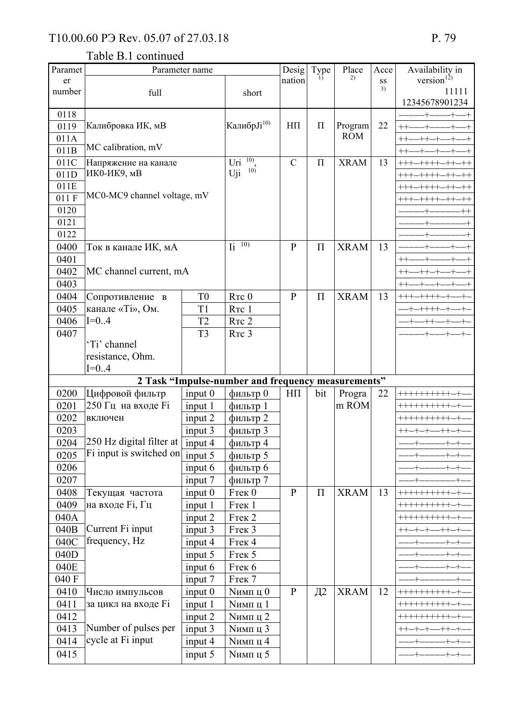| Paramet              | Parameter name                            |                               |                                                       | Desig          | Type     | Place           | Acce | Availability in                                  |
|----------------------|-------------------------------------------|-------------------------------|-------------------------------------------------------|----------------|----------|-----------------|------|--------------------------------------------------|
| er                   |                                           |                               |                                                       | nation         |          | 2)              | SS   | version $^{12)}$                                 |
| number               | full                                      |                               | short                                                 |                |          |                 | 3)   | 11111                                            |
|                      |                                           |                               |                                                       |                |          |                 |      | 12345678901234                                   |
| 0118<br>0119         | Калибровка ИК, мВ                         |                               | Калибр Јі <sup>10)</sup>                              | $H\Pi$         | $\Pi$    | Program         | 22   |                                                  |
| 011A                 |                                           |                               |                                                       |                |          | <b>ROM</b>      |      |                                                  |
| 011B                 | MC calibration, mV                        |                               |                                                       |                |          |                 |      | $^{++}$                                          |
| 011C                 | Напряжение на канале                      |                               | 10)<br>Uri                                            | $\mathcal{C}$  | $\Pi$    | <b>XRAM</b>     | 13   | +++-++++-++                                      |
| 011D                 | ИКО-ИК9, мВ                               |                               | 10)<br>Uji                                            |                |          |                 |      | +++-++++-++                                      |
| 011E                 |                                           |                               |                                                       |                |          |                 |      | +++-++++-++-++                                   |
| 011 F                | MC0-MC9 channel voltage, mV               |                               |                                                       |                |          |                 |      | +++-++++-++                                      |
| 0120                 |                                           |                               |                                                       |                |          |                 |      |                                                  |
| 0121                 |                                           |                               |                                                       |                |          |                 |      |                                                  |
| 0122                 |                                           |                               |                                                       |                |          |                 |      |                                                  |
| 0400                 | Ток в канале ИК, мА                       |                               | $\overline{I_1}$ $\overline{10)}$                     | $\overline{P}$ | $\Pi$    | <b>XRAM</b>     | 13   |                                                  |
| 0401                 |                                           |                               |                                                       |                |          |                 |      | $^{++}$                                          |
| 0402                 | MC channel current, mA                    |                               |                                                       |                |          |                 |      |                                                  |
| 0403                 |                                           |                               |                                                       |                |          |                 |      |                                                  |
| 0404                 | Сопротивление в                           | T <sub>0</sub>                | RTC 0                                                 | $\mathbf{P}$   | $\Pi$    | <b>XRAM</b>     | 13   | +++-++++-+                                       |
| 0405                 | канале «Ті», Ом.                          | T <sub>1</sub>                | RTC 1                                                 |                |          |                 |      | $+ - + + + + - +$                                |
| 0406                 | $I=0.4$                                   | T <sub>2</sub>                | RTC <sub>2</sub>                                      |                |          |                 |      | $-+ - - + + - - +$                               |
| 0407                 |                                           | T <sub>3</sub>                | R <sub>TC</sub> 3                                     |                |          |                 |      |                                                  |
|                      | 'Ti' channel                              |                               |                                                       |                |          |                 |      |                                                  |
|                      | resistance, Ohm.                          |                               |                                                       |                |          |                 |      |                                                  |
|                      | $I=0.4$                                   |                               |                                                       |                |          |                 |      |                                                  |
|                      |                                           |                               | 2 Task "Impulse-number and frequency measurements"    |                |          |                 |      | ++++++++++                                       |
| 0200                 | Цифровой фильтр                           | input 0                       | фильтр 0                                              | $H\Pi$         | bit      | Progra<br>m ROM | 22   |                                                  |
| 0201                 | 250 Гц на входе Fi<br>включен             | input 1                       | фильтр 1                                              |                |          |                 |      |                                                  |
| 0202<br>0203         |                                           | input 2                       | фильтр 2                                              |                |          |                 |      | ++++++++++                                       |
| 0204                 | $250$ Hz digital filter at $\overline{ }$ | input 3<br>input 4            | фильтр 3<br>фильтр 4                                  |                |          |                 |      | $++-+ -+ - -++- +$                               |
| 0205                 | Fi input is switched on                   | input 5                       |                                                       |                |          |                 |      | -+------+-+-<br>$+ - +$                          |
| 0206                 |                                           |                               | фильтр 5                                              |                |          |                 |      | $+ - + -$                                        |
| 0207                 |                                           | input 6                       | фильтр 6<br>фильтр 7                                  |                |          |                 |      |                                                  |
| 0408                 | Текущая частота                           | input 7<br>input $0$          | Frek 0                                                | $\mathbf{P}$   | $\Pi$    | <b>XRAM</b>     | 13   | ++++++++++                                       |
| 0409                 | на входе Fi, Гц                           | input 1                       | Frek 1                                                |                |          |                 |      | ++++++++++                                       |
| 040A                 |                                           | input 2                       | Fтек <sub>2</sub>                                     |                |          |                 |      | ++++++++++                                       |
| 040B                 | Current Fi input                          | input 3                       | <b>FTek 3</b>                                         |                |          |                 |      | $++-+--++-+$                                     |
| 040C                 | frequency, Hz                             | input 4                       | Frek 4                                                |                |          |                 |      | $+ - +$                                          |
| 040D                 |                                           | input 5                       | <b>FTek 5</b>                                         |                |          |                 |      | $+ - +$                                          |
| 040E                 |                                           | input 6                       | <b>FTek 6</b>                                         |                |          |                 |      |                                                  |
| 040 F                |                                           | input 7                       | <b>FTek 7</b>                                         |                |          |                 |      |                                                  |
| 0410                 | Число импульсов                           | input <sub>0</sub>            | <b>Nимп</b> ц 0                                       | $\, {\bf p}$   | $\Box$ 2 | <b>XRAM</b>     | 12   | ++++++++++                                       |
| 0411                 | за цикл на входе Fi                       | input 1                       | <b>Nимп</b> ц 1                                       |                |          |                 |      | ++++++++++                                       |
|                      |                                           |                               |                                                       |                |          |                 |      |                                                  |
|                      |                                           |                               |                                                       |                |          |                 |      |                                                  |
|                      |                                           |                               |                                                       |                |          |                 |      |                                                  |
| 0415                 |                                           | input 5                       | <b>Nимп</b> ц 5                                       |                |          |                 |      | $-+ - + -$                                       |
| 0412<br>0413<br>0414 | Number of pulses per<br>cycle at Fi input | input 2<br>input 3<br>input 4 | <b>Nимп</b> ц 2<br><b>Nимп</b> ц 3<br><b>Nимп</b> ц 4 |                |          |                 |      | ++++++++++<br>-++-+<br>++-+-+-<br>$+$ ------+-+- |
|                      |                                           |                               |                                                       |                |          |                 |      |                                                  |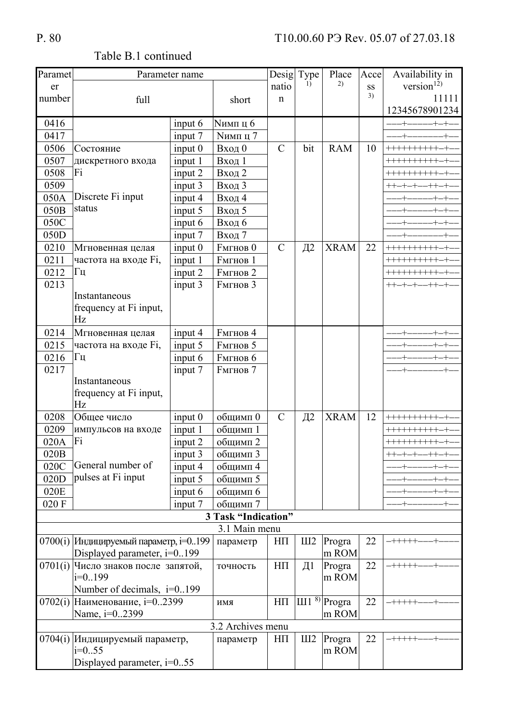$+$ 

Progra

 $\ln$  ROM

22

 $- + + + + +$ 

 $III2$ 

 $H\Pi$ 

| Paramet |                                       | Parameter name     |                     | Desig         | Type       | Place       | Acce | Availability in |
|---------|---------------------------------------|--------------------|---------------------|---------------|------------|-------------|------|-----------------|
| er      |                                       |                    |                     | natio         | $_{1}$     | 2)          | SS   | version $12)$   |
| number  | full                                  |                    | short               | n             |            |             | 3)   | 11111           |
|         |                                       |                    |                     |               |            |             |      | 12345678901234  |
| 0416    |                                       | input $6$          | <b>Nимп</b> ц 6     |               |            |             |      | -+-+            |
| 0417    |                                       | input 7            | <b>Nимп</b> ц 7     |               |            |             |      |                 |
| 0506    | Состояние                             | input <sub>0</sub> | Вход 0              | $\mathcal{C}$ | bit        | <b>RAM</b>  | 10   | +++++++++       |
| 0507    | дискретного входа                     | input 1            | Вход 1              |               |            |             |      | +++++++++       |
| 0508    | Fi                                    | input 2            | Вход 2              |               |            |             |      | ++++++++++      |
| 0509    |                                       | input 3            | Вход 3              |               |            |             |      | $++-+--+ -$     |
| 050A    | Discrete Fi input                     | input 4            | Вход 4              |               |            |             |      |                 |
| 050B    | status                                | input 5            | Вход 5              |               |            |             |      |                 |
| 050C    |                                       | input 6            | Вход 6              |               |            |             |      |                 |
| 050D    |                                       | input 7            | Вход 7              |               |            |             |      |                 |
| 0210    | Мгновенная целая                      | input 0            | <b>FMTHOB 0</b>     | $\mathcal{C}$ | $\Box$     | <b>XRAM</b> | 22   |                 |
| 0211    | частота на входе Fi,                  | input 1            | <b>FMTHOB 1</b>     |               |            |             |      |                 |
| 0212    | $\Gamma$ ц                            | input 2            | <b>FMTHOB 2</b>     |               |            |             |      | ++++++++++      |
| 0213    |                                       | input 3            | <b>FMTHOB 3</b>     |               |            |             |      | $++-+--$        |
|         | Instantaneous                         |                    |                     |               |            |             |      |                 |
|         | frequency at Fi input,                |                    |                     |               |            |             |      |                 |
|         | Hz                                    |                    |                     |               |            |             |      |                 |
| 0214    | Мгновенная целая                      | input 4            | <b>FMTHOB 4</b>     |               |            |             |      |                 |
| 0215    | частота на входе Fi,                  | input 5            | <b>FMTHOB 5</b>     |               |            |             |      |                 |
| 0216    | Γц                                    | input 6            | <b>FMTHOB 6</b>     |               |            |             |      |                 |
| 0217    |                                       | input 7            | <b>FMTHOB</b> 7     |               |            |             |      |                 |
|         | Instantaneous                         |                    |                     |               |            |             |      |                 |
|         | frequency at Fi input,                |                    |                     |               |            |             |      |                 |
|         | Hz                                    |                    |                     |               |            |             |      |                 |
| 0208    | Общее число                           | input <sub>0</sub> | общимп 0            | $\mathcal{C}$ | $\Box$     | <b>XRAM</b> | 12   |                 |
| 0209    | импульсов на входе                    | input 1            | общимп 1            |               |            |             |      |                 |
| 020A    | Fi                                    | input 2            | общимп 2            |               |            |             |      | ++++++++++      |
| 020B    |                                       | input 3            | общимп 3            |               |            |             |      |                 |
| 020C    | General number of                     | input 4            | общимп 4            |               |            |             |      |                 |
| 020D    | pulses at Fi input                    | input 5            | общимп 5            |               |            |             |      |                 |
| 020E    |                                       | input 6            | общимп 6            |               |            |             |      |                 |
| 020 F   |                                       | input 7            | общимп 7            |               |            |             |      |                 |
|         |                                       |                    | 3 Task "Indication" |               |            |             |      |                 |
|         |                                       |                    | 3.1 Main menu       |               |            |             |      |                 |
|         | 0700(1) Индицируемый параметр, i=0199 |                    | параметр            | $H\Pi$        | III2       | Progra      | 22   | $-$ +++++       |
|         | Displayed parameter, $i=0.199$        |                    |                     |               |            | m ROM       |      |                 |
|         | 0701(i) Число знаков после запятой,   |                    | точность            | $H\Pi$        | $\Box$     | Progra      | 22   | $- + + + + +$   |
|         | $i=0.199$                             |                    |                     |               |            | m ROM       |      |                 |
|         | Number of decimals, $i=0199$          |                    |                     |               |            |             |      |                 |
| 0702(i) | Наименование, <i>i</i> =02399         |                    | ИМЯ                 | $H\Pi$        | $III1^{8}$ | Progra      | 22   | $-$ +++++       |
|         | Name, i=02399                         |                    |                     |               |            | m ROM       |      |                 |
|         |                                       |                    | 3.2 Archives menu   |               |            |             |      |                 |

параметр

Table B.1 continued

0704(і) Индицируемый параметр,

Displayed parameter, i=0..55

 $i=0.55$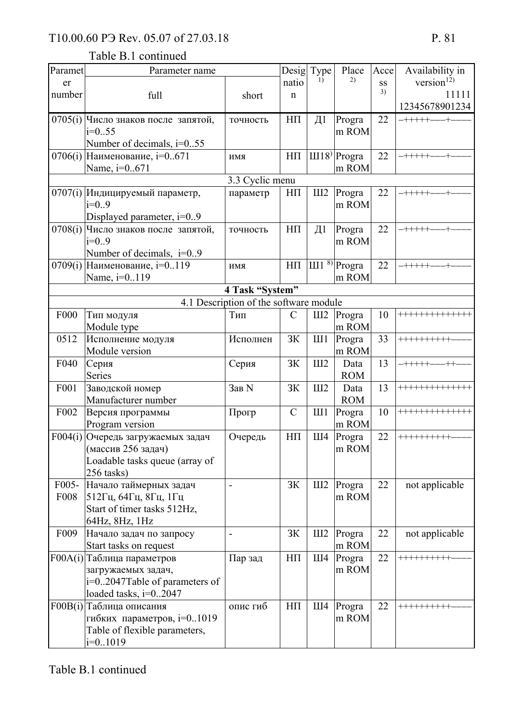## Table B.1 continued

| Paramet          | Parameter name                 |                                        |               | Desig Type       | Place                     | Acce | Availability in  |
|------------------|--------------------------------|----------------------------------------|---------------|------------------|---------------------------|------|------------------|
| er               |                                |                                        | natio         | $\mathbf{D}$     | 2)                        | SS   | version $^{12)}$ |
| number           | full                           | short                                  | n             |                  |                           | 3)   | 11111            |
|                  |                                |                                        |               |                  |                           |      | 12345678901234   |
| 0705(i)          | Число знаков после запятой,    | точность                               | $H\Pi$        | $\overline{\mu}$ | Progra                    | 22   | -+++++           |
|                  | $i=0.55$                       |                                        |               |                  | m ROM                     |      |                  |
|                  | Number of decimals, i=055      |                                        |               |                  |                           |      |                  |
| 0706(i)          | Наименование, i=0671           | ИМИ                                    | $H\Pi$        |                  | III18 <sup>)</sup> Progra | 22   | -+++++-          |
|                  | Name, i=0671                   |                                        |               |                  | m ROM                     |      |                  |
|                  |                                | 3.3 Cyclic menu                        |               |                  |                           |      |                  |
| 0707(i)          | Индицируемый параметр,         | параметр                               | $H\Pi$        | III2             | Progra                    | 22   | $- + + + + + -$  |
|                  | $i=0.9$                        |                                        |               |                  | m ROM                     |      |                  |
|                  | Displayed parameter, $i=0.9$   |                                        |               |                  |                           |      |                  |
| 0708(i)          | Число знаков после запятой,    | точность                               | $H\Pi$        | $\Box$           | Progra                    | 22   | $- + + + + + +$  |
|                  | $i=0.9$                        |                                        |               |                  | m ROM                     |      |                  |
|                  | Number of decimals, $i=0.9$    |                                        |               |                  |                           |      |                  |
| 0709(i)          | Наименование, i=0119           | ИМЯ                                    | $H\Pi$        |                  | $III1^{8}$ Progra         | 22   | $-$ +++++-       |
|                  | Name, i=0119                   |                                        |               |                  | m ROM                     |      |                  |
|                  |                                | 4 Task "System"                        |               |                  |                           |      |                  |
|                  |                                | 4.1 Description of the software module |               |                  |                           |      |                  |
| F <sub>000</sub> | Тип модуля                     | Тип                                    | $\mathcal{C}$ | III2             | Progra                    | 10   | +++++++++++++    |
|                  | Module type                    |                                        |               |                  | m ROM                     |      |                  |
| 0512             | Исполнение модуля              | Исполнен                               | <b>ЗК</b>     | III1             | Progra                    | 33   | ++++++++++       |
|                  | Module version                 |                                        |               |                  | m ROM                     |      |                  |
| F040             | Серия                          | Серия                                  | <b>ЗК</b>     | III2             | Data                      | 13   | $-$ +++++-       |
|                  | Series                         |                                        |               |                  | <b>ROM</b>                |      |                  |
| F001             | Заводской номер                | Зав N                                  | 3K            | III2             | Data                      | 13   | **************   |
|                  | Manufacturer number            |                                        |               |                  | <b>ROM</b>                |      |                  |
| F002             | Версия программы               | Прогр                                  | $\mathcal{C}$ | III1             | Progra                    | 10   | +++++++++++++    |
|                  | Program version                |                                        |               |                  | m ROM                     |      |                  |
| F004(i)          | Очередь загружаемых задач      | Очередь                                | $H\Pi$        | III4             | Progra                    | 22   | +++++++++        |
|                  | (массив 256 задач)             |                                        |               |                  | m ROM                     |      |                  |
|                  | Loadable tasks queue (array of |                                        |               |                  |                           |      |                  |
|                  | 256 tasks)                     |                                        |               |                  |                           |      |                  |
| F005-            | Начало таймерных задач         |                                        | 3K            | III2             | Progra                    | 22   | not applicable   |
| <b>F008</b>      | 512Гц, 64Гц, 8Гц, 1Гц          |                                        |               |                  | m ROM                     |      |                  |
|                  | Start of timer tasks 512Hz,    |                                        |               |                  |                           |      |                  |
|                  | 64Hz, 8Hz, 1Hz                 |                                        |               |                  |                           |      |                  |
| F <sub>009</sub> | Начало задач по запросу        | Ĭ.                                     | 3K            | III2             | Progra                    | 22   | not applicable   |
|                  | Start tasks on request         |                                        |               |                  | m ROM                     |      |                  |
|                  | F00A(i) Таблица параметров     | Пар зад                                | $H\Pi$        | III4             | Progra                    | 22   | ++++++++++       |
|                  | загружаемых задач,             |                                        |               |                  | m ROM                     |      |                  |
|                  | i=02047Table of parameters of  |                                        |               |                  |                           |      |                  |
|                  | loaded tasks, $i=02047$        |                                        |               |                  |                           |      |                  |
| F00B(i)          | Таблица описания               | опис гиб                               | $H\Pi$        | III4             | Progra                    | 22   | ++++++++++       |
|                  | гибких параметров, i=01019     |                                        |               |                  | m ROM                     |      |                  |
|                  | Table of flexible parameters,  |                                        |               |                  |                           |      |                  |
|                  | $i=0.1019$                     |                                        |               |                  |                           |      |                  |
|                  |                                |                                        |               |                  |                           |      |                  |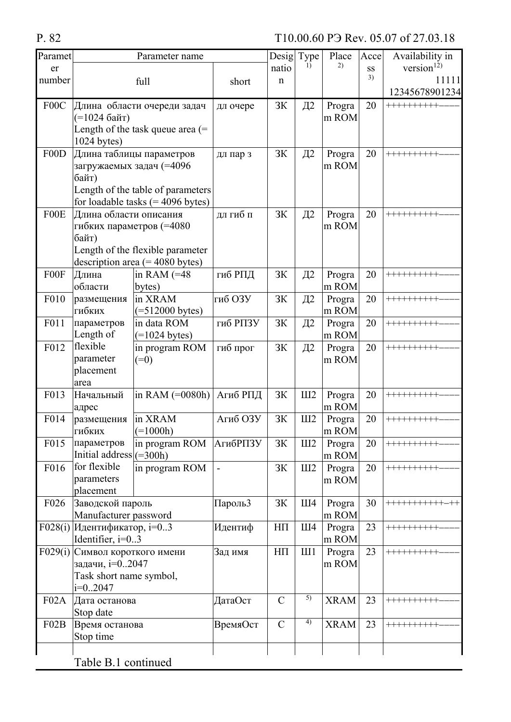| Paramet           |                                   | Parameter name                      |                 | Desigl        | Type            | Place           | Accel | Availability in         |
|-------------------|-----------------------------------|-------------------------------------|-----------------|---------------|-----------------|-----------------|-------|-------------------------|
| er                |                                   |                                     |                 | natio         | $\overline{1}$  | 2)              | SS    | version $^{12)}$        |
| number            |                                   | full                                | short           | $\mathbf n$   |                 |                 | 3)    | 11111                   |
|                   |                                   |                                     |                 |               |                 |                 |       | 12345678901234          |
| F <sub>0</sub> 0C |                                   | Длина области очереди задач         | дл очере        | 3K            | $\Box$ 2        | Progra          | 20    | ++++++++++              |
|                   | (=1024 байт)                      |                                     |                 |               |                 | m ROM           |       |                         |
|                   |                                   | Length of the task queue area $(=$  |                 |               |                 |                 |       |                         |
|                   | $1024$ bytes)                     |                                     |                 |               |                 |                 |       | ++++++++++              |
| F00D              |                                   | Длина таблицы параметров            | дл пар з        | 3K            | $\overline{A}2$ | Progra<br>m ROM | 20    |                         |
|                   | загружаемых задач (=4096<br>байт) |                                     |                 |               |                 |                 |       |                         |
|                   |                                   | Length of the table of parameters   |                 |               |                 |                 |       |                         |
|                   |                                   | for loadable tasks $(= 4096$ bytes) |                 |               |                 |                 |       |                         |
| F00E              | Длина области описания            |                                     | дл гиб п        | <b>ЗК</b>     | $\Box$ 2        | Progra          | 20    | ++++++++++              |
|                   | гибких параметров (=4080          |                                     |                 |               |                 | m ROM           |       |                         |
|                   | байт)                             |                                     |                 |               |                 |                 |       |                         |
|                   |                                   | Length of the flexible parameter    |                 |               |                 |                 |       |                         |
|                   |                                   | description area $(= 4080$ bytes)   |                 |               |                 |                 |       |                         |
| F00F              | Длина                             | in RAM $(=48$                       | гиб РПД         | <b>ЗК</b>     | $\Box$ 2        | Progra          | 20    | ++++++++++              |
|                   | области                           | bytes)                              |                 |               |                 | m ROM           |       |                         |
| F010              | размещения                        | in XRAM                             | гиб ОЗУ         | 3K            | $\overline{A2}$ | Progra          | 20    | ++++++++++              |
|                   | гибких                            | $( = 512000$ bytes)                 |                 |               |                 | m ROM           |       |                         |
| F011              | параметров<br>Length of           | in data ROM                         | гиб РПЗУ        | 3K            | Д2              | Progra          | 20    | ++++++++++              |
| F012              | flexible                          | $(=1024$ bytes)                     |                 | 3К            |                 | m ROM           | 20    | ++++++++++              |
|                   | parameter                         | in program ROM<br>$(=0)$            | гиб прог        |               | $\Box$ 2        | Progra<br>m ROM |       |                         |
|                   | placement                         |                                     |                 |               |                 |                 |       |                         |
|                   | area                              |                                     |                 |               |                 |                 |       |                         |
| F013              | Начальный                         | in RAM (=0080h)                     | Агиб РПД        | 3K            | III2            | Progra          | 20    | ++++++++++              |
|                   | адрес                             |                                     |                 |               |                 | m ROM           |       |                         |
| F014              | размещения                        | in XRAM                             | Агиб ОЗУ        | 3K            | III2            | Progra          | 20    | $+ + + + + + + + + + +$ |
|                   | гибких                            | $(=1000h)$                          |                 |               |                 | m ROM           |       |                         |
| F015              | параметров                        | in program ROM                      | <b>АгибРПЗУ</b> | 3K            | III2            | Progra          | 20    | ++++++++++              |
|                   | Initial address $  (=300h)$       |                                     |                 |               |                 | m ROM           |       |                         |
| F016              | for flexible                      | in program ROM                      |                 | 3K            | III2            | Progra          | 20    | ++++++++++              |
|                   | parameters<br>placement           |                                     |                 |               |                 | m ROM           |       |                         |
| F <sub>026</sub>  | Заводской пароль                  |                                     | Пароль3         | 3K            | III4            | Progra          | 30    | ***********-**          |
|                   | Manufacturer password             |                                     |                 |               |                 | m ROM           |       |                         |
| F028(i)           | Идентификатор, i=03               |                                     | Идентиф         | $H\Pi$        | III4            | Progra          | 23    | ++++++++++              |
|                   | Identifier, i=03                  |                                     |                 |               |                 | m ROM           |       |                         |
| F029(i)           | Символ короткого имени            |                                     | Зад имя         | $\rm HII$     | III1            | Progra          | 23    | ++++++++++              |
|                   | задачи, i=02047                   |                                     |                 |               |                 | m ROM           |       |                         |
|                   | Task short name symbol,           |                                     |                 |               |                 |                 |       |                         |
|                   | $i=0.2047$                        |                                     |                 |               |                 |                 |       |                         |
| F02A              | Дата останова                     |                                     | ДатаОст         | $\mathcal{C}$ | $\overline{5)}$ | <b>XRAM</b>     | 23    | ++++++++++              |
|                   | Stop date                         |                                     |                 |               |                 |                 |       |                         |
| F02B              | Время останова                    |                                     | ВремяОст        | $\mathcal{C}$ | 4)              | <b>XRAM</b>     | 23    | ++++++++++              |
|                   | Stop time                         |                                     |                 |               |                 |                 |       |                         |
|                   |                                   |                                     |                 |               |                 |                 |       |                         |
|                   | Table B.1 continued               |                                     |                 |               |                 |                 |       |                         |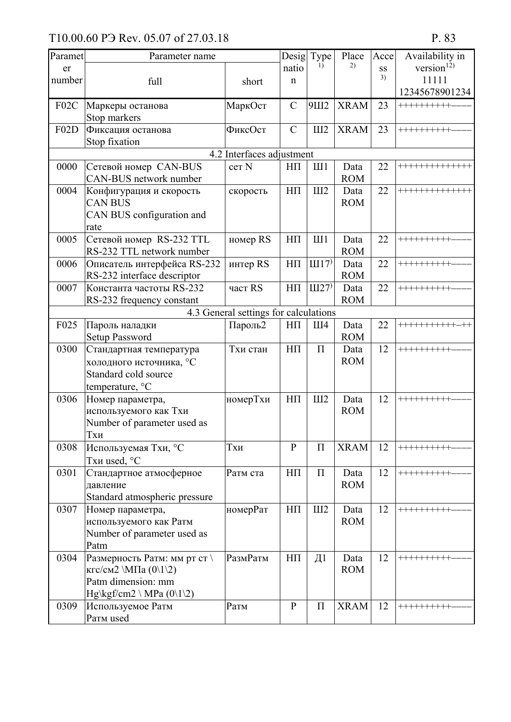| Paramet | Parameter name                               |                                       | Desigl        | Type             | Place       | Acce | Availability in  |
|---------|----------------------------------------------|---------------------------------------|---------------|------------------|-------------|------|------------------|
| er      |                                              |                                       | natio         | 1)               | 2)          | SS   | version $^{12)}$ |
| number  | full                                         | short                                 | $\mathbf n$   |                  |             | 3)   | 11111            |
|         |                                              |                                       |               |                  |             |      | 12345678901234   |
| F02C    | Маркеры останова                             | МаркОст                               | $\mathcal{C}$ | 9Ш2              | <b>XRAM</b> | 23   | ++++++++++       |
|         | Stop markers                                 |                                       |               |                  |             |      |                  |
| F02D    | Фиксация останова                            | ФиксОст                               | $\mathcal{C}$ | III2             | <b>XRAM</b> | 23   | ++++++++++       |
|         | Stop fixation                                |                                       |               |                  |             |      |                  |
|         |                                              | 4.2 Interfaces adjustment             |               |                  |             |      |                  |
| 0000    | Сетевой номер CAN-BUS                        | cer <sub>N</sub>                      | $H\Pi$        | III1             | Data        | 22   | +++++++++++++    |
|         | CAN-BUS network number                       |                                       |               |                  | <b>ROM</b>  |      |                  |
| 0004    | Конфигурация и скорость                      | скорость                              | $H\Pi$        | III2             | Data        | 22   | **************   |
|         | <b>CAN BUS</b>                               |                                       |               |                  | <b>ROM</b>  |      |                  |
|         | CAN BUS configuration and                    |                                       |               |                  |             |      |                  |
|         | rate                                         |                                       |               |                  |             |      |                  |
| 0005    | Сетевой номер RS-232 TTL                     | номер RS                              | $H\Pi$        | III1             | Data        | 22   | ++++++++++       |
|         | RS-232 TTL network number                    |                                       |               |                  | <b>ROM</b>  |      |                  |
| 0006    | Описатель интерфейса RS-232                  | интер RS                              | $H\Pi$        | III17            | Data        | 22   | ++++++++++       |
|         | RS-232 interface descriptor                  |                                       |               |                  | <b>ROM</b>  |      |                  |
| 0007    | Константа частоты RS-232                     | част RS                               | $H\Pi$        | III27            | Data        | 22   | ++++++++++       |
|         | RS-232 frequency constant                    |                                       |               |                  | <b>ROM</b>  |      |                  |
|         |                                              | 4.3 General settings for calculations |               |                  |             |      |                  |
| F025    | Пароль наладки                               | Пароль2                               | $H\Pi$        | III4             | Data        | 22   | +++++++++++-     |
|         | <b>Setup Password</b>                        |                                       |               |                  | <b>ROM</b>  |      |                  |
| 0300    | Стандартная температура                      | Тхи стан                              | $H\Pi$        | $\Pi$            | Data        | 12   | ++++++++++       |
|         | холодного источника, °С                      |                                       |               |                  | <b>ROM</b>  |      |                  |
|         | Standard cold source                         |                                       |               |                  |             |      |                  |
|         | temperature, °C                              |                                       |               |                  |             |      |                  |
| 0306    | Номер параметра,                             | номерТхи                              | $H\Pi$        | III2             | Data        | 12   | ++++++++++       |
|         | используемого как Тхи                        |                                       |               |                  | <b>ROM</b>  |      |                  |
|         | Number of parameter used as                  |                                       |               |                  |             |      |                  |
|         | Тхи                                          |                                       |               |                  |             |      |                  |
| 0308    | Используемая Тхи, °С                         | Тхи                                   | $\mathbf{P}$  | $\Pi$            | <b>XRAM</b> | 12   | ++++++++++       |
|         | Тхи used, °С                                 |                                       |               |                  |             |      |                  |
| 0301    | Стандартное атмосферное                      | Ратм ста                              | $\rm HII$     | $\Pi$            | Data        | 12   | ++++++++++       |
|         | давление                                     |                                       |               |                  | <b>ROM</b>  |      |                  |
|         | Standard atmospheric pressure                |                                       |               |                  |             |      |                  |
| 0307    | Номер параметра,                             | номерРат                              | $H\Pi$        | III2             | Data        | 12   | ++++++++++       |
|         | используемого как Ратм                       |                                       |               |                  | <b>ROM</b>  |      |                  |
|         | Number of parameter used as                  |                                       |               |                  |             |      |                  |
|         | Patm                                         |                                       |               |                  |             |      |                  |
| 0304    | Размерность Ратм: мм рт ст \                 | РазмРатм                              | $H\Pi$        | $\overline{\mu}$ | Data        | 12   | ++++++++++       |
|         | кгс/см2 \МПа $(0\1\2)$                       |                                       |               |                  | <b>ROM</b>  |      |                  |
|         | Patm dimension: mm                           |                                       |               |                  |             |      |                  |
|         | Hg\kgf/cm2 \ MPa $(0\backslash1\backslash2)$ |                                       |               |                  |             |      |                  |
| 0309    | Используемое Ратм                            | Ратм                                  | ${\bf P}$     | $\Pi$            | <b>XRAM</b> | 12   | ++++++++++       |
|         | Parm used                                    |                                       |               |                  |             |      |                  |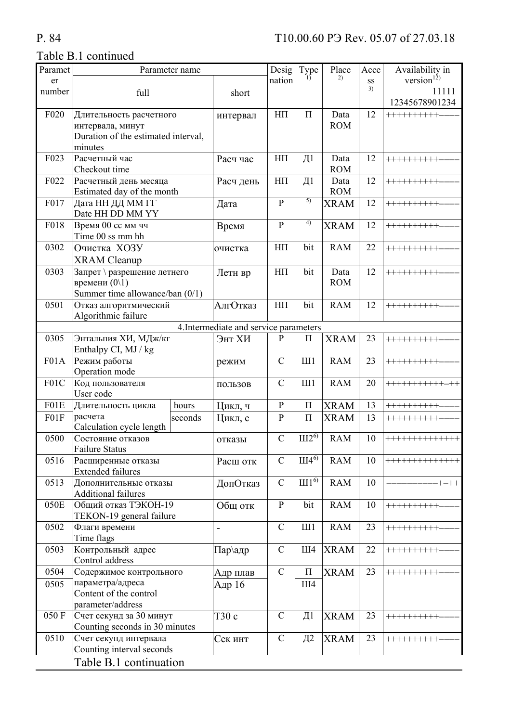## P. 84

| Paramet          |                                                          | Parameter name             |                                        | Desig          | Type              | Place              | Acce | Availability in  |
|------------------|----------------------------------------------------------|----------------------------|----------------------------------------|----------------|-------------------|--------------------|------|------------------|
| er               |                                                          |                            |                                        | nation         | $\left( \right)$  | 2)                 | SS   | version $^{12)}$ |
| number           | full                                                     |                            | short                                  |                |                   |                    | 3)   | 11111            |
|                  |                                                          |                            |                                        |                |                   |                    |      | 12345678901234   |
| F <sub>020</sub> | Длительность расчетного                                  |                            | интервал                               | $H\Pi$         | $\Pi$             | Data               | 12   | ++++++++++       |
|                  | интервала, минут                                         |                            |                                        |                |                   | <b>ROM</b>         |      |                  |
|                  | Duration of the estimated interval,                      |                            |                                        |                |                   |                    |      |                  |
|                  | minutes                                                  |                            |                                        |                |                   |                    |      |                  |
| F023             | Расчетный час                                            |                            | Расч час                               | $H\Pi$         | Д1                | Data               | 12   | ++++++++++       |
|                  | Checkout time                                            |                            |                                        |                |                   | <b>ROM</b>         |      |                  |
| F022             | Расчетный день месяца                                    |                            | Расч день                              | $H\Pi$         | $\overline{\mu}$  | Data               | 12   | ++++++++++       |
|                  |                                                          | Estimated day of the month |                                        | $\mathbf{P}$   | 5)                | <b>ROM</b>         | 12   |                  |
| F017             | Дата НН ДД ММ ГГ<br>Date HH DD MM YY                     |                            | Дата                                   |                |                   | <b>XRAM</b>        |      | ++++++++++       |
| F018             |                                                          |                            |                                        | $\overline{P}$ | 4)                |                    | 12   |                  |
|                  | Время 00 сс мм чч<br>Time 00 ss mm hh                    |                            | Время                                  |                |                   | <b>XRAM</b>        |      | ++++++++++       |
| 0302             | Очистка ХОЗУ                                             |                            |                                        | $H\Pi$         | bit               | <b>RAM</b>         | 22   | ++++++++++       |
|                  |                                                          |                            | очистка                                |                |                   |                    |      |                  |
| 0303             | <b>XRAM</b> Cleanup                                      |                            |                                        | $\rm HII$      | bit               |                    | 12   |                  |
|                  | Запрет \ разрешение летнего<br>времени $(0\backslash 1)$ |                            | Летн вр                                |                |                   | Data<br><b>ROM</b> |      | ++++++++++       |
|                  | Summer time allowance/ban (0/1)                          |                            |                                        |                |                   |                    |      |                  |
| 0501             | Отказ алгоритмический                                    |                            | АлгОтказ                               | ${\rm H}\Pi$   | bit               | <b>RAM</b>         | 12   | ++++++++++       |
|                  | Algorithmic failure                                      |                            |                                        |                |                   |                    |      |                  |
|                  |                                                          |                            | 4. Intermediate and service parameters |                |                   |                    |      |                  |
| 0305             | Энтальпия ХИ, МДж/кг                                     |                            | Энт ХИ                                 | $\mathbf{P}$   | $\Pi$             | <b>XRAM</b>        | 23   | ++++++++++       |
|                  | Enthalpy CI, MJ / kg                                     |                            |                                        |                |                   |                    |      |                  |
| F01A             | Режим работы                                             |                            | режим                                  | $\overline{C}$ | III1              | <b>RAM</b>         | 23   | ++++++++++       |
|                  | Operation mode                                           |                            |                                        |                |                   |                    |      |                  |
| F01C             | Код пользователя                                         |                            | ПОЛЬЗОВ                                | $\overline{C}$ | III1              | <b>RAM</b>         | 20   | ***********-**   |
|                  | User code                                                |                            |                                        |                |                   |                    |      |                  |
| F01E             | Длительность цикла                                       | hours                      | Цикл, ч                                | ${\bf P}$      | $\Pi$             | <b>XRAM</b>        | 13   | ++++++++++       |
| FO1F             | расчета                                                  | seconds                    | Цикл, с                                | $\overline{P}$ | $\Pi$             | <b>XRAM</b>        | 13   | ++++++++++       |
|                  | Calculation cycle length                                 |                            |                                        |                |                   |                    |      |                  |
| 0500             | Состояние отказов                                        |                            | отказы                                 | $\overline{C}$ | III2 <sup>6</sup> | <b>RAM</b>         | 10   | **************   |
|                  | <b>Failure Status</b>                                    |                            |                                        |                |                   |                    |      |                  |
| 0516             | Расширенные отказы                                       |                            | Расш отк                               | $\mathcal{C}$  | $III4^{6}$        | <b>RAM</b>         | 10   | +++++++++++++    |
|                  | <b>Extended failures</b>                                 |                            |                                        |                |                   |                    |      |                  |
| 0513             | Дополнительные отказы                                    |                            | ДопОтказ                               | $\mathcal{C}$  | III1 <sup>6</sup> | <b>RAM</b>         | 10   |                  |
|                  | <b>Additional failures</b>                               |                            |                                        |                |                   |                    |      |                  |
| 050E             | Общий отказ ТЭКОН-19                                     |                            | Общ отк                                | $\mathbf{P}$   | bit               | <b>RAM</b>         | 10   | $+++++++++++$    |
|                  | TEKON-19 general failure                                 |                            |                                        |                |                   |                    |      |                  |
| 0502             | Флаги времени                                            |                            | $\overline{\phantom{0}}$               | $\mathcal{C}$  | III1              | <b>RAM</b>         | 23   | $+++++++++++$    |
| 0503             | Time flags<br>Контрольный адрес                          |                            |                                        | $\mathcal{C}$  | Ш4                |                    | 22   |                  |
|                  | Control address                                          |                            | Пар∖адр                                |                |                   | <b>XRAM</b>        |      | ++++++++++       |
| 0504             |                                                          |                            |                                        | $\mathbf C$    | $\prod$           |                    | 23   | ++++++++++       |
| 0505             | Содержимое контрольного<br>параметра/адреса              |                            | Адр плав                               |                |                   | <b>XRAM</b>        |      |                  |
|                  | Content of the control                                   |                            | Адр 16                                 |                | Ш4                |                    |      |                  |
|                  | parameter/address                                        |                            |                                        |                |                   |                    |      |                  |
| 050 F            | Счет секунд за 30 минут                                  |                            | Т30 с                                  | $\mathcal{C}$  | Д1                | <b>XRAM</b>        | 23   | $+++++++++++$    |
|                  | Counting seconds in 30 minutes                           |                            |                                        |                |                   |                    |      |                  |
| 0510             | Счет секунд интервала                                    |                            | Сек инт                                | $\mathcal{C}$  | $\Box$ 2          | <b>XRAM</b>        | 23   | ++++++++++       |
|                  | Counting interval seconds                                |                            |                                        |                |                   |                    |      |                  |
|                  | Table B.1 continuation                                   |                            |                                        |                |                   |                    |      |                  |
|                  |                                                          |                            |                                        |                |                   |                    |      |                  |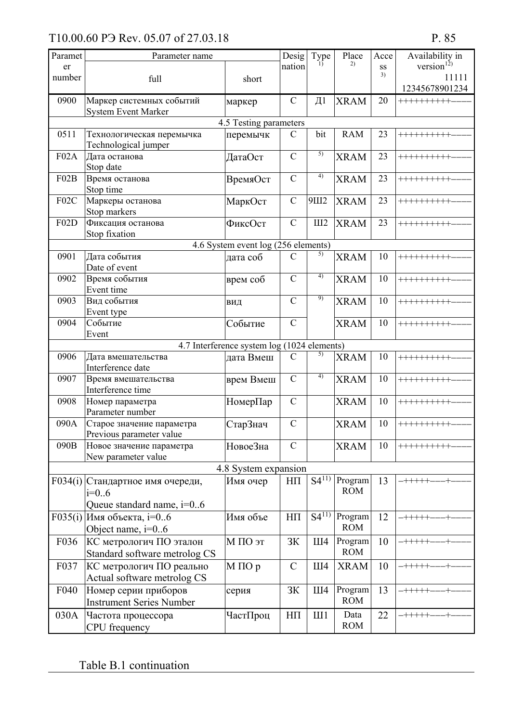| Paramet | Parameter name                                         |                                             | Desig          | Type             | Place       | Acce | Availability in         |
|---------|--------------------------------------------------------|---------------------------------------------|----------------|------------------|-------------|------|-------------------------|
| er      |                                                        |                                             | nation         | $\left( \right)$ | 2)          | SS   | version $^{12)}$        |
| number  | full                                                   | short                                       |                |                  |             | 3)   | 11111<br>12345678901234 |
| 0900    | Маркер системных событий<br><b>System Event Marker</b> | маркер                                      | $\mathcal{C}$  | $\overline{\mu}$ | <b>XRAM</b> | 20   | ++++++++++              |
|         |                                                        | 4.5 Testing parameters                      |                |                  |             |      |                         |
| 0511    | Технологическая перемычка                              | перемычк                                    | $\mathcal{C}$  | bit              | <b>RAM</b>  | 23   | ++++++++++              |
|         | Technological jumper                                   |                                             |                |                  |             |      |                         |
| F02A    | Дата останова                                          | ДатаОст                                     | $\mathcal{C}$  | $\overline{5)}$  | <b>XRAM</b> | 23   | ++++++++++              |
|         | Stop date                                              |                                             |                |                  |             |      |                         |
| F02B    | Время останова                                         | ВремяОст                                    | $\overline{C}$ | 4)               | <b>XRAM</b> | 23   | ++++++++++              |
|         | Stop time                                              |                                             |                |                  |             |      |                         |
| F02C    | Маркеры останова                                       | МаркОст                                     | $\mathcal{C}$  | 9Ш2              | <b>XRAM</b> | 23   | ++++++++++              |
|         | Stop markers                                           |                                             |                |                  |             |      |                         |
| F02D    | Фиксация останова                                      | ФиксОст                                     | $\mathcal{C}$  | III2             | <b>XRAM</b> | 23   | ++++++++++              |
|         | Stop fixation                                          | 4.6 System event log (256 elements)         |                |                  |             |      |                         |
| 0901    | Дата события                                           | дата соб                                    | $\mathcal{C}$  | 5)               | <b>XRAM</b> | 10   | ++++++++++              |
|         | Date of event                                          |                                             |                |                  |             |      |                         |
| 0902    | Время события                                          | врем соб                                    | $\overline{C}$ | 4)               | <b>XRAM</b> | 10   | ++++++++++              |
|         | Event time                                             |                                             |                |                  |             |      |                         |
| 0903    | Вид события                                            | ВИД                                         | $\mathcal{C}$  | 9)               | <b>XRAM</b> | 10   | ++++++++++              |
|         | Event type                                             |                                             |                |                  |             |      |                         |
| 0904    | Событие                                                | Событие                                     | $\mathcal{C}$  |                  | <b>XRAM</b> | 10   | ++++++++++              |
|         | Event                                                  |                                             |                |                  |             |      |                         |
|         |                                                        | 4.7 Interference system log (1024 elements) |                |                  |             |      |                         |
| 0906    | Дата вмешательства                                     | дата Вмеш                                   | $\mathcal{C}$  | 5)               | <b>XRAM</b> | 10   | ++++++++++              |
|         | Interference date                                      |                                             |                | 4)               |             |      |                         |
| 0907    | Время вмешательства                                    | врем Вмеш                                   | $\overline{C}$ |                  | <b>XRAM</b> | 10   | ++++++++++              |
| 0908    | Interference time<br>Номер параметра                   |                                             | $\mathcal{C}$  |                  | <b>XRAM</b> | 10   | ++++++++++              |
|         | Parameter number                                       | НомерПар                                    |                |                  |             |      |                         |
| 090A    | Старое значение параметра                              | СтарЗнач                                    | $\overline{C}$ |                  | <b>XRAM</b> | 10   | ++++++++++              |
|         | Previous parameter value                               |                                             |                |                  |             |      |                         |
| 090B    | Новое значение параметра                               | НовоеЗна                                    | $\mathcal{C}$  |                  | <b>XRAM</b> | 10   | ++++++++++              |
|         | New parameter value                                    |                                             |                |                  |             |      |                         |
|         |                                                        | 4.8 System expansion                        |                |                  |             |      |                         |
|         | F034(i) Стандартное имя очереди,                       | Имя очер                                    | $H\Pi$         | $S4^{11}$        | Program     | 13   | $+++++$                 |
|         | $i=0.6$                                                |                                             |                |                  | <b>ROM</b>  |      |                         |
|         | Queue standard name, $i=06$                            |                                             |                |                  |             |      |                         |
|         | $F035(i)$ Имя объекта, i=06                            | Имя объе                                    | $H\Pi$         | $S4^{11}$        | Program     | 12   | $- + + + + +$           |
|         | Object name, $i=0.6$                                   |                                             |                |                  | <b>ROM</b>  |      |                         |
| F036    | КС метрологич ПО эталон                                | М ПО эт                                     | 3K             | Ш4               | Program     | 10   | $- + + + + +$           |
|         | Standard software metrolog CS                          |                                             |                |                  | <b>ROM</b>  |      |                         |
| F037    | КС метрологич ПО реально                               | М ПОр                                       | $\mathcal{C}$  | III4             | <b>XRAM</b> | 10   | $- + + + + +$           |
|         | Actual software metrolog CS                            |                                             |                |                  |             |      |                         |
| F040    | Номер серии приборов                                   | серия                                       | <b>ЗК</b>      | III4             | Program     | 13   | $-$ +++++-              |
|         | <b>Instrument Series Number</b>                        |                                             |                |                  | <b>ROM</b>  |      |                         |
| 030A    | Частота процессора                                     | ЧастПроц                                    | $H\Pi$         | III1             | Data        | 22   | $- + + + + + +$         |
|         | CPU frequency                                          |                                             |                |                  | <b>ROM</b>  |      |                         |
|         |                                                        |                                             |                |                  |             |      |                         |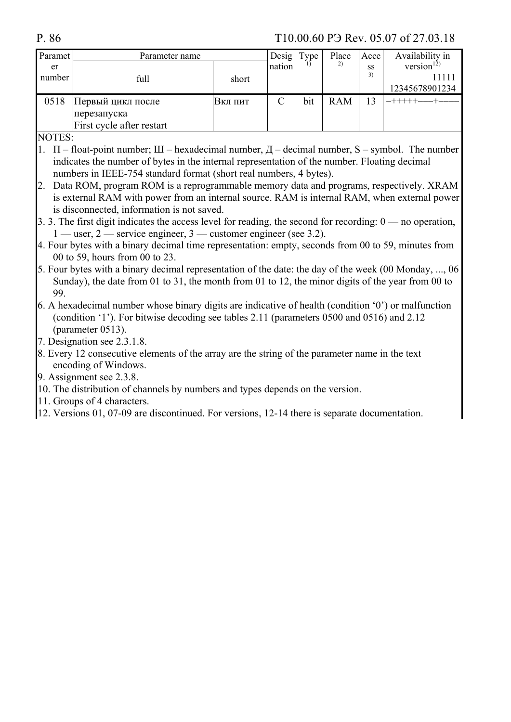| Paramet | Parameter name            |         | Desig  | Type | Place      | Acce | Availability in  |
|---------|---------------------------|---------|--------|------|------------|------|------------------|
| er      |                           |         | nation |      | 2)         | SS   | version $^{12)}$ |
| number  | full                      | short   |        |      |            | 3)   |                  |
|         |                           |         |        |      |            |      | 12345678901234   |
| 0518    | Первый цикл после         | Вкл пит |        | bit  | <b>RAM</b> | 3    |                  |
|         | перезапуска               |         |        |      |            |      |                  |
|         | First cycle after restart |         |        |      |            |      |                  |

**NOTES:** 

- 1.  $\Pi$  float-point number;  $III$  hexadecimal number,  $\overline{A}$  decimal number, S symbol. The number indicates the number of bytes in the internal representation of the number. Floating decimal numbers in IEEE-754 standard format (short real numbers, 4 bytes).
- 2. Data ROM, program ROM is a reprogrammable memory data and programs, respectively. XRAM is external RAM with power from an internal source. RAM is internal RAM, when external power is disconnected, information is not saved.
- 3. 3. The first digit indicates the access level for reading, the second for recording:  $0 \rightarrow$  no operation,  $1$  — user, 2 — service engineer, 3 — customer engineer (see 3.2).
- 4. Four bytes with a binary decimal time representation: empty, seconds from 00 to 59, minutes from 00 to 59, hours from 00 to 23.
- 5. Four bytes with a binary decimal representation of the date: the day of the week (00 Monday, ..., 06) Sunday), the date from 01 to 31, the month from 01 to 12, the minor digits of the year from 00 to 99.
- 6. A hexadecimal number whose binary digits are indicative of health (condition  $\langle 0 \rangle$ ) or malfunction (condition '1'). For bitwise decoding see tables 2.11 (parameters 0500 and 0516) and 2.12 (parameter 0513).
- 7. Designation see 2.3.1.8.
- 8. Every 12 consecutive elements of the array are the string of the parameter name in the text encoding of Windows.
- 9. Assignment see 2.3.8.
- 10. The distribution of channels by numbers and types depends on the version.
- 11. Groups of 4 characters.
- 12. Versions 01, 07-09 are discontinued. For versions, 12-14 there is separate documentation.

P.86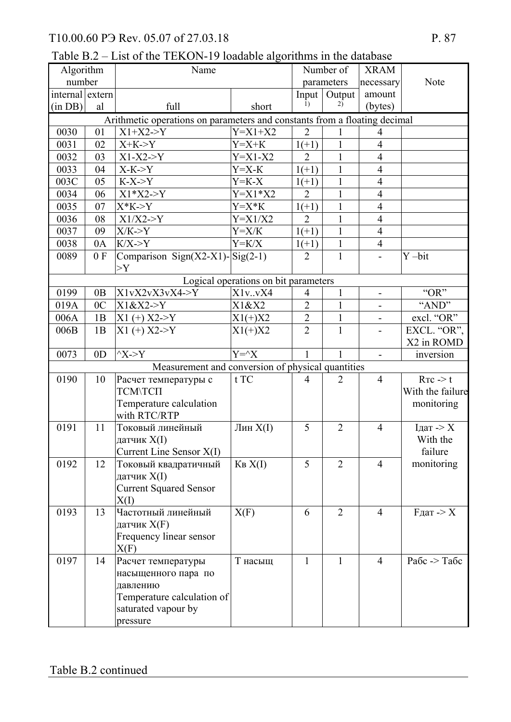Table B.2 – List of the TEKON-19 loadable algorithms in the database

| Algorithm       |                | Name                                                                      |                                      |                | Number of      | <b>XRAM</b>                  |                        |
|-----------------|----------------|---------------------------------------------------------------------------|--------------------------------------|----------------|----------------|------------------------------|------------------------|
| number          |                |                                                                           |                                      |                | parameters     | necessary                    | Note                   |
| internal extern |                |                                                                           |                                      | Input          | Output         | amount                       |                        |
| (in DB)         | al             | full                                                                      | short                                | 1)             | 2)             | (bytes)                      |                        |
|                 |                | Arithmetic operations on parameters and constants from a floating decimal |                                      |                |                |                              |                        |
| 0030            | 01             | $X1+X2->Y$                                                                | $Y = X1 + X2$                        | $\overline{2}$ | 1              | $\overline{4}$               |                        |
| 0031            | 02             | $X+K->Y$                                                                  | $Y = X + K$                          | $1(+1)$        | $\mathbf{1}$   | $\overline{4}$               |                        |
| 0032            | 03             | $X1-X2 \rightarrow Y$                                                     | $Y = X1 - X2$                        | $\overline{2}$ | 1              | $\overline{4}$               |                        |
| 0033            | 04             | $X-K > Y$                                                                 | $Y = X - K$                          | $1(+1)$        | $\mathbf{1}$   | $\overline{4}$               |                        |
| 003C            | 05             | $K-X > Y$                                                                 | $Y = K - X$                          | $1(+1)$        | $\mathbf{1}$   | $\overline{4}$               |                        |
| 0034            | 06             | $X1*X2 > Y$                                                               | $Y = X1 * X2$                        | $\overline{2}$ | 1              | $\overline{4}$               |                        |
| 0035            | 07             | $X*K > Y$                                                                 | $Y = X * K$                          | $1(+1)$        | $\mathbf{1}$   | $\overline{4}$               |                        |
| 0036            | 08             | $X1/X2 \rightarrow Y$                                                     | $Y = X1/X2$                          | $\overline{2}$ | 1              | $\overline{4}$               |                        |
| 0037            | 09             | X/K > Y                                                                   | $Y = X/K$                            | $1(+1)$        | $\mathbf{1}$   | $\overline{4}$               |                        |
| 0038            | 0A             | $K/X \rightarrow Y$                                                       | $Y = K/X$                            | $1(+1)$        | $\mathbf{1}$   | $\overline{4}$               |                        |
| 0089            | 0 F            | Comparison Sign(X2-X1)- $\text{Sig}(2-1)$                                 |                                      | $\overline{2}$ | $\mathbf{1}$   |                              | $Y - bit$              |
|                 |                | >Y                                                                        |                                      |                |                |                              |                        |
|                 |                |                                                                           | Logical operations on bit parameters |                |                |                              |                        |
| 0199            | 0B             | X1vX2vX3vX4->Y                                                            | X1v. vX4                             | 4              | $\mathbf{1}$   | $\qquad \qquad \blacksquare$ | "OR"                   |
| 019A            | 0 <sup>C</sup> | X1&X2>Y                                                                   | X1&X2                                | $\overline{2}$ | 1              | $\overline{a}$               | "AND"                  |
| 006A            | 1B             | $X1 (+) X2 > Y$                                                           | $X1(+)X2$                            | $\overline{2}$ | $\mathbf{1}$   |                              | excl. "OR"             |
| 006B            | 1B             | $X1 (+) X2 > Y$                                                           | $X1(+)X2$                            | $\overline{2}$ | $\mathbf{1}$   | $\blacksquare$               | EXCL. "OR",            |
|                 |                |                                                                           |                                      |                |                |                              | X2 in ROMD             |
| 0073            | 0 <sub>D</sub> | $^{\wedge}X$ ->Y                                                          | $Y = \hat{X}$                        | $\mathbf{1}$   | $\mathbf{1}$   | $\blacksquare$               | inversion              |
|                 |                | Measurement and conversion of physical quantities                         |                                      |                |                |                              |                        |
| 0190            | 10             | Расчет температуры с                                                      | t TC                                 | $\overline{4}$ | $\overline{2}$ | $\overline{4}$               | $R_{TC}$ $\geq$ t      |
|                 |                | <b>TCM\TCIT</b>                                                           |                                      |                |                |                              | With the failure       |
|                 |                | Temperature calculation                                                   |                                      |                |                |                              | monitoring             |
|                 |                | with RTC/RTP                                                              |                                      |                |                |                              |                        |
| 0191            | 11             | Токовый линейный                                                          | Лин X(I)                             | 5              | $\overline{2}$ | $\overline{4}$               | $Iд = > X$             |
|                 |                | датчик X(I)                                                               |                                      |                |                |                              | With the               |
|                 |                | Current Line Sensor X(I)                                                  |                                      |                |                |                              | failure                |
| 0192            | 12             | Токовый квадратичный                                                      | KB X(I)                              | 5              | $\overline{2}$ | $\overline{4}$               | monitoring             |
|                 |                | датчик X(I)                                                               |                                      |                |                |                              |                        |
|                 |                | <b>Current Squared Sensor</b>                                             |                                      |                |                |                              |                        |
|                 |                | X(I)                                                                      |                                      |                |                |                              |                        |
| 0193            | 13             | Частотный линейный                                                        | X(F)                                 | 6              | $\overline{2}$ | $\overline{4}$               | $F_{\text{A}}$ ат -> Х |
|                 |                | датчик Х(F)                                                               |                                      |                |                |                              |                        |
|                 |                | Frequency linear sensor                                                   |                                      |                |                |                              |                        |
|                 |                | X(F)                                                                      |                                      |                |                |                              |                        |
| 0197            | 14             | Расчет температуры                                                        | Т насыщ                              | $\mathbf{1}$   | $\mathbf{1}$   | $\overline{4}$               | Рабс -> Табс           |
|                 |                | насыщенного пара по                                                       |                                      |                |                |                              |                        |
|                 |                | давлению                                                                  |                                      |                |                |                              |                        |
|                 |                | Temperature calculation of                                                |                                      |                |                |                              |                        |
|                 |                | saturated vapour by                                                       |                                      |                |                |                              |                        |
|                 |                | pressure                                                                  |                                      |                |                |                              |                        |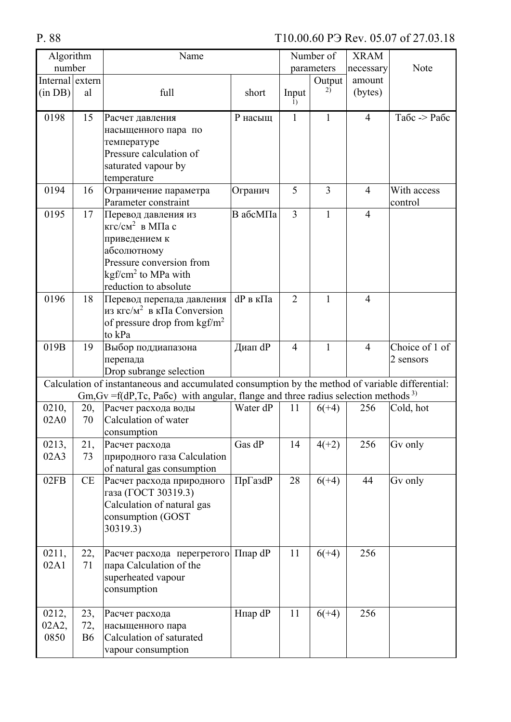| Algorithm       |           | Name                                                                                                                                                                                                    |          |                | Number of    | <b>XRAM</b>    |                |
|-----------------|-----------|---------------------------------------------------------------------------------------------------------------------------------------------------------------------------------------------------------|----------|----------------|--------------|----------------|----------------|
| number          |           |                                                                                                                                                                                                         |          |                | parameters   | necessary      | Note           |
| Internal extern |           |                                                                                                                                                                                                         |          |                | Output       | amount         |                |
| (in DB)         | al        | full                                                                                                                                                                                                    | short    | Input<br>1)    | 2)           | (bytes)        |                |
| 0198            | 15        | Расчет давления                                                                                                                                                                                         | Р насыщ  | $\mathbf{1}$   | $\mathbf{1}$ | $\overline{4}$ | Табс -> Рабс   |
|                 |           | насыщенного пара по                                                                                                                                                                                     |          |                |              |                |                |
|                 |           | температуре                                                                                                                                                                                             |          |                |              |                |                |
|                 |           | Pressure calculation of                                                                                                                                                                                 |          |                |              |                |                |
|                 |           | saturated vapour by                                                                                                                                                                                     |          |                |              |                |                |
|                 |           | temperature                                                                                                                                                                                             |          |                |              |                |                |
| 0194            | 16        | Ограничение параметра                                                                                                                                                                                   | Огранич  | 5              | 3            | $\overline{4}$ | With access    |
|                 |           | Parameter constraint                                                                                                                                                                                    |          |                |              |                | control        |
| 0195            | 17        | Перевод давления из<br>кгс/см <sup>2</sup> в МПа с                                                                                                                                                      | В абсМПа | $\overline{3}$ | $\mathbf{1}$ | $\overline{4}$ |                |
|                 |           |                                                                                                                                                                                                         |          |                |              |                |                |
|                 |           | приведением к<br>абсолютному                                                                                                                                                                            |          |                |              |                |                |
|                 |           | Pressure conversion from                                                                                                                                                                                |          |                |              |                |                |
|                 |           | kgf/cm <sup>2</sup> to MPa with                                                                                                                                                                         |          |                |              |                |                |
|                 |           | reduction to absolute                                                                                                                                                                                   |          |                |              |                |                |
| 0196            | 18        | Перевод перепада давления                                                                                                                                                                               | dP в кПа | $\overline{2}$ | 1            | $\overline{4}$ |                |
|                 |           | из кгс/м <sup>2</sup> в кПа Conversion                                                                                                                                                                  |          |                |              |                |                |
|                 |           | of pressure drop from kgf/m <sup>2</sup>                                                                                                                                                                |          |                |              |                |                |
|                 |           | to kPa                                                                                                                                                                                                  |          |                |              |                |                |
| 019B            | 19        | Выбор поддиапазона                                                                                                                                                                                      | Диап dP  | $\overline{4}$ | $\mathbf{1}$ | $\overline{4}$ | Choice of 1 of |
|                 |           | перепада                                                                                                                                                                                                |          |                |              |                | 2 sensors      |
|                 |           | Drop subrange selection                                                                                                                                                                                 |          |                |              |                |                |
|                 |           | Calculation of instantaneous and accumulated consumption by the method of variable differential:<br>$Gm$ , $Gv = f(dP, Tc, Pa6c)$ with angular, flange and three radius selection methods <sup>3)</sup> |          |                |              |                |                |
| 0210,           | 20,       | Расчет расхода воды                                                                                                                                                                                     | Water dP | 11             | $6(+4)$      | 256            | Cold, hot      |
| 02A0            | 70        | Calculation of water                                                                                                                                                                                    |          |                |              |                |                |
|                 |           | consumption                                                                                                                                                                                             |          |                |              |                |                |
| 0213,           | 21,       | Расчет расхода                                                                                                                                                                                          | Gas dP   | 14             | $4(+2)$      | 256            | Gv only        |
| 02A3            | 73        | природного газа Calculation                                                                                                                                                                             |          |                |              |                |                |
|                 |           | of natural gas consumption                                                                                                                                                                              |          |                |              |                |                |
| 02FB            | CE        | Расчет расхода природного                                                                                                                                                                               | ПрГазdР  | 28             | $6(+4)$      | 44             | Gv only        |
|                 |           | газа (ГОСТ 30319.3)                                                                                                                                                                                     |          |                |              |                |                |
|                 |           | Calculation of natural gas                                                                                                                                                                              |          |                |              |                |                |
|                 |           | consumption (GOST                                                                                                                                                                                       |          |                |              |                |                |
|                 |           | 30319.3)                                                                                                                                                                                                |          |                |              |                |                |
| 0211,           | 22,       |                                                                                                                                                                                                         |          | 11             | $6(+4)$      | 256            |                |
| 02A1            | 71        | Расчет расхода перегретого Ппар dP<br>пара Calculation of the                                                                                                                                           |          |                |              |                |                |
|                 |           | superheated vapour                                                                                                                                                                                      |          |                |              |                |                |
|                 |           | consumption                                                                                                                                                                                             |          |                |              |                |                |
|                 |           |                                                                                                                                                                                                         |          |                |              |                |                |
| 0212,           | 23,       | Расчет расхода                                                                                                                                                                                          | Нпар dP  | 11             | $6(+4)$      | 256            |                |
| 02A2,           | 72,       | насыщенного пара                                                                                                                                                                                        |          |                |              |                |                |
| 0850            | <b>B6</b> | Calculation of saturated                                                                                                                                                                                |          |                |              |                |                |
|                 |           | vapour consumption                                                                                                                                                                                      |          |                |              |                |                |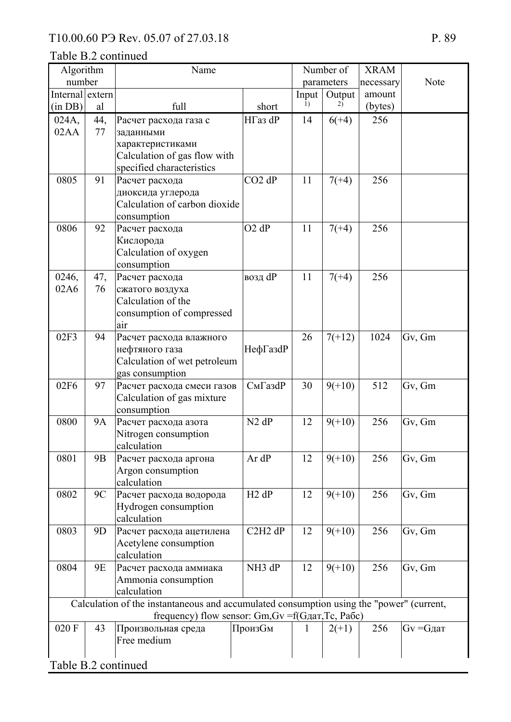| Algorithm                                                                                |                | Name                                               |                                              |              | Number of  | <b>XRAM</b> |                   |
|------------------------------------------------------------------------------------------|----------------|----------------------------------------------------|----------------------------------------------|--------------|------------|-------------|-------------------|
| number                                                                                   |                |                                                    |                                              |              | parameters | necessary   | Note              |
| Internal extern                                                                          |                |                                                    |                                              | Input        | Output     | amount      |                   |
| (in DB)                                                                                  | al             | full                                               | short                                        | 1)           | 2)         | (bytes)     |                   |
| 024A,                                                                                    | 44,            | Расчет расхода газа с                              | НГаз dP                                      | 14           | $6(+4)$    | 256         |                   |
| 02AA                                                                                     | 77             | заданными                                          |                                              |              |            |             |                   |
|                                                                                          |                | характеристиками                                   |                                              |              |            |             |                   |
|                                                                                          |                | Calculation of gas flow with                       |                                              |              |            |             |                   |
|                                                                                          |                | specified characteristics                          |                                              |              |            |             |                   |
| 0805                                                                                     | 91             | Расчет расхода                                     | $CO2$ dP                                     | 11           | $7(+4)$    | 256         |                   |
|                                                                                          |                | диоксида углерода                                  |                                              |              |            |             |                   |
|                                                                                          |                | Calculation of carbon dioxide                      |                                              |              |            |             |                   |
|                                                                                          |                | consumption                                        |                                              |              |            |             |                   |
| 0806                                                                                     | 92             | Расчет расхода                                     | $O2$ dP                                      | 11           | $7(+4)$    | 256         |                   |
|                                                                                          |                | Кислорода                                          |                                              |              |            |             |                   |
|                                                                                          |                | Calculation of oxygen                              |                                              |              |            |             |                   |
|                                                                                          |                | consumption                                        |                                              |              |            |             |                   |
| 0246,                                                                                    | 47,            | Расчет расхода                                     | возд dP                                      | 11           | $7(+4)$    | 256         |                   |
| 02A6                                                                                     | 76             | сжатого воздуха                                    |                                              |              |            |             |                   |
|                                                                                          |                | Calculation of the                                 |                                              |              |            |             |                   |
|                                                                                          |                | consumption of compressed                          |                                              |              |            |             |                   |
|                                                                                          |                | air                                                |                                              | 26           |            | 1024        |                   |
| 02F3                                                                                     | 94             | Расчет расхода влажного                            |                                              |              | $7(+12)$   |             | Gv, Gm            |
|                                                                                          |                | нефтяного газа<br>Calculation of wet petroleum     | НефГазdР                                     |              |            |             |                   |
|                                                                                          |                |                                                    |                                              |              |            |             |                   |
| 02F6                                                                                     | 97             | gas consumption<br>Расчет расхода смеси газов      | СмГазdР                                      | 30           | $9(+10)$   | 512         | Gv, Gm            |
|                                                                                          |                | Calculation of gas mixture                         |                                              |              |            |             |                   |
|                                                                                          |                | consumption                                        |                                              |              |            |             |                   |
| 0800                                                                                     | <b>9A</b>      | Расчет расхода азота                               | $N2$ dP                                      | 12           | $9(+10)$   | 256         | Gv, Gm            |
|                                                                                          |                | Nitrogen consumption                               |                                              |              |            |             |                   |
|                                                                                          |                | calculation                                        |                                              |              |            |             |                   |
| 0801                                                                                     | 9 <sub>B</sub> | Расчет расхода аргона                              | Ar dP                                        | 12           | $9(+10)$   | 256         | Gv, Gm            |
|                                                                                          |                | Argon consumption                                  |                                              |              |            |             |                   |
|                                                                                          |                | calculation                                        |                                              |              |            |             |                   |
| 0802                                                                                     | 9C             | Расчет расхода водорода                            | $H2$ dP                                      | 12           | $9(+10)$   | 256         | Gv, Gm            |
|                                                                                          |                | Hydrogen consumption                               |                                              |              |            |             |                   |
|                                                                                          |                | calculation                                        |                                              |              |            |             |                   |
| 0803                                                                                     | 9D             | Расчет расхода ацетилена                           | C <sub>2</sub> H <sub>2</sub> d <sub>P</sub> | 12           | $9(+10)$   | 256         | Gv, Gm            |
|                                                                                          |                | Acetylene consumption                              |                                              |              |            |             |                   |
|                                                                                          |                | calculation                                        |                                              |              |            |             |                   |
| 0804                                                                                     | 9E             | Расчет расхода аммиака                             | NH <sub>3</sub> dP                           | 12           | $9(+10)$   | 256         | Gv, Gm            |
|                                                                                          |                | Ammonia consumption                                |                                              |              |            |             |                   |
| calculation                                                                              |                |                                                    |                                              |              |            |             |                   |
| Calculation of the instantaneous and accumulated consumption using the "power" (current, |                |                                                    |                                              |              |            |             |                   |
|                                                                                          |                | frequency) flow sensor: Gm, Gv = f(Gдат, Tc, Рабс) |                                              |              |            |             |                   |
| 020 F                                                                                    | 43             | Произвольная среда                                 | ПроизСм                                      | $\mathbf{I}$ | $2(+1)$    | 256         | $Gv = G\pi a\tau$ |
|                                                                                          |                | Free medium                                        |                                              |              |            |             |                   |
|                                                                                          |                |                                                    |                                              |              |            |             |                   |
| Table B.2 continued                                                                      |                |                                                    |                                              |              |            |             |                   |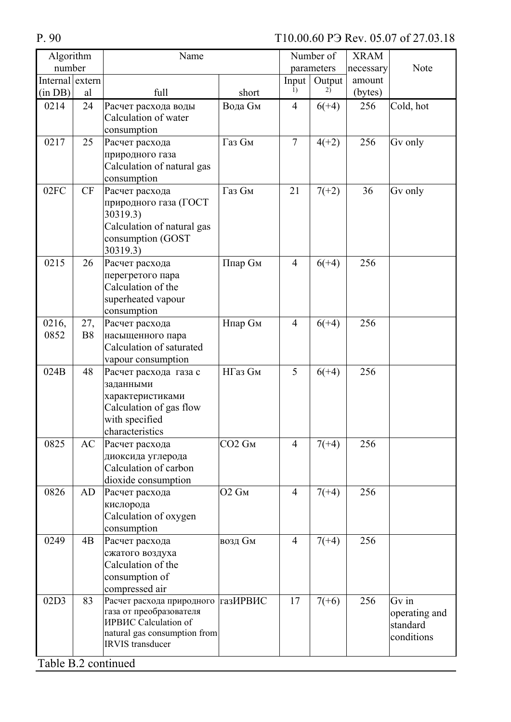| Algorithm           |                  | Name                                                                                                                                             |                                |                | Number of  | <b>XRAM</b> |                                                  |
|---------------------|------------------|--------------------------------------------------------------------------------------------------------------------------------------------------|--------------------------------|----------------|------------|-------------|--------------------------------------------------|
| number              |                  |                                                                                                                                                  |                                |                | parameters | necessary   | Note                                             |
| Internal extern     |                  |                                                                                                                                                  |                                | Input          | Output     | amount      |                                                  |
| (in DB)             | al               | full                                                                                                                                             | short                          | 1)             | 2)         | (bytes)     |                                                  |
| 0214                | 24               | Расчет расхода воды<br>Calculation of water<br>consumption                                                                                       | <b>Вода Gм</b>                 | 4              | $6(+4)$    | 256         | Cold, hot                                        |
| 0217                | 25               | Расчет расхода<br>природного газа<br>Calculation of natural gas<br>consumption                                                                   | Газ См                         | $\overline{7}$ | $4(+2)$    | 256         | Gv only                                          |
| 02FC                | <b>CF</b>        | Расчет расхода<br>природного газа (ГОСТ<br>30319.3)<br>Calculation of natural gas<br>consumption (GOST<br>30319.3)                               | Газ См                         | 21             | $7(+2)$    | 36          | Gv only                                          |
| 0215                | 26               | Расчет расхода<br>перегретого пара<br>Calculation of the<br>superheated vapour<br>consumption                                                    | Ппар См                        | $\overline{4}$ | $6(+4)$    | 256         |                                                  |
| 0216,<br>0852       | 27,<br><b>B8</b> | Расчет расхода<br>насыщенного пара<br>Calculation of saturated<br>vapour consumption                                                             | <b>Нпар Gм</b>                 | $\overline{4}$ | $6(+4)$    | 256         |                                                  |
| 024B                | 48               | Расчет расхода газа с<br>заданными<br>характеристиками<br>Calculation of gas flow<br>with specified<br>characteristics                           | НГаз См                        | 5              | $6(+4)$    | 256         |                                                  |
| 0825                | AC               | Расчет расхода<br>диоксида углерода<br>Calculation of carbon<br>dioxide consumption                                                              | CO <sub>2</sub> G <sub>M</sub> | $\overline{4}$ | $7(+4)$    | 256         |                                                  |
| 0826                | AD               | Расчет расхода<br>кислорода<br>Calculation of oxygen<br>consumption                                                                              | O <sub>2</sub> Gм              | $\overline{4}$ | $7(+4)$    | 256         |                                                  |
| 0249                | 4B               | Расчет расхода<br>сжатого воздуха<br>Calculation of the<br>consumption of<br>compressed air                                                      | возд См                        | $\overline{4}$ | $7(+4)$    | 256         |                                                  |
| 02D3                | 83               | Расчет расхода природного газИРВИС<br>газа от преобразователя<br>ИРВИС Calculation of<br>natural gas consumption from<br><b>IRVIS</b> transducer |                                | 17             | $7(+6)$    | 256         | Gv in<br>operating and<br>standard<br>conditions |
| Table B.2 continued |                  |                                                                                                                                                  |                                |                |            |             |                                                  |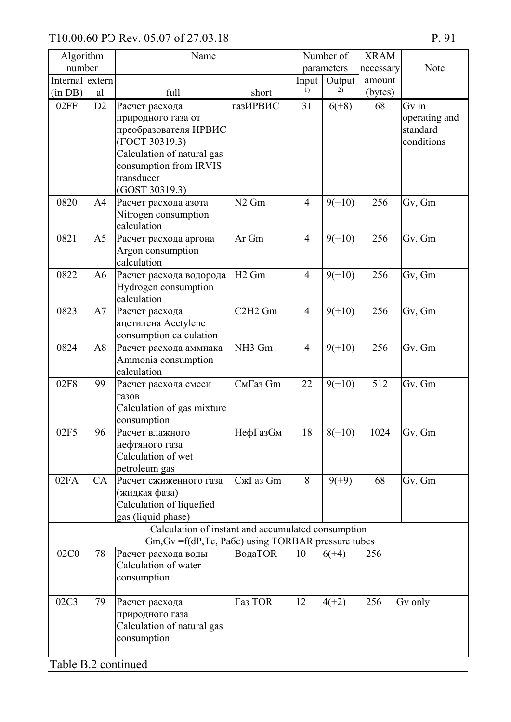| Algorithm       |                | Name                                                      |                                  |                | Number of  | <b>XRAM</b> |               |
|-----------------|----------------|-----------------------------------------------------------|----------------------------------|----------------|------------|-------------|---------------|
| number          |                |                                                           |                                  |                | parameters | necessary   | Note          |
| Internal extern |                |                                                           |                                  | Input          | Output     | amount      |               |
| (in DB)         | al             | full                                                      | short                            | 1)             | 2)         | (bytes)     |               |
| 02FF            | D <sub>2</sub> | Расчет расхода                                            | <b>газИРВИС</b>                  | 31             | $6(+8)$    | 68          | $Gv$ in       |
|                 |                | природного газа от                                        |                                  |                |            |             | operating and |
|                 |                | преобразователя ИРВИС                                     |                                  |                |            |             | standard      |
|                 |                | (ГОСТ 30319.3)                                            |                                  |                |            |             | conditions    |
|                 |                | Calculation of natural gas                                |                                  |                |            |             |               |
|                 |                | consumption from IRVIS                                    |                                  |                |            |             |               |
|                 |                | transducer                                                |                                  |                |            |             |               |
| 0820            |                | (GOST 30319.3)                                            | $N2$ Gm                          | $\overline{4}$ |            | 256         |               |
|                 | A4             | Расчет расхода азота<br>Nitrogen consumption              |                                  |                | $9(+10)$   |             | Gv, Gm        |
|                 |                | calculation                                               |                                  |                |            |             |               |
| 0821            | A <sub>5</sub> | Расчет расхода аргона                                     | Ar Gm                            | $\overline{4}$ | $9(+10)$   | 256         | Gv, Gm        |
|                 |                | Argon consumption                                         |                                  |                |            |             |               |
|                 |                | calculation                                               |                                  |                |            |             |               |
| 0822            | A6             | Расчет расхода водорода                                   | H <sub>2</sub> Gm                | $\overline{4}$ | $9(+10)$   | 256         | Gv, Gm        |
|                 |                | Hydrogen consumption                                      |                                  |                |            |             |               |
|                 |                | calculation                                               |                                  |                |            |             |               |
| 0823            | A7             | Расчет расхода                                            | C <sub>2</sub> H <sub>2</sub> Gm | $\overline{4}$ | $9(+10)$   | 256         | Gv, Gm        |
|                 |                | ацетилена Acetylene                                       |                                  |                |            |             |               |
|                 |                | consumption calculation                                   |                                  |                |            |             |               |
| 0824            | A8             | Расчет расхода аммиака                                    | NH <sub>3</sub> Gm               | $\overline{4}$ | $9(+10)$   | 256         | Gv, Gm        |
|                 |                | Ammonia consumption                                       |                                  |                |            |             |               |
|                 |                | calculation                                               |                                  |                |            |             |               |
| 02F8            | 99             | Расчет расхода смеси                                      | СмГаз Gm                         | 22             | $9(+10)$   | 512         | Gv, Gm        |
|                 |                | газов                                                     |                                  |                |            |             |               |
|                 |                | Calculation of gas mixture                                |                                  |                |            |             |               |
| 02F5            | 96             | consumption<br>Расчет влажного                            | НефГазСм                         | 18             | $8(+10)$   | 1024        | Gv, Gm        |
|                 |                | нефтяного газа                                            |                                  |                |            |             |               |
|                 |                | Calculation of wet                                        |                                  |                |            |             |               |
|                 |                | petroleum gas                                             |                                  |                |            |             |               |
| 02FA            | CA             | Расчет сжиженного газа                                    | СжГаз Gm                         | 8              | $9(+9)$    | 68          | Gv, Gm        |
|                 |                | (жидкая фаза)                                             |                                  |                |            |             |               |
|                 |                | Calculation of liquefied                                  |                                  |                |            |             |               |
|                 |                | gas (liquid phase)                                        |                                  |                |            |             |               |
|                 |                | Calculation of instant and accumulated consumption        |                                  |                |            |             |               |
|                 |                | $Gm$ , $Gv = f(dP, Tc, Pa6c)$ using TORBAR pressure tubes |                                  |                |            |             |               |
| 02C0            | 78             | Расчет расхода воды                                       | <b>ВодаТОR</b>                   | 10             | $6(+4)$    | 256         |               |
|                 |                | Calculation of water                                      |                                  |                |            |             |               |
|                 |                | consumption                                               |                                  |                |            |             |               |
| 02C3            |                |                                                           | Газ TOR                          | 12             |            | 256         |               |
|                 | 79             | Расчет расхода                                            |                                  |                | $4(+2)$    |             | Gv only       |
|                 |                | природного газа<br>Calculation of natural gas             |                                  |                |            |             |               |
|                 |                | consumption                                               |                                  |                |            |             |               |
|                 |                |                                                           |                                  |                |            |             |               |
| $T - 11 - D$    |                |                                                           |                                  |                |            |             |               |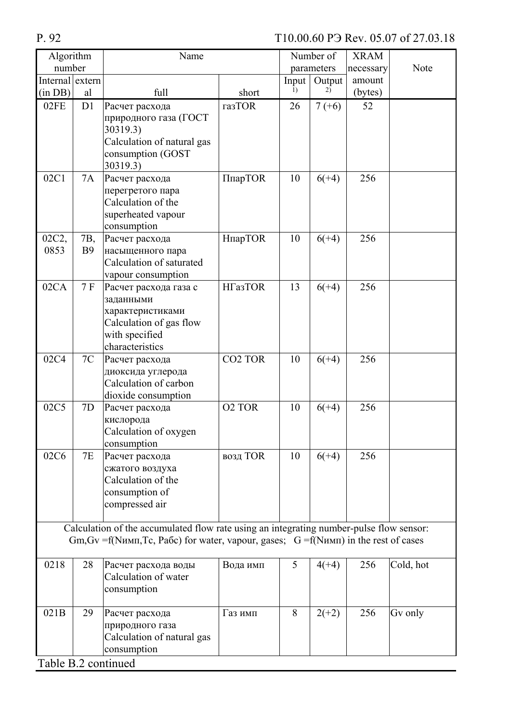| Algorithm                                                                                                                                                                                           |                  | Name                                                                                                                   |                    |       | Number of  | <b>XRAM</b> |           |
|-----------------------------------------------------------------------------------------------------------------------------------------------------------------------------------------------------|------------------|------------------------------------------------------------------------------------------------------------------------|--------------------|-------|------------|-------------|-----------|
| number                                                                                                                                                                                              |                  |                                                                                                                        |                    |       | parameters | necessary   | Note      |
| Internal extern                                                                                                                                                                                     |                  |                                                                                                                        |                    | Input | Output     | amount      |           |
| (in DB)                                                                                                                                                                                             | al               | full                                                                                                                   | short              | 1)    | 2)         | (bytes)     |           |
| 02FE                                                                                                                                                                                                | D1               | Расчет расхода<br>природного газа (ГОСТ<br>30319.3)<br>Calculation of natural gas<br>consumption (GOST<br>30319.3)     | газTOR             | 26    | $7(+6)$    | 52          |           |
| 02C1                                                                                                                                                                                                | 7A               | Расчет расхода<br>перегретого пара<br>Calculation of the<br>superheated vapour<br>consumption                          | ПпарТOR            | 10    | $6(+4)$    | 256         |           |
| 02C2,<br>0853                                                                                                                                                                                       | 7B,<br><b>B9</b> | Расчет расхода<br>насыщенного пара<br>Calculation of saturated<br>vapour consumption                                   | НпарТОR            | 10    | $6(+4)$    | 256         |           |
| 02CA                                                                                                                                                                                                | 7F               | Расчет расхода газа с<br>заданными<br>характеристиками<br>Calculation of gas flow<br>with specified<br>characteristics | <b>HГазТОR</b>     | 13    | $6(+4)$    | 256         |           |
| 02C4                                                                                                                                                                                                | 7C               | Расчет расхода<br>диоксида углерода<br>Calculation of carbon<br>dioxide consumption                                    | <b>CO2 TOR</b>     | 10    | $6(+4)$    | 256         |           |
| 02C5                                                                                                                                                                                                | 7D               | Расчет расхода<br>кислорода<br>Calculation of oxygen<br>consumption                                                    | O <sub>2</sub> TOR | 10    | $6(+4)$    | 256         |           |
| 02C6                                                                                                                                                                                                | 7E               | Расчет расхода<br>сжатого воздуха<br>Calculation of the<br>consumption of<br>compressed air                            | возд TOR           | 10    | $6(+4)$    | 256         |           |
| Calculation of the accumulated flow rate using an integrating number-pulse flow sensor:<br>$Gm$ , $Gv = f(N$ имп, Tc, Pa <sub>0</sub> for water, vapour, gases; $G = f(N$ имп) in the rest of cases |                  |                                                                                                                        |                    |       |            |             |           |
| 0218                                                                                                                                                                                                | 28               | Расчет расхода воды<br>Calculation of water<br>consumption                                                             | Вода имп           | 5     | $4(+4)$    | 256         | Cold, hot |
| 021B<br>Table B.2 continued                                                                                                                                                                         | 29               | Расчет расхода<br>природного газа<br>Calculation of natural gas<br>consumption                                         | Газ имп            | 8     | $2(+2)$    | 256         | Gv only   |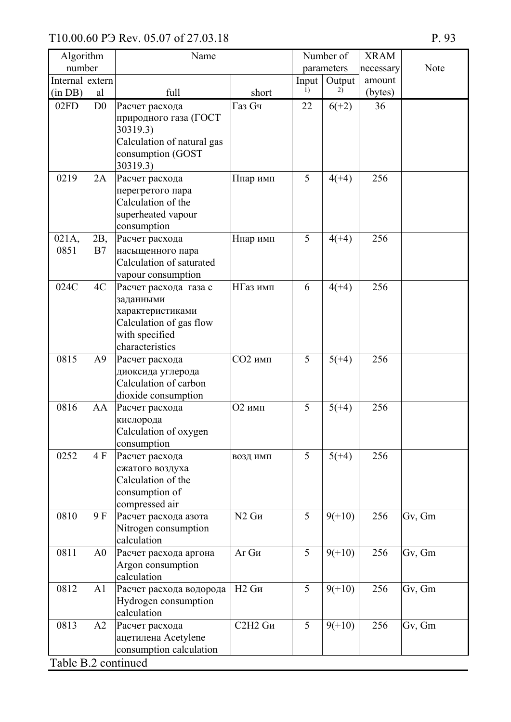| Algorithm                   |                | Name                                                                                                                   |              |       | Number of  | <b>XRAM</b> |        |
|-----------------------------|----------------|------------------------------------------------------------------------------------------------------------------------|--------------|-------|------------|-------------|--------|
| number                      |                |                                                                                                                        |              |       | parameters | necessary   | Note   |
| Internal extern             |                |                                                                                                                        |              | Input | Output     | amount      |        |
| (in DB)                     | al             | full                                                                                                                   | short        | 1)    | 2)         | (bytes)     |        |
| 02FD                        | D <sub>0</sub> | Расчет расхода<br>природного газа (ГОСТ<br>30319.3)<br>Calculation of natural gas<br>consumption (GOST<br>30319.3)     | Газ Сч       | 22    | $6(+2)$    | 36          |        |
| 0219                        | 2A             | Расчет расхода<br>перегретого пара<br>Calculation of the<br>superheated vapour<br>consumption                          | Ппар имп     | 5     | $4(+4)$    | 256         |        |
| 021A,<br>0851               | 2B,<br>B7      | Расчет расхода<br>насыщенного пара<br>Calculation of saturated<br>vapour consumption                                   | Нпар имп     | 5     | $4(+4)$    | 256         |        |
| 024C                        | 4C             | Расчет расхода газа с<br>заданными<br>характеристиками<br>Calculation of gas flow<br>with specified<br>characteristics | НГаз имп     | 6     | $4(+4)$    | 256         |        |
| 0815                        | A <sup>9</sup> | Расчет расхода<br>диоксида углерода<br>Calculation of carbon<br>dioxide consumption                                    | СО2 имп      | 5     | $5(+4)$    | 256         |        |
| 0816                        | AA             | Расчет расхода<br>кислорода<br>Calculation of oxygen<br>consumption                                                    | О2 имп       | 5     | $5(+4)$    | 256         |        |
| 0252                        | 4 F            | Расчет расхода<br>сжатого воздуха<br>Calculation of the<br>consumption of<br>compressed air                            | ВОЗД ИМП     | 5     | $5(+4)$    | 256         |        |
| 0810                        | 9 F            | Расчет расхода азота<br>Nitrogen consumption<br>calculation                                                            | $N2$ $Gn$    | 5     | $9(+10)$   | 256         | Gv, Gm |
| 0811                        | A <sub>0</sub> | Расчет расхода аргона<br>Argon consumption<br>calculation                                                              | Aг Gи        | 5     | $9(+10)$   | 256         | Gv, Gm |
| 0812                        | A1             | Расчет расхода водорода<br>Hydrogen consumption<br>calculation                                                         | <b>Н2 Gи</b> | 5     | $9(+10)$   | 256         | Gv, Gm |
| 0813<br>$TableD2$ continued | A2             | Расчет расхода<br>ацетилена Acetylene<br>consumption calculation                                                       | С2Н2 Gи      | 5     | $9(+10)$   | 256         | Gv, Gm |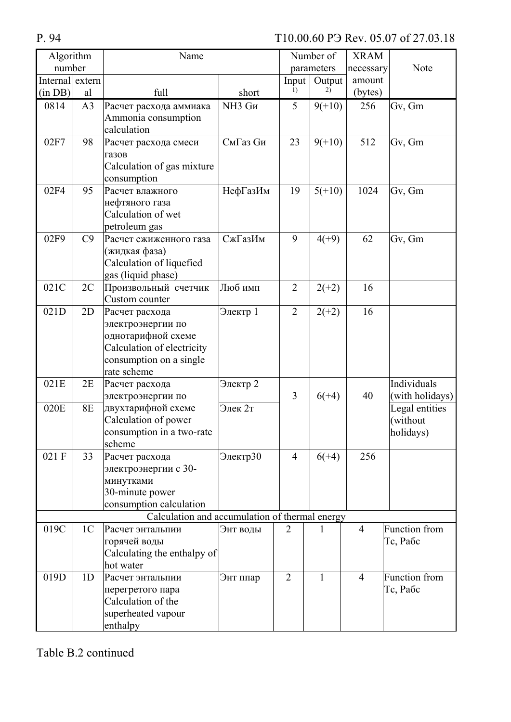| Algorithm                           |                | Name                                           |                    |                | Number of  | <b>XRAM</b>    |                 |
|-------------------------------------|----------------|------------------------------------------------|--------------------|----------------|------------|----------------|-----------------|
| number                              |                |                                                |                    |                | parameters | necessary      | Note            |
| $\overline{\text{Internal}}$ extern |                |                                                |                    | Input          | Output     | amount         |                 |
| (in DB)                             | al             | full                                           | short              | 1)             | 2)         | (bytes)        |                 |
| 0814                                | A <sub>3</sub> | Расчет расхода аммиака                         | NH <sub>3</sub> Gи | 5              | $9(+10)$   | 256            | Gv, Gm          |
|                                     |                | Ammonia consumption                            |                    |                |            |                |                 |
|                                     |                | calculation                                    |                    |                |            |                |                 |
| 02F7                                | 98             | Расчет расхода смеси                           | СмГаз Си           | 23             | $9(+10)$   | 512            | Gv, Gm          |
|                                     |                | газов                                          |                    |                |            |                |                 |
|                                     |                | Calculation of gas mixture                     |                    |                |            |                |                 |
|                                     |                | consumption                                    |                    |                |            |                |                 |
| 02F4                                | 95             | Расчет влажного                                | НефГазИм           | 19             | $5(+10)$   | 1024           | Gv, Gm          |
|                                     |                | нефтяного газа                                 |                    |                |            |                |                 |
|                                     |                | Calculation of wet                             |                    |                |            |                |                 |
|                                     |                | petroleum gas                                  |                    |                |            |                |                 |
| 02F9                                | C9             | Расчет сжиженного газа                         | СжГазИм            | 9              | $4(+9)$    | 62             | Gv, Gm          |
|                                     |                | (жидкая фаза)                                  |                    |                |            |                |                 |
|                                     |                | Calculation of liquefied                       |                    |                |            |                |                 |
|                                     |                | gas (liquid phase)                             |                    |                |            |                |                 |
| 021C                                | 2C             | Произвольный счетчик                           | Люб имп            | $\overline{2}$ | $2(+2)$    | 16             |                 |
|                                     |                | Custom counter                                 |                    |                |            |                |                 |
| 021D                                | 2D             | Расчет расхода                                 | Электр 1           | $\overline{2}$ | $2(+2)$    | 16             |                 |
|                                     |                | электроэнергии по                              |                    |                |            |                |                 |
|                                     |                | однотарифной схеме                             |                    |                |            |                |                 |
|                                     |                | Calculation of electricity                     |                    |                |            |                |                 |
|                                     |                | consumption on a single                        |                    |                |            |                |                 |
|                                     |                | rate scheme                                    |                    |                |            |                |                 |
| 021E                                | 2E             | Расчет расхода                                 | Электр 2           |                |            |                | Individuals     |
|                                     |                | электроэнергии по                              |                    | 3              | $6(+4)$    | 40             | (with holidays) |
| 020E                                | <b>8E</b>      | двухтарифной схеме                             | Элек 2т            |                |            |                | Legal entities  |
|                                     |                | Calculation of power                           |                    |                |            |                | (without        |
|                                     |                | consumption in a two-rate                      |                    |                |            |                | holidays)       |
|                                     |                | scheme                                         |                    |                |            |                |                 |
| 021 F                               | 33             | Расчет расхода                                 | Электр30           | $\overline{4}$ | $6(+4)$    | 256            |                 |
|                                     |                | электроэнергии с 30-                           |                    |                |            |                |                 |
|                                     |                | минутками                                      |                    |                |            |                |                 |
|                                     |                | 30-minute power                                |                    |                |            |                |                 |
|                                     |                | consumption calculation                        |                    |                |            |                |                 |
|                                     |                | Calculation and accumulation of thermal energy |                    |                |            |                |                 |
| 019C                                | 1 <sup>C</sup> | Расчет энтальпии                               | Энт воды           | $\overline{2}$ | 1          | $\overline{4}$ | Function from   |
|                                     |                | горячей воды                                   |                    |                |            |                | Тс, Рабс        |
|                                     |                | Calculating the enthalpy of<br>hot water       |                    |                |            |                |                 |
| 019D                                |                |                                                |                    | $\overline{2}$ |            |                | Function from   |
|                                     | 1 <sub>D</sub> | Расчет энтальпии                               | Энт ппар           |                | 1          | $\overline{4}$ |                 |
|                                     |                | перегретого пара<br>Calculation of the         |                    |                |            |                | Тс, Рабс        |
|                                     |                | superheated vapour                             |                    |                |            |                |                 |
|                                     |                | enthalpy                                       |                    |                |            |                |                 |
|                                     |                |                                                |                    |                |            |                |                 |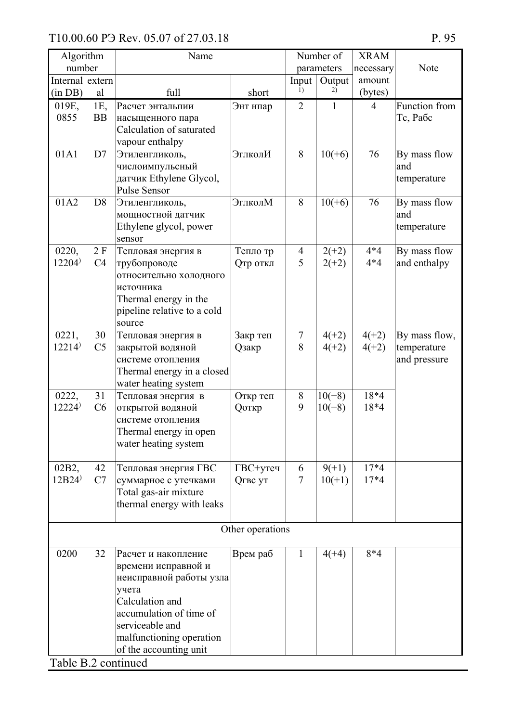| Algorithm                         |                | Name                                           |                  |                | Number of    | <b>XRAM</b>    |                     |
|-----------------------------------|----------------|------------------------------------------------|------------------|----------------|--------------|----------------|---------------------|
| number                            |                |                                                |                  |                | parameters   | necessary      | Note                |
| Internal extern                   |                |                                                |                  | Input<br>1)    | Output<br>2) | amount         |                     |
| (in DB)                           | al             | full                                           | short            |                |              | (bytes)        |                     |
| 019E,                             | 1E,            | Расчет энтальпии                               | Энт нпар         | $\overline{2}$ | 1            | $\overline{4}$ | Function from       |
| 0855                              | <b>BB</b>      | насыщенного пара                               |                  |                |              |                | Тс, Рабс            |
|                                   |                | Calculation of saturated                       |                  |                |              |                |                     |
|                                   |                | vapour enthalpy                                |                  |                |              |                |                     |
| 01A1                              | D7             | Этиленгликоль,                                 | ЭглколИ          | 8              | $10(+6)$     | 76             | By mass flow        |
|                                   |                | числоимпульсный                                |                  |                |              |                | and                 |
|                                   |                | датчик Ethylene Glycol,<br><b>Pulse Sensor</b> |                  |                |              |                | temperature         |
|                                   |                |                                                |                  | 8              |              |                |                     |
| 01A2                              | D <sub>8</sub> | Этиленгликоль,                                 | ЭглколМ          |                | $10(+6)$     | 76             | By mass flow<br>and |
|                                   |                | мощностной датчик<br>Ethylene glycol, power    |                  |                |              |                |                     |
|                                   |                | sensor                                         |                  |                |              |                | temperature         |
| 0220,                             | 2 F            | Тепловая энергия в                             | Тепло тр         | $\overline{4}$ | $2(+2)$      | $4*4$          | By mass flow        |
| $12204$ <sup><math>)</math></sup> | C <sub>4</sub> | трубопроводе                                   | Отр откл         | 5              | $2(+2)$      | $4*4$          | and enthalpy        |
|                                   |                | относительно холодного                         |                  |                |              |                |                     |
|                                   |                | источника                                      |                  |                |              |                |                     |
|                                   |                | Thermal energy in the                          |                  |                |              |                |                     |
|                                   |                | pipeline relative to a cold                    |                  |                |              |                |                     |
|                                   |                | source                                         |                  |                |              |                |                     |
| 0221,                             | 30             | Тепловая энергия в                             | Закр теп         | $\overline{7}$ | $4(+2)$      | $4(+2)$        | By mass flow,       |
| $12214$ <sup><math>)</math></sup> | C <sub>5</sub> | закрытой водяной                               | <b>Q</b> закр    | 8              | $4(+2)$      | $4(+2)$        | temperature         |
|                                   |                | системе отопления                              |                  |                |              |                | and pressure        |
|                                   |                | Thermal energy in a closed                     |                  |                |              |                |                     |
|                                   |                | water heating system                           |                  |                |              |                |                     |
| 0222,                             | 31             | Тепловая энергия в                             | Откр теп         | 8              | $10(+8)$     | 18*4           |                     |
| $12224$ <sup><math>)</math></sup> | C6             | открытой водяной                               | <b>Q</b> откр    | 9              | $10(+8)$     | 18*4           |                     |
|                                   |                | системе отопления                              |                  |                |              |                |                     |
|                                   |                | Thermal energy in open                         |                  |                |              |                |                     |
|                                   |                | water heating system                           |                  |                |              |                |                     |
|                                   |                |                                                |                  |                |              |                |                     |
| 02B2,                             | 42             | Тепловая энергия ГВС                           | ГВС+утеч         | 6              | $9(+1)$      | $17*4$         |                     |
| 12B24'                            | C7             | суммарное с утечками                           | Огвс ут          | 7              | $10(+1)$     | $17*4$         |                     |
|                                   |                | Total gas-air mixture                          |                  |                |              |                |                     |
|                                   |                | thermal energy with leaks                      |                  |                |              |                |                     |
|                                   |                |                                                |                  |                |              |                |                     |
|                                   |                |                                                | Other operations |                |              |                |                     |
| 0200                              | 32             | Расчет и накопление                            | Врем раб         | $\mathbf{1}$   | $4(+4)$      | $8*4$          |                     |
|                                   |                | времени исправной и                            |                  |                |              |                |                     |
|                                   |                | неисправной работы узла                        |                  |                |              |                |                     |
|                                   |                | учета                                          |                  |                |              |                |                     |
|                                   |                | Calculation and                                |                  |                |              |                |                     |
|                                   |                | accumulation of time of                        |                  |                |              |                |                     |
|                                   |                | serviceable and                                |                  |                |              |                |                     |
|                                   |                | malfunctioning operation                       |                  |                |              |                |                     |
|                                   |                | of the accounting unit                         |                  |                |              |                |                     |
|                                   |                |                                                |                  |                |              |                |                     |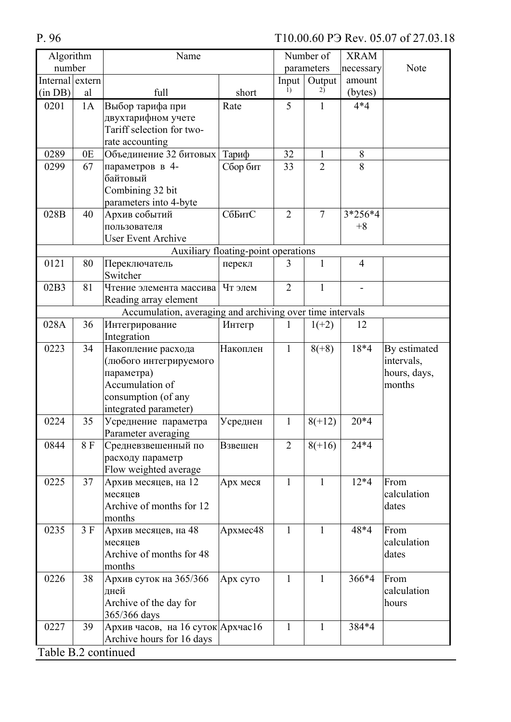| Algorithm           |    | Name                                                      |                                     |                | Number of      | <b>XRAM</b>    |              |
|---------------------|----|-----------------------------------------------------------|-------------------------------------|----------------|----------------|----------------|--------------|
| number              |    |                                                           |                                     |                | parameters     | necessary      | Note         |
| Internal extern     |    |                                                           |                                     | Input          | Output         | amount         |              |
| (in DB)             | al | full                                                      | short                               | 1)             | 2)             | (bytes)        |              |
| 0201                | 1A | Выбор тарифа при                                          | Rate                                | 5              | $\mathbf{1}$   | $4*4$          |              |
|                     |    | двухтарифном учете                                        |                                     |                |                |                |              |
|                     |    | Tariff selection for two-                                 |                                     |                |                |                |              |
|                     |    | rate accounting                                           |                                     |                |                |                |              |
| 0289                | 0E | Объединение 32 битовых                                    | Тариф                               | 32             | $\mathbf{1}$   | 8              |              |
| 0299                | 67 | параметров в 4-                                           | Сбор бит                            | 33             | $\overline{2}$ | 8              |              |
|                     |    | байтовый                                                  |                                     |                |                |                |              |
|                     |    | Combining 32 bit                                          |                                     |                |                |                |              |
|                     |    | parameters into 4-byte                                    |                                     |                |                |                |              |
| 028B                | 40 | Архив событий                                             | СбБитС                              | $\overline{2}$ | $\overline{7}$ | 3*256*4        |              |
|                     |    | пользователя                                              |                                     |                |                | $+8$           |              |
|                     |    | <b>User Event Archive</b>                                 |                                     |                |                |                |              |
|                     |    |                                                           | Auxiliary floating-point operations |                |                |                |              |
| 0121                | 80 | Переключатель                                             | перекл                              | 3              | $\mathbf{1}$   | $\overline{4}$ |              |
|                     |    | Switcher                                                  |                                     |                |                |                |              |
| 02B3                | 81 | Чтение элемента массива                                   | Чт элем                             | $\overline{2}$ | $\mathbf{1}$   |                |              |
|                     |    | Reading array element                                     |                                     |                |                |                |              |
|                     |    | Accumulation, averaging and archiving over time intervals |                                     |                |                |                |              |
| 028A                | 36 | Интегрирование                                            | Интегр                              | 1              | $1(+2)$        | 12             |              |
|                     |    | Integration                                               |                                     |                |                |                |              |
| 0223                | 34 | Накопление расхода                                        | Накоплен                            | $\mathbf{1}$   | $8(+8)$        | 18*4           | By estimated |
|                     |    | (любого интегрируемого                                    |                                     |                |                |                | intervals,   |
|                     |    | параметра)                                                |                                     |                |                |                | hours, days, |
|                     |    | Accumulation of                                           |                                     |                |                |                | months       |
|                     |    | consumption (of any                                       |                                     |                |                |                |              |
|                     |    | integrated parameter)                                     |                                     |                |                |                |              |
| 0224                | 35 | Усреднение параметра                                      | Усреднен                            | $\mathbf{1}$   | $8(+12)$       | $20*4$         |              |
|                     |    | Parameter averaging                                       |                                     |                |                |                |              |
| 0844                | 8F | Средневзвешенный по                                       | Взвешен                             | $\overline{2}$ | $8(+16)$       | $24*4$         |              |
|                     |    | расходу параметр                                          |                                     |                |                |                |              |
|                     |    | Flow weighted average                                     |                                     |                |                |                |              |
| 0225                | 37 | Архив месяцев, на 12                                      | Арх меся                            | $\mathbf{1}$   | $\mathbf{1}$   | $12*4$         | From         |
|                     |    | месяцев                                                   |                                     |                |                |                | calculation  |
|                     |    | Archive of months for 12                                  |                                     |                |                |                | dates        |
|                     |    | months                                                    |                                     |                |                |                |              |
| 0235                | 3F | Архив месяцев, на 48                                      | Архмес48                            | $\mathbf{1}$   | $\mathbf{1}$   | 48*4           | From         |
|                     |    | месяцев                                                   |                                     |                |                |                | calculation  |
|                     |    | Archive of months for 48                                  |                                     |                |                |                | dates        |
|                     |    | months                                                    |                                     |                |                |                |              |
| 0226                | 38 | Архив суток на 365/366                                    | Арх суто                            | 1              | $\mathbf{1}$   | 366*4          | From         |
|                     |    | дней                                                      |                                     |                |                |                | calculation  |
|                     |    | Archive of the day for                                    |                                     |                |                |                | hours        |
|                     |    | 365/366 days                                              |                                     |                |                |                |              |
| 0227                | 39 | Архив часов, на 16 суток Архчас16                         |                                     | $\mathbf{1}$   | $\mathbf{1}$   | 384*4          |              |
|                     |    | Archive hours for 16 days                                 |                                     |                |                |                |              |
| Table B.2 continued |    |                                                           |                                     |                |                |                |              |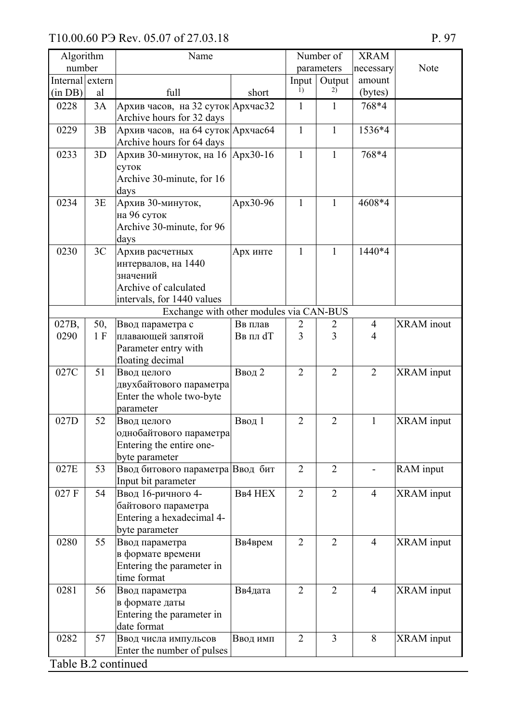| Algorithm           |            | Name                                                                                                      |                           |                | Number of      | <b>XRAM</b>                      |                   |
|---------------------|------------|-----------------------------------------------------------------------------------------------------------|---------------------------|----------------|----------------|----------------------------------|-------------------|
| number              |            |                                                                                                           |                           |                | parameters     | necessary                        | Note              |
| Internal extern     |            |                                                                                                           |                           | Input          | Output         | amount                           |                   |
| (in DB)             | al         | full                                                                                                      | short                     | 1)             | 2)             | (bytes)                          |                   |
| 0228                | 3A         | Архив часов, на 32 суток Архчас32<br>Archive hours for 32 days                                            |                           | $\mathbf{1}$   | 1              | 768*4                            |                   |
| 0229                | 3B         | Архив часов, на 64 суток Архчасб4<br>Archive hours for 64 days                                            |                           | $\mathbf{1}$   | $\mathbf{1}$   | 1536*4                           |                   |
| 0233                | 3D         | Архив 30-минуток, на 16 Арх 30-16<br>суток<br>Archive 30-minute, for 16<br>days                           |                           | $\mathbf{1}$   | $\mathbf{1}$   | 768*4                            |                   |
| 0234                | 3E         | Архив 30-минуток,<br>на 96 суток<br>Archive 30-minute, for 96<br>days                                     | Apx30-96                  | $\mathbf{1}$   | $\mathbf{1}$   | 4608*4                           |                   |
| 0230                | 3C         | Архив расчетных<br>интервалов, на 1440<br>значений<br>Archive of calculated<br>intervals, for 1440 values | Арх инте                  | 1              | 1              | 1440*4                           |                   |
|                     |            | Exchange with other modules via CAN-BUS                                                                   |                           |                |                |                                  |                   |
| 027B,<br>0290       | 50,<br>1 F | Ввод параметра с<br>плавающей запятой<br>Parameter entry with<br>floating decimal                         | Вв плав<br><b>Ввпл</b> dT | 2<br>3         | 2<br>3         | $\overline{4}$<br>$\overline{4}$ | <b>XRAM</b> inout |
| 027C                | 51         | Ввод целого<br>двухбайтового параметра<br>Enter the whole two-byte<br>parameter                           | Ввод 2                    | $\overline{2}$ | $\overline{2}$ | $\overline{2}$                   | <b>XRAM</b> input |
| 027D                | 52         | Ввод целого<br>однобайтового параметра<br>Entering the entire one-<br>byte parameter                      | Ввод 1                    | $\overline{2}$ | $\overline{2}$ | $\mathbf{1}$                     | <b>XRAM</b> input |
| 027E                | 53         | Ввод битового параметра Ввод бит<br>Input bit parameter                                                   |                           | $\overline{2}$ | $\overline{2}$ |                                  | RAM input         |
| 027 F               | 54         | Ввод 16-ричного 4-<br>байтового параметра<br>Entering a hexadecimal 4-<br>byte parameter                  | <b>BB4 HEX</b>            | $\overline{2}$ | $\overline{2}$ | $\overline{4}$                   | <b>XRAM</b> input |
| 0280                | 55         | Ввод параметра<br>в формате времени<br>Entering the parameter in<br>time format                           | Вв4врем                   | $\overline{2}$ | $\overline{2}$ | $\overline{4}$                   | <b>XRAM</b> input |
| 0281                | 56         | Ввод параметра<br>в формате даты<br>Entering the parameter in<br>date format                              | Вв4дата                   | $\overline{2}$ | $\overline{2}$ | $\overline{4}$                   | XRAM input        |
| 0282                | 57         | Ввод числа импульсов<br>Enter the number of pulses                                                        | Ввод имп                  | $\overline{2}$ | $\overline{3}$ | 8                                | <b>XRAM</b> input |
| Table B.2 continued |            |                                                                                                           |                           |                |                |                                  |                   |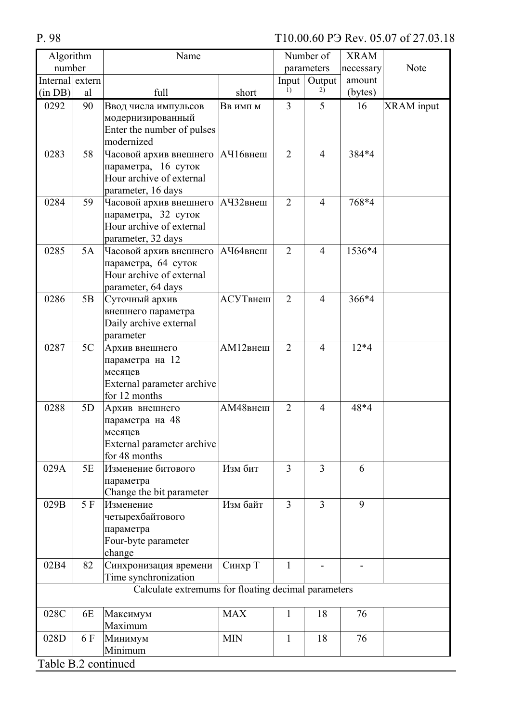P. 98

| Algorithm           |     | Name                                                                                            |            |                | Number of      | <b>XRAM</b> |                   |
|---------------------|-----|-------------------------------------------------------------------------------------------------|------------|----------------|----------------|-------------|-------------------|
| number              |     |                                                                                                 |            |                | parameters     | necessary   | Note              |
| Internal extern     |     |                                                                                                 |            | Input          | Output         | amount      |                   |
| (in DB)             | al  | full                                                                                            | short      | 1)             | 2)             | (bytes)     |                   |
| 0292                | 90  | Ввод числа импульсов<br>модернизированный<br>Enter the number of pulses<br>modernized           | Ввимпм     | $\overline{3}$ | 5              | 16          | <b>XRAM</b> input |
| 0283                | 58  | Часовой архив внешнего<br>параметра, 16 суток<br>Hour archive of external<br>parameter, 16 days | АЧ16внеш   | $\overline{2}$ | $\overline{4}$ | 384*4       |                   |
| 0284                | 59  | Часовой архив внешнего<br>параметра, 32 суток<br>Hour archive of external<br>parameter, 32 days | АЧ32внеш   | $\overline{2}$ | $\overline{4}$ | 768*4       |                   |
| 0285                | 5A  | Часовой архив внешнего<br>параметра, 64 суток<br>Hour archive of external<br>parameter, 64 days | АЧ64внеш   | $\overline{2}$ | $\overline{4}$ | 1536*4      |                   |
| 0286                | 5B  | Суточный архив<br>внешнего параметра<br>Daily archive external<br>parameter                     | АСУТвнеш   | 2              | $\overline{4}$ | 366*4       |                   |
| 0287                | 5C  | Архив внешнего<br>параметра на 12<br>месяцев<br>External parameter archive<br>for 12 months     | АМ12внеш   | $\overline{2}$ | $\overline{4}$ | $12*4$      |                   |
| 0288                | 5D  | Архив внешнего<br>параметра на 48<br>месяцев<br>External parameter archive<br>for 48 months     | АМ48внеш   | $\overline{2}$ | $\overline{4}$ | 48*4        |                   |
| 029A                | 5E  | Изменение битового<br>параметра<br>Change the bit parameter                                     | Изм бит    | 3              | 3              | 6           |                   |
| 029B                | 5 F | Изменение<br>четырехбайтового<br>параметра<br>Four-byte parameter<br>change                     | Изм байт   | $\overline{3}$ | $\overline{3}$ | 9           |                   |
| 02B4                | 82  | Синхронизация времени<br>Time synchronization                                                   | Синхр Т    | $\mathbf{1}$   |                |             |                   |
|                     |     | Calculate extremums for floating decimal parameters                                             |            |                |                |             |                   |
| 028C                | 6E  | Максимум<br>Maximum                                                                             | <b>MAX</b> | $\mathbf{1}$   | 18             | 76          |                   |
| 028D                | 6 F | Минимум<br>Minimum                                                                              | <b>MIN</b> | $\mathbf{1}$   | 18             | 76          |                   |
| Table B.2 continued |     |                                                                                                 |            |                |                |             |                   |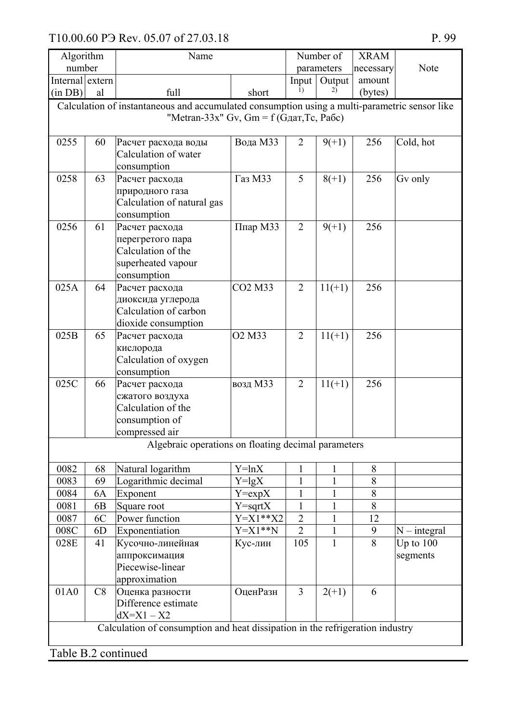| Algorithm           |    | Name                                                                                          |                                  |                | Number of    | <b>XRAM</b> |                |
|---------------------|----|-----------------------------------------------------------------------------------------------|----------------------------------|----------------|--------------|-------------|----------------|
| number              |    |                                                                                               |                                  |                | parameters   | necessary   | Note           |
| Internal extern     |    |                                                                                               |                                  | Input          | Output       | amount      |                |
| (in DB)             | al | full                                                                                          | short                            | 1)             | 2)           | (bytes)     |                |
|                     |    | Calculation of instantaneous and accumulated consumption using a multi-parametric sensor like |                                  |                |              |             |                |
|                     |    | "Metran-33x" Gv, Gm = $f$ (G <sub>A</sub> ar, Tc, Pa <sub>6c</sub> )                          |                                  |                |              |             |                |
| 0255                | 60 | Расчет расхода воды                                                                           | Вода МЗЗ                         | $\overline{2}$ | $9(+1)$      | 256         | Cold, hot      |
|                     |    | Calculation of water<br>consumption                                                           |                                  |                |              |             |                |
| 0258                | 63 | Расчет расхода                                                                                | Газ МЗЗ                          | 5              | $8(+1)$      | 256         | Gv only        |
|                     |    | природного газа                                                                               |                                  |                |              |             |                |
|                     |    | Calculation of natural gas                                                                    |                                  |                |              |             |                |
|                     |    | consumption                                                                                   |                                  |                |              |             |                |
| 0256                | 61 | Расчет расхода                                                                                | Ппар М33                         | $\overline{2}$ | $9(+1)$      | 256         |                |
|                     |    | перегретого пара                                                                              |                                  |                |              |             |                |
|                     |    | Calculation of the                                                                            |                                  |                |              |             |                |
|                     |    | superheated vapour                                                                            |                                  |                |              |             |                |
|                     |    | consumption                                                                                   |                                  |                |              |             |                |
| 025A                | 64 | Расчет расхода                                                                                | CO <sub>2</sub> M <sub>3</sub> 3 | $\overline{2}$ | $11(+1)$     | 256         |                |
|                     |    | диоксида углерода                                                                             |                                  |                |              |             |                |
|                     |    | Calculation of carbon                                                                         |                                  |                |              |             |                |
|                     |    | dioxide consumption                                                                           |                                  |                |              |             |                |
| 025B                | 65 | Расчет расхода                                                                                | O <sub>2</sub> M <sub>33</sub>   | $\overline{2}$ | $11(+1)$     | 256         |                |
|                     |    | кислорода                                                                                     |                                  |                |              |             |                |
|                     |    | Calculation of oxygen                                                                         |                                  |                |              |             |                |
|                     |    | consumption                                                                                   |                                  |                |              |             |                |
| 025C                | 66 | Расчет расхода                                                                                | возд МЗЗ                         | $\overline{2}$ | $11(+1)$     | 256         |                |
|                     |    | сжатого воздуха                                                                               |                                  |                |              |             |                |
|                     |    | Calculation of the                                                                            |                                  |                |              |             |                |
|                     |    | consumption of                                                                                |                                  |                |              |             |                |
|                     |    | compressed air                                                                                |                                  |                |              |             |                |
|                     |    | Algebraic operations on floating decimal parameters                                           |                                  |                |              |             |                |
| 0082                | 68 | Natural logarithm                                                                             | $Y=lnX$                          | 1              | 1            | 8           |                |
| 0083                | 69 | Logarithmic decimal                                                                           | $Y = \lg X$                      | 1              | 1            | 8           |                |
| 0084                | 6A | Exponent                                                                                      | $Y=expX$                         | $\mathbf{1}$   | 1            | 8           |                |
| 0081                | 6B | Square root                                                                                   | $Y = \sqrt{S}$                   | $\mathbf{1}$   | 1            | 8           |                |
| 0087                | 6C | Power function                                                                                | $Y = X1**X2$                     | $\overline{2}$ | 1            | 12          |                |
| 008C                | 6D | Exponentiation                                                                                | $Y = X1**N$                      | $\overline{2}$ | $\mathbf{1}$ | 9           | $N$ – integral |
| 028E                | 41 | Кусочно-линейная                                                                              | Кус-лин                          | 105            | 1            | 8           | Up to $100$    |
|                     |    | аппроксимация                                                                                 |                                  |                |              |             | segments       |
|                     |    | Piecewise-linear                                                                              |                                  |                |              |             |                |
|                     |    | approximation                                                                                 |                                  |                |              |             |                |
| 01A0                | C8 | Оценка разности                                                                               | ОценРазн                         | $\overline{3}$ | $2(+1)$      | 6           |                |
|                     |    | Difference estimate                                                                           |                                  |                |              |             |                |
|                     |    | $dX = X1 - X2$                                                                                |                                  |                |              |             |                |
|                     |    | Calculation of consumption and heat dissipation in the refrigeration industry                 |                                  |                |              |             |                |
|                     |    |                                                                                               |                                  |                |              |             |                |
| Table B.2 continued |    |                                                                                               |                                  |                |              |             |                |

P. 99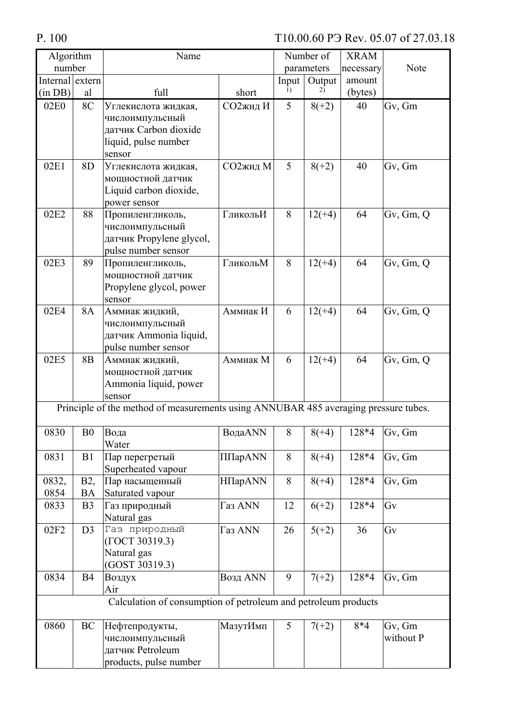| Algorithm        |                               | Name                                                                                              |                |       | Number of  | <b>XRAM</b> |                     |
|------------------|-------------------------------|---------------------------------------------------------------------------------------------------|----------------|-------|------------|-------------|---------------------|
| number           |                               |                                                                                                   |                |       | parameters | necessary   | Note                |
| Internal extern  |                               |                                                                                                   |                | Input | Output     | amount      |                     |
| (in DB)          | al                            | full                                                                                              | short          | 1)    | 2)         | (bytes)     |                     |
| 02E <sub>0</sub> | 8C                            | Углекислота жидкая,<br>числоимпульсный<br>датчик Carbon dioxide<br>liquid, pulse number<br>sensor | СО2жид И       | 5     | $8(+2)$    | 40          | Gv, Gm              |
| 02E1             | 8D                            | Углекислота жидкая,<br>мощностной датчик<br>Liquid carbon dioxide,<br>power sensor                | СО2жид М       | 5     | $8(+2)$    | 40          | Gv, Gm              |
| 02E2             | 88                            | Пропиленгликоль,<br>числоимпульсный<br>датчик Propylene glycol,<br>pulse number sensor            | ГликольИ       | 8     | $12(+4)$   | 64          | Gv, Gm, Q           |
| 02E3             | 89                            | Пропиленгликоль,<br>мощностной датчик<br>Propylene glycol, power<br>sensor                        | ГликольМ       | 8     | $12(+4)$   | 64          | Gv, Gm, Q           |
| 02E4             | 8A                            | Аммиак жидкий,<br>числоимпульсный<br>датчик Ammonia liquid,<br>pulse number sensor                | Аммиак И       | 6     | $12(+4)$   | 64          | Gv, Gm, Q           |
| 02E5             | 8 <sub>B</sub>                | Аммиак жидкий,<br>мощностной датчик<br>Ammonia liquid, power<br>sensor                            | Аммиак М       | 6     | $12(+4)$   | 64          | Gv, Gm, Q           |
|                  |                               | Principle of the method of measurements using ANNUBAR 485 averaging pressure tubes.               |                |       |            |             |                     |
| 0830             | B <sub>0</sub>                | Вода<br>Water                                                                                     | ВодаANN        | 8     | $8(+4)$    | 128*4       | Gv, Gm              |
| 0831             | B1                            | Пар перегретый<br>Superheated vapour                                                              | ΠΠapANN        | 8     | $8(+4)$    | 128*4       | Gv, Gm              |
| 0832,<br>0854    | B <sub>2</sub> ,<br><b>BA</b> | Пар насыщенный<br>Saturated vapour                                                                | <b>ΗΠapANN</b> | 8     | $8(+4)$    | 128*4       | Gv, Gm              |
| 0833             | B <sub>3</sub>                | Газ природный<br>Natural gas                                                                      | Газ ANN        | 12    | $6(+2)$    | 128*4       | Gv                  |
| 02F2             | D3                            | Газ природный<br>(TOCT 30319.3)<br>Natural gas<br>(GOST 30319.3)                                  | Газ ANN        | 26    | $5(+2)$    | 36          | Gv                  |
| 0834             | <b>B4</b>                     | Воздух<br>Air                                                                                     | Возд ANN       | 9     | $7(+2)$    | 128*4       | Gv, Gm              |
|                  |                               | Calculation of consumption of petroleum and petroleum products                                    |                |       |            |             |                     |
| 0860             | BC                            | Нефтепродукты,<br>числоимпульсный<br>датчик Petroleum<br>products, pulse number                   | МазутИмп       | 5     | $7(+2)$    | $8*4$       | Gv, Gm<br>without P |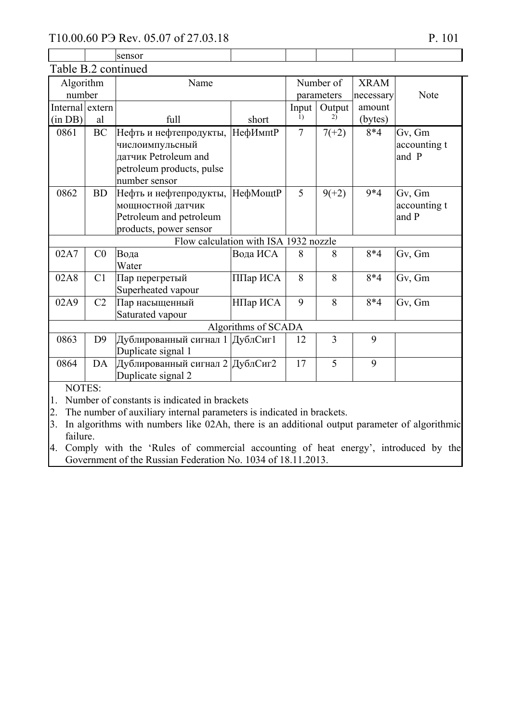|                     |                | 110.00.00 PJ KEV. 00.07 01 27.00.18                                                          |                     |       |                |             | P. 101       |
|---------------------|----------------|----------------------------------------------------------------------------------------------|---------------------|-------|----------------|-------------|--------------|
|                     |                | sensor                                                                                       |                     |       |                |             |              |
| Table B.2 continued |                |                                                                                              |                     |       |                |             |              |
| Algorithm           |                | Name                                                                                         |                     |       | Number of      | <b>XRAM</b> |              |
| number              |                |                                                                                              |                     |       | parameters     | necessary   | Note         |
| Internal extern     |                |                                                                                              |                     | Input | Output         | amount      |              |
| (in DB)             | al             | full                                                                                         | short               | 1)    | 2)             | (bytes)     |              |
| 0861                | <b>BC</b>      | Нефть и нефтепродукты,                                                                       | <b>НефИмпtР</b>     | 7     | $7(+2)$        | $8*4$       | Gv, Gm       |
|                     |                | числоимпульсный                                                                              |                     |       |                |             | accounting t |
|                     |                | датчик Petroleum and                                                                         |                     |       |                |             | and P        |
|                     |                | petroleum products, pulse                                                                    |                     |       |                |             |              |
|                     |                | number sensor                                                                                |                     |       |                |             |              |
| 0862                | <b>BD</b>      | Нефть и нефтепродукты,                                                                       | НефМощtP            | 5     | $9(+2)$        | $9*4$       | Gv, Gm       |
|                     |                | мощностной датчик                                                                            |                     |       |                |             | accounting t |
|                     |                | Petroleum and petroleum                                                                      |                     |       |                |             | and P        |
|                     |                | products, power sensor                                                                       |                     |       |                |             |              |
|                     |                | Flow calculation with ISA 1932 nozzle                                                        |                     |       |                |             |              |
| 02A7                | C <sub>0</sub> | Вода                                                                                         | Вода ИСА            | 8     | 8              | $8*4$       | Gv, Gm       |
|                     |                | Water                                                                                        |                     |       |                |             |              |
| 02A8                | C <sub>1</sub> | Пар перегретый                                                                               | ППар ИСА            | 8     | 8              | $8*4$       | Gv, Gm       |
|                     |                | Superheated vapour                                                                           |                     |       |                |             |              |
| 02A9                | C <sub>2</sub> | Пар насыщенный                                                                               | НПар ИСА            | 9     | 8              | $8*4$       | Gv, Gm       |
|                     |                | Saturated vapour                                                                             |                     |       |                |             |              |
|                     |                |                                                                                              | Algorithms of SCADA |       |                |             |              |
| 0863                | D <sub>9</sub> | Дублированный сигнал 1 ДублСиг1                                                              |                     | 12    | $\overline{3}$ | 9           |              |
|                     |                | Duplicate signal 1                                                                           |                     |       |                |             |              |
| 0864                | DA             | Дублированный сигнал 2 ДублСиг2                                                              |                     | 17    | 5              | 9           |              |
|                     |                | Duplicate signal 2                                                                           |                     |       |                |             |              |
| NOTES:              |                |                                                                                              |                     |       |                |             |              |
| 1.                  |                | Number of constants is indicated in brackets                                                 |                     |       |                |             |              |
| 2.                  |                | The number of auxiliary internal parameters is indicated in brackets.                        |                     |       |                |             |              |
| 3                   |                | In algorithms with numbers like 02Ah, there is an additional output parameter of algorithmic |                     |       |                |             |              |

lgorithms with numbers like 02Ah, there is an additional output parameter of algorithmic failure.

4. Comply with the 'Rules of commercial accounting of heat energy', introduced by the Government of the Russian Federation No. 1034 of  $18.11.2013$ .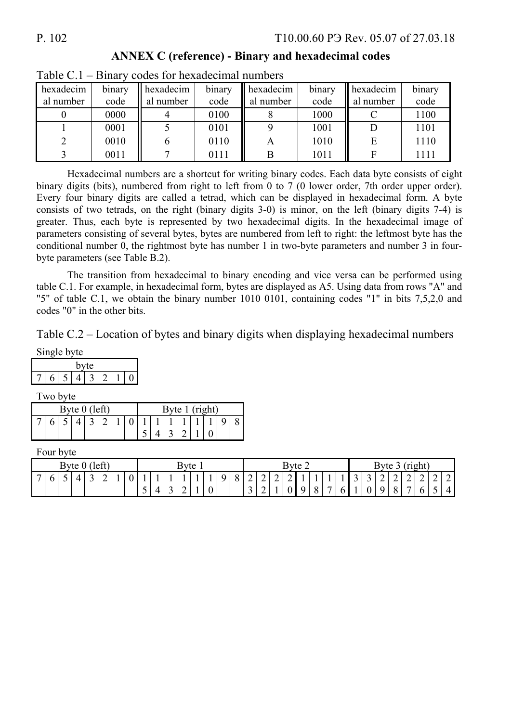| $\sim$ $\sim$ $\sim$ $\sim$ $\sim$ $\sim$ | -----          |                        |                |                             |                |                        |                |
|-------------------------------------------|----------------|------------------------|----------------|-----------------------------|----------------|------------------------|----------------|
| hexadecim<br>al number                    | binary<br>code | hexadecim<br>al number | binary<br>code | hexadecim<br>Ш<br>al number | binary<br>code | hexadecim<br>al number | binary<br>code |
|                                           | 0000           |                        | 0100           |                             | 1000           |                        | 1100           |
|                                           | 0001           |                        | 0101           |                             | 1001           |                        | 1101           |
|                                           | 0010           |                        | 0110           |                             | 1010           |                        | 1110           |
|                                           | 0011           |                        | 0111           |                             | 1011           |                        | $111^{\circ}$  |

 **ANNEX C (reference) - Binary and hexadecimal codes** 

| Table $C.1$ – Binary codes for hexadecimal numbers |  |  |  |  |
|----------------------------------------------------|--|--|--|--|
|----------------------------------------------------|--|--|--|--|

Hexadecimal numbers are a shortcut for writing binary codes. Each data byte consists of eight binary digits (bits), numbered from right to left from 0 to 7 (0 lower order, 7th order upper order). Every four binary digits are called a tetrad, which can be displayed in hexadecimal form. A byte consists of two tetrads, on the right (binary digits 3-0) is minor, on the left (binary digits 7-4) is greater. Thus, each byte is represented by two hexadecimal digits. In the hexadecimal image of parameters consisting of several bytes, bytes are numbered from left to right: the leftmost byte has the conditional number 0, the rightmost byte has number 1 in two-byte parameters and number 3 in fourbyte parameters (see Table B.2).

The transition from hexadecimal to binary encoding and vice versa can be performed using table C.1. For example, in hexadecimal form, bytes are displayed as A5. Using data from rows "A" and "5" of table C.1, we obtain the binary number 1010 0101, containing codes "1" in bits 7,5,2,0 and codes "0" in the other bits.

Table C.2 – Location of bytes and binary digits when displaying hexadecimal numbers

|  | ngle byte |     |  |  |
|--|-----------|-----|--|--|
|  | n         | vte |  |  |
|  |           |     |  |  |

Two byte

| Byte 1 (right)<br>Byte $0$ (left)                                                                              |
|----------------------------------------------------------------------------------------------------------------|
| $4$   3   2   1   0   1   1   1   1   1   1   9<br>$\begin{array}{c c c c c c c} \hline 3 & 2 & 1 \end{array}$ |

Four byte

| left)<br><b>Byte</b><br>$\mathbf v$ |          |                          |  |  |        | Byte 1 |                          |   |        |   | Byte<br>∠<br>◡ |   |          |                     | right)<br>Byte<br>ັ   |        |   |   |          |                                            |     |   |        |   |               |                                                      |   |   |   |
|-------------------------------------|----------|--------------------------|--|--|--------|--------|--------------------------|---|--------|---|----------------|---|----------|---------------------|-----------------------|--------|---|---|----------|--------------------------------------------|-----|---|--------|---|---------------|------------------------------------------------------|---|---|---|
|                                     | $\sigma$ | $\overline{\phantom{0}}$ |  |  | ∽<br>∽ |        | $\overline{\phantom{0}}$ |   | $\sim$ | - |                |   | $\Omega$ | $\Omega$<br>$\circ$ | $\sim$<br>∽<br>$\sim$ | ⌒<br>∼ | ∸ | ∽ | $\Omega$ | $\overline{\phantom{a}}$<br>$\overline{ }$ | . . | ັ | ∽<br>ັ | ∽ | ∼<br>$\Omega$ | $\sim$<br>$\overline{\phantom{0}}$<br>$\overline{ }$ | ∼ | ∽ | - |
|                                     |          |                          |  |  |        |        | ັ                        | ୵ |        | ∼ |                | v |          |                     | ັ                     | -      |   | v | $\circ$  |                                            | r   |   |        |   | v             |                                                      |   |   | 4 |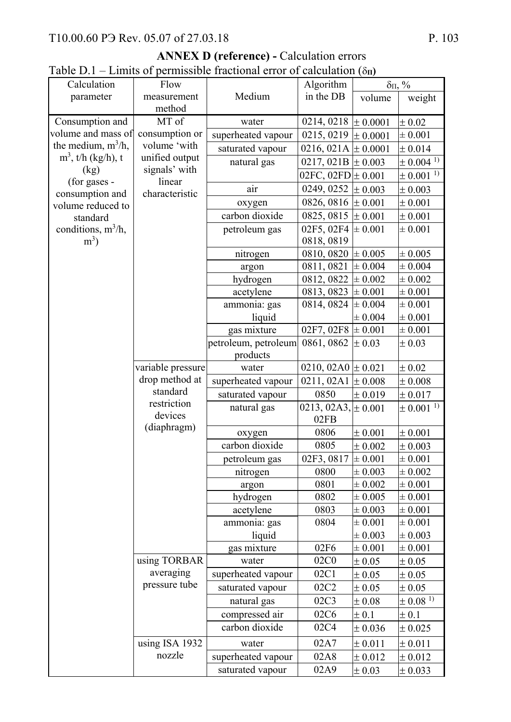| $1 \text{ and } 1 \text{ and } 1$    |                   | Linnes of permissione machenal cribi of calculation (011) |                         |              |                            |
|--------------------------------------|-------------------|-----------------------------------------------------------|-------------------------|--------------|----------------------------|
| Calculation                          | Flow              |                                                           | Algorithm               |              | $\delta$ <sub>II</sub> , % |
| parameter                            | measurement       | Medium                                                    | in the DB               | volume       | weight                     |
|                                      | method            |                                                           |                         |              |                            |
| Consumption and                      | MT of             | water                                                     | 0214, 0218              | $\pm 0.0001$ | $\pm 0.02$                 |
| volume and mass of                   | consumption or    | superheated vapour                                        | 0215, 0219              | $\pm 0.0001$ | $\pm 0.001$                |
| the medium, $m^3/h$ ,                | volume 'with      | saturated vapour                                          | 0216, 021A $\pm$ 0.0001 |              | $\pm 0.014$                |
| $m^3$ , t/h (kg/h), t                | unified output    | natural gas                                               | 0217, 021B              | $\pm 0.003$  | $\pm 0.004^{1}$            |
| (kg)                                 | signals' with     |                                                           | 02FC, $02FD \pm 0.001$  |              | $\pm$ 0.001 <sup>-1)</sup> |
| (for gases -                         | linear            | air                                                       | 0249, 0252              | $\pm 0.003$  | $\pm 0.003$                |
| consumption and<br>volume reduced to | characteristic    | oxygen                                                    | 0826, 0816              | $\pm 0.001$  | $\pm 0.001$                |
| standard                             |                   | carbon dioxide                                            | 0825, 0815              | $\pm 0.001$  | $\pm 0.001$                |
| conditions, $m^3/h$ ,                |                   | petroleum gas                                             | 02F5, 02F4              | $\pm 0.001$  | $\pm 0.001$                |
| $m3$ )                               |                   |                                                           | 0818, 0819              |              |                            |
|                                      |                   | nitrogen                                                  | 0810, 0820              | $\pm 0.005$  | $\pm 0.005$                |
|                                      |                   | argon                                                     | 0811, 0821              | $\pm 0.004$  | ± 0.004                    |
|                                      |                   | hydrogen                                                  | 0812, 0822              | $\pm 0.002$  | $\pm 0.002$                |
|                                      |                   | acetylene                                                 | 0813, 0823              | $\pm 0.001$  | $\pm 0.001$                |
|                                      |                   | ammonia: gas                                              | 0814, 0824              | $\pm 0.004$  | $\pm 0.001$                |
|                                      |                   | liquid                                                    |                         | $\pm 0.004$  | $\pm 0.001$                |
|                                      |                   | gas mixture                                               | 02F7, 02F8              | $\pm 0.001$  | $\pm 0.001$                |
|                                      |                   | petroleum, petroleum                                      | 0861, 0862              | $\pm 0.03$   | $\pm 0.03$                 |
|                                      |                   | products                                                  |                         |              |                            |
|                                      | variable pressure | water                                                     | 0210, 02A0 $\pm$ 0.021  |              | $\pm 0.02$                 |
|                                      | drop method at    | superheated vapour                                        | 0211, 02A1              | $\pm 0.008$  | $\pm 0.008$                |
|                                      | standard          | saturated vapour                                          | 0850                    | $\pm 0.019$  | ± 0.017                    |
|                                      | restriction       | natural gas                                               | 0213, 02A3, $\pm$ 0.001 |              | $\pm$ 0.001 <sup>-1)</sup> |
|                                      | devices           |                                                           | 02FB                    |              |                            |
|                                      | (diaphragm)       | oxygen                                                    | 0806                    | ± 0.001      | $\pm 0.001$                |
|                                      |                   | carbon dioxide                                            | 0805                    | $\pm 0.002$  | $\pm 0.003$                |
|                                      |                   | petroleum gas                                             | 02F3, 0817              | $\pm 0.001$  | $\pm 0.001$                |
|                                      |                   | nitrogen                                                  | 0800                    | $\pm 0.003$  | $\pm 0.002$                |
|                                      |                   | argon                                                     | 0801                    | $\pm 0.002$  | $\pm 0.001$                |
|                                      |                   | hydrogen                                                  | 0802                    | $\pm 0.005$  | $\pm 0.001$                |
|                                      |                   | acetylene                                                 | 0803                    | $\pm 0.003$  | $\pm 0.001$                |
|                                      |                   | ammonia: gas                                              | 0804                    | $\pm 0.001$  | $\pm 0.001$                |
|                                      |                   | liquid                                                    |                         | $\pm 0.003$  | $\pm 0.003$                |
|                                      |                   | gas mixture                                               | 02F6                    | $\pm 0.001$  | $\pm 0.001$                |
|                                      | using TORBAR      | water                                                     | 02C0                    | ± 0.05       | $\pm 0.05$                 |
|                                      | averaging         | superheated vapour                                        | 02C1                    | ± 0.05       | $\pm 0.05$                 |
|                                      | pressure tube     | saturated vapour                                          | 02C2                    | $\pm 0.05$   | $\pm 0.05$                 |
|                                      |                   | natural gas                                               | 02C3                    | $\pm 0.08$   | $\pm 0.08$ <sup>1)</sup>   |
|                                      |                   | compressed air                                            | 02C6                    | $\pm 0.1$    | $\pm 0.1$                  |
|                                      |                   | carbon dioxide                                            | 02C4                    | $\pm 0.036$  | $\pm 0.025$                |
|                                      | using ISA 1932    | water                                                     | 02A7                    | $\pm 0.011$  | $\pm 0.011$                |

superheated vapour  $\begin{array}{|c|c|c|c|c|c|} \hline 0.012 & \pm 0.012 & \pm 0.012 \hline \end{array}$ saturated vapour  $\begin{array}{|c|c|c|c|c|c|}\n\hline\n02A9 & \pm 0.033 & \pm 0.033\n\end{array}$ 

nozzle

**ANNEX D (reference) -** Calculation errors Table D.1 – Limits of permissible fractional error of calculation  $(\delta_{\bf n})$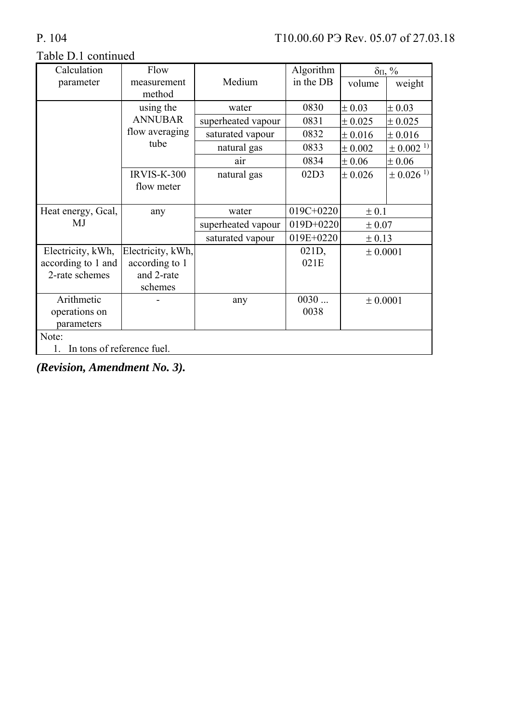## Table D.1 continued

| Calculation                      | Flow               |                    | Algorithm   | $\delta \Pi$ , % |                          |  |  |  |
|----------------------------------|--------------------|--------------------|-------------|------------------|--------------------------|--|--|--|
| parameter                        | measurement        | Medium             | in the DB   | volume           | weight                   |  |  |  |
|                                  | method             |                    |             |                  |                          |  |  |  |
|                                  | using the          | water              | 0830        | $\pm 0.03$       | $\pm 0.03$               |  |  |  |
|                                  | <b>ANNUBAR</b>     | superheated vapour | 0831        | $\pm 0.025$      | $\pm 0.025$              |  |  |  |
|                                  | flow averaging     | saturated vapour   | 0832        | $\pm 0.016$      | $\pm 0.016$              |  |  |  |
|                                  | tube               | natural gas        | 0833        | $\pm 0.002$      | $\pm$ 0.002 <sup>1</sup> |  |  |  |
|                                  |                    | air                | 0834        | $\pm 0.06$       | $\pm 0.06$               |  |  |  |
|                                  | <b>IRVIS-K-300</b> | natural gas        | 02D3        | $\pm 0.026$      | $\pm$ 0.026 <sup>1</sup> |  |  |  |
|                                  | flow meter         |                    |             |                  |                          |  |  |  |
|                                  |                    |                    |             |                  |                          |  |  |  |
| Heat energy, Gcal,               | any                | water              | $019C+0220$ | ± 0.1            |                          |  |  |  |
| MJ                               |                    | superheated vapour | $019D+0220$ | ± 0.07           |                          |  |  |  |
|                                  |                    | saturated vapour   | 019E+0220   | ± 0.13           |                          |  |  |  |
| Electricity, kWh,                | Electricity, kWh,  |                    | 021D,       | ± 0.0001         |                          |  |  |  |
| according to 1 and               | according to 1     |                    | 021E        |                  |                          |  |  |  |
| 2-rate schemes                   | and 2-rate         |                    |             |                  |                          |  |  |  |
|                                  | schemes            |                    |             |                  |                          |  |  |  |
| Arithmetic                       |                    | any                | 0030        | ± 0.0001         |                          |  |  |  |
| operations on                    |                    |                    | 0038        |                  |                          |  |  |  |
| parameters                       |                    |                    |             |                  |                          |  |  |  |
| Note:                            |                    |                    |             |                  |                          |  |  |  |
| In tons of reference fuel.<br>1. |                    |                    |             |                  |                          |  |  |  |

*(Revision, Amendment No. 3).*